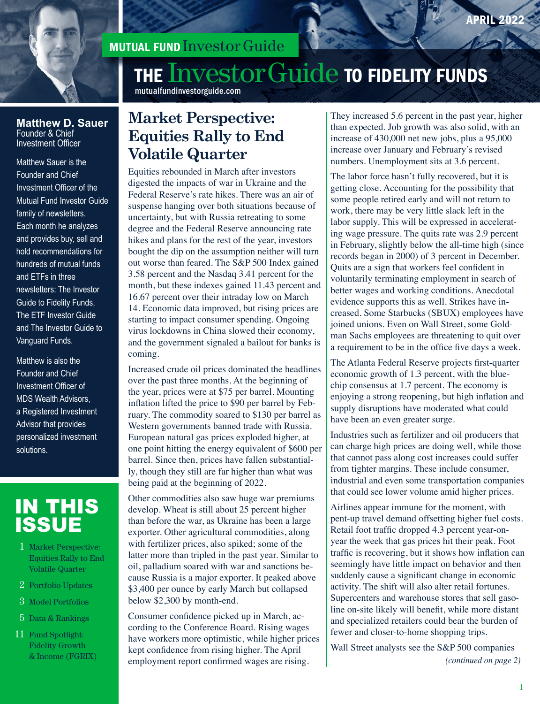

# MUTUAL FUND Investor Guide

# THE Investor Guide TO FIDELITY FUNDS

mutualfundinvestorguide.com

# **Market Perspective: Equities Rally to End Volatile Quarter**

Equities rebounded in March after investors digested the impacts of war in Ukraine and the Federal Reserve's rate hikes. There was an air of suspense hanging over both situations because of uncertainty, but with Russia retreating to some degree and the Federal Reserve announcing rate hikes and plans for the rest of the year, investors bought the dip on the assumption neither will turn out worse than feared. The S&P 500 Index gained 3.58 percent and the Nasdaq 3.41 percent for the month, but these indexes gained 11.43 percent and 16.67 percent over their intraday low on March 14. Economic data improved, but rising prices are starting to impact consumer spending. Ongoing virus lockdowns in China slowed their economy, and the government signaled a bailout for banks is coming.

Increased crude oil prices dominated the headlines over the past three months. At the beginning of the year, prices were at \$75 per barrel. Mounting inflation lifted the price to \$90 per barrel by February. The commodity soared to \$130 per barrel as Western governments banned trade with Russia. European natural gas prices exploded higher, at one point hitting the energy equivalent of \$600 per barrel. Since then, prices have fallen substantially, though they still are far higher than what was being paid at the beginning of 2022.

Other commodities also saw huge war premiums develop. Wheat is still about 25 percent higher than before the war, as Ukraine has been a large exporter. Other agricultural commodities, along with fertilizer prices, also spiked; some of the latter more than tripled in the past year. Similar to oil, palladium soared with war and sanctions because Russia is a major exporter. It peaked above \$3,400 per ounce by early March but collapsed below \$2,300 by month-end.

Consumer confidence picked up in March, according to the Conference Board. Rising wages have workers more optimistic, while higher prices kept confidence from rising higher. The April employment report confirmed wages are rising.

They increased 5.6 percent in the past year, higher than expected. Job growth was also solid, with an increase of 430,000 net new jobs, plus a 95,000 increase over January and February's revised numbers. Unemployment sits at 3.6 percent.

The labor force hasn't fully recovered, but it is getting close. Accounting for the possibility that some people retired early and will not return to work, there may be very little slack left in the labor supply. This will be expressed in accelerating wage pressure. The quits rate was 2.9 percent in February, slightly below the all-time high (since records began in 2000) of 3 percent in December. Quits are a sign that workers feel confident in voluntarily terminating employment in search of better wages and working conditions. Anecdotal evidence supports this as well. Strikes have increased. Some Starbucks (SBUX) employees have joined unions. Even on Wall Street, some Goldman Sachs employees are threatening to quit over a requirement to be in the office five days a week.

The Atlanta Federal Reserve projects first-quarter economic growth of 1.3 percent, with the bluechip consensus at 1.7 percent. The economy is enjoying a strong reopening, but high inflation and supply disruptions have moderated what could have been an even greater surge.

Industries such as fertilizer and oil producers that can charge high prices are doing well, while those that cannot pass along cost increases could suffer from tighter margins. These include consumer, industrial and even some transportation companies that could see lower volume amid higher prices.

Airlines appear immune for the moment, with pent-up travel demand offsetting higher fuel costs. Retail foot traffic dropped 4.3 percent year-onyear the week that gas prices hit their peak. Foot traffic is recovering, but it shows how inflation can seemingly have little impact on behavior and then suddenly cause a significant change in economic activity. The shift will also alter retail fortunes. Supercenters and warehouse stores that sell gasoline on-site likely will benefit, while more distant and specialized retailers could bear the burden of fewer and closer-to-home shopping trips.

Wall Street analysts see the S&P 500 companies *(continued on page 2)*

#### **Matthew D. Sauer** Founder & Chief Investment Officer

Matthew Sauer is the Founder and Chief Investment Officer of the Mutual Fund Investor Guide family of newsletters. Each month he analyzes and provides buy, sell and hold recommendations for hundreds of mutual funds and ETFs in three newsletters: The Investor Guide to Fidelity Funds, The ETF Investor Guide and The Investor Guide to Vanguard Funds.

Matthew is also the Founder and Chief Investment Officer of MDS Wealth Advisors, a Registered Investment Advisor that provides personalized investment solutions.

# IN THIS ISSUE

- 1 Market Perspective: Equities Rally to End Volatile Quarter
- 2 Portfolio Updates
- 3 Model Portfolios
- 5 Data & Rankings
- 11 Fund Spotlight: Fidelity Growth & Income (FGRIX)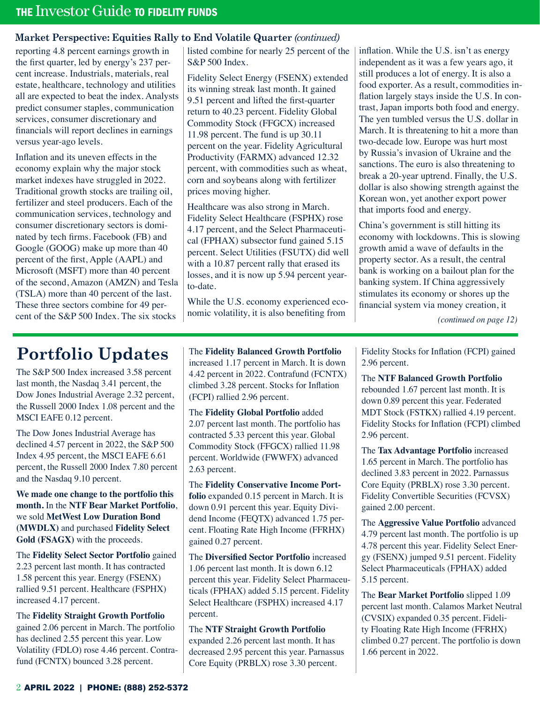## **Market Perspective: Equities Rally to End Volatile Quarter** *(continued)*

reporting 4.8 percent earnings growth in the first quarter, led by energy's 237 percent increase. Industrials, materials, real estate, healthcare, technology and utilities all are expected to beat the index. Analysts predict consumer staples, communication services, consumer discretionary and financials will report declines in earnings versus year-ago levels.

Inflation and its uneven effects in the economy explain why the major stock market indexes have struggled in 2022. Traditional growth stocks are trailing oil, fertilizer and steel producers. Each of the communication services, technology and consumer discretionary sectors is dominated by tech firms. Facebook (FB) and Google (GOOG) make up more than 40 percent of the first, Apple (AAPL) and Microsoft (MSFT) more than 40 percent of the second, Amazon (AMZN) and Tesla (TSLA) more than 40 percent of the last. These three sectors combine for 49 percent of the S&P 500 Index. The six stocks

listed combine for nearly 25 percent of the S&P 500 Index.

Fidelity Select Energy (FSENX) extended its winning streak last month. It gained 9.51 percent and lifted the first-quarter return to 40.23 percent. Fidelity Global Commodity Stock (FFGCX) increased 11.98 percent. The fund is up 30.11 percent on the year. Fidelity Agricultural Productivity (FARMX) advanced 12.32 percent, with commodities such as wheat, corn and soybeans along with fertilizer prices moving higher.

Healthcare was also strong in March. Fidelity Select Healthcare (FSPHX) rose 4.17 percent, and the Select Pharmaceutical (FPHAX) subsector fund gained 5.15 percent. Select Utilities (FSUTX) did well with a 10.87 percent rally that erased its losses, and it is now up 5.94 percent yearto-date.

While the U.S. economy experienced economic volatility, it is also benefiting from

inflation. While the U.S. isn't as energy independent as it was a few years ago, it still produces a lot of energy. It is also a food exporter. As a result, commodities inflation largely stays inside the U.S. In contrast, Japan imports both food and energy. The yen tumbled versus the U.S. dollar in March. It is threatening to hit a more than two-decade low. Europe was hurt most by Russia's invasion of Ukraine and the sanctions. The euro is also threatening to break a 20-year uptrend. Finally, the U.S. dollar is also showing strength against the Korean won, yet another export power that imports food and energy.

China's government is still hitting its economy with lockdowns. This is slowing growth amid a wave of defaults in the property sector. As a result, the central bank is working on a bailout plan for the banking system. If China aggressively stimulates its economy or shores up the financial system via money creation, it

*(continued on page 12)*

# **Portfolio Updates**

The S&P 500 Index increased 3.58 percent last month, the Nasdaq 3.41 percent, the Dow Jones Industrial Average 2.32 percent, the Russell 2000 Index 1.08 percent and the MSCI EAFE 0.12 percent.

The Dow Jones Industrial Average has declined 4.57 percent in 2022, the S&P 500 Index 4.95 percent, the MSCI EAFE 6.61 percent, the Russell 2000 Index 7.80 percent and the Nasdaq 9.10 percent.

**We made one change to the portfolio this month.** In the **NTF Bear Market Portfolio**, we sold **MetWest Low Duration Bond (MWDLX)** and purchased **Fidelity Select Gold (FSAGX)** with the proceeds.

The **Fidelity Select Sector Portfolio** gained 2.23 percent last month. It has contracted 1.58 percent this year. Energy (FSENX) rallied 9.51 percent. Healthcare (FSPHX) increased 4.17 percent.

The **Fidelity Straight Growth Portfolio**  gained 2.06 percent in March. The portfolio has declined 2.55 percent this year. Low Volatility (FDLO) rose 4.46 percent. Contrafund (FCNTX) bounced 3.28 percent.

The **Fidelity Balanced Growth Portfolio**  increased 1.17 percent in March. It is down 4.42 percent in 2022. Contrafund (FCNTX) climbed 3.28 percent. Stocks for Inflation (FCPI) rallied 2.96 percent.

The **Fidelity Global Portfolio** added 2.07 percent last month. The portfolio has contracted 5.33 percent this year. Global Commodity Stock (FFGCX) rallied 11.98 percent. Worldwide (FWWFX) advanced 2.63 percent.

The **Fidelity Conservative Income Portfolio** expanded 0.15 percent in March. It is down 0.91 percent this year. Equity Dividend Income (FEQTX) advanced 1.75 percent. Floating Rate High Income (FFRHX) gained 0.27 percent.

The **Diversified Sector Portfolio** increased 1.06 percent last month. It is down 6.12 percent this year. Fidelity Select Pharmaceuticals (FPHAX) added 5.15 percent. Fidelity Select Healthcare (FSPHX) increased 4.17 percent.

The **NTF Straight Growth Portfolio**  expanded 2.26 percent last month. It has decreased 2.95 percent this year. Parnassus Core Equity (PRBLX) rose 3.30 percent.

Fidelity Stocks for Inflation (FCPI) gained 2.96 percent.

The **NTF Balanced Growth Portfolio**  rebounded 1.67 percent last month. It is down 0.89 percent this year. Federated MDT Stock (FSTKX) rallied 4.19 percent. Fidelity Stocks for Inflation (FCPI) climbed 2.96 percent.

The **Tax Advantage Portfolio** increased 1.65 percent in March. The portfolio has declined 3.83 percent in 2022. Parnassus Core Equity (PRBLX) rose 3.30 percent. Fidelity Convertible Securities (FCVSX) gained 2.00 percent.

The **Aggressive Value Portfolio** advanced 4.79 percent last month. The portfolio is up 4.78 percent this year. Fidelity Select Energy (FSENX) jumped 9.51 percent. Fidelity Select Pharmaceuticals (FPHAX) added 5.15 percent.

The **Bear Market Portfolio** slipped 1.09 percent last month. Calamos Market Neutral (CVSIX) expanded 0.35 percent. Fidelity Floating Rate High Income (FFRHX) climbed 0.27 percent. The portfolio is down 1.66 percent in 2022.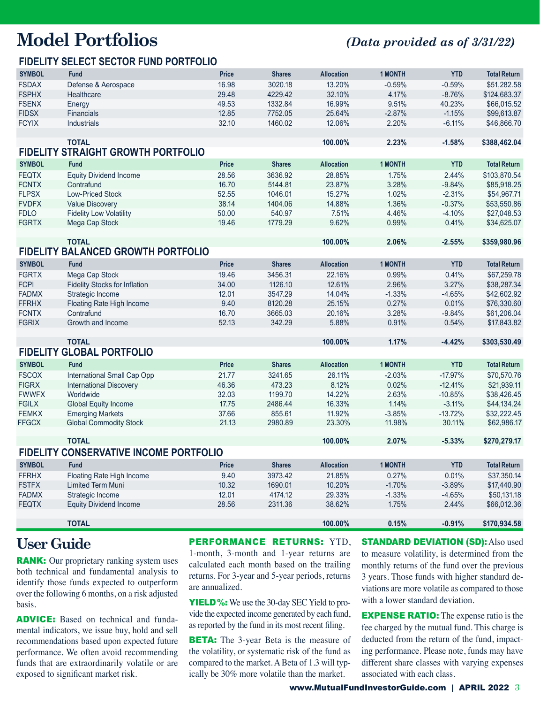# **Model Portfolios** *(Data provided as of 3/31/22)*

# **FIDELITY SELECT SECTOR FUND PORTFOLIO**

| <b>SYMBOL</b> | <b>Fund</b>                                   | <b>Price</b> | <b>Shares</b> | <b>Allocation</b> | <b>1 MONTH</b> | <b>YTD</b> | <b>Total Return</b> |
|---------------|-----------------------------------------------|--------------|---------------|-------------------|----------------|------------|---------------------|
| <b>FSDAX</b>  | Defense & Aerospace                           | 16.98        | 3020.18       | 13.20%            | $-0.59%$       | $-0.59%$   | \$51,282.58         |
| <b>FSPHX</b>  | Healthcare                                    | 29.48        | 4229.42       | 32.10%            | 4.17%          | $-8.76%$   | \$124,683.37        |
| <b>FSENX</b>  | Energy                                        | 49.53        | 1332.84       | 16.99%            | 9.51%          | 40.23%     | \$66,015.52         |
| <b>FIDSX</b>  | <b>Financials</b>                             | 12.85        | 7752.05       | 25.64%            | $-2.87%$       | $-1.15%$   | \$99,613.87         |
| <b>FCYIX</b>  | Industrials                                   | 32.10        | 1460.02       | 12.06%            | 2.20%          | $-6.11%$   | \$46,866.70         |
|               |                                               |              |               |                   |                |            |                     |
|               | <b>TOTAL</b>                                  |              |               | 100.00%           | 2.23%          | $-1.58%$   | \$388,462.04        |
|               | <b>FIDELITY STRAIGHT GROWTH PORTFOLIO</b>     |              |               |                   |                |            |                     |
| <b>SYMBOL</b> | <b>Fund</b>                                   | <b>Price</b> | <b>Shares</b> | <b>Allocation</b> | <b>1 MONTH</b> | <b>YTD</b> | <b>Total Return</b> |
| <b>FEQTX</b>  | <b>Equity Dividend Income</b>                 | 28.56        | 3636.92       | 28.85%            | 1.75%          | 2.44%      | \$103,870.54        |
| <b>FCNTX</b>  | Contrafund                                    | 16.70        | 5144.81       | 23.87%            | 3.28%          | $-9.84%$   | \$85,918.25         |
| <b>FLPSX</b>  | <b>Low-Priced Stock</b>                       | 52.55        | 1046.01       | 15.27%            | 1.02%          | $-2.31%$   | \$54,967.71         |
| <b>FVDFX</b>  | <b>Value Discovery</b>                        | 38.14        | 1404.06       | 14.88%            | 1.36%          | $-0.37%$   | \$53,550.86         |
| <b>FDLO</b>   | <b>Fidelity Low Volatility</b>                | 50.00        | 540.97        | 7.51%             | 4.46%          | $-4.10%$   | \$27,048.53         |
| <b>FGRTX</b>  | Mega Cap Stock                                | 19.46        | 1779.29       | 9.62%             | 0.99%          | 0.41%      | \$34,625.07         |
|               |                                               |              |               |                   |                |            |                     |
|               | <b>TOTAL</b>                                  |              |               | 100.00%           | 2.06%          | $-2.55%$   | \$359,980.96        |
|               | <b>FIDELITY BALANCED GROWTH PORTFOLIO</b>     |              |               |                   |                |            |                     |
| <b>SYMBOL</b> | Fund                                          | Price        | <b>Shares</b> | <b>Allocation</b> | <b>1 MONTH</b> | <b>YTD</b> | <b>Total Return</b> |
| <b>FGRTX</b>  | Mega Cap Stock                                | 19.46        | 3456.31       | 22.16%            | 0.99%          | 0.41%      | \$67,259.78         |
| <b>FCPI</b>   | <b>Fidelity Stocks for Inflation</b>          | 34.00        | 1126.10       | 12.61%            | 2.96%          | 3.27%      | \$38,287.34         |
| <b>FADMX</b>  | Strategic Income                              | 12.01        | 3547.29       | 14.04%            | $-1.33%$       | $-4.65%$   | \$42,602.92         |
| <b>FFRHX</b>  | Floating Rate High Income                     | 9.40         | 8120.28       | 25.15%            | 0.27%          | 0.01%      | \$76,330.60         |
| <b>FCNTX</b>  | Contrafund                                    | 16.70        | 3665.03       | 20.16%            | 3.28%          | $-9.84%$   | \$61,206.04         |
| <b>FGRIX</b>  | Growth and Income                             | 52.13        | 342.29        | 5.88%             | 0.91%          | 0.54%      | \$17,843.82         |
|               |                                               |              |               |                   |                |            |                     |
|               | <b>TOTAL</b>                                  |              |               | 100.00%           | 1.17%          | $-4.42%$   | \$303,530.49        |
|               | <b>FIDELITY GLOBAL PORTFOLIO</b>              |              |               |                   |                |            |                     |
| <b>SYMBOL</b> | <b>Fund</b>                                   | <b>Price</b> | <b>Shares</b> | <b>Allocation</b> | <b>1 MONTH</b> | <b>YTD</b> | <b>Total Return</b> |
| <b>FSCOX</b>  | International Small Cap Opp                   | 21.77        | 3241.65       | 26.11%            | $-2.03%$       | $-17.97%$  | \$70,570.76         |
| <b>FIGRX</b>  | <b>International Discovery</b>                | 46.36        | 473.23        | 8.12%             | 0.02%          | $-12.41%$  | \$21,939.11         |
| <b>FWWFX</b>  | Worldwide                                     | 32.03        | 1199.70       | 14.22%            | 2.63%          | $-10.85%$  | \$38,426.45         |
| <b>FGILX</b>  | <b>Global Equity Income</b>                   | 17.75        | 2486.44       | 16.33%            | 1.14%          | $-3.11%$   | \$44,134.24         |
| <b>FEMKX</b>  | <b>Emerging Markets</b>                       | 37.66        | 855.61        | 11.92%            | $-3.85%$       | $-13.72%$  | \$32,222.45         |
| <b>FFGCX</b>  | <b>Global Commodity Stock</b>                 | 21.13        | 2980.89       | 23.30%            | 11.98%         | 30.11%     | \$62,986.17         |
|               | <b>TOTAL</b>                                  |              |               | 100.00%           | 2.07%          | $-5.33%$   | \$270,279.17        |
|               | <b>FIDELITY CONSERVATIVE INCOME PORTFOLIO</b> |              |               |                   |                |            |                     |
|               |                                               |              |               |                   |                |            |                     |
| <b>SYMBOL</b> | Fund                                          | <b>Price</b> | <b>Shares</b> | <b>Allocation</b> | <b>1 MONTH</b> | <b>YTD</b> | <b>Total Return</b> |
| <b>FFRHX</b>  | Floating Rate High Income                     | 9.40         | 3973.42       | 21.85%            | 0.27%          | 0.01%      | \$37,350.14         |
| <b>FSTFX</b>  | <b>Limited Term Muni</b>                      | 10.32        | 1690.01       | 10.20%            | $-1.70%$       | $-3.89%$   | \$17,440.90         |
| <b>FADMX</b>  | Strategic Income                              | 12.01        | 4174.12       | 29.33%            | $-1.33%$       | $-4.65%$   | \$50,131.18         |
| <b>FEQTX</b>  | <b>Equity Dividend Income</b>                 | 28.56        | 2311.36       | 38.62%            | 1.75%          | 2.44%      | \$66,012.36         |
|               | <b>TOTAL</b>                                  |              |               | 100.00%           | 0.15%          | $-0.91%$   | \$170,934.58        |
|               |                                               |              |               |                   |                |            |                     |

# **User Guide**

**RANK:** Our proprietary ranking system uses both technical and fundamental analysis to identify those funds expected to outperform over the following 6 months, on a risk adjusted basis.

**ADVICE:** Based on technical and fundamental indicators, we issue buy, hold and sell recommendations based upon expected future performance. We often avoid recommending funds that are extraordinarily volatile or are exposed to significant market risk.

#### PERFORMANCE RETURNS: YTD.

1-month, 3-month and 1-year returns are calculated each month based on the trailing returns. For 3-year and 5-year periods, returns are annualized.

**YIELD %:** We use the 30-day SEC Yield to provide the expected income generated by each fund, as reported by the fund in its most recent filing.

**BETA:** The 3-year Beta is the measure of the volatility, or systematic risk of the fund as compared to the market. A Beta of 1.3 will typically be 30% more volatile than the market.

**STANDARD DEVIATION (SD): Also used** to measure volatility, is determined from the monthly returns of the fund over the previous 3 years. Those funds with higher standard deviations are more volatile as compared to those with a lower standard deviation.

**EXPENSE RATIO:** The expense ratio is the fee charged by the mutual fund. This charge is deducted from the return of the fund, impacting performance. Please note, funds may have different share classes with varying expenses associated with each class.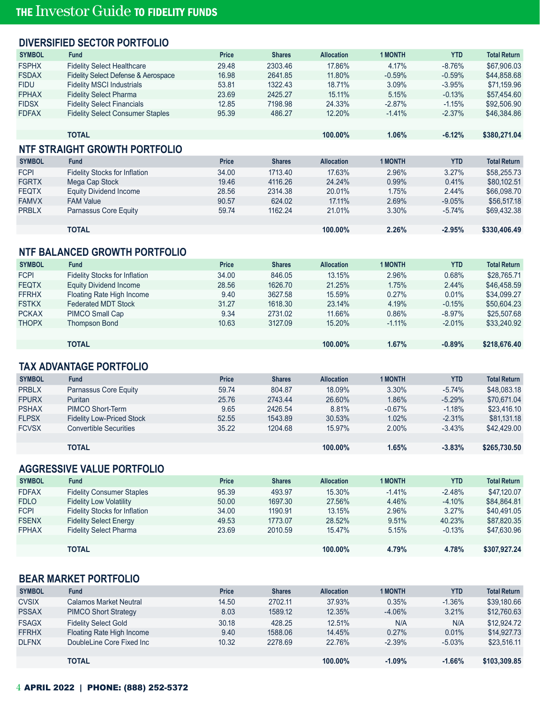# **DIVERSIFIED SECTOR PORTFOLIO**

| <b>SYMBOL</b> | <b>Fund</b>                                    | <b>Price</b> | <b>Shares</b> | <b>Allocation</b> | <b>1 MONTH</b> | <b>YTD</b> | <b>Total Return</b> |
|---------------|------------------------------------------------|--------------|---------------|-------------------|----------------|------------|---------------------|
| <b>FSPHX</b>  | <b>Fidelity Select Healthcare</b>              | 29.48        | 2303.46       | 17.86%            | 4.17%          | $-8.76%$   | \$67,906.03         |
| <b>FSDAX</b>  | <b>Fidelity Select Defense &amp; Aerospace</b> | 16.98        | 2641.85       | 11.80%            | $-0.59%$       | $-0.59%$   | \$44,858.68         |
| <b>FIDU</b>   | <b>Fidelity MSCI Industrials</b>               | 53.81        | 1322.43       | 18.71%            | 3.09%          | $-3.95%$   | \$71.159.96         |
| <b>FPHAX</b>  | <b>Fidelity Select Pharma</b>                  | 23.69        | 2425.27       | 15.11%            | 5.15%          | $-0.13%$   | \$57.454.60         |
| <b>FIDSX</b>  | <b>Fidelity Select Financials</b>              | 12.85        | 7198.98       | 24.33%            | $-2.87%$       | $-1.15%$   | \$92,506.90         |
| <b>FDFAX</b>  | <b>Fidelity Select Consumer Staples</b>        | 95.39        | 486.27        | 12.20%            | $-1.41%$       | $-2.37%$   | \$46,384.86         |
|               |                                                |              |               |                   |                |            |                     |
|               | <b>TOTAL</b>                                   |              |               | 100.00%           | 1.06%          | $-6.12%$   | \$380,271.04        |

# **NTF STRAIGHT GROWTH PORTFOLIO**

| <b>SYMBOL</b> | Fund                                 | <b>Price</b> | <b>Shares</b> | <b>Allocation</b> | <b>1 MONTH</b> | YTD      | <b>Total Return</b> |
|---------------|--------------------------------------|--------------|---------------|-------------------|----------------|----------|---------------------|
| <b>FCPI</b>   | <b>Fidelity Stocks for Inflation</b> | 34.00        | 1713.40       | 17.63%            | 2.96%          | 3.27%    | \$58,255.73         |
| <b>FGRTX</b>  | Mega Cap Stock                       | 19.46        | 4116.26       | 24.24%            | 0.99%          | 0.41%    | \$80.102.51         |
| <b>FEQTX</b>  | Equity Dividend Income               | 28.56        | 2314.38       | 20.01%            | 1.75%          | 2.44%    | \$66,098.70         |
| <b>FAMVX</b>  | <b>FAM Value</b>                     | 90.57        | 624.02        | 17.11%            | 2.69%          | $-9.05%$ | \$56,517.18         |
| <b>PRBLX</b>  | Parnassus Core Equity                | 59.74        | 1162.24       | 21.01%            | 3.30%          | $-5.74%$ | \$69,432.38         |
|               |                                      |              |               |                   |                |          |                     |
|               | <b>TOTAL</b>                         |              |               | 100.00%           | 2.26%          | $-2.95%$ | \$330,406.49        |

### **NTF BALANCED GROWTH PORTFOLIO**

| <b>SYMBOL</b> | <b>Fund</b>                          | <b>Price</b> | <b>Shares</b> | <b>Allocation</b> | <b>1 MONTH</b> | <b>YTD</b> | <b>Total Return</b> |
|---------------|--------------------------------------|--------------|---------------|-------------------|----------------|------------|---------------------|
| <b>FCPI</b>   | <b>Fidelity Stocks for Inflation</b> | 34.00        | 846.05        | 13.15%            | 2.96%          | 0.68%      | \$28,765.71         |
| <b>FEQTX</b>  | Equity Dividend Income               | 28.56        | 1626.70       | 21.25%            | 1.75%          | 2.44%      | \$46,458.59         |
| <b>FFRHX</b>  | Floating Rate High Income            | 9.40         | 3627.58       | 15.59%            | 0.27%          | 0.01%      | \$34,099.27         |
| <b>FSTKX</b>  | <b>Federated MDT Stock</b>           | 31.27        | 1618.30       | 23.14%            | 4.19%          | $-0.15%$   | \$50,604.23         |
| <b>PCKAX</b>  | PIMCO Small Cap                      | 9.34         | 2731.02       | 11.66%            | 0.86%          | $-8.97\%$  | \$25,507.68         |
| <b>THOPX</b>  | <b>Thompson Bond</b>                 | 10.63        | 3127.09       | 15.20%            | $-1.11\%$      | $-2.01%$   | \$33,240.92         |
|               |                                      |              |               |                   |                |            |                     |
|               | TOTAL                                |              |               | 100.00%           | 1.67%          | $-0.89%$   | \$218,676,40        |

### **TAX ADVANTAGE PORTFOLIO**

| <b>SYMBOL</b> | <b>Fund</b>                      | <b>Price</b> | <b>Shares</b> | <b>Allocation</b> | <b>1 MONTH</b> | YTD      | <b>Total Return</b> |
|---------------|----------------------------------|--------------|---------------|-------------------|----------------|----------|---------------------|
| <b>PRBLX</b>  | Parnassus Core Equity            | 59.74        | 804.87        | 18.09%            | 3.30%          | $-5.74%$ | \$48,083.18         |
| <b>FPURX</b>  | <b>Puritan</b>                   | 25.76        | 2743.44       | 26.60%            | 1.86%          | $-5.29%$ | \$70,671,04         |
| <b>PSHAX</b>  | PIMCO Short-Term                 | 9.65         | 2426.54       | 8.81%             | $-0.67%$       | $-1.18%$ | \$23,416.10         |
| <b>FLPSX</b>  | <b>Fidelity Low-Priced Stock</b> | 52.55        | 1543.89       | 30.53%            | 1.02%          | $-2.31%$ | \$81,131,18         |
| <b>FCVSX</b>  | <b>Convertible Securities</b>    | 35.22        | 1204.68       | 15.97%            | 2.00%          | $-3.43%$ | \$42,429.00         |
|               |                                  |              |               |                   |                |          |                     |
|               | <b>TOTAL</b>                     |              |               | 100.00%           | 1.65%          | $-3.83%$ | \$265,730.50        |

# **AGGRESSIVE VALUE PORTFOLIO**

| <b>Fund</b>                          | Price | <b>Shares</b> | <b>Allocation</b> | 1 MONTH  | YTD      | <b>Total Return</b> |
|--------------------------------------|-------|---------------|-------------------|----------|----------|---------------------|
| <b>Fidelity Consumer Staples</b>     | 95.39 | 493.97        | 15.30%            | $-1.41%$ | $-2.48%$ | \$47.120.07         |
| <b>Fidelity Low Volatility</b>       | 50.00 | 1697.30       | 27.56%            | 4.46%    | $-4.10%$ | \$84.864.81         |
| <b>Fidelity Stocks for Inflation</b> | 34.00 | 1190.91       | 13.15%            | 2.96%    | 3.27%    | \$40.491.05         |
| <b>Fidelity Select Energy</b>        | 49.53 | 1773.07       | 28.52%            | 9.51%    | 40.23%   | \$87,820.35         |
| <b>Fidelity Select Pharma</b>        | 23.69 | 2010.59       | 15.47%            | 5.15%    | $-0.13%$ | \$47,630.96         |
|                                      |       |               |                   |          |          |                     |
| <b>TOTAL</b>                         |       |               | $100.00\%$        | 4.79%    | 4.78%    | \$307,927.24        |
|                                      |       |               |                   |          |          |                     |

### **BEAR MARKET PORTFOLIO**

| <b>SYMBOL</b> | Fund                          | Price | <b>Shares</b> | <b>Allocation</b> | <b>1 MONTH</b> | YTD      | <b>Total Return</b> |
|---------------|-------------------------------|-------|---------------|-------------------|----------------|----------|---------------------|
| <b>CVSIX</b>  | <b>Calamos Market Neutral</b> | 14.50 | 2702.11       | 37.93%            | 0.35%          | $-1.36%$ | \$39,180.66         |
| <b>PSSAX</b>  | <b>PIMCO Short Strategy</b>   | 8.03  | 1589.12       | 12.35%            | $-4.06%$       | 3.21%    | \$12,760.63         |
| <b>FSAGX</b>  | <b>Fidelity Select Gold</b>   | 30.18 | 428.25        | 12.51%            | N/A            | N/A      | \$12,924.72         |
| <b>FFRHX</b>  | Floating Rate High Income     | 9.40  | 1588.06       | 14.45%            | 0.27%          | 0.01%    | \$14,927.73         |
| <b>DLFNX</b>  | DoubleLine Core Fixed Inc     | 10.32 | 2278.69       | 22.76%            | $-2.39%$       | $-5.03%$ | \$23.516.11         |
|               |                               |       |               |                   |                |          |                     |
|               | <b>TOTAL</b>                  |       |               | 100.00%           | $-1.09%$       | $-1.66%$ | \$103,309.85        |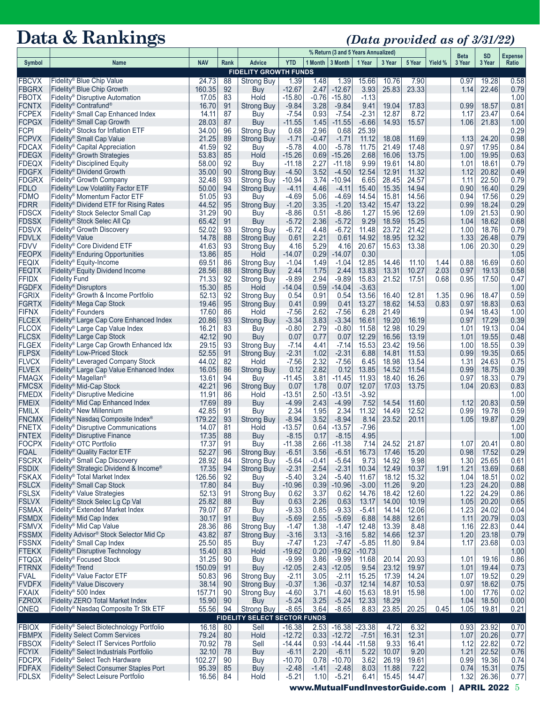# **Data & Rankings** *(Data provided as of 3/31/22)*

|                              |                                                                                          |                 |          |                                             | % Return (3 and 5 Years Annualized) |                 |                         |                  |                |                | <b>Beta</b>  | <b>SD</b>    | <b>Expense</b> |              |
|------------------------------|------------------------------------------------------------------------------------------|-----------------|----------|---------------------------------------------|-------------------------------------|-----------------|-------------------------|------------------|----------------|----------------|--------------|--------------|----------------|--------------|
| Symbol                       | Name                                                                                     | <b>NAV</b>      | Rank     | Advice                                      | <b>YTD</b>                          |                 | 1 Month $\vert$ 3 Month | 1 Year           | 3 Year         | 5 Year         | Yield %      | 3 Year       | 3 Year         | Ratio        |
|                              |                                                                                          |                 |          | <b>FIDELITY GROWTH FUNDS</b>                |                                     |                 |                         |                  |                |                |              |              |                |              |
| <b>FBCVX</b><br><b>FBGRX</b> | Fidelity® Blue Chip Value<br>Fidelity® Blue Chip Growth                                  | 24.73<br>160.35 | 88<br>92 | <b>Strong Buy</b><br>Buy                    | 1.39<br>$-12.67$                    | 1.48<br>2.47    | 1.39<br>$-12.67$        | 15.66<br>3.93    | 10.76<br>25.83 | 7.90<br>23.33  |              | 0.97<br>1.14 | 19.28<br>22.46 | 0.58<br>0.79 |
| <b>FBOTX</b>                 | Fidelity <sup>®</sup> Disruptive Automation                                              | 17.05           | 83       | Hold                                        | $-15.80$                            | $-0.76$         | $-15.80$                | $-1.13$          |                |                |              |              |                | 1.00         |
| <b>FCNTX</b>                 | Fidelity <sup>®</sup> Contrafund <sup>®</sup>                                            | 16.70           | 91       | <b>Strong Buy</b>                           | $-9.84$                             | 3.28            | $-9.84$                 | 9.41             | 19.04          | 17.83          |              | 0.99         | 18.57          | 0.81         |
| <b>FCPEX</b>                 | Fidelity® Small Cap Enhanced Index                                                       | 14.11           | 87       | Buy                                         | $-7.54$                             | 0.93            | $-7.54$                 | $-2.31$          | 12.87          | 8.72           |              | 1.17         | 23.47          | 0.64         |
| <b>FCPGX</b><br><b>FCPI</b>  | Fidelity <sup>®</sup> Small Cap Growth<br>Fidelity® Stocks for Inflation ETF             | 28.03<br>34.00  | 87<br>96 | Buy<br><b>Strong Buy</b>                    | $-11.55$<br>0.68                    | 1.45            | $-11.55$<br>0.68        | $-6.66$<br>25.39 | 14.93          | 15.57          |              | 1.06         | 21.83          | 1.00<br>0.29 |
| <b>FCPVX</b>                 | Fidelity <sup>®</sup> Small Cap Value                                                    | 21.25           | 89       | <b>Strong Buy</b>                           | $-1.71$                             | 2.96<br>$-0.47$ | $-1.71$                 | 11.12            | 18.08          | 11.69          |              | 1.13         | 24.20          | 0.98         |
| <b>FDCAX</b>                 | Fidelity <sup>®</sup> Capital Appreciation                                               | 41.59           | 92       | Buy                                         | $-5.78$                             | 4.00            | $-5.78$                 | 11.75            | 21.49          | 17.48          |              | 0.97         | 17.95          | 0.84         |
| <b>FDEGX</b>                 | Fidelity <sup>®</sup> Growth Strategies                                                  | 53.83           | 85       | Hold                                        | $-15.26$                            | 0.69            | $-15.26$                | 2.68             | 16.06          | 13.75          |              | 1.00         | 19.95          | 0.63         |
| <b>FDEQX</b>                 | Fidelity <sup>®</sup> Disciplined Equity                                                 | 58.00           | 92       | Buy                                         | $-11.18$                            | 2.27            | $-11.18$                | 9.99             | 19.61          | 14.80          |              | 1.01         | 18.61          | 0.79         |
| <b>FDGFX</b><br><b>FDGRX</b> | Fidelity <sup>®</sup> Dividend Growth<br>Fidelity <sup>®</sup> Growth Company            | 35.00<br>32.48  | 90<br>93 | <b>Strong Buy</b><br><b>Strong Buy</b>      | $-4.50$<br>$-10.94$                 | 3.52<br>3.74    | $-4.50$<br>-10.94       | 12.54<br>6.65    | 12.91<br>28.45 | 11.32<br>24.57 |              | 1.12<br>1.11 | 20.82<br>22.50 | 0.49<br>0.79 |
| <b>FDLO</b>                  | Fidelity <sup>®</sup> Low Volatility Factor ETF                                          | 50.00           | 94       | <b>Strong Buy</b>                           | $-4.11$                             | 4.46            | $-4.11$                 | 15.40            | 15.35          | 14.94          |              | 0.90         | 16.40          | 0.29         |
| <b>FDMO</b>                  | Fidelity <sup>®</sup> Momentum Factor ETF                                                | 51.05           | 93       | <b>Buy</b>                                  | $-4.69$                             | 5.06            | $-4.69$                 | 14.54            | 15.81          | 14.56          |              | 0.94         | 17.56          | 0.29         |
| <b>FDRR</b>                  | Fidelity <sup>®</sup> Dividend ETF for Rising Rates                                      | 44.52           | 95       | <b>Strong Buy</b>                           | $-1.20$                             | 3.35            | $-1.20$                 | 13.42            | 15.47          | 13.22          |              | 0.99         | 18.24          | 0.29         |
| <b>FDSCX</b>                 | Fidelity <sup>®</sup> Stock Selector Small Cap                                           | 31.29           | 90       | Buy                                         | $-8.86$                             | 0.51            | $-8.86$                 | 1.27             | 15.96          | 12.69          |              | 1.09         | 21.53          | 0.90         |
| <b>FDSSX</b>                 | Fidelity <sup>®</sup> Stock Selec All Cp                                                 | 65.42           | 91       | Buy                                         | $-5.72$                             | 2.36            | $-5.72$                 | 9.29             | 18.59          | 15.25<br>21.42 |              | 1.04         | 18.62<br>18.76 | 0.68         |
| <b>FDSVX</b><br><b>FDVLX</b> | Fidelity® Growth Discovery<br>Fidelity <sup>®</sup> Value                                | 52.02<br>14.78  | 93<br>88 | <b>Strong Buy</b><br><b>Strong Buy</b>      | $-6.72$<br>0.61                     | 4.48<br>2.21    | -6.72<br>0.61           | 11.48<br>14.92   | 23.72<br>18.95 | 12.32          |              | 1.00<br>1.33 | 26.48          | 0.79<br>0.79 |
| <b>FDVV</b>                  | Fidelity <sup>®</sup> Core Dividend ETF                                                  | 41.63           | 93       | <b>Strong Buy</b>                           | 4.16                                | 5.29            | 4.16                    | 20.67            | 15.63          | 13.38          |              | 1.06         | 20.30          | 0.29         |
| <b>FEOPX</b>                 | Fidelity <sup>®</sup> Enduring Opportunities                                             | 13.86           | 85       | Hold                                        | $-14.07$                            | 0.29            | -14.07                  | 0.30             |                |                |              |              |                | 1.05         |
| <b>FEQIX</b>                 | Fidelity® Equity-Income                                                                  | 69.51           | 86       | <b>Strong Buy</b>                           | $-1.04$                             | 1.49            | $-1.04$                 | 12.85            | 14.46          | 11.10          | 1.44         | 0.88         | 16.69          | 0.60         |
| <b>FEQTX</b><br><b>FFIDX</b> | Fidelity <sup>®</sup> Equity Dividend Income                                             | 28.56           | 88<br>92 | <b>Strong Buy</b>                           | 2.44                                | 1.75            | 2.44                    | 13.83            | 13.31<br>21.52 | 10.27<br>17.51 | 2.03<br>0.68 | 0.97         | 19.13          | 0.58         |
| <b>FGDFX</b>                 | <b>Fidelity Fund</b><br>Fidelity <sup>®</sup> Disruptors                                 | 71.33<br>15.30  | 85       | <b>Strong Buy</b><br>Hold                   | $-9.89$<br>$-14.04$                 | 2.94<br>0.59    | $-9.89$<br>$-14.04$     | 15.83<br>$-3.63$ |                |                |              | 0.95         | 17.50          | 0.47<br>1.00 |
| <b>FGRIX</b>                 | Fidelity® Growth & Income Portfolio                                                      | 52.13           | 92       | <b>Strong Buy</b>                           | 0.54                                | 0.91            | 0.54                    | 13.56            | 16.40          | 12.81          | 1.35         | 0.96         | 18.47          | 0.59         |
| <b>FGRTX</b>                 | Fidelity <sup>®</sup> Mega Cap Stock                                                     | 19.46           | 95       | <b>Strong Buy</b>                           | 0.41                                | 0.99            | 0.41                    | 13.27            | 18.62          | 14.53          | 0.83         | 0.97         | 18.83          | 0.63         |
| <b>FIFNX</b>                 | Fidelity® Founders                                                                       | 17.60           | 86       | Hold                                        | $-7.56$                             | 2.62            | $-7.56$                 | 6.28             | 21.49          |                |              | 0.94         | 18.43          | 1.00         |
| <b>FLCEX</b>                 | Fidelity <sup>®</sup> Large Cap Core Enhanced Index                                      | 20.86           | 93       | <b>Strong Buy</b>                           | $-3.34$                             | 3.83            | $-3.34$                 | 16.61            | 19.20          | 16.19          |              | 0.97         | 17.29          | 0.39         |
| <b>FLCOX</b><br><b>FLCSX</b> | Fidelity <sup>®</sup> Large Cap Value Index<br>Fidelity <sup>®</sup> Large Cap Stock     | 16.21<br>42.12  | 83<br>90 | Buy<br>Buy                                  | $-0.80$<br>0.07                     | 2.79<br>0.77    | $-0.80$<br>0.07         | 11.58<br>12.29   | 12.98<br>16.56 | 10.29<br>13.19 |              | 1.01<br>1.01 | 19.13<br>19.55 | 0.04<br>0.48 |
| <b>FLGEX</b>                 | Fidelity <sup>®</sup> Large Cap Growth Enhanced Idx                                      | 29.15           | 93       | Strong Buy                                  | $-7.14$                             | 4.41            | $-7.14$                 | 15.53            | 23.42          | 19.56          |              | 1.00         | 18.55          | 0.39         |
| <b>FLPSX</b>                 | Fidelity <sup>®</sup> Low-Priced Stock                                                   | 52.55           | 91       | <b>Strong Buy</b>                           | $-2.31$                             | 1.02            | $-2.31$                 | 6.88             | 14.81          | 11.53          |              | 0.99         | 19.35          | 0.65         |
| <b>FLVCX</b>                 | Fidelity® Leveraged Company Stock                                                        | 44.02           | 82       | Hold                                        | $-7.56$                             | 2.32            | $-7.56$                 | 6.45             | 18.98          | 13.54          |              | 1.31         | 24.63          | 0.75         |
| <b>FLVEX</b>                 | Fidelity <sup>®</sup> Large Cap Value Enhanced Index                                     | 16.05           | 86       | <b>Strong Buy</b>                           | 0.12                                | 2.82            | 0.12                    | 13.85            | 14.52          | 11.54          |              | 0.99         | 18.75          | 0.39         |
| <b>FMAGX</b><br><b>FMCSX</b> | Fidelity <sup>®</sup> Magellan <sup>®</sup><br>Fidelity® Mid-Cap Stock                   | 13.61<br>42.21  | 94<br>96 | Buy<br><b>Strong Buy</b>                    | -11.45<br>0.07                      | 3.81<br>1.78    | -11.45<br>0.07          | 11.93<br>12.07   | 18.40<br>17.03 | 16.26<br>13.75 |              | 0.97<br>1.04 | 18.33<br>20.63 | 0.79<br>0.83 |
| <b>FMEDX</b>                 | Fidelity® Disruptive Medicine                                                            | 11.91           | 86       | Hold                                        | $-13.51$                            | 2.50            | -13.51                  | $-3.92$          |                |                |              |              |                | 1.00         |
| <b>FMEIX</b>                 | Fidelity <sup>®</sup> Mid Cap Enhanced Index                                             | 17.69           | 89       | Buy                                         | $-4.99$                             | 2.43            | $-4.99$                 | 7.52             | 14.54          | 11.60          |              | 1.12         | 20.83          | 0.59         |
| <b>FMILX</b>                 | Fidelity® New Millennium                                                                 | 42.85           | 91       | Buy                                         | 2.34                                | 1.95            | 2.34                    | 11.32            | 14.49          | 12.52          |              | 0.99         | 19.78          | 0.59         |
| <b>FNCMX</b>                 | Fidelity <sup>®</sup> Nasdag Composite Index <sup>®</sup>                                | 179.22          | 93       | <b>Strong Buy</b>                           | $-8.94$                             | 3.52            | $-8.94$                 | 8.14             | 23.52          | 20.11          |              | 1.05         | 19.87          | 0.29         |
| <b>FNETX</b><br><b>FNTEX</b> | Fidelity® Disruptive Communications<br>Fidelity <sup>®</sup> Disruptive Finance          | 14.07<br>17.35  | 81<br>88 | Hold<br>Buy                                 | $-13.57$<br>$-8.15$                 | 0.64<br>0.17    | $-13.57$<br>$-8.15$     | -7.96<br>4.95    |                |                |              |              |                | 1.00<br>1.00 |
| <b>FOCPX</b>                 | Fidelity <sup>®</sup> OTC Portfolio                                                      | 17.37           | 91       | Buy                                         | $-11.38$                            | 2.66            | $-11.38$                | 7.14             | 24.52          | 21.87          |              | 1.07         | 20.41          | 0.80         |
| <b>FQAL</b>                  | Fidelity <sup>®</sup> Quality Factor ETF                                                 | 52.27           | 96       | <b>Strong Buy</b>                           | $-6.51$                             | 3.56            | $-6.51$                 | 16.73            | 17.46          | 15.20          |              | 0.98         | 17.52          | 0.29         |
| <b>FSCRX</b>                 | Fidelity <sup>®</sup> Small Cap Discovery                                                | 28.92           | 84       | Strong Buy                                  | $-5.64$                             | $-0.41$         | $-5.64$                 | 9.73             | 14.92          | 9.98           |              | 1.30         | 25.65          | 0.61         |
| <b>FSDIX</b>                 | Fidelity <sup>®</sup> Strategic Dividend & Income®                                       | 17.35           | 94       | <b>Strong Buy</b>                           | $-2.31$                             | 2.54            | $-2.31$                 | 10.34            | 12.49          | 10.37          | 1.91         | 1.21         | 13.69          | 0.68         |
| <b>FSKAX</b><br><b>FSLCX</b> | Fidelity <sup>®</sup> Total Market Index<br>Fidelity <sup>®</sup> Small Cap Stock        | 126.56<br>17.80 | 92<br>84 | <b>Buy</b><br><b>Buy</b>                    | $-5.40$<br>$-10.96$                 | 3.24<br>0.39    | $-5.40$<br>$-10.96$     | 11.67<br>$-3.00$ | 18.12<br>11.26 | 15.32<br>9.20  |              | 1.04<br>1.23 | 18.51<br>24.20 | 0.02<br>0.88 |
| <b>FSLSX</b>                 | Fidelity <sup>®</sup> Value Strategies                                                   | 52.13           | 91       | <b>Strong Buy</b>                           | 0.62                                | 3.37            | 0.62                    | 14.76            | 18.42          | 12.60          |              | 1.22         | 24.29          | 0.86         |
| <b>FSLVX</b>                 | Fidelity <sup>®</sup> Stock Selec Lg Cp Val                                              | 25.82           | 88       | Buy                                         | 0.63                                | 2.26            | 0.63                    | 13.17            | 14.00          | 10.19          |              | 1.05         | 20.20          | 0.65         |
| <b>FSMAX</b>                 | Fidelity® Extended Market Index                                                          | 79.07           | 87       | Buy                                         | $-9.33$                             | 0.85            | $-9.33$                 | $-5.41$          | 14.14          | 12.06          |              | 1.23         | 24.02          | 0.04         |
| <b>FSMDX</b>                 | Fidelity <sup>®</sup> Mid Cap Index                                                      | 30.17           | 91       | <b>Buy</b>                                  | $-5.69$                             | 2.55            | $-5.69$                 | 6.88             | 14.88          | 12.61          |              | 1.11         | 20.79          | 0.03         |
| <b>FSMVX</b><br><b>FSSMX</b> | Fidelity <sup>®</sup> Mid Cap Value<br>Fidelity Advisor® Stock Selector Mid Cp           | 28.36<br>43.82  | 86<br>87 | <b>Strong Buy</b><br><b>Strong Buy</b>      | $-1.47$<br>$-3.16$                  | 1.38<br>3.13    | $-1.47$<br>$-3.16$      | 12.48<br>5.82    | 13.39<br>14.66 | 8.48<br>12.37  |              | 1.16<br>1.20 | 22.83<br>23.18 | 0.44<br>0.79 |
| <b>FSSNX</b>                 | Fidelity <sup>®</sup> Small Cap Index                                                    | 25.50           | 85       | Buy                                         | $-7.47$                             | 1.23            | $-7.47$                 | $-5.85$          | 11.80          | 9.84           |              | 1.17         | 23.68          | 0.03         |
| <b>FTEKX</b>                 | Fidelity <sup>®</sup> Disruptive Technology                                              | 15.40           | 83       | Hold                                        | $-19.62$                            | 0.20            | $-19.62$                | $-10.73$         |                |                |              |              |                | 1.00         |
| <b>FTQGX</b>                 | Fidelity® Focused Stock                                                                  | 31.25           | 90       | Buy                                         | $-9.99$                             | 3.86            | $-9.99$                 | 11.68            | 20.14          | 20.93          |              | 1.01         | 19.16          | 0.86         |
| <b>FTRNX</b>                 | Fidelity <sup>®</sup> Trend                                                              | 150.09          | 91       | <b>Buy</b>                                  | $-12.05$                            | 2.43            | $-12.05$                | 9.54             | 23.12          | 19.97          |              | 1.01         | 19.44          | 0.73         |
| <b>FVAL</b><br><b>FVDFX</b>  | Fidelity® Value Factor ETF<br>Fidelity <sup>®</sup> Value Discovery                      | 50.83<br>38.14  | 96<br>90 | <b>Strong Buy</b><br><b>Strong Buy</b>      | $-2.11$<br>$-0.37$                  | 3.05<br>1.36    | $-2.11$<br>$-0.37$      | 15.25<br>12.14   | 17.39<br>14.87 | 14.24<br>10.53 |              | 1.07<br>0.97 | 19.52<br>18.62 | 0.29<br>0.75 |
| <b>FXAIX</b>                 | Fidelity <sup>®</sup> 500 Index                                                          | 157.71          | 90       | <b>Strong Buy</b>                           | $-4.60$                             | 3.71            | $-4.60$                 | 15.63            | 18.91          | 15.98          |              | 1.00         | 17.76          | 0.02         |
| <b>FZROX</b>                 | Fidelity ZERO Total Market Index                                                         | 15.90           | 90       | Buy                                         | $-5.24$                             | 3.25            | $-5.24$                 | 12.33            | 18.29          |                |              | 1.04         | 18.50          | 0.00         |
| <b>ONEQ</b>                  | Fidelity <sup>®</sup> Nasdaq Composite Tr Stk ETF                                        | 55.56           | 94       | <b>Strong Buy</b>                           | $-8.65$                             | 3.64            | $-8.65$                 | 8.83             | 23.85          | 20.25          | 0.45         | 1.05         | 19.81          | 0.21         |
| <b>FBIOX</b>                 | Fidelity <sup>®</sup> Select Biotechnology Portfolio                                     | 16.18           | 80       | <b>FIDELITY SELECT SECTOR FUNDS</b><br>Sell | $-16.38$                            | 2.53            | $-16.38$                | $-23.38$         | 4.72           | 6.32           |              | 0.93         | 23.92          | 0.70         |
| <b>FBMPX</b>                 | <b>Fidelity Select Comm Services</b>                                                     | 79.24           | 80       | Hold                                        | $-12.72$                            | 0.33            | $-12.72$                | $-7.51$          | 16.31          | 12.31          |              | 1.07         | 20.26          | 0.77         |
| <b>FBSOX</b>                 | Fidelity <sup>®</sup> Select IT Services Portfolio                                       | 70.92           | 78       | Sell                                        | $-14.44$                            | 0.93            | $-14.44$                | $-11.58$         | 9.33           | 16.41          |              | 1.12         | 22.82          | 0.72         |
| <b>FCYIX</b>                 | Fidelity <sup>®</sup> Select Industrials Portfolio                                       | 32.10           | 78       | Buy                                         | $-6.11$                             | 2.20            | $-6.11$                 | 5.22             | 10.07          | 9.20           |              | 1.21         | 22.52          | 0.76         |
| <b>FDCPX</b>                 | Fidelity <sup>®</sup> Select Tech Hardware                                               | 102.27          | 90       | Buy                                         | $-10.70$                            | 0.78            | $-10.70$                | 3.62             | 26.19          | 19.61          |              | 0.99         | 19.36          | 0.74         |
| <b>FDFAX</b><br><b>FDLSX</b> | Fidelity® Select Consumer Staples Port<br>Fidelity <sup>®</sup> Select Leisure Portfolio | 95.39<br>16.56  | 85<br>84 | Buy<br>Hold                                 | $-2.48$<br>$-5.21$                  | $-1.41$<br>1.10 | $-2.48$<br>$-5.21$      | 8.03<br>6.41     | 11.88<br>15.45 | 7.22<br>14.47  |              | 0.74<br>1.32 | 15.31<br>26.36 | 0.75<br>0.77 |
|                              |                                                                                          |                 |          |                                             |                                     |                 |                         |                  |                |                |              |              |                |              |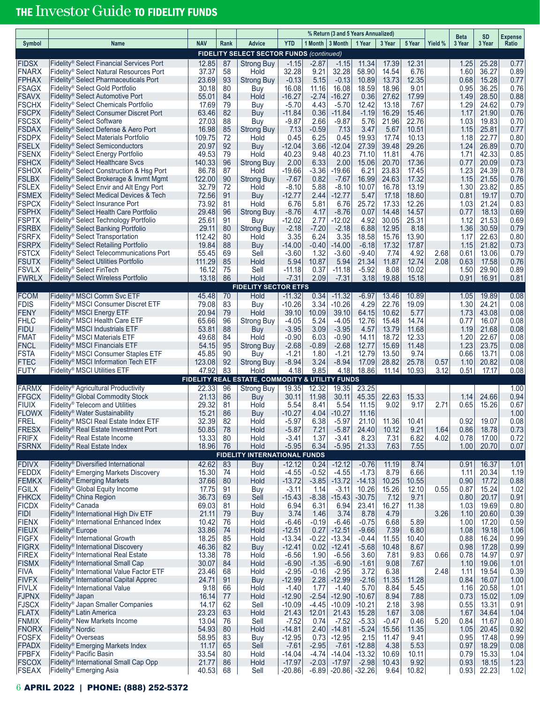# THE Investor Guide TO FIDELITY FUNDS

| <b>YTD</b><br>1 Month   3 Month<br><b>NAV</b><br><b>Advice</b><br>1 Year<br>3 Year<br>5 Year<br>Yield %<br>3 Year<br>3 Year<br>Symbol<br>Rank<br>Ratio<br><b>Name</b><br><b>FIDELITY SELECT SECTOR FUNDS (continued)</b><br>$-1.15$<br><b>FIDSX</b><br>Fidelity <sup>®</sup> Select Financial Services Port<br>12.85<br>87<br>$-2.87$<br>$-1.15$<br>11.34<br>17.39<br>12.31<br>1.25<br>25.28<br>0.77<br><b>Strong Buy</b><br>6.76<br><b>FNARX</b><br>Fidelity <sup>®</sup> Select Natural Resources Port<br>37.37<br>58<br>Hold<br>32.28<br>9.21<br>32.28<br>58.90<br>14.54<br>1.60<br>36.27<br>0.89<br>12.35<br>Fidelity <sup>®</sup> Select Pharmaceuticals Port<br>23.69<br>93<br><b>Strong Buy</b><br>$-0.13$<br>5.15<br>$-0.13$<br>10.89<br>13.73<br>0.68<br>15.28<br>0.77<br>Fidelity <sup>®</sup> Select Gold Portfolio<br>30.18<br>80<br>11.16<br>16.08<br>18.59<br>18.96<br>9.01<br>0.95<br>36.25<br>0.76<br>Buy<br>16.08<br><b>FSAVX</b><br>17.99<br>Fidelity <sup>®</sup> Select Automotive Port<br>55.01<br>84<br>Hold<br>$-16.27$<br>-2.74<br>-16.27<br>0.36<br>27.62<br>1.49<br>28.50<br>0.88<br><b>FSCHX</b><br>Fidelity <sup>®</sup> Select Chemicals Portfolio<br>17.69<br>79<br>$-5.70$<br>4.43<br>$-5.70$<br>12.42<br>13.18<br>7.67<br>1.29<br>24.62<br>0.79<br>Buy<br><b>FSCPX</b><br>63.46<br>82<br>0.36<br>$-11.84$<br>$-1.19$<br>16.29<br>15.46<br>21.90<br>Fidelity® Select Consumer Discret Port<br>Buy<br>$-11.84$<br>1.17<br>0.76<br><b>FSCSX</b><br>88<br>21.96<br>22.76<br>Fidelity <sup>®</sup> Select Software<br>27.03<br>Buy<br>$-9.87$<br>2.66<br>$-9.87$<br>5.76<br>1.03<br>19.83<br>0.70<br>10.51<br>Fidelity® Select Defense & Aero Port<br>16.98<br>85<br>7.13<br>$-0.59$<br>7.13<br>3.47<br>5.67<br>1.15<br>25.81<br>0.77<br>Strong Buy<br><b>FSDPX</b><br>Fidelity <sup>®</sup> Select Materials Portfolio<br>109.75<br>72<br>0.45<br>6.25<br>0.45<br>19.93<br>17.74<br>10.13<br>1.18<br>22.77<br>0.80<br>Hold<br><b>FSELX</b><br>92<br>39.48<br>29.26<br>Fidelity <sup>®</sup> Select Semiconductors<br>20.97<br>Buy<br>$-12.04$<br>3.66<br>$-12.04$<br>27.39<br>1.24<br>26.89<br>0.70<br><b>FSENX</b><br>40.23<br>40.23<br>4.76<br>42.33<br>0.85<br>Fidelity® Select Energy Portfolio<br>49.53<br>79<br>Hold<br>9.48<br>71.10<br>11.81<br>1.71<br><b>FSHCX</b><br>2.00<br>6.33<br>2.00<br>15.06<br>20.70<br>17.36<br>20.09<br>Fidelity <sup>®</sup> Select Healthcare Svcs<br>140.33<br>96<br><b>Strong Buy</b><br>0.77<br>0.73<br>6.21<br>23.83<br>17.45<br>1.23<br>Fidelity <sup>®</sup> Select Construction & Hsg Port<br>86.78<br>87<br>Hold<br>$-19.66$<br>-3.36<br>-19.66<br>24.39<br>0.78<br><b>FSLBX</b><br>122.00<br>90<br>24.63<br>17.32<br>21.55<br>Fidelity® Select Brokerage & Invmt Mgmt<br><b>Strong Buy</b><br>$-7.67$<br>0.82<br>$-7.67$<br>16.99<br>1.15<br>0.76<br><b>FSLEX</b><br>32.79<br>13.19<br>23.82<br>Fidelity® Select Envir and Alt Engy Port<br>72<br>Hold<br>$-8.10$<br>5.88<br>$-8.10$<br>10.07<br>16.78<br>1.30<br>0.85<br><b>FSMEX</b><br>72.56<br>91<br>$-12.77$<br>$-12.77$<br>17.18<br>18.60<br>Fidelity <sup>®</sup> Select Medical Devices & Tech<br>Buy<br>5.47<br>0.81<br>19.17<br>0.70<br>2.44<br><b>FSPCX</b><br>6.76<br>25.72<br>17.33<br>12.26<br>0.83<br>Fidelity <sup>®</sup> Select Insurance Port<br>73.92<br>Hold<br>5.81<br>6.76<br>1.03<br>21.24<br>81<br>Fidelity® Select Health Care Portfolio<br>$-8.76$<br>14.48<br>14.57<br>18.13<br>29.48<br>96<br><b>Strong Buy</b><br>4.17<br>$-8.76$<br>0.07<br>0.69<br>0.77<br>25.31<br>21.53<br>Fidelity® Select Technology Portfolio<br>25.61<br>91<br>Buy<br>$-12.02$<br>2.77<br>-12.02<br>4.92<br>30.05<br>1.12<br>0.69<br><b>FSRBX</b><br>Fidelity <sup>®</sup> Select Banking Portfolio<br>80<br>$-2.18$<br>$-2.18$<br>6.88<br>8.18<br>29.11<br><b>Strong Buy</b><br>-7.20<br>12.95<br>1.36<br>30.59<br>0.79<br><b>FSRFX</b><br>3.35<br>6.24<br>Fidelity <sup>®</sup> Select Transportation<br>112.42<br>80<br>Hold<br>3.35<br>18.58<br>15.76<br>13.90<br>1.17<br>22.63<br>0.80<br><b>FSRPX</b><br>Fidelity <sup>®</sup> Select Retailing Portfolio<br>88<br>$-6.18$<br>17.32<br>17.87<br>21.82<br>0.73<br>19.84<br>Buy<br>$-14.00$<br>$-0.40$<br>-14.00<br>1.15<br>Fidelity® Select Telecommunications Port<br>55.45<br>69<br>Sell<br>$-3.60$<br>1.32<br>$-3.60$<br>$-9.40$<br>7.74<br>4.92<br>2.68<br>0.61<br>13.06<br>0.79<br>Fidelity <sup>®</sup> Select Utilities Portfolio<br>111.29<br>85<br>Hold<br>5.94<br>10.87<br>5.94<br>21.34<br>11.87<br>12.74<br>2.08<br>0.63<br>17.58<br>0.76<br><b>FSVLX</b><br>Fidelity <sup>®</sup> Select FinTech<br>16.12<br>75<br>Sell<br>$-11.18$<br>0.37<br>$-11.18$<br>$-5.92$<br>8.08<br>10.02<br>1.50<br>29.90<br>0.89<br><b>FWRLX</b><br>Hold<br>19.88<br>Fidelity <sup>®</sup> Select Wireless Portfolio<br>13.18<br>86<br>$-7.31$<br>2.09<br>$-7.31$<br>3.18<br>15.18<br>0.91<br>16.91<br>0.81<br><b>FIDELITY SECTOR ETFS</b><br><b>FCOM</b><br>Fidelity <sup>®</sup> MSCI Comm Svc ETF<br>$-11.32$<br>0.34<br>0.08<br>45.48<br>70<br>Hold<br>$-11.32$<br>$-6.97$<br>13.46<br>10.89<br>1.05<br>19.89<br>Fidelity® MSCI Consumer Discret ETF<br>79.08<br>83<br>$-10.26$<br>3.34<br>$-10.26$<br>4.29<br>22.76<br>19.09<br>1.30<br>24.21<br>0.08<br>Buy<br>39.10<br>10.62<br>5.77<br>43.08<br>0.08<br>Fidelity <sup>®</sup> MSCI Energy ETF<br>20.94<br>79<br>Hold<br>10.09<br>39.10<br>64.15<br>1.73<br><b>FHLC</b><br>15.48<br>14.74<br>Fidelity <sup>®</sup> MSCI Health Care ETF<br>65.66<br>96<br><b>Strong Buy</b><br>$-4.05$<br>5.24<br>$-4.05$<br>12.76<br>0.77<br>16.07<br>0.08<br><b>FIDU</b><br>11.68<br>21.68<br>Fidelity <sup>®</sup> MSCI Industrials ETF<br>53.81<br>88<br>Buy<br>$-3.95$<br>3.09<br>$-3.95$<br>4.57<br>13.79<br>1.19<br>0.08<br><b>FMAT</b><br>18.72<br>12.33<br>22.67<br>Fidelity <sup>®</sup> MSCI Materials ETF<br>49.68<br>84<br>Hold<br>$-0.90$<br>6.03<br>$-0.90$<br>14.11<br>1.20<br>0.08<br><b>FNCL</b><br>1.23<br>0.08<br>54.15<br>95<br>$-2.68$<br>$-0.89$<br>$-2.68$<br>12.77<br>15.69<br>11.48<br>23.75<br>Fidelity <sup>®</sup> MSCI Financials ETF<br>Strong Buy<br>$-1.21$<br>12.79<br>13.50<br>9.74<br>13.71<br>Fidelity <sup>®</sup> MSCI Consumer Staples ETF<br>45.85<br>90<br>Buy<br>$-1.21$<br>1.80<br>0.66<br>0.08<br>28.82<br>25.78<br>Fidelity <sup>®</sup> MSCI Information Tech ETF<br>123.08<br>92<br><b>Strong Buy</b><br>$-8.94$<br>3.24<br>$-8.94$<br>17.09<br>0.57<br>20.82<br>0.08<br>1.10<br>47.92<br>83<br>4.18<br>9.85<br>18.86<br><b>FUTY</b><br>Fidelity <sup>®</sup> MSCI Utilities ETF<br>Hold<br>4.18<br>11.14<br>10.93<br>3.12<br>0.51<br>17.17<br>0.08<br>FIDELITY REAL ESTATE, COMMODITY & UTILITY FUNDS<br><b>FARMX</b><br>Fidelity <sup>®</sup> Agricultural Productivity<br>22.33<br>96<br><b>Strong Buy</b><br>19.35<br>12.32<br>19.35<br>23.25<br>1.00<br>22.63<br><b>FFGCX</b><br>Fidelity <sup>®</sup> Global Commodity Stock<br>21.13<br>86<br>30.11<br>11.98<br>30.11<br>45.35<br>15.33<br>1.14<br>24.66<br>0.94<br>Buy<br>2.71<br>Fidelity <sup>®</sup> Telecom and Utilities<br>29.32<br>81<br>Hold<br>8.41<br>5.54<br>11.15<br>9.02<br>9.17<br>0.65<br>15.26<br>0.67<br>5.54<br><b>FLOWX</b><br>Fidelity® Water Sustainability<br>15.21<br>86<br>Buy<br>$-10.27$<br>4.04<br>$-10.27$<br>11.16<br>1.00<br><b>FREL</b><br>11.36<br>0.92<br>Fidelity <sup>®</sup> MSCI Real Estate Index ETF<br>32.39<br>82<br>Hold<br>$-5.97$<br>6.38<br>$-5.97$<br>21.10<br>10.41<br>19.07<br>0.08<br><b>FRESX</b><br>Fidelity <sup>®</sup> Real Estate Investment Port<br>50.85<br>78<br>Hold<br>$-5.87$<br>7.21<br>$-5.87$<br>24.40<br>10.12<br>9.21<br>1.64<br>0.86<br>18.78<br>0.73<br><b>FRIFX</b><br>Fidelity <sup>®</sup> Real Estate Income<br>13.33<br>80<br>Hold<br>$-3.41$<br>1.37<br>$-3.41$<br>8.23<br>7.31<br>6.82<br>4.02<br>0.78<br>17.00<br>0.72<br>Fidelity <sup>®</sup> Real Estate Index<br>18.96<br>Hold<br>$-5.95$<br>6.34<br>$-5.95$<br>21.33<br>7.63<br>7.55<br>1.00<br>20.70<br>76<br>0.07<br><b>FIDELITY INTERNATIONAL FUNDS</b><br><b>FDIVX</b><br>Fidelity <sup>®</sup> Diversified International<br>83<br>$-12.12$<br>0.24<br>$-12.12$<br>$-0.76$<br>8.74<br>16.37<br>1.01<br>42.62<br><b>Buy</b><br>11.19<br>0.91<br><b>FEDDX</b><br>Fidelity® Emerging Markets Discovery<br>Hold<br>$-4.55$<br>$-0.52$<br>$-4.55$<br>$-1.73$<br>8.79<br>6.66<br>20.34<br>1.19<br>15.30<br>74<br>1.11<br><b>FEMKX</b><br>Fidelity <sup>®</sup> Emerging Markets<br>80<br>Hold<br>$-13.72$<br>$-3.85$<br>$-13.72$<br>$-14.13$<br>10.25<br>10.55<br>0.90<br>17.72<br>0.88<br>37.66<br>0.55<br><b>FGILX</b><br>Fidelity <sup>®</sup> Global Equity Income<br>$-3.11$<br>15.26<br>1.02<br>17.75<br>91<br>Buy<br>1.14<br>$-3.11$<br>10.26<br>12.10<br>0.87<br>15.24<br>Fidelity® China Region<br>69<br>$-8.38$<br>9.71<br>20.17<br>36.73<br>Sell<br>$-15.43$<br>$-15.43$<br>$-30.75$<br>7.12<br>0.80<br>0.91<br><b>FICDX</b><br>Fidelity <sup>®</sup> Canada<br>6.94<br>11.38<br>0.80<br>69.03<br>81<br>Hold<br>6.31<br>6.94<br>23.41<br>16.27<br>1.03<br>19.69<br><b>FIDI</b><br>Fidelity <sup>®</sup> International High Div ETF<br>21.11<br>3.74<br>3.74<br>4.79<br>3.26<br>0.39<br>79<br>Buy<br>1.46<br>8.78<br>1.10<br>20.60<br>5.89<br><b>FIENX</b><br>Fidelity® International Enhanced Index<br>$-6.46$<br>$-0.19$<br>$-6.46$<br>6.68<br>10.42<br>76<br>Hold<br>$-0.75$<br>1.00<br>17.20<br>0.59<br><b>FIEUX</b><br>74<br>Hold<br>6.80<br>19.18<br>1.06<br>Fidelity <sup>®</sup> Europe<br>33.86<br>$-12.51$<br>0.27<br>$-12.51$<br>$-9.66$<br>7.39<br>1.08<br>Fidelity <sup>®</sup> International Growth<br>18.25<br>$-13.34$<br>$-0.22$<br>$-13.34$<br>$-0.44$<br>11.55<br>0.99<br>85<br>Hold<br>10.40<br>0.88<br>16.24<br>Fidelity <sup>®</sup> International Discovery<br>82<br>8.67<br>0.99<br>46.36<br><b>Buy</b><br>$-12.41$<br>0.02<br>$-12.41$<br>$-5.68$<br>10.48<br>0.98<br>17.28<br><b>FIREX</b><br>Fidelity® International Real Estate<br>13.38<br>78<br>Hold<br>$-6.56$<br>1.90<br>$-6.56$<br>3.60<br>7.81<br>9.83<br>0.66<br>0.78<br>14.97<br>0.97<br>Fidelity <sup>®</sup> International Small Cap<br><b>FISMX</b><br>$-1.35$<br>$-6.90$<br>9.08<br>1.01<br>30.07<br>84<br>Hold<br>$-6.90$<br>$-1.61$<br>7.67<br>1.10<br>19.06<br><b>FIVA</b><br>Fidelity <sup>®</sup> International Value Factor ETF<br>23.46<br>Hold<br>$-2.95$<br>$-0.16$<br>$-2.95$<br>3.72<br>6.38<br>2.48<br>19.54<br>0.39<br>68<br>1.11<br>11.28<br><b>FIVFX</b><br>Fidelity <sup>®</sup> International Capital Apprec<br>2.28<br>$-12.99$<br>11.35<br>16.07<br>1.00<br>24.71<br>91<br>Buy<br>$-12.99$<br>$-2.16$<br>0.84<br>Fidelity <sup>®</sup> International Value<br>1.77<br>5.70<br>8.84<br>5.45<br>20.58<br>9.18<br>66<br>Hold<br>$-1.40$<br>$-1.40$<br>1.16<br>1.01<br>$-2.54$<br>$-12.90$<br>8.94<br>7.88<br>15.02<br>1.09<br>Fidelity <sup>®</sup> Japan<br>16.14<br>77<br>Hold<br>$-12.90$<br>$-10.67$<br>0.73<br><b>FJSCX</b><br>Fidelity <sup>®</sup> Japan Smaller Companies<br>3.98<br>14.17<br>62<br>Sell<br>$-10.09$<br>$-4.45$<br>$-10.09$<br>$-10.21$<br>2.18<br>0.55<br>13.31<br>0.91<br><b>FLATX</b><br>Fidelity <sup>®</sup> Latin America<br>23.23<br>63<br>Hold<br>21.43<br>21.43<br>15.28<br>1.67<br>3.08<br>1.67<br>34.64<br>1.04<br>12.01<br>5.20<br><b>FNMIX</b><br>Fidelity <sup>®</sup> New Markets Income<br>13.04<br>76<br>Sell<br>$-7.52$<br>0.74<br>$-7.52$<br>$-5.33$<br>$-0.47$<br>0.46<br>0.84<br>11.67<br>0.80<br>Fidelity <sup>®</sup> Nordic<br>54.93<br>Hold<br>$-14.81$<br>$-5.24$<br>15.56<br>11.35<br>20.45<br>0.92<br>80<br>$-14.81$<br>2.40<br>1.05<br>Fidelity <sup>®</sup> Overseas<br>58.95<br>83<br>$-12.95$<br>0.73<br>$-12.95$<br>2.15<br>11.47<br>9.41<br>17.48<br>0.99<br><b>Buy</b><br>0.95<br><b>FPADX</b><br>Fidelity <sup>®</sup> Emerging Markets Index<br>11.17<br>Sell<br>$-7.61$<br>$-2.95$<br>$-7.61$<br>$-12.88$<br>4.38<br>5.53<br>18.29<br>0.08<br>65<br>0.97<br><b>FPBFX</b><br>Fidelity® Pacific Basin<br>33.54<br>Hold<br>$-4.74$<br>$-13.32$<br>10.11<br>15.33<br>1.04<br>80<br>$-14.04$<br>$-14.04$<br>10.69<br>0.79<br><b>FSCOX</b><br>Fidelity <sup>®</sup> International Small Cap Opp<br>21.77<br>$-17.97$<br>$-17.97$<br>9.92<br>1.23<br>86<br>Hold<br>$-2.03$<br>$-2.98$<br>10.43<br>0.93<br>18.15 |              |                                     |       |    |      |          |         | % Return (3 and 5 Years Annualized) |          |      |       | <b>Beta</b> | <b>SD</b> | Expense |
|-------------------------------------------------------------------------------------------------------------------------------------------------------------------------------------------------------------------------------------------------------------------------------------------------------------------------------------------------------------------------------------------------------------------------------------------------------------------------------------------------------------------------------------------------------------------------------------------------------------------------------------------------------------------------------------------------------------------------------------------------------------------------------------------------------------------------------------------------------------------------------------------------------------------------------------------------------------------------------------------------------------------------------------------------------------------------------------------------------------------------------------------------------------------------------------------------------------------------------------------------------------------------------------------------------------------------------------------------------------------------------------------------------------------------------------------------------------------------------------------------------------------------------------------------------------------------------------------------------------------------------------------------------------------------------------------------------------------------------------------------------------------------------------------------------------------------------------------------------------------------------------------------------------------------------------------------------------------------------------------------------------------------------------------------------------------------------------------------------------------------------------------------------------------------------------------------------------------------------------------------------------------------------------------------------------------------------------------------------------------------------------------------------------------------------------------------------------------------------------------------------------------------------------------------------------------------------------------------------------------------------------------------------------------------------------------------------------------------------------------------------------------------------------------------------------------------------------------------------------------------------------------------------------------------------------------------------------------------------------------------------------------------------------------------------------------------------------------------------------------------------------------------------------------------------------------------------------------------------------------------------------------------------------------------------------------------------------------------------------------------------------------------------------------------------------------------------------------------------------------------------------------------------------------------------------------------------------------------------------------------------------------------------------------------------------------------------------------------------------------------------------------------------------------------------------------------------------------------------------------------------------------------------------------------------------------------------------------------------------------------------------------------------------------------------------------------------------------------------------------------------------------------------------------------------------------------------------------------------------------------------------------------------------------------------------------------------------------------------------------------------------------------------------------------------------------------------------------------------------------------------------------------------------------------------------------------------------------------------------------------------------------------------------------------------------------------------------------------------------------------------------------------------------------------------------------------------------------------------------------------------------------------------------------------------------------------------------------------------------------------------------------------------------------------------------------------------------------------------------------------------------------------------------------------------------------------------------------------------------------------------------------------------------------------------------------------------------------------------------------------------------------------------------------------------------------------------------------------------------------------------------------------------------------------------------------------------------------------------------------------------------------------------------------------------------------------------------------------------------------------------------------------------------------------------------------------------------------------------------------------------------------------------------------------------------------------------------------------------------------------------------------------------------------------------------------------------------------------------------------------------------------------------------------------------------------------------------------------------------------------------------------------------------------------------------------------------------------------------------------------------------------------------------------------------------------------------------------------------------------------------------------------------------------------------------------------------------------------------------------------------------------------------------------------------------------------------------------------------------------------------------------------------------------------------------------------------------------------------------------------------------------------------------------------------------------------------------------------------------------------------------------------------------------------------------------------------------------------------------------------------------------------------------------------------------------------------------------------------------------------------------------------------------------------------------------------------------------------------------------------------------------------------------------------------------------------------------------------------------------------------------------------------------------------------------------------------------------------------------------------------------------------------------------------------------------------------------------------------------------------------------------------------------------------------------------------------------------------------------------------------------------------------------------------------------------------------------------------------------------------------------------------------------------------------------------------------------------------------------------------------------------------------------------------------------------------------------------------------------------------------------------------------------------------------------------------------------------------------------------------------------------------------------------------------------------------------------------------------------------------------------------------------------------------------------------------------------------------------------------------------------------------------------------------------------------------------------------------------------------------------------------------------------------------------------------------------------------------------------------------------------------------------------------------------------------------------------------------------------------------------------------------------------------------------------------------------------------------------------------------------------------------------------------------------------------------------------------------------------------------------------------------------------------------------------------------------------------------------------------------------------------------------------------------------------------------------------------------------------------------------------------------------------------------------------------------------------------------------------------------------------------------------------------------------------------------------------------------------------------------------------------------------------------------------------------------------------------------------------------------------------------------------------------------------------------------------------------------------------------------------------------------------------------------------------------------------------------------------------------------------------------------------------------------------------------------------------------------------------------------------------------------------------------------------------------------------------------------------------------------------------------------------------------------------------------------------------------------------------------------------------------------------------------------------------------------------------------------------------------------------------------------------------------------------------------------------------------------------------------------------------------------------------------------------------------------------------------------------------------------------------------------------------------------------------------------------------------------------------------------------------------------------------------------------------------------------------------------------------------------------------------------------------------------------------------------------------------------------------------------------------------------------------------------------------------------------------------------------------------------------------------------------------------------------------------------------------------------------------------------------------------------------------------------------------------------------------------------------------------------------------------------------------------------------------------------------------------------------------------------------------------------------------------------------------------------------------------------------------------------------------------------------------------------------------------------------------------------------------------------------------------------------------------------------------------------------------------------------------------------------------------------------------------------------------------------------------------------------------------------------|--------------|-------------------------------------|-------|----|------|----------|---------|-------------------------------------|----------|------|-------|-------------|-----------|---------|
|                                                                                                                                                                                                                                                                                                                                                                                                                                                                                                                                                                                                                                                                                                                                                                                                                                                                                                                                                                                                                                                                                                                                                                                                                                                                                                                                                                                                                                                                                                                                                                                                                                                                                                                                                                                                                                                                                                                                                                                                                                                                                                                                                                                                                                                                                                                                                                                                                                                                                                                                                                                                                                                                                                                                                                                                                                                                                                                                                                                                                                                                                                                                                                                                                                                                                                                                                                                                                                                                                                                                                                                                                                                                                                                                                                                                                                                                                                                                                                                                                                                                                                                                                                                                                                                                                                                                                                                                                                                                                                                                                                                                                                                                                                                                                                                                                                                                                                                                                                                                                                                                                                                                                                                                                                                                                                                                                                                                                                                                                                                                                                                                                                                                                                                                                                                                                                                                                                                                                                                                                                                                                                                                                                                                                                                                                                                                                                                                                                                                                                                                                                                                                                                                                                                                                                                                                                                                                                                                                                                                                                                                                                                                                                                                                                                                                                                                                                                                                                                                                                                                                                                                                                                                                                                                                                                                                                                                                                                                                                                                                                                                                                                                                                                                                                                                                                                                                                                                                                                                                                                                                                                                                                                                                                                                                                                                                                                                                                                                                                                                                                                                                                                                                                                                                                                                                                                                                                                                                                                                                                                                                                                                                                                                                                                                                                                                                                                                                                                                                                                                                                                                                                                                                                                                                                                                                                                                                                                                                                                                                                                                                                                                                                                                                                                                                                                                                                                                                                                                                                                                                                                                                                                                                                                                                                                                                                                                                                                                                                                                                                                                                                                                                                                                                                                                                                                                                                                                                                                                                                                                                                                                                                                                                                                                                                                       |              |                                     |       |    |      |          |         |                                     |          |      |       |             |           |         |
|                                                                                                                                                                                                                                                                                                                                                                                                                                                                                                                                                                                                                                                                                                                                                                                                                                                                                                                                                                                                                                                                                                                                                                                                                                                                                                                                                                                                                                                                                                                                                                                                                                                                                                                                                                                                                                                                                                                                                                                                                                                                                                                                                                                                                                                                                                                                                                                                                                                                                                                                                                                                                                                                                                                                                                                                                                                                                                                                                                                                                                                                                                                                                                                                                                                                                                                                                                                                                                                                                                                                                                                                                                                                                                                                                                                                                                                                                                                                                                                                                                                                                                                                                                                                                                                                                                                                                                                                                                                                                                                                                                                                                                                                                                                                                                                                                                                                                                                                                                                                                                                                                                                                                                                                                                                                                                                                                                                                                                                                                                                                                                                                                                                                                                                                                                                                                                                                                                                                                                                                                                                                                                                                                                                                                                                                                                                                                                                                                                                                                                                                                                                                                                                                                                                                                                                                                                                                                                                                                                                                                                                                                                                                                                                                                                                                                                                                                                                                                                                                                                                                                                                                                                                                                                                                                                                                                                                                                                                                                                                                                                                                                                                                                                                                                                                                                                                                                                                                                                                                                                                                                                                                                                                                                                                                                                                                                                                                                                                                                                                                                                                                                                                                                                                                                                                                                                                                                                                                                                                                                                                                                                                                                                                                                                                                                                                                                                                                                                                                                                                                                                                                                                                                                                                                                                                                                                                                                                                                                                                                                                                                                                                                                                                                                                                                                                                                                                                                                                                                                                                                                                                                                                                                                                                                                                                                                                                                                                                                                                                                                                                                                                                                                                                                                                                                                                                                                                                                                                                                                                                                                                                                                                                                                                                                                                                       |              |                                     |       |    |      |          |         |                                     |          |      |       |             |           |         |
|                                                                                                                                                                                                                                                                                                                                                                                                                                                                                                                                                                                                                                                                                                                                                                                                                                                                                                                                                                                                                                                                                                                                                                                                                                                                                                                                                                                                                                                                                                                                                                                                                                                                                                                                                                                                                                                                                                                                                                                                                                                                                                                                                                                                                                                                                                                                                                                                                                                                                                                                                                                                                                                                                                                                                                                                                                                                                                                                                                                                                                                                                                                                                                                                                                                                                                                                                                                                                                                                                                                                                                                                                                                                                                                                                                                                                                                                                                                                                                                                                                                                                                                                                                                                                                                                                                                                                                                                                                                                                                                                                                                                                                                                                                                                                                                                                                                                                                                                                                                                                                                                                                                                                                                                                                                                                                                                                                                                                                                                                                                                                                                                                                                                                                                                                                                                                                                                                                                                                                                                                                                                                                                                                                                                                                                                                                                                                                                                                                                                                                                                                                                                                                                                                                                                                                                                                                                                                                                                                                                                                                                                                                                                                                                                                                                                                                                                                                                                                                                                                                                                                                                                                                                                                                                                                                                                                                                                                                                                                                                                                                                                                                                                                                                                                                                                                                                                                                                                                                                                                                                                                                                                                                                                                                                                                                                                                                                                                                                                                                                                                                                                                                                                                                                                                                                                                                                                                                                                                                                                                                                                                                                                                                                                                                                                                                                                                                                                                                                                                                                                                                                                                                                                                                                                                                                                                                                                                                                                                                                                                                                                                                                                                                                                                                                                                                                                                                                                                                                                                                                                                                                                                                                                                                                                                                                                                                                                                                                                                                                                                                                                                                                                                                                                                                                                                                                                                                                                                                                                                                                                                                                                                                                                                                                                                                                       |              |                                     |       |    |      |          |         |                                     |          |      |       |             |           |         |
|                                                                                                                                                                                                                                                                                                                                                                                                                                                                                                                                                                                                                                                                                                                                                                                                                                                                                                                                                                                                                                                                                                                                                                                                                                                                                                                                                                                                                                                                                                                                                                                                                                                                                                                                                                                                                                                                                                                                                                                                                                                                                                                                                                                                                                                                                                                                                                                                                                                                                                                                                                                                                                                                                                                                                                                                                                                                                                                                                                                                                                                                                                                                                                                                                                                                                                                                                                                                                                                                                                                                                                                                                                                                                                                                                                                                                                                                                                                                                                                                                                                                                                                                                                                                                                                                                                                                                                                                                                                                                                                                                                                                                                                                                                                                                                                                                                                                                                                                                                                                                                                                                                                                                                                                                                                                                                                                                                                                                                                                                                                                                                                                                                                                                                                                                                                                                                                                                                                                                                                                                                                                                                                                                                                                                                                                                                                                                                                                                                                                                                                                                                                                                                                                                                                                                                                                                                                                                                                                                                                                                                                                                                                                                                                                                                                                                                                                                                                                                                                                                                                                                                                                                                                                                                                                                                                                                                                                                                                                                                                                                                                                                                                                                                                                                                                                                                                                                                                                                                                                                                                                                                                                                                                                                                                                                                                                                                                                                                                                                                                                                                                                                                                                                                                                                                                                                                                                                                                                                                                                                                                                                                                                                                                                                                                                                                                                                                                                                                                                                                                                                                                                                                                                                                                                                                                                                                                                                                                                                                                                                                                                                                                                                                                                                                                                                                                                                                                                                                                                                                                                                                                                                                                                                                                                                                                                                                                                                                                                                                                                                                                                                                                                                                                                                                                                                                                                                                                                                                                                                                                                                                                                                                                                                                                                                                                       | <b>FPHAX</b> |                                     |       |    |      |          |         |                                     |          |      |       |             |           |         |
|                                                                                                                                                                                                                                                                                                                                                                                                                                                                                                                                                                                                                                                                                                                                                                                                                                                                                                                                                                                                                                                                                                                                                                                                                                                                                                                                                                                                                                                                                                                                                                                                                                                                                                                                                                                                                                                                                                                                                                                                                                                                                                                                                                                                                                                                                                                                                                                                                                                                                                                                                                                                                                                                                                                                                                                                                                                                                                                                                                                                                                                                                                                                                                                                                                                                                                                                                                                                                                                                                                                                                                                                                                                                                                                                                                                                                                                                                                                                                                                                                                                                                                                                                                                                                                                                                                                                                                                                                                                                                                                                                                                                                                                                                                                                                                                                                                                                                                                                                                                                                                                                                                                                                                                                                                                                                                                                                                                                                                                                                                                                                                                                                                                                                                                                                                                                                                                                                                                                                                                                                                                                                                                                                                                                                                                                                                                                                                                                                                                                                                                                                                                                                                                                                                                                                                                                                                                                                                                                                                                                                                                                                                                                                                                                                                                                                                                                                                                                                                                                                                                                                                                                                                                                                                                                                                                                                                                                                                                                                                                                                                                                                                                                                                                                                                                                                                                                                                                                                                                                                                                                                                                                                                                                                                                                                                                                                                                                                                                                                                                                                                                                                                                                                                                                                                                                                                                                                                                                                                                                                                                                                                                                                                                                                                                                                                                                                                                                                                                                                                                                                                                                                                                                                                                                                                                                                                                                                                                                                                                                                                                                                                                                                                                                                                                                                                                                                                                                                                                                                                                                                                                                                                                                                                                                                                                                                                                                                                                                                                                                                                                                                                                                                                                                                                                                                                                                                                                                                                                                                                                                                                                                                                                                                                                                                                                       | <b>FSAGX</b> |                                     |       |    |      |          |         |                                     |          |      |       |             |           |         |
|                                                                                                                                                                                                                                                                                                                                                                                                                                                                                                                                                                                                                                                                                                                                                                                                                                                                                                                                                                                                                                                                                                                                                                                                                                                                                                                                                                                                                                                                                                                                                                                                                                                                                                                                                                                                                                                                                                                                                                                                                                                                                                                                                                                                                                                                                                                                                                                                                                                                                                                                                                                                                                                                                                                                                                                                                                                                                                                                                                                                                                                                                                                                                                                                                                                                                                                                                                                                                                                                                                                                                                                                                                                                                                                                                                                                                                                                                                                                                                                                                                                                                                                                                                                                                                                                                                                                                                                                                                                                                                                                                                                                                                                                                                                                                                                                                                                                                                                                                                                                                                                                                                                                                                                                                                                                                                                                                                                                                                                                                                                                                                                                                                                                                                                                                                                                                                                                                                                                                                                                                                                                                                                                                                                                                                                                                                                                                                                                                                                                                                                                                                                                                                                                                                                                                                                                                                                                                                                                                                                                                                                                                                                                                                                                                                                                                                                                                                                                                                                                                                                                                                                                                                                                                                                                                                                                                                                                                                                                                                                                                                                                                                                                                                                                                                                                                                                                                                                                                                                                                                                                                                                                                                                                                                                                                                                                                                                                                                                                                                                                                                                                                                                                                                                                                                                                                                                                                                                                                                                                                                                                                                                                                                                                                                                                                                                                                                                                                                                                                                                                                                                                                                                                                                                                                                                                                                                                                                                                                                                                                                                                                                                                                                                                                                                                                                                                                                                                                                                                                                                                                                                                                                                                                                                                                                                                                                                                                                                                                                                                                                                                                                                                                                                                                                                                                                                                                                                                                                                                                                                                                                                                                                                                                                                                                                                       |              |                                     |       |    |      |          |         |                                     |          |      |       |             |           |         |
|                                                                                                                                                                                                                                                                                                                                                                                                                                                                                                                                                                                                                                                                                                                                                                                                                                                                                                                                                                                                                                                                                                                                                                                                                                                                                                                                                                                                                                                                                                                                                                                                                                                                                                                                                                                                                                                                                                                                                                                                                                                                                                                                                                                                                                                                                                                                                                                                                                                                                                                                                                                                                                                                                                                                                                                                                                                                                                                                                                                                                                                                                                                                                                                                                                                                                                                                                                                                                                                                                                                                                                                                                                                                                                                                                                                                                                                                                                                                                                                                                                                                                                                                                                                                                                                                                                                                                                                                                                                                                                                                                                                                                                                                                                                                                                                                                                                                                                                                                                                                                                                                                                                                                                                                                                                                                                                                                                                                                                                                                                                                                                                                                                                                                                                                                                                                                                                                                                                                                                                                                                                                                                                                                                                                                                                                                                                                                                                                                                                                                                                                                                                                                                                                                                                                                                                                                                                                                                                                                                                                                                                                                                                                                                                                                                                                                                                                                                                                                                                                                                                                                                                                                                                                                                                                                                                                                                                                                                                                                                                                                                                                                                                                                                                                                                                                                                                                                                                                                                                                                                                                                                                                                                                                                                                                                                                                                                                                                                                                                                                                                                                                                                                                                                                                                                                                                                                                                                                                                                                                                                                                                                                                                                                                                                                                                                                                                                                                                                                                                                                                                                                                                                                                                                                                                                                                                                                                                                                                                                                                                                                                                                                                                                                                                                                                                                                                                                                                                                                                                                                                                                                                                                                                                                                                                                                                                                                                                                                                                                                                                                                                                                                                                                                                                                                                                                                                                                                                                                                                                                                                                                                                                                                                                                                                                                                       |              |                                     |       |    |      |          |         |                                     |          |      |       |             |           |         |
|                                                                                                                                                                                                                                                                                                                                                                                                                                                                                                                                                                                                                                                                                                                                                                                                                                                                                                                                                                                                                                                                                                                                                                                                                                                                                                                                                                                                                                                                                                                                                                                                                                                                                                                                                                                                                                                                                                                                                                                                                                                                                                                                                                                                                                                                                                                                                                                                                                                                                                                                                                                                                                                                                                                                                                                                                                                                                                                                                                                                                                                                                                                                                                                                                                                                                                                                                                                                                                                                                                                                                                                                                                                                                                                                                                                                                                                                                                                                                                                                                                                                                                                                                                                                                                                                                                                                                                                                                                                                                                                                                                                                                                                                                                                                                                                                                                                                                                                                                                                                                                                                                                                                                                                                                                                                                                                                                                                                                                                                                                                                                                                                                                                                                                                                                                                                                                                                                                                                                                                                                                                                                                                                                                                                                                                                                                                                                                                                                                                                                                                                                                                                                                                                                                                                                                                                                                                                                                                                                                                                                                                                                                                                                                                                                                                                                                                                                                                                                                                                                                                                                                                                                                                                                                                                                                                                                                                                                                                                                                                                                                                                                                                                                                                                                                                                                                                                                                                                                                                                                                                                                                                                                                                                                                                                                                                                                                                                                                                                                                                                                                                                                                                                                                                                                                                                                                                                                                                                                                                                                                                                                                                                                                                                                                                                                                                                                                                                                                                                                                                                                                                                                                                                                                                                                                                                                                                                                                                                                                                                                                                                                                                                                                                                                                                                                                                                                                                                                                                                                                                                                                                                                                                                                                                                                                                                                                                                                                                                                                                                                                                                                                                                                                                                                                                                                                                                                                                                                                                                                                                                                                                                                                                                                                                                                                                       |              |                                     |       |    |      |          |         |                                     |          |      |       |             |           |         |
|                                                                                                                                                                                                                                                                                                                                                                                                                                                                                                                                                                                                                                                                                                                                                                                                                                                                                                                                                                                                                                                                                                                                                                                                                                                                                                                                                                                                                                                                                                                                                                                                                                                                                                                                                                                                                                                                                                                                                                                                                                                                                                                                                                                                                                                                                                                                                                                                                                                                                                                                                                                                                                                                                                                                                                                                                                                                                                                                                                                                                                                                                                                                                                                                                                                                                                                                                                                                                                                                                                                                                                                                                                                                                                                                                                                                                                                                                                                                                                                                                                                                                                                                                                                                                                                                                                                                                                                                                                                                                                                                                                                                                                                                                                                                                                                                                                                                                                                                                                                                                                                                                                                                                                                                                                                                                                                                                                                                                                                                                                                                                                                                                                                                                                                                                                                                                                                                                                                                                                                                                                                                                                                                                                                                                                                                                                                                                                                                                                                                                                                                                                                                                                                                                                                                                                                                                                                                                                                                                                                                                                                                                                                                                                                                                                                                                                                                                                                                                                                                                                                                                                                                                                                                                                                                                                                                                                                                                                                                                                                                                                                                                                                                                                                                                                                                                                                                                                                                                                                                                                                                                                                                                                                                                                                                                                                                                                                                                                                                                                                                                                                                                                                                                                                                                                                                                                                                                                                                                                                                                                                                                                                                                                                                                                                                                                                                                                                                                                                                                                                                                                                                                                                                                                                                                                                                                                                                                                                                                                                                                                                                                                                                                                                                                                                                                                                                                                                                                                                                                                                                                                                                                                                                                                                                                                                                                                                                                                                                                                                                                                                                                                                                                                                                                                                                                                                                                                                                                                                                                                                                                                                                                                                                                                                                                                                       | <b>FSDAX</b> |                                     |       |    |      |          |         |                                     |          |      |       |             |           |         |
|                                                                                                                                                                                                                                                                                                                                                                                                                                                                                                                                                                                                                                                                                                                                                                                                                                                                                                                                                                                                                                                                                                                                                                                                                                                                                                                                                                                                                                                                                                                                                                                                                                                                                                                                                                                                                                                                                                                                                                                                                                                                                                                                                                                                                                                                                                                                                                                                                                                                                                                                                                                                                                                                                                                                                                                                                                                                                                                                                                                                                                                                                                                                                                                                                                                                                                                                                                                                                                                                                                                                                                                                                                                                                                                                                                                                                                                                                                                                                                                                                                                                                                                                                                                                                                                                                                                                                                                                                                                                                                                                                                                                                                                                                                                                                                                                                                                                                                                                                                                                                                                                                                                                                                                                                                                                                                                                                                                                                                                                                                                                                                                                                                                                                                                                                                                                                                                                                                                                                                                                                                                                                                                                                                                                                                                                                                                                                                                                                                                                                                                                                                                                                                                                                                                                                                                                                                                                                                                                                                                                                                                                                                                                                                                                                                                                                                                                                                                                                                                                                                                                                                                                                                                                                                                                                                                                                                                                                                                                                                                                                                                                                                                                                                                                                                                                                                                                                                                                                                                                                                                                                                                                                                                                                                                                                                                                                                                                                                                                                                                                                                                                                                                                                                                                                                                                                                                                                                                                                                                                                                                                                                                                                                                                                                                                                                                                                                                                                                                                                                                                                                                                                                                                                                                                                                                                                                                                                                                                                                                                                                                                                                                                                                                                                                                                                                                                                                                                                                                                                                                                                                                                                                                                                                                                                                                                                                                                                                                                                                                                                                                                                                                                                                                                                                                                                                                                                                                                                                                                                                                                                                                                                                                                                                                                                                                       |              |                                     |       |    |      |          |         |                                     |          |      |       |             |           |         |
|                                                                                                                                                                                                                                                                                                                                                                                                                                                                                                                                                                                                                                                                                                                                                                                                                                                                                                                                                                                                                                                                                                                                                                                                                                                                                                                                                                                                                                                                                                                                                                                                                                                                                                                                                                                                                                                                                                                                                                                                                                                                                                                                                                                                                                                                                                                                                                                                                                                                                                                                                                                                                                                                                                                                                                                                                                                                                                                                                                                                                                                                                                                                                                                                                                                                                                                                                                                                                                                                                                                                                                                                                                                                                                                                                                                                                                                                                                                                                                                                                                                                                                                                                                                                                                                                                                                                                                                                                                                                                                                                                                                                                                                                                                                                                                                                                                                                                                                                                                                                                                                                                                                                                                                                                                                                                                                                                                                                                                                                                                                                                                                                                                                                                                                                                                                                                                                                                                                                                                                                                                                                                                                                                                                                                                                                                                                                                                                                                                                                                                                                                                                                                                                                                                                                                                                                                                                                                                                                                                                                                                                                                                                                                                                                                                                                                                                                                                                                                                                                                                                                                                                                                                                                                                                                                                                                                                                                                                                                                                                                                                                                                                                                                                                                                                                                                                                                                                                                                                                                                                                                                                                                                                                                                                                                                                                                                                                                                                                                                                                                                                                                                                                                                                                                                                                                                                                                                                                                                                                                                                                                                                                                                                                                                                                                                                                                                                                                                                                                                                                                                                                                                                                                                                                                                                                                                                                                                                                                                                                                                                                                                                                                                                                                                                                                                                                                                                                                                                                                                                                                                                                                                                                                                                                                                                                                                                                                                                                                                                                                                                                                                                                                                                                                                                                                                                                                                                                                                                                                                                                                                                                                                                                                                                                                                                                       |              |                                     |       |    |      |          |         |                                     |          |      |       |             |           |         |
|                                                                                                                                                                                                                                                                                                                                                                                                                                                                                                                                                                                                                                                                                                                                                                                                                                                                                                                                                                                                                                                                                                                                                                                                                                                                                                                                                                                                                                                                                                                                                                                                                                                                                                                                                                                                                                                                                                                                                                                                                                                                                                                                                                                                                                                                                                                                                                                                                                                                                                                                                                                                                                                                                                                                                                                                                                                                                                                                                                                                                                                                                                                                                                                                                                                                                                                                                                                                                                                                                                                                                                                                                                                                                                                                                                                                                                                                                                                                                                                                                                                                                                                                                                                                                                                                                                                                                                                                                                                                                                                                                                                                                                                                                                                                                                                                                                                                                                                                                                                                                                                                                                                                                                                                                                                                                                                                                                                                                                                                                                                                                                                                                                                                                                                                                                                                                                                                                                                                                                                                                                                                                                                                                                                                                                                                                                                                                                                                                                                                                                                                                                                                                                                                                                                                                                                                                                                                                                                                                                                                                                                                                                                                                                                                                                                                                                                                                                                                                                                                                                                                                                                                                                                                                                                                                                                                                                                                                                                                                                                                                                                                                                                                                                                                                                                                                                                                                                                                                                                                                                                                                                                                                                                                                                                                                                                                                                                                                                                                                                                                                                                                                                                                                                                                                                                                                                                                                                                                                                                                                                                                                                                                                                                                                                                                                                                                                                                                                                                                                                                                                                                                                                                                                                                                                                                                                                                                                                                                                                                                                                                                                                                                                                                                                                                                                                                                                                                                                                                                                                                                                                                                                                                                                                                                                                                                                                                                                                                                                                                                                                                                                                                                                                                                                                                                                                                                                                                                                                                                                                                                                                                                                                                                                                                                                                                       |              |                                     |       |    |      |          |         |                                     |          |      |       |             |           |         |
|                                                                                                                                                                                                                                                                                                                                                                                                                                                                                                                                                                                                                                                                                                                                                                                                                                                                                                                                                                                                                                                                                                                                                                                                                                                                                                                                                                                                                                                                                                                                                                                                                                                                                                                                                                                                                                                                                                                                                                                                                                                                                                                                                                                                                                                                                                                                                                                                                                                                                                                                                                                                                                                                                                                                                                                                                                                                                                                                                                                                                                                                                                                                                                                                                                                                                                                                                                                                                                                                                                                                                                                                                                                                                                                                                                                                                                                                                                                                                                                                                                                                                                                                                                                                                                                                                                                                                                                                                                                                                                                                                                                                                                                                                                                                                                                                                                                                                                                                                                                                                                                                                                                                                                                                                                                                                                                                                                                                                                                                                                                                                                                                                                                                                                                                                                                                                                                                                                                                                                                                                                                                                                                                                                                                                                                                                                                                                                                                                                                                                                                                                                                                                                                                                                                                                                                                                                                                                                                                                                                                                                                                                                                                                                                                                                                                                                                                                                                                                                                                                                                                                                                                                                                                                                                                                                                                                                                                                                                                                                                                                                                                                                                                                                                                                                                                                                                                                                                                                                                                                                                                                                                                                                                                                                                                                                                                                                                                                                                                                                                                                                                                                                                                                                                                                                                                                                                                                                                                                                                                                                                                                                                                                                                                                                                                                                                                                                                                                                                                                                                                                                                                                                                                                                                                                                                                                                                                                                                                                                                                                                                                                                                                                                                                                                                                                                                                                                                                                                                                                                                                                                                                                                                                                                                                                                                                                                                                                                                                                                                                                                                                                                                                                                                                                                                                                                                                                                                                                                                                                                                                                                                                                                                                                                                                                                                       | <b>FSHOX</b> |                                     |       |    |      |          |         |                                     |          |      |       |             |           |         |
|                                                                                                                                                                                                                                                                                                                                                                                                                                                                                                                                                                                                                                                                                                                                                                                                                                                                                                                                                                                                                                                                                                                                                                                                                                                                                                                                                                                                                                                                                                                                                                                                                                                                                                                                                                                                                                                                                                                                                                                                                                                                                                                                                                                                                                                                                                                                                                                                                                                                                                                                                                                                                                                                                                                                                                                                                                                                                                                                                                                                                                                                                                                                                                                                                                                                                                                                                                                                                                                                                                                                                                                                                                                                                                                                                                                                                                                                                                                                                                                                                                                                                                                                                                                                                                                                                                                                                                                                                                                                                                                                                                                                                                                                                                                                                                                                                                                                                                                                                                                                                                                                                                                                                                                                                                                                                                                                                                                                                                                                                                                                                                                                                                                                                                                                                                                                                                                                                                                                                                                                                                                                                                                                                                                                                                                                                                                                                                                                                                                                                                                                                                                                                                                                                                                                                                                                                                                                                                                                                                                                                                                                                                                                                                                                                                                                                                                                                                                                                                                                                                                                                                                                                                                                                                                                                                                                                                                                                                                                                                                                                                                                                                                                                                                                                                                                                                                                                                                                                                                                                                                                                                                                                                                                                                                                                                                                                                                                                                                                                                                                                                                                                                                                                                                                                                                                                                                                                                                                                                                                                                                                                                                                                                                                                                                                                                                                                                                                                                                                                                                                                                                                                                                                                                                                                                                                                                                                                                                                                                                                                                                                                                                                                                                                                                                                                                                                                                                                                                                                                                                                                                                                                                                                                                                                                                                                                                                                                                                                                                                                                                                                                                                                                                                                                                                                                                                                                                                                                                                                                                                                                                                                                                                                                                                                                                                       |              |                                     |       |    |      |          |         |                                     |          |      |       |             |           |         |
|                                                                                                                                                                                                                                                                                                                                                                                                                                                                                                                                                                                                                                                                                                                                                                                                                                                                                                                                                                                                                                                                                                                                                                                                                                                                                                                                                                                                                                                                                                                                                                                                                                                                                                                                                                                                                                                                                                                                                                                                                                                                                                                                                                                                                                                                                                                                                                                                                                                                                                                                                                                                                                                                                                                                                                                                                                                                                                                                                                                                                                                                                                                                                                                                                                                                                                                                                                                                                                                                                                                                                                                                                                                                                                                                                                                                                                                                                                                                                                                                                                                                                                                                                                                                                                                                                                                                                                                                                                                                                                                                                                                                                                                                                                                                                                                                                                                                                                                                                                                                                                                                                                                                                                                                                                                                                                                                                                                                                                                                                                                                                                                                                                                                                                                                                                                                                                                                                                                                                                                                                                                                                                                                                                                                                                                                                                                                                                                                                                                                                                                                                                                                                                                                                                                                                                                                                                                                                                                                                                                                                                                                                                                                                                                                                                                                                                                                                                                                                                                                                                                                                                                                                                                                                                                                                                                                                                                                                                                                                                                                                                                                                                                                                                                                                                                                                                                                                                                                                                                                                                                                                                                                                                                                                                                                                                                                                                                                                                                                                                                                                                                                                                                                                                                                                                                                                                                                                                                                                                                                                                                                                                                                                                                                                                                                                                                                                                                                                                                                                                                                                                                                                                                                                                                                                                                                                                                                                                                                                                                                                                                                                                                                                                                                                                                                                                                                                                                                                                                                                                                                                                                                                                                                                                                                                                                                                                                                                                                                                                                                                                                                                                                                                                                                                                                                                                                                                                                                                                                                                                                                                                                                                                                                                                                                                                                       |              |                                     |       |    |      |          |         |                                     |          |      |       |             |           |         |
|                                                                                                                                                                                                                                                                                                                                                                                                                                                                                                                                                                                                                                                                                                                                                                                                                                                                                                                                                                                                                                                                                                                                                                                                                                                                                                                                                                                                                                                                                                                                                                                                                                                                                                                                                                                                                                                                                                                                                                                                                                                                                                                                                                                                                                                                                                                                                                                                                                                                                                                                                                                                                                                                                                                                                                                                                                                                                                                                                                                                                                                                                                                                                                                                                                                                                                                                                                                                                                                                                                                                                                                                                                                                                                                                                                                                                                                                                                                                                                                                                                                                                                                                                                                                                                                                                                                                                                                                                                                                                                                                                                                                                                                                                                                                                                                                                                                                                                                                                                                                                                                                                                                                                                                                                                                                                                                                                                                                                                                                                                                                                                                                                                                                                                                                                                                                                                                                                                                                                                                                                                                                                                                                                                                                                                                                                                                                                                                                                                                                                                                                                                                                                                                                                                                                                                                                                                                                                                                                                                                                                                                                                                                                                                                                                                                                                                                                                                                                                                                                                                                                                                                                                                                                                                                                                                                                                                                                                                                                                                                                                                                                                                                                                                                                                                                                                                                                                                                                                                                                                                                                                                                                                                                                                                                                                                                                                                                                                                                                                                                                                                                                                                                                                                                                                                                                                                                                                                                                                                                                                                                                                                                                                                                                                                                                                                                                                                                                                                                                                                                                                                                                                                                                                                                                                                                                                                                                                                                                                                                                                                                                                                                                                                                                                                                                                                                                                                                                                                                                                                                                                                                                                                                                                                                                                                                                                                                                                                                                                                                                                                                                                                                                                                                                                                                                                                                                                                                                                                                                                                                                                                                                                                                                                                                                                                                       |              |                                     |       |    |      |          |         |                                     |          |      |       |             |           |         |
|                                                                                                                                                                                                                                                                                                                                                                                                                                                                                                                                                                                                                                                                                                                                                                                                                                                                                                                                                                                                                                                                                                                                                                                                                                                                                                                                                                                                                                                                                                                                                                                                                                                                                                                                                                                                                                                                                                                                                                                                                                                                                                                                                                                                                                                                                                                                                                                                                                                                                                                                                                                                                                                                                                                                                                                                                                                                                                                                                                                                                                                                                                                                                                                                                                                                                                                                                                                                                                                                                                                                                                                                                                                                                                                                                                                                                                                                                                                                                                                                                                                                                                                                                                                                                                                                                                                                                                                                                                                                                                                                                                                                                                                                                                                                                                                                                                                                                                                                                                                                                                                                                                                                                                                                                                                                                                                                                                                                                                                                                                                                                                                                                                                                                                                                                                                                                                                                                                                                                                                                                                                                                                                                                                                                                                                                                                                                                                                                                                                                                                                                                                                                                                                                                                                                                                                                                                                                                                                                                                                                                                                                                                                                                                                                                                                                                                                                                                                                                                                                                                                                                                                                                                                                                                                                                                                                                                                                                                                                                                                                                                                                                                                                                                                                                                                                                                                                                                                                                                                                                                                                                                                                                                                                                                                                                                                                                                                                                                                                                                                                                                                                                                                                                                                                                                                                                                                                                                                                                                                                                                                                                                                                                                                                                                                                                                                                                                                                                                                                                                                                                                                                                                                                                                                                                                                                                                                                                                                                                                                                                                                                                                                                                                                                                                                                                                                                                                                                                                                                                                                                                                                                                                                                                                                                                                                                                                                                                                                                                                                                                                                                                                                                                                                                                                                                                                                                                                                                                                                                                                                                                                                                                                                                                                                                                                                       | <b>FSPHX</b> |                                     |       |    |      |          |         |                                     |          |      |       |             |           |         |
|                                                                                                                                                                                                                                                                                                                                                                                                                                                                                                                                                                                                                                                                                                                                                                                                                                                                                                                                                                                                                                                                                                                                                                                                                                                                                                                                                                                                                                                                                                                                                                                                                                                                                                                                                                                                                                                                                                                                                                                                                                                                                                                                                                                                                                                                                                                                                                                                                                                                                                                                                                                                                                                                                                                                                                                                                                                                                                                                                                                                                                                                                                                                                                                                                                                                                                                                                                                                                                                                                                                                                                                                                                                                                                                                                                                                                                                                                                                                                                                                                                                                                                                                                                                                                                                                                                                                                                                                                                                                                                                                                                                                                                                                                                                                                                                                                                                                                                                                                                                                                                                                                                                                                                                                                                                                                                                                                                                                                                                                                                                                                                                                                                                                                                                                                                                                                                                                                                                                                                                                                                                                                                                                                                                                                                                                                                                                                                                                                                                                                                                                                                                                                                                                                                                                                                                                                                                                                                                                                                                                                                                                                                                                                                                                                                                                                                                                                                                                                                                                                                                                                                                                                                                                                                                                                                                                                                                                                                                                                                                                                                                                                                                                                                                                                                                                                                                                                                                                                                                                                                                                                                                                                                                                                                                                                                                                                                                                                                                                                                                                                                                                                                                                                                                                                                                                                                                                                                                                                                                                                                                                                                                                                                                                                                                                                                                                                                                                                                                                                                                                                                                                                                                                                                                                                                                                                                                                                                                                                                                                                                                                                                                                                                                                                                                                                                                                                                                                                                                                                                                                                                                                                                                                                                                                                                                                                                                                                                                                                                                                                                                                                                                                                                                                                                                                                                                                                                                                                                                                                                                                                                                                                                                                                                                                                                                       | <b>FSPTX</b> |                                     |       |    |      |          |         |                                     |          |      |       |             |           |         |
|                                                                                                                                                                                                                                                                                                                                                                                                                                                                                                                                                                                                                                                                                                                                                                                                                                                                                                                                                                                                                                                                                                                                                                                                                                                                                                                                                                                                                                                                                                                                                                                                                                                                                                                                                                                                                                                                                                                                                                                                                                                                                                                                                                                                                                                                                                                                                                                                                                                                                                                                                                                                                                                                                                                                                                                                                                                                                                                                                                                                                                                                                                                                                                                                                                                                                                                                                                                                                                                                                                                                                                                                                                                                                                                                                                                                                                                                                                                                                                                                                                                                                                                                                                                                                                                                                                                                                                                                                                                                                                                                                                                                                                                                                                                                                                                                                                                                                                                                                                                                                                                                                                                                                                                                                                                                                                                                                                                                                                                                                                                                                                                                                                                                                                                                                                                                                                                                                                                                                                                                                                                                                                                                                                                                                                                                                                                                                                                                                                                                                                                                                                                                                                                                                                                                                                                                                                                                                                                                                                                                                                                                                                                                                                                                                                                                                                                                                                                                                                                                                                                                                                                                                                                                                                                                                                                                                                                                                                                                                                                                                                                                                                                                                                                                                                                                                                                                                                                                                                                                                                                                                                                                                                                                                                                                                                                                                                                                                                                                                                                                                                                                                                                                                                                                                                                                                                                                                                                                                                                                                                                                                                                                                                                                                                                                                                                                                                                                                                                                                                                                                                                                                                                                                                                                                                                                                                                                                                                                                                                                                                                                                                                                                                                                                                                                                                                                                                                                                                                                                                                                                                                                                                                                                                                                                                                                                                                                                                                                                                                                                                                                                                                                                                                                                                                                                                                                                                                                                                                                                                                                                                                                                                                                                                                                                                                       |              |                                     |       |    |      |          |         |                                     |          |      |       |             |           |         |
|                                                                                                                                                                                                                                                                                                                                                                                                                                                                                                                                                                                                                                                                                                                                                                                                                                                                                                                                                                                                                                                                                                                                                                                                                                                                                                                                                                                                                                                                                                                                                                                                                                                                                                                                                                                                                                                                                                                                                                                                                                                                                                                                                                                                                                                                                                                                                                                                                                                                                                                                                                                                                                                                                                                                                                                                                                                                                                                                                                                                                                                                                                                                                                                                                                                                                                                                                                                                                                                                                                                                                                                                                                                                                                                                                                                                                                                                                                                                                                                                                                                                                                                                                                                                                                                                                                                                                                                                                                                                                                                                                                                                                                                                                                                                                                                                                                                                                                                                                                                                                                                                                                                                                                                                                                                                                                                                                                                                                                                                                                                                                                                                                                                                                                                                                                                                                                                                                                                                                                                                                                                                                                                                                                                                                                                                                                                                                                                                                                                                                                                                                                                                                                                                                                                                                                                                                                                                                                                                                                                                                                                                                                                                                                                                                                                                                                                                                                                                                                                                                                                                                                                                                                                                                                                                                                                                                                                                                                                                                                                                                                                                                                                                                                                                                                                                                                                                                                                                                                                                                                                                                                                                                                                                                                                                                                                                                                                                                                                                                                                                                                                                                                                                                                                                                                                                                                                                                                                                                                                                                                                                                                                                                                                                                                                                                                                                                                                                                                                                                                                                                                                                                                                                                                                                                                                                                                                                                                                                                                                                                                                                                                                                                                                                                                                                                                                                                                                                                                                                                                                                                                                                                                                                                                                                                                                                                                                                                                                                                                                                                                                                                                                                                                                                                                                                                                                                                                                                                                                                                                                                                                                                                                                                                                                                                                                       |              |                                     |       |    |      |          |         |                                     |          |      |       |             |           |         |
|                                                                                                                                                                                                                                                                                                                                                                                                                                                                                                                                                                                                                                                                                                                                                                                                                                                                                                                                                                                                                                                                                                                                                                                                                                                                                                                                                                                                                                                                                                                                                                                                                                                                                                                                                                                                                                                                                                                                                                                                                                                                                                                                                                                                                                                                                                                                                                                                                                                                                                                                                                                                                                                                                                                                                                                                                                                                                                                                                                                                                                                                                                                                                                                                                                                                                                                                                                                                                                                                                                                                                                                                                                                                                                                                                                                                                                                                                                                                                                                                                                                                                                                                                                                                                                                                                                                                                                                                                                                                                                                                                                                                                                                                                                                                                                                                                                                                                                                                                                                                                                                                                                                                                                                                                                                                                                                                                                                                                                                                                                                                                                                                                                                                                                                                                                                                                                                                                                                                                                                                                                                                                                                                                                                                                                                                                                                                                                                                                                                                                                                                                                                                                                                                                                                                                                                                                                                                                                                                                                                                                                                                                                                                                                                                                                                                                                                                                                                                                                                                                                                                                                                                                                                                                                                                                                                                                                                                                                                                                                                                                                                                                                                                                                                                                                                                                                                                                                                                                                                                                                                                                                                                                                                                                                                                                                                                                                                                                                                                                                                                                                                                                                                                                                                                                                                                                                                                                                                                                                                                                                                                                                                                                                                                                                                                                                                                                                                                                                                                                                                                                                                                                                                                                                                                                                                                                                                                                                                                                                                                                                                                                                                                                                                                                                                                                                                                                                                                                                                                                                                                                                                                                                                                                                                                                                                                                                                                                                                                                                                                                                                                                                                                                                                                                                                                                                                                                                                                                                                                                                                                                                                                                                                                                                                                                                                       | <b>FSTCX</b> |                                     |       |    |      |          |         |                                     |          |      |       |             |           |         |
|                                                                                                                                                                                                                                                                                                                                                                                                                                                                                                                                                                                                                                                                                                                                                                                                                                                                                                                                                                                                                                                                                                                                                                                                                                                                                                                                                                                                                                                                                                                                                                                                                                                                                                                                                                                                                                                                                                                                                                                                                                                                                                                                                                                                                                                                                                                                                                                                                                                                                                                                                                                                                                                                                                                                                                                                                                                                                                                                                                                                                                                                                                                                                                                                                                                                                                                                                                                                                                                                                                                                                                                                                                                                                                                                                                                                                                                                                                                                                                                                                                                                                                                                                                                                                                                                                                                                                                                                                                                                                                                                                                                                                                                                                                                                                                                                                                                                                                                                                                                                                                                                                                                                                                                                                                                                                                                                                                                                                                                                                                                                                                                                                                                                                                                                                                                                                                                                                                                                                                                                                                                                                                                                                                                                                                                                                                                                                                                                                                                                                                                                                                                                                                                                                                                                                                                                                                                                                                                                                                                                                                                                                                                                                                                                                                                                                                                                                                                                                                                                                                                                                                                                                                                                                                                                                                                                                                                                                                                                                                                                                                                                                                                                                                                                                                                                                                                                                                                                                                                                                                                                                                                                                                                                                                                                                                                                                                                                                                                                                                                                                                                                                                                                                                                                                                                                                                                                                                                                                                                                                                                                                                                                                                                                                                                                                                                                                                                                                                                                                                                                                                                                                                                                                                                                                                                                                                                                                                                                                                                                                                                                                                                                                                                                                                                                                                                                                                                                                                                                                                                                                                                                                                                                                                                                                                                                                                                                                                                                                                                                                                                                                                                                                                                                                                                                                                                                                                                                                                                                                                                                                                                                                                                                                                                                                                                       | <b>FSUTX</b> |                                     |       |    |      |          |         |                                     |          |      |       |             |           |         |
|                                                                                                                                                                                                                                                                                                                                                                                                                                                                                                                                                                                                                                                                                                                                                                                                                                                                                                                                                                                                                                                                                                                                                                                                                                                                                                                                                                                                                                                                                                                                                                                                                                                                                                                                                                                                                                                                                                                                                                                                                                                                                                                                                                                                                                                                                                                                                                                                                                                                                                                                                                                                                                                                                                                                                                                                                                                                                                                                                                                                                                                                                                                                                                                                                                                                                                                                                                                                                                                                                                                                                                                                                                                                                                                                                                                                                                                                                                                                                                                                                                                                                                                                                                                                                                                                                                                                                                                                                                                                                                                                                                                                                                                                                                                                                                                                                                                                                                                                                                                                                                                                                                                                                                                                                                                                                                                                                                                                                                                                                                                                                                                                                                                                                                                                                                                                                                                                                                                                                                                                                                                                                                                                                                                                                                                                                                                                                                                                                                                                                                                                                                                                                                                                                                                                                                                                                                                                                                                                                                                                                                                                                                                                                                                                                                                                                                                                                                                                                                                                                                                                                                                                                                                                                                                                                                                                                                                                                                                                                                                                                                                                                                                                                                                                                                                                                                                                                                                                                                                                                                                                                                                                                                                                                                                                                                                                                                                                                                                                                                                                                                                                                                                                                                                                                                                                                                                                                                                                                                                                                                                                                                                                                                                                                                                                                                                                                                                                                                                                                                                                                                                                                                                                                                                                                                                                                                                                                                                                                                                                                                                                                                                                                                                                                                                                                                                                                                                                                                                                                                                                                                                                                                                                                                                                                                                                                                                                                                                                                                                                                                                                                                                                                                                                                                                                                                                                                                                                                                                                                                                                                                                                                                                                                                                                                                                       |              |                                     |       |    |      |          |         |                                     |          |      |       |             |           |         |
|                                                                                                                                                                                                                                                                                                                                                                                                                                                                                                                                                                                                                                                                                                                                                                                                                                                                                                                                                                                                                                                                                                                                                                                                                                                                                                                                                                                                                                                                                                                                                                                                                                                                                                                                                                                                                                                                                                                                                                                                                                                                                                                                                                                                                                                                                                                                                                                                                                                                                                                                                                                                                                                                                                                                                                                                                                                                                                                                                                                                                                                                                                                                                                                                                                                                                                                                                                                                                                                                                                                                                                                                                                                                                                                                                                                                                                                                                                                                                                                                                                                                                                                                                                                                                                                                                                                                                                                                                                                                                                                                                                                                                                                                                                                                                                                                                                                                                                                                                                                                                                                                                                                                                                                                                                                                                                                                                                                                                                                                                                                                                                                                                                                                                                                                                                                                                                                                                                                                                                                                                                                                                                                                                                                                                                                                                                                                                                                                                                                                                                                                                                                                                                                                                                                                                                                                                                                                                                                                                                                                                                                                                                                                                                                                                                                                                                                                                                                                                                                                                                                                                                                                                                                                                                                                                                                                                                                                                                                                                                                                                                                                                                                                                                                                                                                                                                                                                                                                                                                                                                                                                                                                                                                                                                                                                                                                                                                                                                                                                                                                                                                                                                                                                                                                                                                                                                                                                                                                                                                                                                                                                                                                                                                                                                                                                                                                                                                                                                                                                                                                                                                                                                                                                                                                                                                                                                                                                                                                                                                                                                                                                                                                                                                                                                                                                                                                                                                                                                                                                                                                                                                                                                                                                                                                                                                                                                                                                                                                                                                                                                                                                                                                                                                                                                                                                                                                                                                                                                                                                                                                                                                                                                                                                                                                                                                       |              |                                     |       |    |      |          |         |                                     |          |      |       |             |           |         |
|                                                                                                                                                                                                                                                                                                                                                                                                                                                                                                                                                                                                                                                                                                                                                                                                                                                                                                                                                                                                                                                                                                                                                                                                                                                                                                                                                                                                                                                                                                                                                                                                                                                                                                                                                                                                                                                                                                                                                                                                                                                                                                                                                                                                                                                                                                                                                                                                                                                                                                                                                                                                                                                                                                                                                                                                                                                                                                                                                                                                                                                                                                                                                                                                                                                                                                                                                                                                                                                                                                                                                                                                                                                                                                                                                                                                                                                                                                                                                                                                                                                                                                                                                                                                                                                                                                                                                                                                                                                                                                                                                                                                                                                                                                                                                                                                                                                                                                                                                                                                                                                                                                                                                                                                                                                                                                                                                                                                                                                                                                                                                                                                                                                                                                                                                                                                                                                                                                                                                                                                                                                                                                                                                                                                                                                                                                                                                                                                                                                                                                                                                                                                                                                                                                                                                                                                                                                                                                                                                                                                                                                                                                                                                                                                                                                                                                                                                                                                                                                                                                                                                                                                                                                                                                                                                                                                                                                                                                                                                                                                                                                                                                                                                                                                                                                                                                                                                                                                                                                                                                                                                                                                                                                                                                                                                                                                                                                                                                                                                                                                                                                                                                                                                                                                                                                                                                                                                                                                                                                                                                                                                                                                                                                                                                                                                                                                                                                                                                                                                                                                                                                                                                                                                                                                                                                                                                                                                                                                                                                                                                                                                                                                                                                                                                                                                                                                                                                                                                                                                                                                                                                                                                                                                                                                                                                                                                                                                                                                                                                                                                                                                                                                                                                                                                                                                                                                                                                                                                                                                                                                                                                                                                                                                                                                                                                       |              |                                     |       |    |      |          |         |                                     |          |      |       |             |           |         |
|                                                                                                                                                                                                                                                                                                                                                                                                                                                                                                                                                                                                                                                                                                                                                                                                                                                                                                                                                                                                                                                                                                                                                                                                                                                                                                                                                                                                                                                                                                                                                                                                                                                                                                                                                                                                                                                                                                                                                                                                                                                                                                                                                                                                                                                                                                                                                                                                                                                                                                                                                                                                                                                                                                                                                                                                                                                                                                                                                                                                                                                                                                                                                                                                                                                                                                                                                                                                                                                                                                                                                                                                                                                                                                                                                                                                                                                                                                                                                                                                                                                                                                                                                                                                                                                                                                                                                                                                                                                                                                                                                                                                                                                                                                                                                                                                                                                                                                                                                                                                                                                                                                                                                                                                                                                                                                                                                                                                                                                                                                                                                                                                                                                                                                                                                                                                                                                                                                                                                                                                                                                                                                                                                                                                                                                                                                                                                                                                                                                                                                                                                                                                                                                                                                                                                                                                                                                                                                                                                                                                                                                                                                                                                                                                                                                                                                                                                                                                                                                                                                                                                                                                                                                                                                                                                                                                                                                                                                                                                                                                                                                                                                                                                                                                                                                                                                                                                                                                                                                                                                                                                                                                                                                                                                                                                                                                                                                                                                                                                                                                                                                                                                                                                                                                                                                                                                                                                                                                                                                                                                                                                                                                                                                                                                                                                                                                                                                                                                                                                                                                                                                                                                                                                                                                                                                                                                                                                                                                                                                                                                                                                                                                                                                                                                                                                                                                                                                                                                                                                                                                                                                                                                                                                                                                                                                                                                                                                                                                                                                                                                                                                                                                                                                                                                                                                                                                                                                                                                                                                                                                                                                                                                                                                                                                                                                       | <b>FDIS</b>  |                                     |       |    |      |          |         |                                     |          |      |       |             |           |         |
|                                                                                                                                                                                                                                                                                                                                                                                                                                                                                                                                                                                                                                                                                                                                                                                                                                                                                                                                                                                                                                                                                                                                                                                                                                                                                                                                                                                                                                                                                                                                                                                                                                                                                                                                                                                                                                                                                                                                                                                                                                                                                                                                                                                                                                                                                                                                                                                                                                                                                                                                                                                                                                                                                                                                                                                                                                                                                                                                                                                                                                                                                                                                                                                                                                                                                                                                                                                                                                                                                                                                                                                                                                                                                                                                                                                                                                                                                                                                                                                                                                                                                                                                                                                                                                                                                                                                                                                                                                                                                                                                                                                                                                                                                                                                                                                                                                                                                                                                                                                                                                                                                                                                                                                                                                                                                                                                                                                                                                                                                                                                                                                                                                                                                                                                                                                                                                                                                                                                                                                                                                                                                                                                                                                                                                                                                                                                                                                                                                                                                                                                                                                                                                                                                                                                                                                                                                                                                                                                                                                                                                                                                                                                                                                                                                                                                                                                                                                                                                                                                                                                                                                                                                                                                                                                                                                                                                                                                                                                                                                                                                                                                                                                                                                                                                                                                                                                                                                                                                                                                                                                                                                                                                                                                                                                                                                                                                                                                                                                                                                                                                                                                                                                                                                                                                                                                                                                                                                                                                                                                                                                                                                                                                                                                                                                                                                                                                                                                                                                                                                                                                                                                                                                                                                                                                                                                                                                                                                                                                                                                                                                                                                                                                                                                                                                                                                                                                                                                                                                                                                                                                                                                                                                                                                                                                                                                                                                                                                                                                                                                                                                                                                                                                                                                                                                                                                                                                                                                                                                                                                                                                                                                                                                                                                                                                                       | <b>FENY</b>  |                                     |       |    |      |          |         |                                     |          |      |       |             |           |         |
|                                                                                                                                                                                                                                                                                                                                                                                                                                                                                                                                                                                                                                                                                                                                                                                                                                                                                                                                                                                                                                                                                                                                                                                                                                                                                                                                                                                                                                                                                                                                                                                                                                                                                                                                                                                                                                                                                                                                                                                                                                                                                                                                                                                                                                                                                                                                                                                                                                                                                                                                                                                                                                                                                                                                                                                                                                                                                                                                                                                                                                                                                                                                                                                                                                                                                                                                                                                                                                                                                                                                                                                                                                                                                                                                                                                                                                                                                                                                                                                                                                                                                                                                                                                                                                                                                                                                                                                                                                                                                                                                                                                                                                                                                                                                                                                                                                                                                                                                                                                                                                                                                                                                                                                                                                                                                                                                                                                                                                                                                                                                                                                                                                                                                                                                                                                                                                                                                                                                                                                                                                                                                                                                                                                                                                                                                                                                                                                                                                                                                                                                                                                                                                                                                                                                                                                                                                                                                                                                                                                                                                                                                                                                                                                                                                                                                                                                                                                                                                                                                                                                                                                                                                                                                                                                                                                                                                                                                                                                                                                                                                                                                                                                                                                                                                                                                                                                                                                                                                                                                                                                                                                                                                                                                                                                                                                                                                                                                                                                                                                                                                                                                                                                                                                                                                                                                                                                                                                                                                                                                                                                                                                                                                                                                                                                                                                                                                                                                                                                                                                                                                                                                                                                                                                                                                                                                                                                                                                                                                                                                                                                                                                                                                                                                                                                                                                                                                                                                                                                                                                                                                                                                                                                                                                                                                                                                                                                                                                                                                                                                                                                                                                                                                                                                                                                                                                                                                                                                                                                                                                                                                                                                                                                                                                                                                                       |              |                                     |       |    |      |          |         |                                     |          |      |       |             |           |         |
|                                                                                                                                                                                                                                                                                                                                                                                                                                                                                                                                                                                                                                                                                                                                                                                                                                                                                                                                                                                                                                                                                                                                                                                                                                                                                                                                                                                                                                                                                                                                                                                                                                                                                                                                                                                                                                                                                                                                                                                                                                                                                                                                                                                                                                                                                                                                                                                                                                                                                                                                                                                                                                                                                                                                                                                                                                                                                                                                                                                                                                                                                                                                                                                                                                                                                                                                                                                                                                                                                                                                                                                                                                                                                                                                                                                                                                                                                                                                                                                                                                                                                                                                                                                                                                                                                                                                                                                                                                                                                                                                                                                                                                                                                                                                                                                                                                                                                                                                                                                                                                                                                                                                                                                                                                                                                                                                                                                                                                                                                                                                                                                                                                                                                                                                                                                                                                                                                                                                                                                                                                                                                                                                                                                                                                                                                                                                                                                                                                                                                                                                                                                                                                                                                                                                                                                                                                                                                                                                                                                                                                                                                                                                                                                                                                                                                                                                                                                                                                                                                                                                                                                                                                                                                                                                                                                                                                                                                                                                                                                                                                                                                                                                                                                                                                                                                                                                                                                                                                                                                                                                                                                                                                                                                                                                                                                                                                                                                                                                                                                                                                                                                                                                                                                                                                                                                                                                                                                                                                                                                                                                                                                                                                                                                                                                                                                                                                                                                                                                                                                                                                                                                                                                                                                                                                                                                                                                                                                                                                                                                                                                                                                                                                                                                                                                                                                                                                                                                                                                                                                                                                                                                                                                                                                                                                                                                                                                                                                                                                                                                                                                                                                                                                                                                                                                                                                                                                                                                                                                                                                                                                                                                                                                                                                                                                                       |              |                                     |       |    |      |          |         |                                     |          |      |       |             |           |         |
|                                                                                                                                                                                                                                                                                                                                                                                                                                                                                                                                                                                                                                                                                                                                                                                                                                                                                                                                                                                                                                                                                                                                                                                                                                                                                                                                                                                                                                                                                                                                                                                                                                                                                                                                                                                                                                                                                                                                                                                                                                                                                                                                                                                                                                                                                                                                                                                                                                                                                                                                                                                                                                                                                                                                                                                                                                                                                                                                                                                                                                                                                                                                                                                                                                                                                                                                                                                                                                                                                                                                                                                                                                                                                                                                                                                                                                                                                                                                                                                                                                                                                                                                                                                                                                                                                                                                                                                                                                                                                                                                                                                                                                                                                                                                                                                                                                                                                                                                                                                                                                                                                                                                                                                                                                                                                                                                                                                                                                                                                                                                                                                                                                                                                                                                                                                                                                                                                                                                                                                                                                                                                                                                                                                                                                                                                                                                                                                                                                                                                                                                                                                                                                                                                                                                                                                                                                                                                                                                                                                                                                                                                                                                                                                                                                                                                                                                                                                                                                                                                                                                                                                                                                                                                                                                                                                                                                                                                                                                                                                                                                                                                                                                                                                                                                                                                                                                                                                                                                                                                                                                                                                                                                                                                                                                                                                                                                                                                                                                                                                                                                                                                                                                                                                                                                                                                                                                                                                                                                                                                                                                                                                                                                                                                                                                                                                                                                                                                                                                                                                                                                                                                                                                                                                                                                                                                                                                                                                                                                                                                                                                                                                                                                                                                                                                                                                                                                                                                                                                                                                                                                                                                                                                                                                                                                                                                                                                                                                                                                                                                                                                                                                                                                                                                                                                                                                                                                                                                                                                                                                                                                                                                                                                                                                                                                                       |              |                                     |       |    |      |          |         |                                     |          |      |       |             |           |         |
|                                                                                                                                                                                                                                                                                                                                                                                                                                                                                                                                                                                                                                                                                                                                                                                                                                                                                                                                                                                                                                                                                                                                                                                                                                                                                                                                                                                                                                                                                                                                                                                                                                                                                                                                                                                                                                                                                                                                                                                                                                                                                                                                                                                                                                                                                                                                                                                                                                                                                                                                                                                                                                                                                                                                                                                                                                                                                                                                                                                                                                                                                                                                                                                                                                                                                                                                                                                                                                                                                                                                                                                                                                                                                                                                                                                                                                                                                                                                                                                                                                                                                                                                                                                                                                                                                                                                                                                                                                                                                                                                                                                                                                                                                                                                                                                                                                                                                                                                                                                                                                                                                                                                                                                                                                                                                                                                                                                                                                                                                                                                                                                                                                                                                                                                                                                                                                                                                                                                                                                                                                                                                                                                                                                                                                                                                                                                                                                                                                                                                                                                                                                                                                                                                                                                                                                                                                                                                                                                                                                                                                                                                                                                                                                                                                                                                                                                                                                                                                                                                                                                                                                                                                                                                                                                                                                                                                                                                                                                                                                                                                                                                                                                                                                                                                                                                                                                                                                                                                                                                                                                                                                                                                                                                                                                                                                                                                                                                                                                                                                                                                                                                                                                                                                                                                                                                                                                                                                                                                                                                                                                                                                                                                                                                                                                                                                                                                                                                                                                                                                                                                                                                                                                                                                                                                                                                                                                                                                                                                                                                                                                                                                                                                                                                                                                                                                                                                                                                                                                                                                                                                                                                                                                                                                                                                                                                                                                                                                                                                                                                                                                                                                                                                                                                                                                                                                                                                                                                                                                                                                                                                                                                                                                                                                                                                                       | <b>FSTA</b>  |                                     |       |    |      |          |         |                                     |          |      |       |             |           |         |
|                                                                                                                                                                                                                                                                                                                                                                                                                                                                                                                                                                                                                                                                                                                                                                                                                                                                                                                                                                                                                                                                                                                                                                                                                                                                                                                                                                                                                                                                                                                                                                                                                                                                                                                                                                                                                                                                                                                                                                                                                                                                                                                                                                                                                                                                                                                                                                                                                                                                                                                                                                                                                                                                                                                                                                                                                                                                                                                                                                                                                                                                                                                                                                                                                                                                                                                                                                                                                                                                                                                                                                                                                                                                                                                                                                                                                                                                                                                                                                                                                                                                                                                                                                                                                                                                                                                                                                                                                                                                                                                                                                                                                                                                                                                                                                                                                                                                                                                                                                                                                                                                                                                                                                                                                                                                                                                                                                                                                                                                                                                                                                                                                                                                                                                                                                                                                                                                                                                                                                                                                                                                                                                                                                                                                                                                                                                                                                                                                                                                                                                                                                                                                                                                                                                                                                                                                                                                                                                                                                                                                                                                                                                                                                                                                                                                                                                                                                                                                                                                                                                                                                                                                                                                                                                                                                                                                                                                                                                                                                                                                                                                                                                                                                                                                                                                                                                                                                                                                                                                                                                                                                                                                                                                                                                                                                                                                                                                                                                                                                                                                                                                                                                                                                                                                                                                                                                                                                                                                                                                                                                                                                                                                                                                                                                                                                                                                                                                                                                                                                                                                                                                                                                                                                                                                                                                                                                                                                                                                                                                                                                                                                                                                                                                                                                                                                                                                                                                                                                                                                                                                                                                                                                                                                                                                                                                                                                                                                                                                                                                                                                                                                                                                                                                                                                                                                                                                                                                                                                                                                                                                                                                                                                                                                                                                                                       | <b>FTEC</b>  |                                     |       |    |      |          |         |                                     |          |      |       |             |           |         |
|                                                                                                                                                                                                                                                                                                                                                                                                                                                                                                                                                                                                                                                                                                                                                                                                                                                                                                                                                                                                                                                                                                                                                                                                                                                                                                                                                                                                                                                                                                                                                                                                                                                                                                                                                                                                                                                                                                                                                                                                                                                                                                                                                                                                                                                                                                                                                                                                                                                                                                                                                                                                                                                                                                                                                                                                                                                                                                                                                                                                                                                                                                                                                                                                                                                                                                                                                                                                                                                                                                                                                                                                                                                                                                                                                                                                                                                                                                                                                                                                                                                                                                                                                                                                                                                                                                                                                                                                                                                                                                                                                                                                                                                                                                                                                                                                                                                                                                                                                                                                                                                                                                                                                                                                                                                                                                                                                                                                                                                                                                                                                                                                                                                                                                                                                                                                                                                                                                                                                                                                                                                                                                                                                                                                                                                                                                                                                                                                                                                                                                                                                                                                                                                                                                                                                                                                                                                                                                                                                                                                                                                                                                                                                                                                                                                                                                                                                                                                                                                                                                                                                                                                                                                                                                                                                                                                                                                                                                                                                                                                                                                                                                                                                                                                                                                                                                                                                                                                                                                                                                                                                                                                                                                                                                                                                                                                                                                                                                                                                                                                                                                                                                                                                                                                                                                                                                                                                                                                                                                                                                                                                                                                                                                                                                                                                                                                                                                                                                                                                                                                                                                                                                                                                                                                                                                                                                                                                                                                                                                                                                                                                                                                                                                                                                                                                                                                                                                                                                                                                                                                                                                                                                                                                                                                                                                                                                                                                                                                                                                                                                                                                                                                                                                                                                                                                                                                                                                                                                                                                                                                                                                                                                                                                                                                                                                       |              |                                     |       |    |      |          |         |                                     |          |      |       |             |           |         |
|                                                                                                                                                                                                                                                                                                                                                                                                                                                                                                                                                                                                                                                                                                                                                                                                                                                                                                                                                                                                                                                                                                                                                                                                                                                                                                                                                                                                                                                                                                                                                                                                                                                                                                                                                                                                                                                                                                                                                                                                                                                                                                                                                                                                                                                                                                                                                                                                                                                                                                                                                                                                                                                                                                                                                                                                                                                                                                                                                                                                                                                                                                                                                                                                                                                                                                                                                                                                                                                                                                                                                                                                                                                                                                                                                                                                                                                                                                                                                                                                                                                                                                                                                                                                                                                                                                                                                                                                                                                                                                                                                                                                                                                                                                                                                                                                                                                                                                                                                                                                                                                                                                                                                                                                                                                                                                                                                                                                                                                                                                                                                                                                                                                                                                                                                                                                                                                                                                                                                                                                                                                                                                                                                                                                                                                                                                                                                                                                                                                                                                                                                                                                                                                                                                                                                                                                                                                                                                                                                                                                                                                                                                                                                                                                                                                                                                                                                                                                                                                                                                                                                                                                                                                                                                                                                                                                                                                                                                                                                                                                                                                                                                                                                                                                                                                                                                                                                                                                                                                                                                                                                                                                                                                                                                                                                                                                                                                                                                                                                                                                                                                                                                                                                                                                                                                                                                                                                                                                                                                                                                                                                                                                                                                                                                                                                                                                                                                                                                                                                                                                                                                                                                                                                                                                                                                                                                                                                                                                                                                                                                                                                                                                                                                                                                                                                                                                                                                                                                                                                                                                                                                                                                                                                                                                                                                                                                                                                                                                                                                                                                                                                                                                                                                                                                                                                                                                                                                                                                                                                                                                                                                                                                                                                                                                                                                       |              |                                     |       |    |      |          |         |                                     |          |      |       |             |           |         |
|                                                                                                                                                                                                                                                                                                                                                                                                                                                                                                                                                                                                                                                                                                                                                                                                                                                                                                                                                                                                                                                                                                                                                                                                                                                                                                                                                                                                                                                                                                                                                                                                                                                                                                                                                                                                                                                                                                                                                                                                                                                                                                                                                                                                                                                                                                                                                                                                                                                                                                                                                                                                                                                                                                                                                                                                                                                                                                                                                                                                                                                                                                                                                                                                                                                                                                                                                                                                                                                                                                                                                                                                                                                                                                                                                                                                                                                                                                                                                                                                                                                                                                                                                                                                                                                                                                                                                                                                                                                                                                                                                                                                                                                                                                                                                                                                                                                                                                                                                                                                                                                                                                                                                                                                                                                                                                                                                                                                                                                                                                                                                                                                                                                                                                                                                                                                                                                                                                                                                                                                                                                                                                                                                                                                                                                                                                                                                                                                                                                                                                                                                                                                                                                                                                                                                                                                                                                                                                                                                                                                                                                                                                                                                                                                                                                                                                                                                                                                                                                                                                                                                                                                                                                                                                                                                                                                                                                                                                                                                                                                                                                                                                                                                                                                                                                                                                                                                                                                                                                                                                                                                                                                                                                                                                                                                                                                                                                                                                                                                                                                                                                                                                                                                                                                                                                                                                                                                                                                                                                                                                                                                                                                                                                                                                                                                                                                                                                                                                                                                                                                                                                                                                                                                                                                                                                                                                                                                                                                                                                                                                                                                                                                                                                                                                                                                                                                                                                                                                                                                                                                                                                                                                                                                                                                                                                                                                                                                                                                                                                                                                                                                                                                                                                                                                                                                                                                                                                                                                                                                                                                                                                                                                                                                                                                                                                       |              |                                     |       |    |      |          |         |                                     |          |      |       |             |           |         |
|                                                                                                                                                                                                                                                                                                                                                                                                                                                                                                                                                                                                                                                                                                                                                                                                                                                                                                                                                                                                                                                                                                                                                                                                                                                                                                                                                                                                                                                                                                                                                                                                                                                                                                                                                                                                                                                                                                                                                                                                                                                                                                                                                                                                                                                                                                                                                                                                                                                                                                                                                                                                                                                                                                                                                                                                                                                                                                                                                                                                                                                                                                                                                                                                                                                                                                                                                                                                                                                                                                                                                                                                                                                                                                                                                                                                                                                                                                                                                                                                                                                                                                                                                                                                                                                                                                                                                                                                                                                                                                                                                                                                                                                                                                                                                                                                                                                                                                                                                                                                                                                                                                                                                                                                                                                                                                                                                                                                                                                                                                                                                                                                                                                                                                                                                                                                                                                                                                                                                                                                                                                                                                                                                                                                                                                                                                                                                                                                                                                                                                                                                                                                                                                                                                                                                                                                                                                                                                                                                                                                                                                                                                                                                                                                                                                                                                                                                                                                                                                                                                                                                                                                                                                                                                                                                                                                                                                                                                                                                                                                                                                                                                                                                                                                                                                                                                                                                                                                                                                                                                                                                                                                                                                                                                                                                                                                                                                                                                                                                                                                                                                                                                                                                                                                                                                                                                                                                                                                                                                                                                                                                                                                                                                                                                                                                                                                                                                                                                                                                                                                                                                                                                                                                                                                                                                                                                                                                                                                                                                                                                                                                                                                                                                                                                                                                                                                                                                                                                                                                                                                                                                                                                                                                                                                                                                                                                                                                                                                                                                                                                                                                                                                                                                                                                                                                                                                                                                                                                                                                                                                                                                                                                                                                                                                                                                       | <b>FIUIX</b> |                                     |       |    |      |          |         |                                     |          |      |       |             |           |         |
|                                                                                                                                                                                                                                                                                                                                                                                                                                                                                                                                                                                                                                                                                                                                                                                                                                                                                                                                                                                                                                                                                                                                                                                                                                                                                                                                                                                                                                                                                                                                                                                                                                                                                                                                                                                                                                                                                                                                                                                                                                                                                                                                                                                                                                                                                                                                                                                                                                                                                                                                                                                                                                                                                                                                                                                                                                                                                                                                                                                                                                                                                                                                                                                                                                                                                                                                                                                                                                                                                                                                                                                                                                                                                                                                                                                                                                                                                                                                                                                                                                                                                                                                                                                                                                                                                                                                                                                                                                                                                                                                                                                                                                                                                                                                                                                                                                                                                                                                                                                                                                                                                                                                                                                                                                                                                                                                                                                                                                                                                                                                                                                                                                                                                                                                                                                                                                                                                                                                                                                                                                                                                                                                                                                                                                                                                                                                                                                                                                                                                                                                                                                                                                                                                                                                                                                                                                                                                                                                                                                                                                                                                                                                                                                                                                                                                                                                                                                                                                                                                                                                                                                                                                                                                                                                                                                                                                                                                                                                                                                                                                                                                                                                                                                                                                                                                                                                                                                                                                                                                                                                                                                                                                                                                                                                                                                                                                                                                                                                                                                                                                                                                                                                                                                                                                                                                                                                                                                                                                                                                                                                                                                                                                                                                                                                                                                                                                                                                                                                                                                                                                                                                                                                                                                                                                                                                                                                                                                                                                                                                                                                                                                                                                                                                                                                                                                                                                                                                                                                                                                                                                                                                                                                                                                                                                                                                                                                                                                                                                                                                                                                                                                                                                                                                                                                                                                                                                                                                                                                                                                                                                                                                                                                                                                                                                                       |              |                                     |       |    |      |          |         |                                     |          |      |       |             |           |         |
|                                                                                                                                                                                                                                                                                                                                                                                                                                                                                                                                                                                                                                                                                                                                                                                                                                                                                                                                                                                                                                                                                                                                                                                                                                                                                                                                                                                                                                                                                                                                                                                                                                                                                                                                                                                                                                                                                                                                                                                                                                                                                                                                                                                                                                                                                                                                                                                                                                                                                                                                                                                                                                                                                                                                                                                                                                                                                                                                                                                                                                                                                                                                                                                                                                                                                                                                                                                                                                                                                                                                                                                                                                                                                                                                                                                                                                                                                                                                                                                                                                                                                                                                                                                                                                                                                                                                                                                                                                                                                                                                                                                                                                                                                                                                                                                                                                                                                                                                                                                                                                                                                                                                                                                                                                                                                                                                                                                                                                                                                                                                                                                                                                                                                                                                                                                                                                                                                                                                                                                                                                                                                                                                                                                                                                                                                                                                                                                                                                                                                                                                                                                                                                                                                                                                                                                                                                                                                                                                                                                                                                                                                                                                                                                                                                                                                                                                                                                                                                                                                                                                                                                                                                                                                                                                                                                                                                                                                                                                                                                                                                                                                                                                                                                                                                                                                                                                                                                                                                                                                                                                                                                                                                                                                                                                                                                                                                                                                                                                                                                                                                                                                                                                                                                                                                                                                                                                                                                                                                                                                                                                                                                                                                                                                                                                                                                                                                                                                                                                                                                                                                                                                                                                                                                                                                                                                                                                                                                                                                                                                                                                                                                                                                                                                                                                                                                                                                                                                                                                                                                                                                                                                                                                                                                                                                                                                                                                                                                                                                                                                                                                                                                                                                                                                                                                                                                                                                                                                                                                                                                                                                                                                                                                                                                                                                                       |              |                                     |       |    |      |          |         |                                     |          |      |       |             |           |         |
|                                                                                                                                                                                                                                                                                                                                                                                                                                                                                                                                                                                                                                                                                                                                                                                                                                                                                                                                                                                                                                                                                                                                                                                                                                                                                                                                                                                                                                                                                                                                                                                                                                                                                                                                                                                                                                                                                                                                                                                                                                                                                                                                                                                                                                                                                                                                                                                                                                                                                                                                                                                                                                                                                                                                                                                                                                                                                                                                                                                                                                                                                                                                                                                                                                                                                                                                                                                                                                                                                                                                                                                                                                                                                                                                                                                                                                                                                                                                                                                                                                                                                                                                                                                                                                                                                                                                                                                                                                                                                                                                                                                                                                                                                                                                                                                                                                                                                                                                                                                                                                                                                                                                                                                                                                                                                                                                                                                                                                                                                                                                                                                                                                                                                                                                                                                                                                                                                                                                                                                                                                                                                                                                                                                                                                                                                                                                                                                                                                                                                                                                                                                                                                                                                                                                                                                                                                                                                                                                                                                                                                                                                                                                                                                                                                                                                                                                                                                                                                                                                                                                                                                                                                                                                                                                                                                                                                                                                                                                                                                                                                                                                                                                                                                                                                                                                                                                                                                                                                                                                                                                                                                                                                                                                                                                                                                                                                                                                                                                                                                                                                                                                                                                                                                                                                                                                                                                                                                                                                                                                                                                                                                                                                                                                                                                                                                                                                                                                                                                                                                                                                                                                                                                                                                                                                                                                                                                                                                                                                                                                                                                                                                                                                                                                                                                                                                                                                                                                                                                                                                                                                                                                                                                                                                                                                                                                                                                                                                                                                                                                                                                                                                                                                                                                                                                                                                                                                                                                                                                                                                                                                                                                                                                                                                                                                                       |              |                                     |       |    |      |          |         |                                     |          |      |       |             |           |         |
|                                                                                                                                                                                                                                                                                                                                                                                                                                                                                                                                                                                                                                                                                                                                                                                                                                                                                                                                                                                                                                                                                                                                                                                                                                                                                                                                                                                                                                                                                                                                                                                                                                                                                                                                                                                                                                                                                                                                                                                                                                                                                                                                                                                                                                                                                                                                                                                                                                                                                                                                                                                                                                                                                                                                                                                                                                                                                                                                                                                                                                                                                                                                                                                                                                                                                                                                                                                                                                                                                                                                                                                                                                                                                                                                                                                                                                                                                                                                                                                                                                                                                                                                                                                                                                                                                                                                                                                                                                                                                                                                                                                                                                                                                                                                                                                                                                                                                                                                                                                                                                                                                                                                                                                                                                                                                                                                                                                                                                                                                                                                                                                                                                                                                                                                                                                                                                                                                                                                                                                                                                                                                                                                                                                                                                                                                                                                                                                                                                                                                                                                                                                                                                                                                                                                                                                                                                                                                                                                                                                                                                                                                                                                                                                                                                                                                                                                                                                                                                                                                                                                                                                                                                                                                                                                                                                                                                                                                                                                                                                                                                                                                                                                                                                                                                                                                                                                                                                                                                                                                                                                                                                                                                                                                                                                                                                                                                                                                                                                                                                                                                                                                                                                                                                                                                                                                                                                                                                                                                                                                                                                                                                                                                                                                                                                                                                                                                                                                                                                                                                                                                                                                                                                                                                                                                                                                                                                                                                                                                                                                                                                                                                                                                                                                                                                                                                                                                                                                                                                                                                                                                                                                                                                                                                                                                                                                                                                                                                                                                                                                                                                                                                                                                                                                                                                                                                                                                                                                                                                                                                                                                                                                                                                                                                                                                                       | <b>FSRNX</b> |                                     |       |    |      |          |         |                                     |          |      |       |             |           |         |
|                                                                                                                                                                                                                                                                                                                                                                                                                                                                                                                                                                                                                                                                                                                                                                                                                                                                                                                                                                                                                                                                                                                                                                                                                                                                                                                                                                                                                                                                                                                                                                                                                                                                                                                                                                                                                                                                                                                                                                                                                                                                                                                                                                                                                                                                                                                                                                                                                                                                                                                                                                                                                                                                                                                                                                                                                                                                                                                                                                                                                                                                                                                                                                                                                                                                                                                                                                                                                                                                                                                                                                                                                                                                                                                                                                                                                                                                                                                                                                                                                                                                                                                                                                                                                                                                                                                                                                                                                                                                                                                                                                                                                                                                                                                                                                                                                                                                                                                                                                                                                                                                                                                                                                                                                                                                                                                                                                                                                                                                                                                                                                                                                                                                                                                                                                                                                                                                                                                                                                                                                                                                                                                                                                                                                                                                                                                                                                                                                                                                                                                                                                                                                                                                                                                                                                                                                                                                                                                                                                                                                                                                                                                                                                                                                                                                                                                                                                                                                                                                                                                                                                                                                                                                                                                                                                                                                                                                                                                                                                                                                                                                                                                                                                                                                                                                                                                                                                                                                                                                                                                                                                                                                                                                                                                                                                                                                                                                                                                                                                                                                                                                                                                                                                                                                                                                                                                                                                                                                                                                                                                                                                                                                                                                                                                                                                                                                                                                                                                                                                                                                                                                                                                                                                                                                                                                                                                                                                                                                                                                                                                                                                                                                                                                                                                                                                                                                                                                                                                                                                                                                                                                                                                                                                                                                                                                                                                                                                                                                                                                                                                                                                                                                                                                                                                                                                                                                                                                                                                                                                                                                                                                                                                                                                                                                                                       |              |                                     |       |    |      |          |         |                                     |          |      |       |             |           |         |
|                                                                                                                                                                                                                                                                                                                                                                                                                                                                                                                                                                                                                                                                                                                                                                                                                                                                                                                                                                                                                                                                                                                                                                                                                                                                                                                                                                                                                                                                                                                                                                                                                                                                                                                                                                                                                                                                                                                                                                                                                                                                                                                                                                                                                                                                                                                                                                                                                                                                                                                                                                                                                                                                                                                                                                                                                                                                                                                                                                                                                                                                                                                                                                                                                                                                                                                                                                                                                                                                                                                                                                                                                                                                                                                                                                                                                                                                                                                                                                                                                                                                                                                                                                                                                                                                                                                                                                                                                                                                                                                                                                                                                                                                                                                                                                                                                                                                                                                                                                                                                                                                                                                                                                                                                                                                                                                                                                                                                                                                                                                                                                                                                                                                                                                                                                                                                                                                                                                                                                                                                                                                                                                                                                                                                                                                                                                                                                                                                                                                                                                                                                                                                                                                                                                                                                                                                                                                                                                                                                                                                                                                                                                                                                                                                                                                                                                                                                                                                                                                                                                                                                                                                                                                                                                                                                                                                                                                                                                                                                                                                                                                                                                                                                                                                                                                                                                                                                                                                                                                                                                                                                                                                                                                                                                                                                                                                                                                                                                                                                                                                                                                                                                                                                                                                                                                                                                                                                                                                                                                                                                                                                                                                                                                                                                                                                                                                                                                                                                                                                                                                                                                                                                                                                                                                                                                                                                                                                                                                                                                                                                                                                                                                                                                                                                                                                                                                                                                                                                                                                                                                                                                                                                                                                                                                                                                                                                                                                                                                                                                                                                                                                                                                                                                                                                                                                                                                                                                                                                                                                                                                                                                                                                                                                                                                                                       |              |                                     |       |    |      |          |         |                                     |          |      |       |             |           |         |
|                                                                                                                                                                                                                                                                                                                                                                                                                                                                                                                                                                                                                                                                                                                                                                                                                                                                                                                                                                                                                                                                                                                                                                                                                                                                                                                                                                                                                                                                                                                                                                                                                                                                                                                                                                                                                                                                                                                                                                                                                                                                                                                                                                                                                                                                                                                                                                                                                                                                                                                                                                                                                                                                                                                                                                                                                                                                                                                                                                                                                                                                                                                                                                                                                                                                                                                                                                                                                                                                                                                                                                                                                                                                                                                                                                                                                                                                                                                                                                                                                                                                                                                                                                                                                                                                                                                                                                                                                                                                                                                                                                                                                                                                                                                                                                                                                                                                                                                                                                                                                                                                                                                                                                                                                                                                                                                                                                                                                                                                                                                                                                                                                                                                                                                                                                                                                                                                                                                                                                                                                                                                                                                                                                                                                                                                                                                                                                                                                                                                                                                                                                                                                                                                                                                                                                                                                                                                                                                                                                                                                                                                                                                                                                                                                                                                                                                                                                                                                                                                                                                                                                                                                                                                                                                                                                                                                                                                                                                                                                                                                                                                                                                                                                                                                                                                                                                                                                                                                                                                                                                                                                                                                                                                                                                                                                                                                                                                                                                                                                                                                                                                                                                                                                                                                                                                                                                                                                                                                                                                                                                                                                                                                                                                                                                                                                                                                                                                                                                                                                                                                                                                                                                                                                                                                                                                                                                                                                                                                                                                                                                                                                                                                                                                                                                                                                                                                                                                                                                                                                                                                                                                                                                                                                                                                                                                                                                                                                                                                                                                                                                                                                                                                                                                                                                                                                                                                                                                                                                                                                                                                                                                                                                                                                                                                                                       |              |                                     |       |    |      |          |         |                                     |          |      |       |             |           |         |
|                                                                                                                                                                                                                                                                                                                                                                                                                                                                                                                                                                                                                                                                                                                                                                                                                                                                                                                                                                                                                                                                                                                                                                                                                                                                                                                                                                                                                                                                                                                                                                                                                                                                                                                                                                                                                                                                                                                                                                                                                                                                                                                                                                                                                                                                                                                                                                                                                                                                                                                                                                                                                                                                                                                                                                                                                                                                                                                                                                                                                                                                                                                                                                                                                                                                                                                                                                                                                                                                                                                                                                                                                                                                                                                                                                                                                                                                                                                                                                                                                                                                                                                                                                                                                                                                                                                                                                                                                                                                                                                                                                                                                                                                                                                                                                                                                                                                                                                                                                                                                                                                                                                                                                                                                                                                                                                                                                                                                                                                                                                                                                                                                                                                                                                                                                                                                                                                                                                                                                                                                                                                                                                                                                                                                                                                                                                                                                                                                                                                                                                                                                                                                                                                                                                                                                                                                                                                                                                                                                                                                                                                                                                                                                                                                                                                                                                                                                                                                                                                                                                                                                                                                                                                                                                                                                                                                                                                                                                                                                                                                                                                                                                                                                                                                                                                                                                                                                                                                                                                                                                                                                                                                                                                                                                                                                                                                                                                                                                                                                                                                                                                                                                                                                                                                                                                                                                                                                                                                                                                                                                                                                                                                                                                                                                                                                                                                                                                                                                                                                                                                                                                                                                                                                                                                                                                                                                                                                                                                                                                                                                                                                                                                                                                                                                                                                                                                                                                                                                                                                                                                                                                                                                                                                                                                                                                                                                                                                                                                                                                                                                                                                                                                                                                                                                                                                                                                                                                                                                                                                                                                                                                                                                                                                                                                                                       |              |                                     |       |    |      |          |         |                                     |          |      |       |             |           |         |
|                                                                                                                                                                                                                                                                                                                                                                                                                                                                                                                                                                                                                                                                                                                                                                                                                                                                                                                                                                                                                                                                                                                                                                                                                                                                                                                                                                                                                                                                                                                                                                                                                                                                                                                                                                                                                                                                                                                                                                                                                                                                                                                                                                                                                                                                                                                                                                                                                                                                                                                                                                                                                                                                                                                                                                                                                                                                                                                                                                                                                                                                                                                                                                                                                                                                                                                                                                                                                                                                                                                                                                                                                                                                                                                                                                                                                                                                                                                                                                                                                                                                                                                                                                                                                                                                                                                                                                                                                                                                                                                                                                                                                                                                                                                                                                                                                                                                                                                                                                                                                                                                                                                                                                                                                                                                                                                                                                                                                                                                                                                                                                                                                                                                                                                                                                                                                                                                                                                                                                                                                                                                                                                                                                                                                                                                                                                                                                                                                                                                                                                                                                                                                                                                                                                                                                                                                                                                                                                                                                                                                                                                                                                                                                                                                                                                                                                                                                                                                                                                                                                                                                                                                                                                                                                                                                                                                                                                                                                                                                                                                                                                                                                                                                                                                                                                                                                                                                                                                                                                                                                                                                                                                                                                                                                                                                                                                                                                                                                                                                                                                                                                                                                                                                                                                                                                                                                                                                                                                                                                                                                                                                                                                                                                                                                                                                                                                                                                                                                                                                                                                                                                                                                                                                                                                                                                                                                                                                                                                                                                                                                                                                                                                                                                                                                                                                                                                                                                                                                                                                                                                                                                                                                                                                                                                                                                                                                                                                                                                                                                                                                                                                                                                                                                                                                                                                                                                                                                                                                                                                                                                                                                                                                                                                                                                                                       | <b>FHKCX</b> |                                     |       |    |      |          |         |                                     |          |      |       |             |           |         |
|                                                                                                                                                                                                                                                                                                                                                                                                                                                                                                                                                                                                                                                                                                                                                                                                                                                                                                                                                                                                                                                                                                                                                                                                                                                                                                                                                                                                                                                                                                                                                                                                                                                                                                                                                                                                                                                                                                                                                                                                                                                                                                                                                                                                                                                                                                                                                                                                                                                                                                                                                                                                                                                                                                                                                                                                                                                                                                                                                                                                                                                                                                                                                                                                                                                                                                                                                                                                                                                                                                                                                                                                                                                                                                                                                                                                                                                                                                                                                                                                                                                                                                                                                                                                                                                                                                                                                                                                                                                                                                                                                                                                                                                                                                                                                                                                                                                                                                                                                                                                                                                                                                                                                                                                                                                                                                                                                                                                                                                                                                                                                                                                                                                                                                                                                                                                                                                                                                                                                                                                                                                                                                                                                                                                                                                                                                                                                                                                                                                                                                                                                                                                                                                                                                                                                                                                                                                                                                                                                                                                                                                                                                                                                                                                                                                                                                                                                                                                                                                                                                                                                                                                                                                                                                                                                                                                                                                                                                                                                                                                                                                                                                                                                                                                                                                                                                                                                                                                                                                                                                                                                                                                                                                                                                                                                                                                                                                                                                                                                                                                                                                                                                                                                                                                                                                                                                                                                                                                                                                                                                                                                                                                                                                                                                                                                                                                                                                                                                                                                                                                                                                                                                                                                                                                                                                                                                                                                                                                                                                                                                                                                                                                                                                                                                                                                                                                                                                                                                                                                                                                                                                                                                                                                                                                                                                                                                                                                                                                                                                                                                                                                                                                                                                                                                                                                                                                                                                                                                                                                                                                                                                                                                                                                                                                                                                       |              |                                     |       |    |      |          |         |                                     |          |      |       |             |           |         |
|                                                                                                                                                                                                                                                                                                                                                                                                                                                                                                                                                                                                                                                                                                                                                                                                                                                                                                                                                                                                                                                                                                                                                                                                                                                                                                                                                                                                                                                                                                                                                                                                                                                                                                                                                                                                                                                                                                                                                                                                                                                                                                                                                                                                                                                                                                                                                                                                                                                                                                                                                                                                                                                                                                                                                                                                                                                                                                                                                                                                                                                                                                                                                                                                                                                                                                                                                                                                                                                                                                                                                                                                                                                                                                                                                                                                                                                                                                                                                                                                                                                                                                                                                                                                                                                                                                                                                                                                                                                                                                                                                                                                                                                                                                                                                                                                                                                                                                                                                                                                                                                                                                                                                                                                                                                                                                                                                                                                                                                                                                                                                                                                                                                                                                                                                                                                                                                                                                                                                                                                                                                                                                                                                                                                                                                                                                                                                                                                                                                                                                                                                                                                                                                                                                                                                                                                                                                                                                                                                                                                                                                                                                                                                                                                                                                                                                                                                                                                                                                                                                                                                                                                                                                                                                                                                                                                                                                                                                                                                                                                                                                                                                                                                                                                                                                                                                                                                                                                                                                                                                                                                                                                                                                                                                                                                                                                                                                                                                                                                                                                                                                                                                                                                                                                                                                                                                                                                                                                                                                                                                                                                                                                                                                                                                                                                                                                                                                                                                                                                                                                                                                                                                                                                                                                                                                                                                                                                                                                                                                                                                                                                                                                                                                                                                                                                                                                                                                                                                                                                                                                                                                                                                                                                                                                                                                                                                                                                                                                                                                                                                                                                                                                                                                                                                                                                                                                                                                                                                                                                                                                                                                                                                                                                                                                                                                       |              |                                     |       |    |      |          |         |                                     |          |      |       |             |           |         |
|                                                                                                                                                                                                                                                                                                                                                                                                                                                                                                                                                                                                                                                                                                                                                                                                                                                                                                                                                                                                                                                                                                                                                                                                                                                                                                                                                                                                                                                                                                                                                                                                                                                                                                                                                                                                                                                                                                                                                                                                                                                                                                                                                                                                                                                                                                                                                                                                                                                                                                                                                                                                                                                                                                                                                                                                                                                                                                                                                                                                                                                                                                                                                                                                                                                                                                                                                                                                                                                                                                                                                                                                                                                                                                                                                                                                                                                                                                                                                                                                                                                                                                                                                                                                                                                                                                                                                                                                                                                                                                                                                                                                                                                                                                                                                                                                                                                                                                                                                                                                                                                                                                                                                                                                                                                                                                                                                                                                                                                                                                                                                                                                                                                                                                                                                                                                                                                                                                                                                                                                                                                                                                                                                                                                                                                                                                                                                                                                                                                                                                                                                                                                                                                                                                                                                                                                                                                                                                                                                                                                                                                                                                                                                                                                                                                                                                                                                                                                                                                                                                                                                                                                                                                                                                                                                                                                                                                                                                                                                                                                                                                                                                                                                                                                                                                                                                                                                                                                                                                                                                                                                                                                                                                                                                                                                                                                                                                                                                                                                                                                                                                                                                                                                                                                                                                                                                                                                                                                                                                                                                                                                                                                                                                                                                                                                                                                                                                                                                                                                                                                                                                                                                                                                                                                                                                                                                                                                                                                                                                                                                                                                                                                                                                                                                                                                                                                                                                                                                                                                                                                                                                                                                                                                                                                                                                                                                                                                                                                                                                                                                                                                                                                                                                                                                                                                                                                                                                                                                                                                                                                                                                                                                                                                                                                                                                       |              |                                     |       |    |      |          |         |                                     |          |      |       |             |           |         |
|                                                                                                                                                                                                                                                                                                                                                                                                                                                                                                                                                                                                                                                                                                                                                                                                                                                                                                                                                                                                                                                                                                                                                                                                                                                                                                                                                                                                                                                                                                                                                                                                                                                                                                                                                                                                                                                                                                                                                                                                                                                                                                                                                                                                                                                                                                                                                                                                                                                                                                                                                                                                                                                                                                                                                                                                                                                                                                                                                                                                                                                                                                                                                                                                                                                                                                                                                                                                                                                                                                                                                                                                                                                                                                                                                                                                                                                                                                                                                                                                                                                                                                                                                                                                                                                                                                                                                                                                                                                                                                                                                                                                                                                                                                                                                                                                                                                                                                                                                                                                                                                                                                                                                                                                                                                                                                                                                                                                                                                                                                                                                                                                                                                                                                                                                                                                                                                                                                                                                                                                                                                                                                                                                                                                                                                                                                                                                                                                                                                                                                                                                                                                                                                                                                                                                                                                                                                                                                                                                                                                                                                                                                                                                                                                                                                                                                                                                                                                                                                                                                                                                                                                                                                                                                                                                                                                                                                                                                                                                                                                                                                                                                                                                                                                                                                                                                                                                                                                                                                                                                                                                                                                                                                                                                                                                                                                                                                                                                                                                                                                                                                                                                                                                                                                                                                                                                                                                                                                                                                                                                                                                                                                                                                                                                                                                                                                                                                                                                                                                                                                                                                                                                                                                                                                                                                                                                                                                                                                                                                                                                                                                                                                                                                                                                                                                                                                                                                                                                                                                                                                                                                                                                                                                                                                                                                                                                                                                                                                                                                                                                                                                                                                                                                                                                                                                                                                                                                                                                                                                                                                                                                                                                                                                                                                                                                       | <b>FIGFX</b> |                                     |       |    |      |          |         |                                     |          |      |       |             |           |         |
|                                                                                                                                                                                                                                                                                                                                                                                                                                                                                                                                                                                                                                                                                                                                                                                                                                                                                                                                                                                                                                                                                                                                                                                                                                                                                                                                                                                                                                                                                                                                                                                                                                                                                                                                                                                                                                                                                                                                                                                                                                                                                                                                                                                                                                                                                                                                                                                                                                                                                                                                                                                                                                                                                                                                                                                                                                                                                                                                                                                                                                                                                                                                                                                                                                                                                                                                                                                                                                                                                                                                                                                                                                                                                                                                                                                                                                                                                                                                                                                                                                                                                                                                                                                                                                                                                                                                                                                                                                                                                                                                                                                                                                                                                                                                                                                                                                                                                                                                                                                                                                                                                                                                                                                                                                                                                                                                                                                                                                                                                                                                                                                                                                                                                                                                                                                                                                                                                                                                                                                                                                                                                                                                                                                                                                                                                                                                                                                                                                                                                                                                                                                                                                                                                                                                                                                                                                                                                                                                                                                                                                                                                                                                                                                                                                                                                                                                                                                                                                                                                                                                                                                                                                                                                                                                                                                                                                                                                                                                                                                                                                                                                                                                                                                                                                                                                                                                                                                                                                                                                                                                                                                                                                                                                                                                                                                                                                                                                                                                                                                                                                                                                                                                                                                                                                                                                                                                                                                                                                                                                                                                                                                                                                                                                                                                                                                                                                                                                                                                                                                                                                                                                                                                                                                                                                                                                                                                                                                                                                                                                                                                                                                                                                                                                                                                                                                                                                                                                                                                                                                                                                                                                                                                                                                                                                                                                                                                                                                                                                                                                                                                                                                                                                                                                                                                                                                                                                                                                                                                                                                                                                                                                                                                                                                                                                                       | <b>FIGRX</b> |                                     |       |    |      |          |         |                                     |          |      |       |             |           |         |
|                                                                                                                                                                                                                                                                                                                                                                                                                                                                                                                                                                                                                                                                                                                                                                                                                                                                                                                                                                                                                                                                                                                                                                                                                                                                                                                                                                                                                                                                                                                                                                                                                                                                                                                                                                                                                                                                                                                                                                                                                                                                                                                                                                                                                                                                                                                                                                                                                                                                                                                                                                                                                                                                                                                                                                                                                                                                                                                                                                                                                                                                                                                                                                                                                                                                                                                                                                                                                                                                                                                                                                                                                                                                                                                                                                                                                                                                                                                                                                                                                                                                                                                                                                                                                                                                                                                                                                                                                                                                                                                                                                                                                                                                                                                                                                                                                                                                                                                                                                                                                                                                                                                                                                                                                                                                                                                                                                                                                                                                                                                                                                                                                                                                                                                                                                                                                                                                                                                                                                                                                                                                                                                                                                                                                                                                                                                                                                                                                                                                                                                                                                                                                                                                                                                                                                                                                                                                                                                                                                                                                                                                                                                                                                                                                                                                                                                                                                                                                                                                                                                                                                                                                                                                                                                                                                                                                                                                                                                                                                                                                                                                                                                                                                                                                                                                                                                                                                                                                                                                                                                                                                                                                                                                                                                                                                                                                                                                                                                                                                                                                                                                                                                                                                                                                                                                                                                                                                                                                                                                                                                                                                                                                                                                                                                                                                                                                                                                                                                                                                                                                                                                                                                                                                                                                                                                                                                                                                                                                                                                                                                                                                                                                                                                                                                                                                                                                                                                                                                                                                                                                                                                                                                                                                                                                                                                                                                                                                                                                                                                                                                                                                                                                                                                                                                                                                                                                                                                                                                                                                                                                                                                                                                                                                                                                                                       |              |                                     |       |    |      |          |         |                                     |          |      |       |             |           |         |
|                                                                                                                                                                                                                                                                                                                                                                                                                                                                                                                                                                                                                                                                                                                                                                                                                                                                                                                                                                                                                                                                                                                                                                                                                                                                                                                                                                                                                                                                                                                                                                                                                                                                                                                                                                                                                                                                                                                                                                                                                                                                                                                                                                                                                                                                                                                                                                                                                                                                                                                                                                                                                                                                                                                                                                                                                                                                                                                                                                                                                                                                                                                                                                                                                                                                                                                                                                                                                                                                                                                                                                                                                                                                                                                                                                                                                                                                                                                                                                                                                                                                                                                                                                                                                                                                                                                                                                                                                                                                                                                                                                                                                                                                                                                                                                                                                                                                                                                                                                                                                                                                                                                                                                                                                                                                                                                                                                                                                                                                                                                                                                                                                                                                                                                                                                                                                                                                                                                                                                                                                                                                                                                                                                                                                                                                                                                                                                                                                                                                                                                                                                                                                                                                                                                                                                                                                                                                                                                                                                                                                                                                                                                                                                                                                                                                                                                                                                                                                                                                                                                                                                                                                                                                                                                                                                                                                                                                                                                                                                                                                                                                                                                                                                                                                                                                                                                                                                                                                                                                                                                                                                                                                                                                                                                                                                                                                                                                                                                                                                                                                                                                                                                                                                                                                                                                                                                                                                                                                                                                                                                                                                                                                                                                                                                                                                                                                                                                                                                                                                                                                                                                                                                                                                                                                                                                                                                                                                                                                                                                                                                                                                                                                                                                                                                                                                                                                                                                                                                                                                                                                                                                                                                                                                                                                                                                                                                                                                                                                                                                                                                                                                                                                                                                                                                                                                                                                                                                                                                                                                                                                                                                                                                                                                                                                                                       |              |                                     |       |    |      |          |         |                                     |          |      |       |             |           |         |
|                                                                                                                                                                                                                                                                                                                                                                                                                                                                                                                                                                                                                                                                                                                                                                                                                                                                                                                                                                                                                                                                                                                                                                                                                                                                                                                                                                                                                                                                                                                                                                                                                                                                                                                                                                                                                                                                                                                                                                                                                                                                                                                                                                                                                                                                                                                                                                                                                                                                                                                                                                                                                                                                                                                                                                                                                                                                                                                                                                                                                                                                                                                                                                                                                                                                                                                                                                                                                                                                                                                                                                                                                                                                                                                                                                                                                                                                                                                                                                                                                                                                                                                                                                                                                                                                                                                                                                                                                                                                                                                                                                                                                                                                                                                                                                                                                                                                                                                                                                                                                                                                                                                                                                                                                                                                                                                                                                                                                                                                                                                                                                                                                                                                                                                                                                                                                                                                                                                                                                                                                                                                                                                                                                                                                                                                                                                                                                                                                                                                                                                                                                                                                                                                                                                                                                                                                                                                                                                                                                                                                                                                                                                                                                                                                                                                                                                                                                                                                                                                                                                                                                                                                                                                                                                                                                                                                                                                                                                                                                                                                                                                                                                                                                                                                                                                                                                                                                                                                                                                                                                                                                                                                                                                                                                                                                                                                                                                                                                                                                                                                                                                                                                                                                                                                                                                                                                                                                                                                                                                                                                                                                                                                                                                                                                                                                                                                                                                                                                                                                                                                                                                                                                                                                                                                                                                                                                                                                                                                                                                                                                                                                                                                                                                                                                                                                                                                                                                                                                                                                                                                                                                                                                                                                                                                                                                                                                                                                                                                                                                                                                                                                                                                                                                                                                                                                                                                                                                                                                                                                                                                                                                                                                                                                                                                                                       |              |                                     |       |    |      |          |         |                                     |          |      |       |             |           |         |
|                                                                                                                                                                                                                                                                                                                                                                                                                                                                                                                                                                                                                                                                                                                                                                                                                                                                                                                                                                                                                                                                                                                                                                                                                                                                                                                                                                                                                                                                                                                                                                                                                                                                                                                                                                                                                                                                                                                                                                                                                                                                                                                                                                                                                                                                                                                                                                                                                                                                                                                                                                                                                                                                                                                                                                                                                                                                                                                                                                                                                                                                                                                                                                                                                                                                                                                                                                                                                                                                                                                                                                                                                                                                                                                                                                                                                                                                                                                                                                                                                                                                                                                                                                                                                                                                                                                                                                                                                                                                                                                                                                                                                                                                                                                                                                                                                                                                                                                                                                                                                                                                                                                                                                                                                                                                                                                                                                                                                                                                                                                                                                                                                                                                                                                                                                                                                                                                                                                                                                                                                                                                                                                                                                                                                                                                                                                                                                                                                                                                                                                                                                                                                                                                                                                                                                                                                                                                                                                                                                                                                                                                                                                                                                                                                                                                                                                                                                                                                                                                                                                                                                                                                                                                                                                                                                                                                                                                                                                                                                                                                                                                                                                                                                                                                                                                                                                                                                                                                                                                                                                                                                                                                                                                                                                                                                                                                                                                                                                                                                                                                                                                                                                                                                                                                                                                                                                                                                                                                                                                                                                                                                                                                                                                                                                                                                                                                                                                                                                                                                                                                                                                                                                                                                                                                                                                                                                                                                                                                                                                                                                                                                                                                                                                                                                                                                                                                                                                                                                                                                                                                                                                                                                                                                                                                                                                                                                                                                                                                                                                                                                                                                                                                                                                                                                                                                                                                                                                                                                                                                                                                                                                                                                                                                                                                                                       | <b>FIVLX</b> |                                     |       |    |      |          |         |                                     |          |      |       |             |           |         |
|                                                                                                                                                                                                                                                                                                                                                                                                                                                                                                                                                                                                                                                                                                                                                                                                                                                                                                                                                                                                                                                                                                                                                                                                                                                                                                                                                                                                                                                                                                                                                                                                                                                                                                                                                                                                                                                                                                                                                                                                                                                                                                                                                                                                                                                                                                                                                                                                                                                                                                                                                                                                                                                                                                                                                                                                                                                                                                                                                                                                                                                                                                                                                                                                                                                                                                                                                                                                                                                                                                                                                                                                                                                                                                                                                                                                                                                                                                                                                                                                                                                                                                                                                                                                                                                                                                                                                                                                                                                                                                                                                                                                                                                                                                                                                                                                                                                                                                                                                                                                                                                                                                                                                                                                                                                                                                                                                                                                                                                                                                                                                                                                                                                                                                                                                                                                                                                                                                                                                                                                                                                                                                                                                                                                                                                                                                                                                                                                                                                                                                                                                                                                                                                                                                                                                                                                                                                                                                                                                                                                                                                                                                                                                                                                                                                                                                                                                                                                                                                                                                                                                                                                                                                                                                                                                                                                                                                                                                                                                                                                                                                                                                                                                                                                                                                                                                                                                                                                                                                                                                                                                                                                                                                                                                                                                                                                                                                                                                                                                                                                                                                                                                                                                                                                                                                                                                                                                                                                                                                                                                                                                                                                                                                                                                                                                                                                                                                                                                                                                                                                                                                                                                                                                                                                                                                                                                                                                                                                                                                                                                                                                                                                                                                                                                                                                                                                                                                                                                                                                                                                                                                                                                                                                                                                                                                                                                                                                                                                                                                                                                                                                                                                                                                                                                                                                                                                                                                                                                                                                                                                                                                                                                                                                                                                                                                       | <b>FJPNX</b> |                                     |       |    |      |          |         |                                     |          |      |       |             |           |         |
|                                                                                                                                                                                                                                                                                                                                                                                                                                                                                                                                                                                                                                                                                                                                                                                                                                                                                                                                                                                                                                                                                                                                                                                                                                                                                                                                                                                                                                                                                                                                                                                                                                                                                                                                                                                                                                                                                                                                                                                                                                                                                                                                                                                                                                                                                                                                                                                                                                                                                                                                                                                                                                                                                                                                                                                                                                                                                                                                                                                                                                                                                                                                                                                                                                                                                                                                                                                                                                                                                                                                                                                                                                                                                                                                                                                                                                                                                                                                                                                                                                                                                                                                                                                                                                                                                                                                                                                                                                                                                                                                                                                                                                                                                                                                                                                                                                                                                                                                                                                                                                                                                                                                                                                                                                                                                                                                                                                                                                                                                                                                                                                                                                                                                                                                                                                                                                                                                                                                                                                                                                                                                                                                                                                                                                                                                                                                                                                                                                                                                                                                                                                                                                                                                                                                                                                                                                                                                                                                                                                                                                                                                                                                                                                                                                                                                                                                                                                                                                                                                                                                                                                                                                                                                                                                                                                                                                                                                                                                                                                                                                                                                                                                                                                                                                                                                                                                                                                                                                                                                                                                                                                                                                                                                                                                                                                                                                                                                                                                                                                                                                                                                                                                                                                                                                                                                                                                                                                                                                                                                                                                                                                                                                                                                                                                                                                                                                                                                                                                                                                                                                                                                                                                                                                                                                                                                                                                                                                                                                                                                                                                                                                                                                                                                                                                                                                                                                                                                                                                                                                                                                                                                                                                                                                                                                                                                                                                                                                                                                                                                                                                                                                                                                                                                                                                                                                                                                                                                                                                                                                                                                                                                                                                                                                                                                                       |              |                                     |       |    |      |          |         |                                     |          |      |       |             |           |         |
|                                                                                                                                                                                                                                                                                                                                                                                                                                                                                                                                                                                                                                                                                                                                                                                                                                                                                                                                                                                                                                                                                                                                                                                                                                                                                                                                                                                                                                                                                                                                                                                                                                                                                                                                                                                                                                                                                                                                                                                                                                                                                                                                                                                                                                                                                                                                                                                                                                                                                                                                                                                                                                                                                                                                                                                                                                                                                                                                                                                                                                                                                                                                                                                                                                                                                                                                                                                                                                                                                                                                                                                                                                                                                                                                                                                                                                                                                                                                                                                                                                                                                                                                                                                                                                                                                                                                                                                                                                                                                                                                                                                                                                                                                                                                                                                                                                                                                                                                                                                                                                                                                                                                                                                                                                                                                                                                                                                                                                                                                                                                                                                                                                                                                                                                                                                                                                                                                                                                                                                                                                                                                                                                                                                                                                                                                                                                                                                                                                                                                                                                                                                                                                                                                                                                                                                                                                                                                                                                                                                                                                                                                                                                                                                                                                                                                                                                                                                                                                                                                                                                                                                                                                                                                                                                                                                                                                                                                                                                                                                                                                                                                                                                                                                                                                                                                                                                                                                                                                                                                                                                                                                                                                                                                                                                                                                                                                                                                                                                                                                                                                                                                                                                                                                                                                                                                                                                                                                                                                                                                                                                                                                                                                                                                                                                                                                                                                                                                                                                                                                                                                                                                                                                                                                                                                                                                                                                                                                                                                                                                                                                                                                                                                                                                                                                                                                                                                                                                                                                                                                                                                                                                                                                                                                                                                                                                                                                                                                                                                                                                                                                                                                                                                                                                                                                                                                                                                                                                                                                                                                                                                                                                                                                                                                                                                                       |              |                                     |       |    |      |          |         |                                     |          |      |       |             |           |         |
|                                                                                                                                                                                                                                                                                                                                                                                                                                                                                                                                                                                                                                                                                                                                                                                                                                                                                                                                                                                                                                                                                                                                                                                                                                                                                                                                                                                                                                                                                                                                                                                                                                                                                                                                                                                                                                                                                                                                                                                                                                                                                                                                                                                                                                                                                                                                                                                                                                                                                                                                                                                                                                                                                                                                                                                                                                                                                                                                                                                                                                                                                                                                                                                                                                                                                                                                                                                                                                                                                                                                                                                                                                                                                                                                                                                                                                                                                                                                                                                                                                                                                                                                                                                                                                                                                                                                                                                                                                                                                                                                                                                                                                                                                                                                                                                                                                                                                                                                                                                                                                                                                                                                                                                                                                                                                                                                                                                                                                                                                                                                                                                                                                                                                                                                                                                                                                                                                                                                                                                                                                                                                                                                                                                                                                                                                                                                                                                                                                                                                                                                                                                                                                                                                                                                                                                                                                                                                                                                                                                                                                                                                                                                                                                                                                                                                                                                                                                                                                                                                                                                                                                                                                                                                                                                                                                                                                                                                                                                                                                                                                                                                                                                                                                                                                                                                                                                                                                                                                                                                                                                                                                                                                                                                                                                                                                                                                                                                                                                                                                                                                                                                                                                                                                                                                                                                                                                                                                                                                                                                                                                                                                                                                                                                                                                                                                                                                                                                                                                                                                                                                                                                                                                                                                                                                                                                                                                                                                                                                                                                                                                                                                                                                                                                                                                                                                                                                                                                                                                                                                                                                                                                                                                                                                                                                                                                                                                                                                                                                                                                                                                                                                                                                                                                                                                                                                                                                                                                                                                                                                                                                                                                                                                                                                                                                                       | <b>FNORX</b> |                                     |       |    |      |          |         |                                     |          |      |       |             |           |         |
|                                                                                                                                                                                                                                                                                                                                                                                                                                                                                                                                                                                                                                                                                                                                                                                                                                                                                                                                                                                                                                                                                                                                                                                                                                                                                                                                                                                                                                                                                                                                                                                                                                                                                                                                                                                                                                                                                                                                                                                                                                                                                                                                                                                                                                                                                                                                                                                                                                                                                                                                                                                                                                                                                                                                                                                                                                                                                                                                                                                                                                                                                                                                                                                                                                                                                                                                                                                                                                                                                                                                                                                                                                                                                                                                                                                                                                                                                                                                                                                                                                                                                                                                                                                                                                                                                                                                                                                                                                                                                                                                                                                                                                                                                                                                                                                                                                                                                                                                                                                                                                                                                                                                                                                                                                                                                                                                                                                                                                                                                                                                                                                                                                                                                                                                                                                                                                                                                                                                                                                                                                                                                                                                                                                                                                                                                                                                                                                                                                                                                                                                                                                                                                                                                                                                                                                                                                                                                                                                                                                                                                                                                                                                                                                                                                                                                                                                                                                                                                                                                                                                                                                                                                                                                                                                                                                                                                                                                                                                                                                                                                                                                                                                                                                                                                                                                                                                                                                                                                                                                                                                                                                                                                                                                                                                                                                                                                                                                                                                                                                                                                                                                                                                                                                                                                                                                                                                                                                                                                                                                                                                                                                                                                                                                                                                                                                                                                                                                                                                                                                                                                                                                                                                                                                                                                                                                                                                                                                                                                                                                                                                                                                                                                                                                                                                                                                                                                                                                                                                                                                                                                                                                                                                                                                                                                                                                                                                                                                                                                                                                                                                                                                                                                                                                                                                                                                                                                                                                                                                                                                                                                                                                                                                                                                                                                                       | <b>FOSFX</b> |                                     |       |    |      |          |         |                                     |          |      |       |             |           |         |
|                                                                                                                                                                                                                                                                                                                                                                                                                                                                                                                                                                                                                                                                                                                                                                                                                                                                                                                                                                                                                                                                                                                                                                                                                                                                                                                                                                                                                                                                                                                                                                                                                                                                                                                                                                                                                                                                                                                                                                                                                                                                                                                                                                                                                                                                                                                                                                                                                                                                                                                                                                                                                                                                                                                                                                                                                                                                                                                                                                                                                                                                                                                                                                                                                                                                                                                                                                                                                                                                                                                                                                                                                                                                                                                                                                                                                                                                                                                                                                                                                                                                                                                                                                                                                                                                                                                                                                                                                                                                                                                                                                                                                                                                                                                                                                                                                                                                                                                                                                                                                                                                                                                                                                                                                                                                                                                                                                                                                                                                                                                                                                                                                                                                                                                                                                                                                                                                                                                                                                                                                                                                                                                                                                                                                                                                                                                                                                                                                                                                                                                                                                                                                                                                                                                                                                                                                                                                                                                                                                                                                                                                                                                                                                                                                                                                                                                                                                                                                                                                                                                                                                                                                                                                                                                                                                                                                                                                                                                                                                                                                                                                                                                                                                                                                                                                                                                                                                                                                                                                                                                                                                                                                                                                                                                                                                                                                                                                                                                                                                                                                                                                                                                                                                                                                                                                                                                                                                                                                                                                                                                                                                                                                                                                                                                                                                                                                                                                                                                                                                                                                                                                                                                                                                                                                                                                                                                                                                                                                                                                                                                                                                                                                                                                                                                                                                                                                                                                                                                                                                                                                                                                                                                                                                                                                                                                                                                                                                                                                                                                                                                                                                                                                                                                                                                                                                                                                                                                                                                                                                                                                                                                                                                                                                                                                                                       |              |                                     |       |    |      |          |         |                                     |          |      |       |             |           |         |
|                                                                                                                                                                                                                                                                                                                                                                                                                                                                                                                                                                                                                                                                                                                                                                                                                                                                                                                                                                                                                                                                                                                                                                                                                                                                                                                                                                                                                                                                                                                                                                                                                                                                                                                                                                                                                                                                                                                                                                                                                                                                                                                                                                                                                                                                                                                                                                                                                                                                                                                                                                                                                                                                                                                                                                                                                                                                                                                                                                                                                                                                                                                                                                                                                                                                                                                                                                                                                                                                                                                                                                                                                                                                                                                                                                                                                                                                                                                                                                                                                                                                                                                                                                                                                                                                                                                                                                                                                                                                                                                                                                                                                                                                                                                                                                                                                                                                                                                                                                                                                                                                                                                                                                                                                                                                                                                                                                                                                                                                                                                                                                                                                                                                                                                                                                                                                                                                                                                                                                                                                                                                                                                                                                                                                                                                                                                                                                                                                                                                                                                                                                                                                                                                                                                                                                                                                                                                                                                                                                                                                                                                                                                                                                                                                                                                                                                                                                                                                                                                                                                                                                                                                                                                                                                                                                                                                                                                                                                                                                                                                                                                                                                                                                                                                                                                                                                                                                                                                                                                                                                                                                                                                                                                                                                                                                                                                                                                                                                                                                                                                                                                                                                                                                                                                                                                                                                                                                                                                                                                                                                                                                                                                                                                                                                                                                                                                                                                                                                                                                                                                                                                                                                                                                                                                                                                                                                                                                                                                                                                                                                                                                                                                                                                                                                                                                                                                                                                                                                                                                                                                                                                                                                                                                                                                                                                                                                                                                                                                                                                                                                                                                                                                                                                                                                                                                                                                                                                                                                                                                                                                                                                                                                                                                                                                                                       |              |                                     |       |    |      |          |         |                                     |          |      |       |             |           |         |
|                                                                                                                                                                                                                                                                                                                                                                                                                                                                                                                                                                                                                                                                                                                                                                                                                                                                                                                                                                                                                                                                                                                                                                                                                                                                                                                                                                                                                                                                                                                                                                                                                                                                                                                                                                                                                                                                                                                                                                                                                                                                                                                                                                                                                                                                                                                                                                                                                                                                                                                                                                                                                                                                                                                                                                                                                                                                                                                                                                                                                                                                                                                                                                                                                                                                                                                                                                                                                                                                                                                                                                                                                                                                                                                                                                                                                                                                                                                                                                                                                                                                                                                                                                                                                                                                                                                                                                                                                                                                                                                                                                                                                                                                                                                                                                                                                                                                                                                                                                                                                                                                                                                                                                                                                                                                                                                                                                                                                                                                                                                                                                                                                                                                                                                                                                                                                                                                                                                                                                                                                                                                                                                                                                                                                                                                                                                                                                                                                                                                                                                                                                                                                                                                                                                                                                                                                                                                                                                                                                                                                                                                                                                                                                                                                                                                                                                                                                                                                                                                                                                                                                                                                                                                                                                                                                                                                                                                                                                                                                                                                                                                                                                                                                                                                                                                                                                                                                                                                                                                                                                                                                                                                                                                                                                                                                                                                                                                                                                                                                                                                                                                                                                                                                                                                                                                                                                                                                                                                                                                                                                                                                                                                                                                                                                                                                                                                                                                                                                                                                                                                                                                                                                                                                                                                                                                                                                                                                                                                                                                                                                                                                                                                                                                                                                                                                                                                                                                                                                                                                                                                                                                                                                                                                                                                                                                                                                                                                                                                                                                                                                                                                                                                                                                                                                                                                                                                                                                                                                                                                                                                                                                                                                                                                                                                                                       | <b>FSEAX</b> | Fidelity <sup>®</sup> Emerging Asia | 40.53 | 68 | Sell | $-20.86$ | $-6.89$ | $-20.86$                            | $-32.26$ | 9.64 | 10.82 | 0.93        | 22.23     | 1.02    |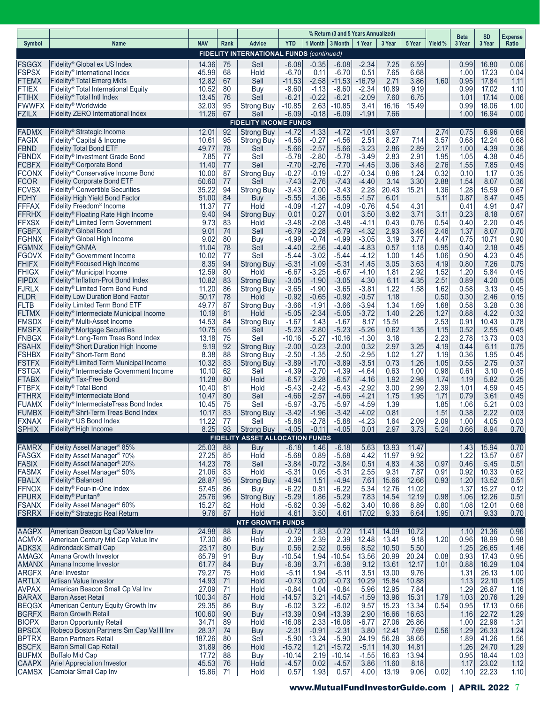|                              |                                                                                                 |                 |          |                                                 |                      |                    | % Return (3 and 5 Years Annualized) |                    |                |                |              | <b>Beta</b>  | <b>SD</b>      |                         |
|------------------------------|-------------------------------------------------------------------------------------------------|-----------------|----------|-------------------------------------------------|----------------------|--------------------|-------------------------------------|--------------------|----------------|----------------|--------------|--------------|----------------|-------------------------|
| Symbol                       | Name                                                                                            | <b>NAV</b>      | Rank     | <b>Advice</b>                                   | <b>YTD</b>           |                    | 1 Month   3 Month   1 Year          |                    | 3 Year         | 5 Year         | Yield %      | 3 Year       | 3 Year         | <b>Expense</b><br>Ratio |
|                              |                                                                                                 |                 |          | <b>FIDELITY INTERNATIONAL FUNDS (continued)</b> |                      |                    |                                     |                    |                |                |              |              |                |                         |
| <b>FSGGX</b><br><b>FSPSX</b> | Fidelity <sup>®</sup> Global ex US Index<br>Fidelity <sup>®</sup> International Index           | 14.36<br>45.99  | 75<br>68 | Sell<br>Hold                                    | $-6.08$<br>$-6.70$   | $-0.35$<br>0.11    | $-6.08$<br>$-6.70$                  | $-2.34$<br>0.51    | 7.25<br>7.65   | 6.59<br>6.68   |              | 0.99<br>1.00 | 16.80<br>17.23 | 0.06<br>0.04            |
| <b>FTEMX</b>                 | Fidelity <sup>®</sup> Total Emerg Mkts                                                          | 12.82           | 67       | Sell                                            | $-11.53$             | $-2.58$            | $-11.53$                            | $-16.79$           | 2.71           | 3.86           | 1.60         | 0.95         | 17.84          | 1.11                    |
| <b>FTIEX</b>                 | Fidelity <sup>®</sup> Total International Equity                                                | 10.52           | 80       | Buy                                             | $-8.60$              | $-1.13$            | $-8.60$                             | $-2.34$            | 10.89          | 9.19           |              | 0.99         | 17.02          | 1.10                    |
| <b>FTIHX</b>                 | Fidelity <sup>®</sup> Total Intl Index                                                          | 13.45           | 76       | Sell                                            | $-6.21$              | $-0.22$            | $-6.21$                             | $-2.09$            | 7.60           | 6.75           |              | 1.01         | 17.14          | 0.06                    |
| <b>FWWFX</b><br><b>FZILX</b> | Fidelity <sup>®</sup> Worldwide<br>Fidelity ZERO International Index                            | 32.03<br>11.26  | 95<br>67 | <b>Strong Buy</b><br>Sell                       | $-10.85$<br>$-6.09$  | 2.63<br>$-0.18$    | $-10.85$<br>$-6.09$                 | 3.41<br>$-1.91$    | 16.16<br>7.66  | 15.49          |              | 0.99<br>1.00 | 18.06<br>16.94 | 1.00<br>0.00            |
|                              |                                                                                                 |                 |          | <b>FIDELITY INCOME FUNDS</b>                    |                      |                    |                                     |                    |                |                |              |              |                |                         |
| <b>FADMX</b>                 | Fidelity <sup>®</sup> Strategic Income                                                          | 12.01           | 92       | <b>Strong Buy</b>                               | $-4.72$              | $-1.33$            | $-4.72$                             | $-1.01$            | 3.97           |                | 2.74         | 0.75         | 6.96           | 0.66                    |
| <b>FAGIX</b>                 | Fidelity <sup>®</sup> Capital & Income                                                          | 10.61           | 95       | Strong Buy                                      | $-4.56$              | $-0.27$            | $-4.56$                             | 2.51               | 8.27           | 7.14           | 3.57         | 0.68         | 12.24          | 0.68                    |
| <b>FBND</b><br><b>FBNDX</b>  | <b>Fidelity Total Bond ETF</b><br>Fidelity <sup>®</sup> Investment Grade Bond                   | 49.77           | 78<br>77 | Sell<br>Sell                                    | $-5.66$<br>-5.78     | $-2.57$<br>$-2.80$ | $-5.66$<br>-5.78                    | $-3.23$<br>$-3.49$ | 2.86<br>2.83   | 2.89<br>2.91   | 2.17<br>1.95 | 1.00<br>1.05 | 4.39<br>4.38   | 0.36<br>0.45            |
| <b>FCBFX</b>                 | Fidelity <sup>®</sup> Corporate Bond                                                            | 7.85<br>11.40   | 77       | Sell                                            | $-7.70$              | $-2.76$            | $-7.70$                             | $-4.45$            | 3.06           | 3.48           | 2.76         | 1.55         | 7.85           | 0.45                    |
| <b>FCONX</b>                 | Fidelity <sup>®</sup> Conservative Income Bond                                                  | 10.00           | 87       | <b>Strong Buy</b>                               | -0.27                | $-0.19$            | -0.27                               | -0.34              | 0.86           | 1.24           | 0.32         | 0.10         | 1.17           | 0.35                    |
| <b>FCOR</b>                  | <b>Fidelity Corporate Bond ETF</b>                                                              | 50.60           | 77       | Sell                                            | $-7.43$              | $-2.76$            | $-7.43$                             | -4.40              | 3.14           | 3.30           | 2.88         | 1.54         | 8.07           | 0.36                    |
| <b>FCVSX</b><br>FDHY         | Fidelity <sup>®</sup> Convertible Securities<br><b>Fidelity High Yield Bond Factor</b>          | 35.22<br>51.00  | 94<br>84 | <b>Strong Buy</b><br>Buy                        | -3.43<br>$-5.55$     | 2.00<br>$-1.36$    | $-3.43$<br>$-5.55$                  | 2.28<br>$-1.57$    | 20.43<br>6.01  | 15.21          | 1.36<br>5.11 | 1.28<br>0.87 | 15.59<br>8.47  | 0.67<br>0.45            |
| <b>FFFAX</b>                 | Fidelity Freedom <sup>®</sup> Income                                                            | 11.37           | 77       | Hold                                            | $-4.09$              | $-1.27$            | $-4.09$                             | $-0.76$            | 4.54           | 4.31           |              | 0.41         | 4.91           | 0.47                    |
| <b>FFRHX</b>                 | Fidelity <sup>®</sup> Floating Rate High Income                                                 | 9.40            | 94       | <b>Strong Buy</b>                               | 0.01                 | 0.27               | 0.01                                | 3.50               | 3.82           | 3.71           | 3.11         | 0.23         | 8.18           | 0.67                    |
| <b>FFXSX</b>                 | Fidelity® Limited Term Government                                                               | 9.73            | 83       | Hold                                            | -3.48                | $-2.08$            | $-3.48$                             | $-4.11$            | 0.43           | 0.76           | 0.54         | 0.40         | 2.20           | 0.45                    |
| <b>FGBFX</b><br><b>FGHNX</b> | Fidelity <sup>®</sup> Global Bond<br>Fidelity <sup>®</sup> Global High Income                   | 9.01<br>9.02    | 74<br>80 | Sell<br>Buy                                     | $-6.79$<br>$-4.99$   | $-2.28$<br>$-0.74$ | $-6.79$<br>$-4.99$                  | -4.32<br>$-3.05$   | 2.93<br>3.19   | 3.46<br>3.77   | 2.46<br>4.47 | 1.37<br>0.75 | 8.07<br>10.71  | 0.70<br>0.90            |
| <b>FGMNX</b>                 | Fidelity <sup>®</sup> GNMA                                                                      | 11.04           | 78       | Sell                                            | $-4.40$              | $-2.56$            | $-4.40$                             | $-4.83$            | 0.57           | 1.18           | 0.95         | 0.40         | 2.18           | 0.45                    |
| <b>FGOVX</b>                 | Fidelity <sup>®</sup> Government Income                                                         | 10.02           | 77       | Sell                                            | $-5.44$              | $-3.02$            | $-5.44$                             | $-4.12$            | 1.00           | 1.45           | 1.06         | 0.90         | 4.23           | 0.45                    |
| <b>FHIFX</b>                 | Fidelity <sup>®</sup> Focused High Income                                                       | 8.35            | 94       | <b>Strong Buy</b>                               | $-5.31$              | $-1.09$            | $-5.31$                             | $-1.45$            | 3.05           | 3.63           | 4.19         | 0.80         | 7.26           | 0.75                    |
| <b>FHIGX</b><br><b>FIPDX</b> | Fidelity <sup>®</sup> Municipal Income<br>Fidelity <sup>®</sup> Inflation-Prot Bond Index       | 12.59<br>10.82  | 80<br>83 | Hold<br><b>Strong Buy</b>                       | $-6.67$<br>$-3.05$   | $-3.25$<br>$-1.90$ | $-6.67$<br>$-3.05$                  | $-4.10$<br>4.30    | 1.81<br>6.11   | 2.92<br>4.35   | 1.52<br>2.51 | 1.20<br>0.89 | 5.84<br>4.20   | 0.45<br>0.05            |
| <b>FJRLX</b>                 | Fidelity® Limited Term Bond Fund                                                                | 11.20           | 86       | <b>Strong Buy</b>                               | $-3.65$              | $-1.90$            | $-3.65$                             | -3.81              | 1.22           | 1.58           | 1.62         | 0.58         | 3.13           | 0.45                    |
| <b>FLDR</b>                  | <b>Fidelity Low Duration Bond Factor</b>                                                        | 50.17           | 78       | Hold                                            | $-0.92$              | $-0.65$            | $-0.92$                             | $-0.57$            | 1.18           |                | 0.50         | 0.30         | 2.46           | 0.15                    |
| <b>FLTB</b>                  | <b>Fidelity Limited Term Bond ETF</b>                                                           | 49.77           | 87       | Strong Buy                                      | $-3.66$              | $-1.91$            | $-3.66$                             | -3.94              | 1.34           | 1.69           | 1.68         | 0.58         | 3.28           | 0.36                    |
| <b>FLTMX</b><br><b>FMSDX</b> | Fidelity <sup>®</sup> Intermediate Municipal Income<br>Fidelity <sup>®</sup> Multi-Asset Income | 10.19<br>14.53  | 81<br>84 | Hold<br><b>Strong Buy</b>                       | $-5.05$<br>$-1.67$   | $-2.34$<br>1.43    | $-5.05$<br>$-1.67$                  | $-3.72$<br>8.17    | 1.40<br>15.51  | 2.26           | 1.27<br>2.53 | 0.88<br>0.91 | 4.22<br>10.43  | 0.32<br>0.78            |
| <b>FMSFX</b>                 | Fidelity <sup>®</sup> Mortgage Securities                                                       | 10.75           | 65       | Sell                                            | $-5.23$              | $-2.80$            | $-5.23$                             | $-5.26$            | 0.62           | 1.35           | 1.15         | 0.52         | 2.55           | 0.45                    |
| <b>FNBGX</b>                 | Fidelity <sup>®</sup> Long-Term Treas Bond Index                                                | 13.18           | 75       | Sell                                            | $-10.16$             | $-5.27$            | $-10.16$                            | $-1.30$            | 3.18           |                | 2.23         | 2.78         | 13.73          | 0.03                    |
| <b>FSAHX</b>                 | Fidelity <sup>®</sup> Short Duration High Income                                                | 9.19            | 92       | <b>Strong Buy</b>                               | $-2.00$              | $-0.23$            | $-2.00$                             | 0.32               | 2.97           | 3.25           | 4.19         | 0.44         | 6.11           | 0.75                    |
| <b>FSHBX</b><br><b>FSTFX</b> | Fidelity <sup>®</sup> Short-Term Bond<br>Fidelity® Limited Term Municipal Income                | 8.38<br>10.32   | 88<br>83 | Strong Buy<br><b>Strong Buy</b>                 | $-2.50$<br>$-3.89$   | $-1.35$<br>$-1.70$ | $-2.50$<br>$-3.89$                  | -2.95<br>$-3.51$   | 1.02<br>0.73   | 1.27<br>1.26   | 1.19<br>1.05 | 0.36<br>0.55 | 1.95<br>2.75   | 0.45<br>0.37            |
| <b>FSTGX</b>                 | Fidelity <sup>®</sup> Intermediate Government Income                                            | 10.10           | 62       | Sell                                            | $-4.39$              | $-2.70$            | $-4.39$                             | -4.64              | 0.63           | 1.00           | 0.98         | 0.61         | 3.10           | 0.45                    |
| <b>FTABX</b>                 | Fidelity <sup>®</sup> Tax-Free Bond                                                             | 11.28           | 80       | Hold                                            | $-6.57$              | $-3.28$            | $-6.57$                             | $-4.16$            | 1.92           | 2.98           | 1.74         | 1.19         | 5.82           | 0.25                    |
| <b>FTBFX</b>                 | Fidelity <sup>®</sup> Total Bond                                                                | 10.40           | 81       | Hold                                            | $-5.43$              | $-2.42$            | $-5.43$                             | -2.92              | 3.00           | 2.99           | 2.39         | 1.01         | 4.59           | 0.45                    |
| <b>FTHRX</b><br><b>FUAMX</b> | Fidelity <sup>®</sup> Intermediate Bond<br>Fidelity <sup>®</sup> IntermediateTreas Bond Index   | 10.47<br>10.45  | 80<br>75 | Sell<br>Sell                                    | $-4.66$<br>$-5.97$   | $-2.57$<br>$-3.75$ | $-4.66$<br>$-5.97$                  | $-4.21$<br>-4.59   | 1.75<br>1.39   | 1.95           | 1.71<br>1.85 | 0.79<br>1.06 | 3.61<br>5.21   | 0.45<br>0.03            |
| <b>FUMBX</b>                 | Fidelity® Shrt-Term Treas Bond Index                                                            | 10.17           | 83       | <b>Strong Buy</b>                               | $-3.42$              | $-1.96$            | $-3.42$                             | $-4.02$            | 0.81           |                | 1.51         | 0.38         | 2.22           | 0.03                    |
| <b>FXNAX</b>                 | Fidelity <sup>®</sup> US Bond Index                                                             | 11.22           | 77       | Sell                                            | $-5.88$              | $-2.78$            | $-5.88$                             | $-4.23$            | 1.64           | 2.09           | 2.09         | 1.00         | 4.05           | 0.03                    |
| <b>SPHIX</b>                 | Fidelity® High Income                                                                           | 8.25            | 93       | <b>Strong Buy</b>                               | $-4.05$              | $-0.11$            | $-4.05$                             | 0.01               | 2.97           | 3.73           | 5.24         | 0.66         | 8.94           | 0.70                    |
| <b>FAMRX</b>                 | Fidelity Asset Manager <sup>®</sup> 85%                                                         | 25.03           | 88       | <b>FIDELITY ASSET ALLOCATION FUNDS</b><br>Buy   | $-6.18$              | 1.46               | $-6.18$                             | 5.63               | 13.93          | 11.47          |              | 1.43         | 15.94          | 0.70                    |
| <b>FASGX</b>                 | Fidelity Asset Manager <sup>®</sup> 70%                                                         | 27.25           | 85       | Hold                                            | $-5.68$              | 0.89               | $-5.68$                             | 4.42               | 11.97          | 9.92           |              | 1.22         | 13.57          | 0.67                    |
| <b>FASIX</b>                 | Fidelity Asset Manager <sup>®</sup> 20%                                                         | 14.23           | 78       | Sell                                            | $-3.84$              | $-0.72$            | $-3.84$                             | 0.51               | 4.83           | 4.38           | 0.97         | 0.46         | 5.45           | 0.51                    |
| <b>FASMX</b>                 | Fidelity Asset Manager <sup>®</sup> 50%                                                         | 21.06           | 83       | Hold                                            | $-5.31$              | 0.05               | $-5.31$                             | 2.55               | 9.31           | 7.87           | 0.91         | 0.92         | 10.33          | 0.62                    |
| <b>FBALX</b><br><b>FFNOX</b> | Fidelity <sup>®</sup> Balanced<br>Fidelity® Four-in-One Index                                   | 28.87<br>57.45  | 95<br>86 | <b>Strong Buy</b>                               | $-4.94$<br>$-6.22$   | 1.51<br>0.81       | $-4.94$<br>$-6.22$                  | 7.61<br>5.34       | 15.66<br>12.76 | 12.66<br>11.02 | 0.93         | 1.20<br>1.37 | 13.52<br>15.27 | 0.51<br>0.12            |
| <b>FPURX</b>                 | Fidelity <sup>®</sup> Puritan <sup>®</sup>                                                      | 25.76           | 96       | <b>Buy</b><br><b>Strong Buy</b>                 | $-5.29$              | 1.86               | $-5.29$                             | 7.83               | 14.54          | 12.19          | 0.98         | 1.06         | 12.26          | 0.51                    |
| <b>FSANX</b>                 | Fidelity Asset Manager <sup>®</sup> 60%                                                         | 15.27           | 82       | Hold                                            | $-5.62$              | 0.39               | $-5.62$                             | 3.40               | 10.66          | 8.89           | 0.80         | 1.08         | 12.01          | 0.68                    |
| <b>FSRRX</b>                 | Fidelity <sup>®</sup> Strategic Real Return                                                     | 9.76            | 87       | Hold                                            | 4.61                 | 3.50               | 4.61                                | 17.02              | 9.33           | 6.64           | 1.95         | 0.71         | 9.33           | 0.70                    |
| <b>AAGPX</b>                 | American Beacon Lg Cap Value Inv                                                                |                 | 88       | <b>NTF GROWTH FUNDS</b>                         |                      |                    |                                     |                    | 14.09          | 10.72          |              |              | 21.36          |                         |
| <b>ACMVX</b>                 | American Century Mid Cap Value Inv                                                              | 24.98<br>17.30  | 86       | <b>Buy</b><br>Hold                              | $-0.72$<br>2.39      | 1.83<br>2.39       | $-0.72$<br>2.39                     | 11.41<br>12.48     | 13.41          | 9.18           | 1.20         | 1.10<br>0.96 | 18.99          | 0.96<br>0.98            |
| <b>ADKSX</b>                 | Adirondack Small Cap                                                                            | 23.17           | 80       | <b>Buy</b>                                      | 0.56                 | 2.52               | 0.56                                | 8.52               | 10.50          | 5.50           |              | 1.25         | 26.65          | 1.46                    |
| <b>AMAGX</b>                 | Amana Growth Investor                                                                           | 65.79           | 91       | Buy                                             | $-10.54$             | 1.94               | $-10.54$                            | 13.56              | 20.99          | 20.24          | 0.08         | 0.93         | 17.43          | 0.95                    |
| <b>AMANX</b>                 | Amana Income Investor                                                                           | 61.77           | 84       | <b>Buy</b>                                      | $-6.38$              | 3.71               | $-6.38$                             | 9.12               | 13.61          | 12.17<br>9.76  | 1.01         | 0.88         | 16.29          | 1.04                    |
| <b>ARGFX</b><br><b>ARTLX</b> | <b>Ariel Investor</b><br>Artisan Value Investor                                                 | 79.27<br>14.93  | 75<br>71 | Hold<br>Hold                                    | $-5.11$<br>$-0.73$   | 1.94<br>0.20       | $-5.11$<br>$-0.73$                  | 3.51<br>10.29      | 13.00<br>15.84 | 10.88          |              | 1.31<br>1.13 | 26.13<br>22.10 | 1.00<br>1.05            |
| <b>AVPAX</b>                 | American Beacon Small Cp Val Inv                                                                | 27.09           | 71       | Hold                                            | $-0.84$              | 1.04               | $-0.84$                             | 5.96               | 12.95          | 7.84           |              | 1.29         | 26.87          | 1.16                    |
| <b>BARAX</b>                 | <b>Baron Asset Retail</b>                                                                       | 100.34          | 87       | Hold                                            | $-14.57$             | 3.21               | $-14.57$                            | $-1.59$            | 13.96          | 15.31          | 1.79         | 1.03         | 20.76          | 1.29                    |
| <b>BEQGX</b>                 | American Century Equity Growth Inv                                                              | 29.35           | 86       | Buy                                             | $-6.02$              | 3.22               | $-6.02$                             | 9.57               | 15.23          | 13.34          | 0.54         | 0.95         | 17.13          | 0.66                    |
| <b>BGRFX</b><br><b>BIOPX</b> | <b>Baron Growth Retail</b><br><b>Baron Opportunity Retail</b>                                   | 100.60<br>34.71 | 90<br>89 | Buy<br>Hold                                     | $-13.39$<br>$-16.08$ | 0.94<br>2.33       | $-13.39$<br>$-16.08$                | 2.90<br>$-6.77$    | 16.66<br>27.06 | 16.63<br>26.86 |              | 1.16<br>1.00 | 22.72<br>22.98 | 1.29<br>1.31            |
| <b>BPSCX</b>                 | Robeco Boston Partners Sm Cap Val II Inv                                                        | 28.37           | 74       | <b>Buy</b>                                      | $-2.31$              | $-0.91$            | $-2.31$                             | 3.80               | 12.41          | 7.69           | 0.56         | 1.29         | 26.33          | 1.24                    |
| <b>BPTRX</b>                 | <b>Baron Partners Retail</b>                                                                    | 187.26          | 80       | Sell                                            | $-5.90$              | 13.24              | $-5.90$                             | 24.19              | 56.28          | 38.66          |              | 1.89         | 41.26          | 1.56                    |
| <b>BSCFX</b>                 | <b>Baron Small Cap Retail</b>                                                                   | 31.89           | 86       | Hold                                            | $-15.72$             | 1.21               | $-15.72$                            | $-5.11$            | 14.30          | 14.81          |              | 1.26         | 24.70          | 1.29                    |
| <b>BUFMX</b><br><b>CAAPX</b> | <b>Buffalo Mid Cap</b><br><b>Ariel Appreciation Investor</b>                                    | 17.72<br>45.53  | 88<br>76 | <b>Buy</b><br>Hold                              | $-10.14$<br>$-4.57$  | 2.19<br>0.02       | $-10.14$<br>$-4.57$                 | $-1.55$<br>3.86    | 16.63<br>11.60 | 13.94<br>8.18  |              | 0.95<br>1.17 | 18.44<br>23.02 | 1.03<br>1.12            |
| <b>CAMSX</b>                 | Cambiar Small Cap Inv                                                                           | 15.86           | 71       | Hold                                            | 0.57                 | 1.93               | 0.57                                | 4.00               | 13.19          | 9.06           | 0.02         |              | $1.10$ 22.23   | 1.10                    |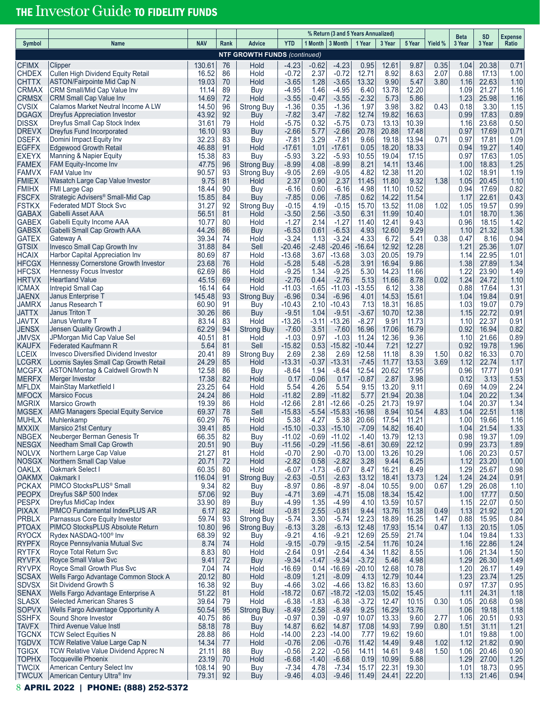# THE Investor Guide TO FIDELITY FUNDS

| <b>NAV</b><br><b>YTD</b><br>1 Month   3 Month   1 Year<br>Yield %<br>Rank<br>Advice<br>3 Year<br>5 Year<br>3 Year<br>3 Year<br>Ratio<br>Symbol<br><b>Name</b><br><b>NTF GROWTH FUNDS (continued)</b><br><b>CFIMX</b><br>130.61<br>Hold<br>$-4.23$<br>$-0.62$<br>12.61<br>0.35<br>76<br>$-4.23$<br>0.95<br>9.87<br>1.04<br>20.38<br>0.71<br>Clipper<br><b>CHDEX</b><br>Cullen High Dividend Equity Retail<br>16.52<br>$-0.72$<br>2.37<br>$-0.72$<br>12.71<br>8.92<br>8.63<br>2.07<br>0.88<br>17.13<br>1.00<br>86<br>Hold<br><b>CHTTX</b><br><b>ASTON/Fairpointe Mid Cap N</b><br>19.03<br>Hold<br>$-3.65$<br>1.28<br>$-3.65$<br>9.90<br>5.47<br>3.80<br>22.63<br>1.10<br>70<br>13.32<br>1.16<br><b>CRMAX</b><br>13.78<br>21.27<br>CRM Small/Mid Cap Value Inv<br>11.14<br>89<br>Buy<br>$-4.95$<br>1.46<br>$-4.95$<br>6.40<br>12.20<br>1.09<br>1.16<br><b>CRMSX</b><br><b>CRM Small Cap Value Inv</b><br>14.69<br>72<br>Hold<br>$-3.55$<br>$-3.55$<br>$-2.32$<br>5.73<br>5.86<br>1.23<br>25.98<br>1.16<br>$-0.47$<br><b>CVSIX</b><br>14.50<br>1.97<br>3.98<br>3.82<br>0.43<br>1.15<br>Calamos Market Neutral Income A LW<br>96<br>$-1.36$<br>0.35<br>$-1.36$<br>0.18<br>3.30<br><b>Strong Buy</b><br><b>DGAGX</b><br>92<br>$-7.82$<br>$-7.82$<br>19.82<br>16.63<br>0.99<br>17.83<br>0.89<br>Dreyfus Appreciation Investor<br>43.92<br>Buy<br>3.47<br>12.74<br><b>DISSX</b><br>0.73<br>13.13<br>0.50<br>Dreyfus Small Cap Stock Index<br>31.61<br>79<br>$-5.75$<br>0.32<br>$-5.75$<br>10.39<br>1.16<br>23.68<br>Hold<br><b>DREVX</b><br>16.10<br>93<br>$-2.66$<br>20.78<br>20.88<br>17.48<br>17.69<br>0.71<br>Dreyfus Fund Incorporated<br>Buy<br>$-2.66$<br>5.77<br>0.97<br><b>DSEFX</b><br>13.94<br>0.71<br>1.09<br>Domini Impact Equity Inv<br>32.23<br>83<br>$-7.81$<br>3.29<br>$-7.81$<br>9.66<br>19.18<br>0.97<br>17.81<br>Buy<br>18.33<br><b>EGFFX</b><br><b>Edgewood Growth Retail</b><br>46.88<br>91<br>Hold<br>$-17.61$<br>0.05<br>18.20<br>19.27<br>1.40<br>$-17.61$<br>1.01<br>0.94<br><b>EXEYX</b><br>19.04<br>Manning & Napier Equity<br>15.38<br>83<br>Buy<br>$-5.93$<br>3.22<br>$-5.93$<br>10.55<br>17.15<br>0.97<br>17.63<br>1.05<br><b>FAMEX</b><br>4.08<br>$-8.99$<br>8.21<br>14.11<br>1.25<br><b>FAM Equity-Income Inv</b><br>47.75<br>96<br><b>Strong Buy</b><br>$-8.99$<br>13.46<br>1.00<br>18.83<br><b>FAMVX</b><br>4.82<br>12.38<br>11.20<br>1.19<br><b>FAM Value Inv</b><br>90.57<br>93<br><b>Strong Buy</b><br>$-9.05$<br>2.69<br>$-9.05$<br>1.02<br>18.91<br><b>FMIEX</b><br>9.75<br>11.80<br>9.32<br>1.10<br>Wasatch Large Cap Value Investor<br>81<br>Hold<br>2.37<br>0.90<br>2.37<br>11.45<br>1.38<br>1.05<br>20.45<br><b>FMIHX</b><br>4.98<br>11.10<br>10.52<br>0.94<br>17.69<br>0.82<br><b>FMI Large Cap</b><br>18.44<br>90<br>Buy<br>$-6.16$<br>0.60<br>$-6.16$<br><b>FSCFX</b><br>15.85<br>84<br>$-7.85$<br>$-7.85$<br>14.22<br>11.54<br>1.17<br>22.61<br>0.43<br>Strategic Advisers <sup>®</sup> Small-Mid Cap<br>Buy<br>0.06<br>0.62<br><b>FSTKX</b><br>Federated MDT Stock Svc<br>31.27<br>92<br>$-0.15$<br>4.19<br>15.70<br>13.52<br>11.08<br>1.02<br>1.05<br>0.99<br><b>Strong Buy</b><br>$-0.15$<br>19.57<br><b>GABAX</b><br><b>Gabelli Asset AAA</b><br>56.51<br>81<br>$-3.50$<br>$-3.50$<br>6.31<br>11.99<br>10.40<br>18.70<br>1.36<br>Hold<br>2.56<br>1.01<br><b>GABEX</b><br>10.77<br>$-1.27$<br>$-1.27$<br>9.43<br>0.96<br>1.42<br>Gabelli Equity Income AAA<br>80<br>Hold<br>2.14<br>11.40<br>12.41<br>18.15<br>9.29<br><b>GABSX</b><br>44.26<br>86<br>$-6.53$<br>0.61<br>$-6.53$<br>4.93<br>12.60<br>21.32<br>1.38<br>Gabelli Small Cap Growth AAA<br>Buy<br>1.10<br><b>GATEX</b><br>39.34<br>74<br>$-3.24$<br>1.13<br>$-3.24$<br>4.33<br>6.72<br>5.41<br>0.38<br>8.16<br>0.94<br>Gateway A<br>0.47<br>Hold<br><b>GTSIX</b><br>31.88<br>84<br>Sell<br>$-16.64$<br>12.92<br>12.28<br>1.21<br>25.36<br>1.07<br>Invesco Small Cap Growth Inv<br>-20.46<br>$-2.48$<br>$-20.46$<br><b>HCAIX</b><br>80.69<br>$-13.68$<br>3.03<br>20.05<br>19.79<br>22.95<br>Harbor Capital Appreciation Inv<br>87<br>3.67<br>$-13.68$<br>1.14<br>1.01<br>Hold<br><b>HFCGX</b><br>23.68<br>76<br>$-5.28$<br>$-5.28$<br>3.91<br>16.94<br>9.86<br>1.38<br>27.89<br>1.34<br>Hennessy Cornerstone Growth Investor<br>Hold<br>5.48<br><b>HFCSX</b><br>62.69<br>$-9.25$<br>1.34<br>$-9.25$<br>5.30<br>14.23<br>11.66<br>1.22<br>23.90<br>1.49<br><b>Hennessy Focus Investor</b><br>86<br>Hold<br><b>HRTVX</b><br>69<br>Hold<br>$-2.76$<br>5.13<br>11.66<br>8.78<br>0.02<br>24.72<br>1.10<br><b>Heartland Value</b><br>45.15<br>$-2.76$<br>0.44<br>1.24<br><b>ICMAX</b><br>16.14<br>$-1.65$<br>6.12<br>3.38<br>Intrepid Small Cap<br>64<br>Hold<br>$-11.03$<br>$-11.03$<br>$-13.55$<br>0.88<br>17.64<br>1.31<br><b>JAENX</b><br>93<br>14.53<br>15.61<br>Janus Enterprise T<br>145.48<br><b>Strong Buy</b><br>$-6.96$<br>0.34<br>$-6.96$<br>4.01<br>1.04<br>19.84<br>0.91<br><b>JAMRX</b><br>7.13<br>16.85<br>Janus Research T<br>60.90<br>91<br>$-10.43$<br>2.10<br>$-10.43$<br>18.31<br>1.03<br>19.07<br>0.79<br>Buy<br>86<br>10.70<br>12.38<br><b>JATTX</b><br>Janus Triton T<br>30.26<br>$-9.51$<br>1.04<br>$-9.51$<br>$-3.67$<br>22.72<br>0.91<br>Buy<br>1.15<br><b>JAVTX</b><br>83.14<br>$-3.11$<br>$-8.27$<br>9.91<br>11.73<br>22.37<br>Janus Venture T<br>83<br>Hold<br>-13.26<br>$-13.26$<br>1.10<br>0.91<br><b>JENSX</b><br>16.79<br>Jensen Quality Growth J<br>62.29<br>94<br><b>Strong Buy</b><br>$-7.60$<br>3.51<br>$-7.60$<br>16.96<br>17.06<br>0.92<br>16.94<br>0.82<br><b>JMVSX</b><br>12.36<br>9.36<br>JPMorgan Mid Cap Value Sel<br>40.51<br>81<br>Hold<br>$-1.03$<br>0.97<br>$-1.03$<br>11.24<br>1.10<br>21.66<br>0.89<br><b>KAUFX</b><br>$-15.82$<br>1.96<br><b>Federated Kaufmann R</b><br>5.64<br>81<br>Sell<br>$-15.82$<br>0.53<br>$-10.44$<br>7.21<br>12.27<br>0.92<br>19.78<br><b>LCEIX</b><br>8.39<br><b>Invesco Diversified Dividend Investor</b><br>20.41<br>89<br><b>Strong Buy</b><br>2.69<br>2.38<br>2.69<br>12.58<br>11.18<br>1.50<br>0.82<br>16.33<br>0.70<br><b>LCGRX</b><br>Loomis Sayles Small Cap Growth Retail<br>24.29<br>85<br>Hold<br>$-13.31$<br>$-0.37$<br>$-13.31$<br>$-7.45$<br>11.77<br>13.53<br>3.69<br>1.12<br>22.74<br>1.17<br><b>MCGFX</b><br>12.58<br>$-8.64$<br>$-8.64$<br>20.62<br>17.95<br>17.77<br>0.91<br>ASTON/Montag & Caldwell Growth N<br>86<br>1.94<br>12.54<br>0.96<br>Buy<br>2.87<br>3.98<br>1.53<br>Merger Investor<br>17.38<br>82<br>Hold<br>0.17<br>$-0.06$<br>0.17<br>$-0.87$<br>0.12<br>3.13<br>23.25<br>5.54<br>4.26<br>9.15<br>13.20<br>9.11<br>14.09<br>2.24<br><b>MFLDX</b><br>MainStay Marketfield I<br>64<br>Hold<br>5.54<br>0.69<br><b>MFOCX</b><br>$-11.82$<br>$-11.82$<br>21.94<br>20.38<br>20.22<br>1.34<br><b>Marsico Focus</b><br>24.24<br>86<br>Hold<br>2.89<br>5.77<br>1.04<br><b>MGRIX</b><br>19.39<br>21.73<br>20.37<br>1.34<br>Marsico Growth<br>86<br>Hold<br>$-12.66$<br>2.81<br>$-12.66$<br>$-0.25$<br>19.97<br>1.04<br><b>MGSEX</b><br>69.37<br>$-15.83$<br>4.83<br>22.51<br>1.18<br><b>AMG Managers Special Equity Service</b><br>78<br>Sell<br>$-15.83$<br>$-5.54$<br>$-16.98$<br>8.94<br>10.54<br>1.04<br><b>MUHLX</b><br>5.38<br>4.27<br>20.66<br>17.54<br>11.21<br>19.66<br>1.16<br>Muhlenkamp<br>60.29<br>76<br>Hold<br>5.38<br>1.00<br><b>MXXIX</b><br>Marsico 21st Century<br>39.41<br>85<br>$-0.33$<br>14.82<br>1.33<br>Hold<br>$-15.10$<br>$-15.10$<br>$-7.09$<br>16.40<br>1.04<br>21.54<br><b>NBGEX</b><br>66.35<br>82<br>$-11.02$<br>13.79<br>12.13<br>19.37<br>Neuberger Berman Genesis Tr<br><b>Buy</b><br>$-0.69$<br>$-11.02$<br>$-1.40$<br>0.98<br>1.09<br>22.12<br><b>NESGX</b><br>Needham Small Cap Growth<br>20.51<br>90<br>$-11.56$<br>$-0.29$<br>$-11.56$<br>$-8.61$<br>30.69<br>0.99<br>23.73<br>1.89<br>Buy<br><b>NOLVX</b><br>Northern Large Cap Value<br>21.27<br>2.90<br>$-0.70$<br>13.00<br>13.26<br>10.29<br>20.23<br>81<br>Hold<br>$-0.70$<br>1.06<br>0.57<br>Northern Small Cap Value<br>20.71<br>Hold<br>0.58<br>$-2.82$<br>3.28<br>6.25<br>1.12<br>23.20<br>1.00<br>72<br>$-2.82$<br>9.44<br>25.67<br><b>OAKLX</b><br>Oakmark Select I<br>60.35<br>Hold<br>$-6.07$<br>$-1.73$<br>$-6.07$<br>8.47<br>16.21<br>8.49<br>1.29<br>0.98<br>80<br><b>OAKMX</b><br>116.04<br>$-2.63$<br>$-2.63$<br>13.73<br>1.24<br>0.91<br>Oakmark I<br>91<br><b>Strong Buy</b><br>$-0.51$<br>13.12<br>18.41<br>1.24<br>24.24<br><b>PCKAX</b><br>PIMCO StocksPLUS <sup>®</sup> Small<br>9.34<br>82<br>$-8.97$<br>$-8.97$<br>$-8.04$<br>10.55<br>9.00<br>0.67<br>1.29<br>26.08<br>1.10<br>Buy<br>0.86<br><b>PEOPX</b><br>Dreyfus S&P 500 Index<br>57.06<br>92<br>$-4.71$<br>3.69<br>$-4.71$<br>15.08<br>18.34<br>15.42<br>1.00<br>17.77<br>0.50<br>Buy<br><b>PESPX</b><br>Dreyfus MidCap Index<br>33.90<br>89<br>$-4.99$<br>1.35<br>$-4.99$<br>4.10<br>13.59<br>10.57<br>1.15<br>22.07<br>0.50<br>Buy<br><b>PIXAX</b><br>PIMCO Fundamental IndexPLUS AR<br>Hold<br>$-0.81$<br>13.76<br>11.38<br>0.49<br>1.20<br>6.17<br>82<br>2.55<br>$-0.81$<br>9.44<br>1.13<br>21.92<br><b>PRBLX</b><br>Parnassus Core Equity Investor<br>93<br><b>Strong Buy</b><br>$-5.74$<br>3.30<br>$-5.74$<br>12.23<br>18.89<br>16.25<br>1.47<br>15.95<br>0.84<br>59.74<br>0.88<br><b>PTOAX</b><br>PIMCO StocksPLUS Absolute Return<br>10.80<br>$-6.13$<br>$-6.13$<br>17.93<br>1.05<br>96<br><b>Strong Buy</b><br>3.28<br>12.48<br>15.14<br>0.47<br>1.13<br>20.15<br><b>RYOCX</b><br>Rydex NASDAQ-100 <sup>®</sup> Inv<br>68.39<br>$-9.21$<br>4.16<br>$-9.21$<br>12.69<br>25.59<br>21.74<br>19.84<br>1.33<br>92<br>Buy<br>1.04<br><b>RYPFX</b><br>Royce Pennsylvania Mutual Svc<br>8.74<br>$-9.15$<br>10.24<br>22.86<br>74<br>Hold<br>$-9.15$<br>$-0.79$<br>$-2.54$<br>11.76<br>1.16<br>1.24<br><b>RYTFX</b><br><b>Royce Total Return Svc</b><br>8.83<br>80<br>Hold<br>$-2.64$<br>0.91<br>$-2.64$<br>4.34<br>11.82<br>8.55<br>21.34<br>1.50<br>1.06<br>4.98<br><b>RYVFX</b><br><b>Royce Small Value Svc</b><br>9.41<br>$-9.34$<br>$-1.47$<br>$-9.34$<br>$-3.72$<br>1.29<br>26.30<br>1.49<br>72<br>Buy<br>5.46<br>Royce Small Growth Plus Svc<br><b>RYVPX</b><br>7.04<br>74<br>Hold<br>$-16.69$<br>$-16.69$<br>$-20.10$<br>10.78<br>1.20<br>26.17<br>1.49<br>0.14<br>12.68<br><b>SCSAX</b><br>Wells Fargo Advantage Common Stock A<br>20.12<br>80<br>$-8.09$<br>1.21<br>$-8.09$<br>4.13<br>12.79<br>10.44<br>1.23<br>23.74<br>1.25<br>Hold<br><b>SDVSX</b><br>Sit Dividend Growth S<br>16.38<br>92<br>$-4.66$<br>3.02<br>$-4.66$<br>13.82<br>16.83<br>13.60<br>0.97<br>17.37<br>0.95<br>Buy<br><b>SENAX</b><br>Wells Fargo Advantage Enterprise A<br>51.22<br>81<br>Hold<br>$-18.72$<br>0.67<br>$-18.72$<br>$-12.03$<br>15.02<br>15.45<br>1.11<br>24.31<br>1.18<br><b>SLASX</b><br>Selected American Shares S<br>39.64<br>79<br>Hold<br>$-6.38$<br>$-1.83$<br>$-6.38$<br>12.47<br>10.15<br>0.30<br>1.05<br>20.68<br>0.98<br>$-3.72$<br><b>SOPVX</b><br>Wells Fargo Advantage Opportunity A<br>50.54<br>95<br>$-8.49$<br>2.58<br>$-8.49$<br>9.25<br>16.29<br>13.76<br>1.06<br>19.18<br><b>Strong Buy</b><br>1.18<br><b>SSHFX</b><br>Sound Shore Investor<br>40.75<br>86<br>$-0.97$<br>0.39<br>13.33<br>9.60<br>2.77<br>0.93<br>Buy<br>$-0.97$<br>10.07<br>1.06<br>20.51<br><b>TAVFX</b><br>Third Avenue Value Instl<br>58.18<br>14.87<br>6.62<br>14.87<br>14.93<br>7.99<br>0.80<br>31.11<br>1.21<br>78<br>Buy<br>17.08<br>1.51<br><b>TGCNX</b><br><b>TCW Select Equities N</b><br>28.88<br>86<br>2.23<br>19.60<br>19.88<br>Hold<br>$-14.00$<br>$-14.00$<br>7.77<br>19.62<br>1.01<br>1.00<br><b>TCW Relative Value Large Cap N</b><br>14.34<br>$-0.76$<br>2.06<br>14.49<br>9.48<br>1.02<br>1.12<br>21.82<br>77<br>Hold<br>$-0.76$<br>11.42<br>0.90<br><b>TGIGX</b><br><b>TCW Relative Value Dividend Apprec N</b><br>21.11<br>88<br>$-0.56$<br>2.22<br>$-0.56$<br>14.11<br>14.61<br>9.48<br>1.50<br>1.06<br>20.46<br>0.90<br>Buy<br><b>TOPHX</b><br>Tocqueville Phoenix<br>23.19<br>$-6.68$<br>$-1.40$<br>$-6.68$<br>5.88<br>70<br>Hold<br>0.19<br>10.99<br>1.29<br>27.00<br>1.25<br><b>TWCIX</b><br>American Century Select Inv<br>108.14<br>90<br>$-7.34$<br>4.78<br>$-7.34$<br>15.17<br>22.31<br>19.30<br>18.73<br>0.95<br>Buy<br>1.01<br>American Century Ultra® Inv<br>79.31<br><b>TWCUX</b><br>92<br>$-9.46$<br>4.03<br>$-9.46$<br>22.20<br>1.13<br>21.46<br>0.94<br>Buy<br>11.49<br>24.41 |              |  |  |  | % Return (3 and 5 Years Annualized) |  |  | <b>Beta</b> | <b>SD</b> | <b>Expense</b> |
|------------------------------------------------------------------------------------------------------------------------------------------------------------------------------------------------------------------------------------------------------------------------------------------------------------------------------------------------------------------------------------------------------------------------------------------------------------------------------------------------------------------------------------------------------------------------------------------------------------------------------------------------------------------------------------------------------------------------------------------------------------------------------------------------------------------------------------------------------------------------------------------------------------------------------------------------------------------------------------------------------------------------------------------------------------------------------------------------------------------------------------------------------------------------------------------------------------------------------------------------------------------------------------------------------------------------------------------------------------------------------------------------------------------------------------------------------------------------------------------------------------------------------------------------------------------------------------------------------------------------------------------------------------------------------------------------------------------------------------------------------------------------------------------------------------------------------------------------------------------------------------------------------------------------------------------------------------------------------------------------------------------------------------------------------------------------------------------------------------------------------------------------------------------------------------------------------------------------------------------------------------------------------------------------------------------------------------------------------------------------------------------------------------------------------------------------------------------------------------------------------------------------------------------------------------------------------------------------------------------------------------------------------------------------------------------------------------------------------------------------------------------------------------------------------------------------------------------------------------------------------------------------------------------------------------------------------------------------------------------------------------------------------------------------------------------------------------------------------------------------------------------------------------------------------------------------------------------------------------------------------------------------------------------------------------------------------------------------------------------------------------------------------------------------------------------------------------------------------------------------------------------------------------------------------------------------------------------------------------------------------------------------------------------------------------------------------------------------------------------------------------------------------------------------------------------------------------------------------------------------------------------------------------------------------------------------------------------------------------------------------------------------------------------------------------------------------------------------------------------------------------------------------------------------------------------------------------------------------------------------------------------------------------------------------------------------------------------------------------------------------------------------------------------------------------------------------------------------------------------------------------------------------------------------------------------------------------------------------------------------------------------------------------------------------------------------------------------------------------------------------------------------------------------------------------------------------------------------------------------------------------------------------------------------------------------------------------------------------------------------------------------------------------------------------------------------------------------------------------------------------------------------------------------------------------------------------------------------------------------------------------------------------------------------------------------------------------------------------------------------------------------------------------------------------------------------------------------------------------------------------------------------------------------------------------------------------------------------------------------------------------------------------------------------------------------------------------------------------------------------------------------------------------------------------------------------------------------------------------------------------------------------------------------------------------------------------------------------------------------------------------------------------------------------------------------------------------------------------------------------------------------------------------------------------------------------------------------------------------------------------------------------------------------------------------------------------------------------------------------------------------------------------------------------------------------------------------------------------------------------------------------------------------------------------------------------------------------------------------------------------------------------------------------------------------------------------------------------------------------------------------------------------------------------------------------------------------------------------------------------------------------------------------------------------------------------------------------------------------------------------------------------------------------------------------------------------------------------------------------------------------------------------------------------------------------------------------------------------------------------------------------------------------------------------------------------------------------------------------------------------------------------------------------------------------------------------------------------------------------------------------------------------------------------------------------------------------------------------------------------------------------------------------------------------------------------------------------------------------------------------------------------------------------------------------------------------------------------------------------------------------------------------------------------------------------------------------------------------------------------------------------------------------------------------------------------------------------------------------------------------------------------------------------------------------------------------------------------------------------------------------------------------------------------------------------------------------------------------------------------------------------------------------------------------------------------------------------------------------------------------------------------------------------------------------------------------------------------------------------------------------------------------------------------------------------------------------------------------------------------------------------------------------------------------------------------------------------------------------------------------------------------------------------------------------------------------------------------------------------------------------------------------------------------------------------------------------------------------------------------------------------------------------------------------------------------------------------------------------------------------------------------------------------------------------------------------------------------------------------------------------------------------------------------------------------------------------------------------------------------------------------------------------------------------------------------------------------------------------------------------------------------------------------------------------------------------------------------------------------------------------------------------------------------------------------------------------------------------------------------------------------------------------------------------------------------------------------------------------------------------------------------------------------------------------------------------------------------------------------------------------------------------------------------------------------------------------------------------------------------------------------------------------------------------------------------------------------------------------------------------------------------------------------------------------------------------------------------------------------------------------------------------------------------------------------------------------------------------------------------------------------------------------------------------------------------------------------------------------------------------------------------------------------------------------------------------------------------------------------------------------------------------------------------------------------------------------------------------------------------------------------------------------------------------------------------------------------------------------------------------------------------------------------------------------------------------------------------------------------------------------------------------------------------------------------------------------------------------------------------------------------------------------------------------------------------------------------------------------------------------------------------------------------------------------------------------------------------------------------------------------------------------------------------------------------------------------------------------------------------------------------------------------------------------------------------------------------------------------------------------------------------------------------------------------------------------------------------------------------------------------------------------------------------------------------------------------------------------------------------------------------------------------------------------------------------------------------------------------------------------------------------------------|--------------|--|--|--|-------------------------------------|--|--|-------------|-----------|----------------|
|                                                                                                                                                                                                                                                                                                                                                                                                                                                                                                                                                                                                                                                                                                                                                                                                                                                                                                                                                                                                                                                                                                                                                                                                                                                                                                                                                                                                                                                                                                                                                                                                                                                                                                                                                                                                                                                                                                                                                                                                                                                                                                                                                                                                                                                                                                                                                                                                                                                                                                                                                                                                                                                                                                                                                                                                                                                                                                                                                                                                                                                                                                                                                                                                                                                                                                                                                                                                                                                                                                                                                                                                                                                                                                                                                                                                                                                                                                                                                                                                                                                                                                                                                                                                                                                                                                                                                                                                                                                                                                                                                                                                                                                                                                                                                                                                                                                                                                                                                                                                                                                                                                                                                                                                                                                                                                                                                                                                                                                                                                                                                                                                                                                                                                                                                                                                                                                                                                                                                                                                                                                                                                                                                                                                                                                                                                                                                                                                                                                                                                                                                                                                                                                                                                                                                                                                                                                                                                                                                                                                                                                                                                                                                                                                                                                                                                                                                                                                                                                                                                                                                                                                                                                                                                                                                                                                                                                                                                                                                                                                                                                                                                                                                                                                                                                                                                                                                                                                                                                                                                                                                                                                                                                                                                                                                                                                                                                                                                                                                                                                                                                                                                                                                                                                                                                                                                                                                                                                                                                                                                                                                                                                                                                                                                                                                                                                                                                                                                                                                                                                                                                                                                                                                                                                                                                                                                                                                                                                                                                                                                                                                                                                                                                                                                                                                                                                                                                                                                                                                                                                                                                                                                                                                                                                                                                                                                                                                                                                                                                                                                                                                                                                                                                                                                                                                                                                                                                                                                                                                                                                                                                                                                                                                                                                                                                                                    |              |  |  |  |                                     |  |  |             |           |                |
|                                                                                                                                                                                                                                                                                                                                                                                                                                                                                                                                                                                                                                                                                                                                                                                                                                                                                                                                                                                                                                                                                                                                                                                                                                                                                                                                                                                                                                                                                                                                                                                                                                                                                                                                                                                                                                                                                                                                                                                                                                                                                                                                                                                                                                                                                                                                                                                                                                                                                                                                                                                                                                                                                                                                                                                                                                                                                                                                                                                                                                                                                                                                                                                                                                                                                                                                                                                                                                                                                                                                                                                                                                                                                                                                                                                                                                                                                                                                                                                                                                                                                                                                                                                                                                                                                                                                                                                                                                                                                                                                                                                                                                                                                                                                                                                                                                                                                                                                                                                                                                                                                                                                                                                                                                                                                                                                                                                                                                                                                                                                                                                                                                                                                                                                                                                                                                                                                                                                                                                                                                                                                                                                                                                                                                                                                                                                                                                                                                                                                                                                                                                                                                                                                                                                                                                                                                                                                                                                                                                                                                                                                                                                                                                                                                                                                                                                                                                                                                                                                                                                                                                                                                                                                                                                                                                                                                                                                                                                                                                                                                                                                                                                                                                                                                                                                                                                                                                                                                                                                                                                                                                                                                                                                                                                                                                                                                                                                                                                                                                                                                                                                                                                                                                                                                                                                                                                                                                                                                                                                                                                                                                                                                                                                                                                                                                                                                                                                                                                                                                                                                                                                                                                                                                                                                                                                                                                                                                                                                                                                                                                                                                                                                                                                                                                                                                                                                                                                                                                                                                                                                                                                                                                                                                                                                                                                                                                                                                                                                                                                                                                                                                                                                                                                                                                                                                                                                                                                                                                                                                                                                                                                                                                                                                                                                                                                    |              |  |  |  |                                     |  |  |             |           |                |
|                                                                                                                                                                                                                                                                                                                                                                                                                                                                                                                                                                                                                                                                                                                                                                                                                                                                                                                                                                                                                                                                                                                                                                                                                                                                                                                                                                                                                                                                                                                                                                                                                                                                                                                                                                                                                                                                                                                                                                                                                                                                                                                                                                                                                                                                                                                                                                                                                                                                                                                                                                                                                                                                                                                                                                                                                                                                                                                                                                                                                                                                                                                                                                                                                                                                                                                                                                                                                                                                                                                                                                                                                                                                                                                                                                                                                                                                                                                                                                                                                                                                                                                                                                                                                                                                                                                                                                                                                                                                                                                                                                                                                                                                                                                                                                                                                                                                                                                                                                                                                                                                                                                                                                                                                                                                                                                                                                                                                                                                                                                                                                                                                                                                                                                                                                                                                                                                                                                                                                                                                                                                                                                                                                                                                                                                                                                                                                                                                                                                                                                                                                                                                                                                                                                                                                                                                                                                                                                                                                                                                                                                                                                                                                                                                                                                                                                                                                                                                                                                                                                                                                                                                                                                                                                                                                                                                                                                                                                                                                                                                                                                                                                                                                                                                                                                                                                                                                                                                                                                                                                                                                                                                                                                                                                                                                                                                                                                                                                                                                                                                                                                                                                                                                                                                                                                                                                                                                                                                                                                                                                                                                                                                                                                                                                                                                                                                                                                                                                                                                                                                                                                                                                                                                                                                                                                                                                                                                                                                                                                                                                                                                                                                                                                                                                                                                                                                                                                                                                                                                                                                                                                                                                                                                                                                                                                                                                                                                                                                                                                                                                                                                                                                                                                                                                                                                                                                                                                                                                                                                                                                                                                                                                                                                                                                                                                                    |              |  |  |  |                                     |  |  |             |           |                |
|                                                                                                                                                                                                                                                                                                                                                                                                                                                                                                                                                                                                                                                                                                                                                                                                                                                                                                                                                                                                                                                                                                                                                                                                                                                                                                                                                                                                                                                                                                                                                                                                                                                                                                                                                                                                                                                                                                                                                                                                                                                                                                                                                                                                                                                                                                                                                                                                                                                                                                                                                                                                                                                                                                                                                                                                                                                                                                                                                                                                                                                                                                                                                                                                                                                                                                                                                                                                                                                                                                                                                                                                                                                                                                                                                                                                                                                                                                                                                                                                                                                                                                                                                                                                                                                                                                                                                                                                                                                                                                                                                                                                                                                                                                                                                                                                                                                                                                                                                                                                                                                                                                                                                                                                                                                                                                                                                                                                                                                                                                                                                                                                                                                                                                                                                                                                                                                                                                                                                                                                                                                                                                                                                                                                                                                                                                                                                                                                                                                                                                                                                                                                                                                                                                                                                                                                                                                                                                                                                                                                                                                                                                                                                                                                                                                                                                                                                                                                                                                                                                                                                                                                                                                                                                                                                                                                                                                                                                                                                                                                                                                                                                                                                                                                                                                                                                                                                                                                                                                                                                                                                                                                                                                                                                                                                                                                                                                                                                                                                                                                                                                                                                                                                                                                                                                                                                                                                                                                                                                                                                                                                                                                                                                                                                                                                                                                                                                                                                                                                                                                                                                                                                                                                                                                                                                                                                                                                                                                                                                                                                                                                                                                                                                                                                                                                                                                                                                                                                                                                                                                                                                                                                                                                                                                                                                                                                                                                                                                                                                                                                                                                                                                                                                                                                                                                                                                                                                                                                                                                                                                                                                                                                                                                                                                                                                                                    |              |  |  |  |                                     |  |  |             |           |                |
|                                                                                                                                                                                                                                                                                                                                                                                                                                                                                                                                                                                                                                                                                                                                                                                                                                                                                                                                                                                                                                                                                                                                                                                                                                                                                                                                                                                                                                                                                                                                                                                                                                                                                                                                                                                                                                                                                                                                                                                                                                                                                                                                                                                                                                                                                                                                                                                                                                                                                                                                                                                                                                                                                                                                                                                                                                                                                                                                                                                                                                                                                                                                                                                                                                                                                                                                                                                                                                                                                                                                                                                                                                                                                                                                                                                                                                                                                                                                                                                                                                                                                                                                                                                                                                                                                                                                                                                                                                                                                                                                                                                                                                                                                                                                                                                                                                                                                                                                                                                                                                                                                                                                                                                                                                                                                                                                                                                                                                                                                                                                                                                                                                                                                                                                                                                                                                                                                                                                                                                                                                                                                                                                                                                                                                                                                                                                                                                                                                                                                                                                                                                                                                                                                                                                                                                                                                                                                                                                                                                                                                                                                                                                                                                                                                                                                                                                                                                                                                                                                                                                                                                                                                                                                                                                                                                                                                                                                                                                                                                                                                                                                                                                                                                                                                                                                                                                                                                                                                                                                                                                                                                                                                                                                                                                                                                                                                                                                                                                                                                                                                                                                                                                                                                                                                                                                                                                                                                                                                                                                                                                                                                                                                                                                                                                                                                                                                                                                                                                                                                                                                                                                                                                                                                                                                                                                                                                                                                                                                                                                                                                                                                                                                                                                                                                                                                                                                                                                                                                                                                                                                                                                                                                                                                                                                                                                                                                                                                                                                                                                                                                                                                                                                                                                                                                                                                                                                                                                                                                                                                                                                                                                                                                                                                                                                                                                    |              |  |  |  |                                     |  |  |             |           |                |
|                                                                                                                                                                                                                                                                                                                                                                                                                                                                                                                                                                                                                                                                                                                                                                                                                                                                                                                                                                                                                                                                                                                                                                                                                                                                                                                                                                                                                                                                                                                                                                                                                                                                                                                                                                                                                                                                                                                                                                                                                                                                                                                                                                                                                                                                                                                                                                                                                                                                                                                                                                                                                                                                                                                                                                                                                                                                                                                                                                                                                                                                                                                                                                                                                                                                                                                                                                                                                                                                                                                                                                                                                                                                                                                                                                                                                                                                                                                                                                                                                                                                                                                                                                                                                                                                                                                                                                                                                                                                                                                                                                                                                                                                                                                                                                                                                                                                                                                                                                                                                                                                                                                                                                                                                                                                                                                                                                                                                                                                                                                                                                                                                                                                                                                                                                                                                                                                                                                                                                                                                                                                                                                                                                                                                                                                                                                                                                                                                                                                                                                                                                                                                                                                                                                                                                                                                                                                                                                                                                                                                                                                                                                                                                                                                                                                                                                                                                                                                                                                                                                                                                                                                                                                                                                                                                                                                                                                                                                                                                                                                                                                                                                                                                                                                                                                                                                                                                                                                                                                                                                                                                                                                                                                                                                                                                                                                                                                                                                                                                                                                                                                                                                                                                                                                                                                                                                                                                                                                                                                                                                                                                                                                                                                                                                                                                                                                                                                                                                                                                                                                                                                                                                                                                                                                                                                                                                                                                                                                                                                                                                                                                                                                                                                                                                                                                                                                                                                                                                                                                                                                                                                                                                                                                                                                                                                                                                                                                                                                                                                                                                                                                                                                                                                                                                                                                                                                                                                                                                                                                                                                                                                                                                                                                                                                                                                                    |              |  |  |  |                                     |  |  |             |           |                |
|                                                                                                                                                                                                                                                                                                                                                                                                                                                                                                                                                                                                                                                                                                                                                                                                                                                                                                                                                                                                                                                                                                                                                                                                                                                                                                                                                                                                                                                                                                                                                                                                                                                                                                                                                                                                                                                                                                                                                                                                                                                                                                                                                                                                                                                                                                                                                                                                                                                                                                                                                                                                                                                                                                                                                                                                                                                                                                                                                                                                                                                                                                                                                                                                                                                                                                                                                                                                                                                                                                                                                                                                                                                                                                                                                                                                                                                                                                                                                                                                                                                                                                                                                                                                                                                                                                                                                                                                                                                                                                                                                                                                                                                                                                                                                                                                                                                                                                                                                                                                                                                                                                                                                                                                                                                                                                                                                                                                                                                                                                                                                                                                                                                                                                                                                                                                                                                                                                                                                                                                                                                                                                                                                                                                                                                                                                                                                                                                                                                                                                                                                                                                                                                                                                                                                                                                                                                                                                                                                                                                                                                                                                                                                                                                                                                                                                                                                                                                                                                                                                                                                                                                                                                                                                                                                                                                                                                                                                                                                                                                                                                                                                                                                                                                                                                                                                                                                                                                                                                                                                                                                                                                                                                                                                                                                                                                                                                                                                                                                                                                                                                                                                                                                                                                                                                                                                                                                                                                                                                                                                                                                                                                                                                                                                                                                                                                                                                                                                                                                                                                                                                                                                                                                                                                                                                                                                                                                                                                                                                                                                                                                                                                                                                                                                                                                                                                                                                                                                                                                                                                                                                                                                                                                                                                                                                                                                                                                                                                                                                                                                                                                                                                                                                                                                                                                                                                                                                                                                                                                                                                                                                                                                                                                                                                                                                                                    |              |  |  |  |                                     |  |  |             |           |                |
|                                                                                                                                                                                                                                                                                                                                                                                                                                                                                                                                                                                                                                                                                                                                                                                                                                                                                                                                                                                                                                                                                                                                                                                                                                                                                                                                                                                                                                                                                                                                                                                                                                                                                                                                                                                                                                                                                                                                                                                                                                                                                                                                                                                                                                                                                                                                                                                                                                                                                                                                                                                                                                                                                                                                                                                                                                                                                                                                                                                                                                                                                                                                                                                                                                                                                                                                                                                                                                                                                                                                                                                                                                                                                                                                                                                                                                                                                                                                                                                                                                                                                                                                                                                                                                                                                                                                                                                                                                                                                                                                                                                                                                                                                                                                                                                                                                                                                                                                                                                                                                                                                                                                                                                                                                                                                                                                                                                                                                                                                                                                                                                                                                                                                                                                                                                                                                                                                                                                                                                                                                                                                                                                                                                                                                                                                                                                                                                                                                                                                                                                                                                                                                                                                                                                                                                                                                                                                                                                                                                                                                                                                                                                                                                                                                                                                                                                                                                                                                                                                                                                                                                                                                                                                                                                                                                                                                                                                                                                                                                                                                                                                                                                                                                                                                                                                                                                                                                                                                                                                                                                                                                                                                                                                                                                                                                                                                                                                                                                                                                                                                                                                                                                                                                                                                                                                                                                                                                                                                                                                                                                                                                                                                                                                                                                                                                                                                                                                                                                                                                                                                                                                                                                                                                                                                                                                                                                                                                                                                                                                                                                                                                                                                                                                                                                                                                                                                                                                                                                                                                                                                                                                                                                                                                                                                                                                                                                                                                                                                                                                                                                                                                                                                                                                                                                                                                                                                                                                                                                                                                                                                                                                                                                                                                                                                                                                    |              |  |  |  |                                     |  |  |             |           |                |
|                                                                                                                                                                                                                                                                                                                                                                                                                                                                                                                                                                                                                                                                                                                                                                                                                                                                                                                                                                                                                                                                                                                                                                                                                                                                                                                                                                                                                                                                                                                                                                                                                                                                                                                                                                                                                                                                                                                                                                                                                                                                                                                                                                                                                                                                                                                                                                                                                                                                                                                                                                                                                                                                                                                                                                                                                                                                                                                                                                                                                                                                                                                                                                                                                                                                                                                                                                                                                                                                                                                                                                                                                                                                                                                                                                                                                                                                                                                                                                                                                                                                                                                                                                                                                                                                                                                                                                                                                                                                                                                                                                                                                                                                                                                                                                                                                                                                                                                                                                                                                                                                                                                                                                                                                                                                                                                                                                                                                                                                                                                                                                                                                                                                                                                                                                                                                                                                                                                                                                                                                                                                                                                                                                                                                                                                                                                                                                                                                                                                                                                                                                                                                                                                                                                                                                                                                                                                                                                                                                                                                                                                                                                                                                                                                                                                                                                                                                                                                                                                                                                                                                                                                                                                                                                                                                                                                                                                                                                                                                                                                                                                                                                                                                                                                                                                                                                                                                                                                                                                                                                                                                                                                                                                                                                                                                                                                                                                                                                                                                                                                                                                                                                                                                                                                                                                                                                                                                                                                                                                                                                                                                                                                                                                                                                                                                                                                                                                                                                                                                                                                                                                                                                                                                                                                                                                                                                                                                                                                                                                                                                                                                                                                                                                                                                                                                                                                                                                                                                                                                                                                                                                                                                                                                                                                                                                                                                                                                                                                                                                                                                                                                                                                                                                                                                                                                                                                                                                                                                                                                                                                                                                                                                                                                                                                                                                                    |              |  |  |  |                                     |  |  |             |           |                |
|                                                                                                                                                                                                                                                                                                                                                                                                                                                                                                                                                                                                                                                                                                                                                                                                                                                                                                                                                                                                                                                                                                                                                                                                                                                                                                                                                                                                                                                                                                                                                                                                                                                                                                                                                                                                                                                                                                                                                                                                                                                                                                                                                                                                                                                                                                                                                                                                                                                                                                                                                                                                                                                                                                                                                                                                                                                                                                                                                                                                                                                                                                                                                                                                                                                                                                                                                                                                                                                                                                                                                                                                                                                                                                                                                                                                                                                                                                                                                                                                                                                                                                                                                                                                                                                                                                                                                                                                                                                                                                                                                                                                                                                                                                                                                                                                                                                                                                                                                                                                                                                                                                                                                                                                                                                                                                                                                                                                                                                                                                                                                                                                                                                                                                                                                                                                                                                                                                                                                                                                                                                                                                                                                                                                                                                                                                                                                                                                                                                                                                                                                                                                                                                                                                                                                                                                                                                                                                                                                                                                                                                                                                                                                                                                                                                                                                                                                                                                                                                                                                                                                                                                                                                                                                                                                                                                                                                                                                                                                                                                                                                                                                                                                                                                                                                                                                                                                                                                                                                                                                                                                                                                                                                                                                                                                                                                                                                                                                                                                                                                                                                                                                                                                                                                                                                                                                                                                                                                                                                                                                                                                                                                                                                                                                                                                                                                                                                                                                                                                                                                                                                                                                                                                                                                                                                                                                                                                                                                                                                                                                                                                                                                                                                                                                                                                                                                                                                                                                                                                                                                                                                                                                                                                                                                                                                                                                                                                                                                                                                                                                                                                                                                                                                                                                                                                                                                                                                                                                                                                                                                                                                                                                                                                                                                                                                                                    |              |  |  |  |                                     |  |  |             |           |                |
|                                                                                                                                                                                                                                                                                                                                                                                                                                                                                                                                                                                                                                                                                                                                                                                                                                                                                                                                                                                                                                                                                                                                                                                                                                                                                                                                                                                                                                                                                                                                                                                                                                                                                                                                                                                                                                                                                                                                                                                                                                                                                                                                                                                                                                                                                                                                                                                                                                                                                                                                                                                                                                                                                                                                                                                                                                                                                                                                                                                                                                                                                                                                                                                                                                                                                                                                                                                                                                                                                                                                                                                                                                                                                                                                                                                                                                                                                                                                                                                                                                                                                                                                                                                                                                                                                                                                                                                                                                                                                                                                                                                                                                                                                                                                                                                                                                                                                                                                                                                                                                                                                                                                                                                                                                                                                                                                                                                                                                                                                                                                                                                                                                                                                                                                                                                                                                                                                                                                                                                                                                                                                                                                                                                                                                                                                                                                                                                                                                                                                                                                                                                                                                                                                                                                                                                                                                                                                                                                                                                                                                                                                                                                                                                                                                                                                                                                                                                                                                                                                                                                                                                                                                                                                                                                                                                                                                                                                                                                                                                                                                                                                                                                                                                                                                                                                                                                                                                                                                                                                                                                                                                                                                                                                                                                                                                                                                                                                                                                                                                                                                                                                                                                                                                                                                                                                                                                                                                                                                                                                                                                                                                                                                                                                                                                                                                                                                                                                                                                                                                                                                                                                                                                                                                                                                                                                                                                                                                                                                                                                                                                                                                                                                                                                                                                                                                                                                                                                                                                                                                                                                                                                                                                                                                                                                                                                                                                                                                                                                                                                                                                                                                                                                                                                                                                                                                                                                                                                                                                                                                                                                                                                                                                                                                                                                                                                    |              |  |  |  |                                     |  |  |             |           |                |
|                                                                                                                                                                                                                                                                                                                                                                                                                                                                                                                                                                                                                                                                                                                                                                                                                                                                                                                                                                                                                                                                                                                                                                                                                                                                                                                                                                                                                                                                                                                                                                                                                                                                                                                                                                                                                                                                                                                                                                                                                                                                                                                                                                                                                                                                                                                                                                                                                                                                                                                                                                                                                                                                                                                                                                                                                                                                                                                                                                                                                                                                                                                                                                                                                                                                                                                                                                                                                                                                                                                                                                                                                                                                                                                                                                                                                                                                                                                                                                                                                                                                                                                                                                                                                                                                                                                                                                                                                                                                                                                                                                                                                                                                                                                                                                                                                                                                                                                                                                                                                                                                                                                                                                                                                                                                                                                                                                                                                                                                                                                                                                                                                                                                                                                                                                                                                                                                                                                                                                                                                                                                                                                                                                                                                                                                                                                                                                                                                                                                                                                                                                                                                                                                                                                                                                                                                                                                                                                                                                                                                                                                                                                                                                                                                                                                                                                                                                                                                                                                                                                                                                                                                                                                                                                                                                                                                                                                                                                                                                                                                                                                                                                                                                                                                                                                                                                                                                                                                                                                                                                                                                                                                                                                                                                                                                                                                                                                                                                                                                                                                                                                                                                                                                                                                                                                                                                                                                                                                                                                                                                                                                                                                                                                                                                                                                                                                                                                                                                                                                                                                                                                                                                                                                                                                                                                                                                                                                                                                                                                                                                                                                                                                                                                                                                                                                                                                                                                                                                                                                                                                                                                                                                                                                                                                                                                                                                                                                                                                                                                                                                                                                                                                                                                                                                                                                                                                                                                                                                                                                                                                                                                                                                                                                                                                                                                                    |              |  |  |  |                                     |  |  |             |           |                |
|                                                                                                                                                                                                                                                                                                                                                                                                                                                                                                                                                                                                                                                                                                                                                                                                                                                                                                                                                                                                                                                                                                                                                                                                                                                                                                                                                                                                                                                                                                                                                                                                                                                                                                                                                                                                                                                                                                                                                                                                                                                                                                                                                                                                                                                                                                                                                                                                                                                                                                                                                                                                                                                                                                                                                                                                                                                                                                                                                                                                                                                                                                                                                                                                                                                                                                                                                                                                                                                                                                                                                                                                                                                                                                                                                                                                                                                                                                                                                                                                                                                                                                                                                                                                                                                                                                                                                                                                                                                                                                                                                                                                                                                                                                                                                                                                                                                                                                                                                                                                                                                                                                                                                                                                                                                                                                                                                                                                                                                                                                                                                                                                                                                                                                                                                                                                                                                                                                                                                                                                                                                                                                                                                                                                                                                                                                                                                                                                                                                                                                                                                                                                                                                                                                                                                                                                                                                                                                                                                                                                                                                                                                                                                                                                                                                                                                                                                                                                                                                                                                                                                                                                                                                                                                                                                                                                                                                                                                                                                                                                                                                                                                                                                                                                                                                                                                                                                                                                                                                                                                                                                                                                                                                                                                                                                                                                                                                                                                                                                                                                                                                                                                                                                                                                                                                                                                                                                                                                                                                                                                                                                                                                                                                                                                                                                                                                                                                                                                                                                                                                                                                                                                                                                                                                                                                                                                                                                                                                                                                                                                                                                                                                                                                                                                                                                                                                                                                                                                                                                                                                                                                                                                                                                                                                                                                                                                                                                                                                                                                                                                                                                                                                                                                                                                                                                                                                                                                                                                                                                                                                                                                                                                                                                                                                                                                                                    |              |  |  |  |                                     |  |  |             |           |                |
|                                                                                                                                                                                                                                                                                                                                                                                                                                                                                                                                                                                                                                                                                                                                                                                                                                                                                                                                                                                                                                                                                                                                                                                                                                                                                                                                                                                                                                                                                                                                                                                                                                                                                                                                                                                                                                                                                                                                                                                                                                                                                                                                                                                                                                                                                                                                                                                                                                                                                                                                                                                                                                                                                                                                                                                                                                                                                                                                                                                                                                                                                                                                                                                                                                                                                                                                                                                                                                                                                                                                                                                                                                                                                                                                                                                                                                                                                                                                                                                                                                                                                                                                                                                                                                                                                                                                                                                                                                                                                                                                                                                                                                                                                                                                                                                                                                                                                                                                                                                                                                                                                                                                                                                                                                                                                                                                                                                                                                                                                                                                                                                                                                                                                                                                                                                                                                                                                                                                                                                                                                                                                                                                                                                                                                                                                                                                                                                                                                                                                                                                                                                                                                                                                                                                                                                                                                                                                                                                                                                                                                                                                                                                                                                                                                                                                                                                                                                                                                                                                                                                                                                                                                                                                                                                                                                                                                                                                                                                                                                                                                                                                                                                                                                                                                                                                                                                                                                                                                                                                                                                                                                                                                                                                                                                                                                                                                                                                                                                                                                                                                                                                                                                                                                                                                                                                                                                                                                                                                                                                                                                                                                                                                                                                                                                                                                                                                                                                                                                                                                                                                                                                                                                                                                                                                                                                                                                                                                                                                                                                                                                                                                                                                                                                                                                                                                                                                                                                                                                                                                                                                                                                                                                                                                                                                                                                                                                                                                                                                                                                                                                                                                                                                                                                                                                                                                                                                                                                                                                                                                                                                                                                                                                                                                                                                                                                    |              |  |  |  |                                     |  |  |             |           |                |
|                                                                                                                                                                                                                                                                                                                                                                                                                                                                                                                                                                                                                                                                                                                                                                                                                                                                                                                                                                                                                                                                                                                                                                                                                                                                                                                                                                                                                                                                                                                                                                                                                                                                                                                                                                                                                                                                                                                                                                                                                                                                                                                                                                                                                                                                                                                                                                                                                                                                                                                                                                                                                                                                                                                                                                                                                                                                                                                                                                                                                                                                                                                                                                                                                                                                                                                                                                                                                                                                                                                                                                                                                                                                                                                                                                                                                                                                                                                                                                                                                                                                                                                                                                                                                                                                                                                                                                                                                                                                                                                                                                                                                                                                                                                                                                                                                                                                                                                                                                                                                                                                                                                                                                                                                                                                                                                                                                                                                                                                                                                                                                                                                                                                                                                                                                                                                                                                                                                                                                                                                                                                                                                                                                                                                                                                                                                                                                                                                                                                                                                                                                                                                                                                                                                                                                                                                                                                                                                                                                                                                                                                                                                                                                                                                                                                                                                                                                                                                                                                                                                                                                                                                                                                                                                                                                                                                                                                                                                                                                                                                                                                                                                                                                                                                                                                                                                                                                                                                                                                                                                                                                                                                                                                                                                                                                                                                                                                                                                                                                                                                                                                                                                                                                                                                                                                                                                                                                                                                                                                                                                                                                                                                                                                                                                                                                                                                                                                                                                                                                                                                                                                                                                                                                                                                                                                                                                                                                                                                                                                                                                                                                                                                                                                                                                                                                                                                                                                                                                                                                                                                                                                                                                                                                                                                                                                                                                                                                                                                                                                                                                                                                                                                                                                                                                                                                                                                                                                                                                                                                                                                                                                                                                                                                                                                                                                                    |              |  |  |  |                                     |  |  |             |           |                |
|                                                                                                                                                                                                                                                                                                                                                                                                                                                                                                                                                                                                                                                                                                                                                                                                                                                                                                                                                                                                                                                                                                                                                                                                                                                                                                                                                                                                                                                                                                                                                                                                                                                                                                                                                                                                                                                                                                                                                                                                                                                                                                                                                                                                                                                                                                                                                                                                                                                                                                                                                                                                                                                                                                                                                                                                                                                                                                                                                                                                                                                                                                                                                                                                                                                                                                                                                                                                                                                                                                                                                                                                                                                                                                                                                                                                                                                                                                                                                                                                                                                                                                                                                                                                                                                                                                                                                                                                                                                                                                                                                                                                                                                                                                                                                                                                                                                                                                                                                                                                                                                                                                                                                                                                                                                                                                                                                                                                                                                                                                                                                                                                                                                                                                                                                                                                                                                                                                                                                                                                                                                                                                                                                                                                                                                                                                                                                                                                                                                                                                                                                                                                                                                                                                                                                                                                                                                                                                                                                                                                                                                                                                                                                                                                                                                                                                                                                                                                                                                                                                                                                                                                                                                                                                                                                                                                                                                                                                                                                                                                                                                                                                                                                                                                                                                                                                                                                                                                                                                                                                                                                                                                                                                                                                                                                                                                                                                                                                                                                                                                                                                                                                                                                                                                                                                                                                                                                                                                                                                                                                                                                                                                                                                                                                                                                                                                                                                                                                                                                                                                                                                                                                                                                                                                                                                                                                                                                                                                                                                                                                                                                                                                                                                                                                                                                                                                                                                                                                                                                                                                                                                                                                                                                                                                                                                                                                                                                                                                                                                                                                                                                                                                                                                                                                                                                                                                                                                                                                                                                                                                                                                                                                                                                                                                                                                                                    |              |  |  |  |                                     |  |  |             |           |                |
|                                                                                                                                                                                                                                                                                                                                                                                                                                                                                                                                                                                                                                                                                                                                                                                                                                                                                                                                                                                                                                                                                                                                                                                                                                                                                                                                                                                                                                                                                                                                                                                                                                                                                                                                                                                                                                                                                                                                                                                                                                                                                                                                                                                                                                                                                                                                                                                                                                                                                                                                                                                                                                                                                                                                                                                                                                                                                                                                                                                                                                                                                                                                                                                                                                                                                                                                                                                                                                                                                                                                                                                                                                                                                                                                                                                                                                                                                                                                                                                                                                                                                                                                                                                                                                                                                                                                                                                                                                                                                                                                                                                                                                                                                                                                                                                                                                                                                                                                                                                                                                                                                                                                                                                                                                                                                                                                                                                                                                                                                                                                                                                                                                                                                                                                                                                                                                                                                                                                                                                                                                                                                                                                                                                                                                                                                                                                                                                                                                                                                                                                                                                                                                                                                                                                                                                                                                                                                                                                                                                                                                                                                                                                                                                                                                                                                                                                                                                                                                                                                                                                                                                                                                                                                                                                                                                                                                                                                                                                                                                                                                                                                                                                                                                                                                                                                                                                                                                                                                                                                                                                                                                                                                                                                                                                                                                                                                                                                                                                                                                                                                                                                                                                                                                                                                                                                                                                                                                                                                                                                                                                                                                                                                                                                                                                                                                                                                                                                                                                                                                                                                                                                                                                                                                                                                                                                                                                                                                                                                                                                                                                                                                                                                                                                                                                                                                                                                                                                                                                                                                                                                                                                                                                                                                                                                                                                                                                                                                                                                                                                                                                                                                                                                                                                                                                                                                                                                                                                                                                                                                                                                                                                                                                                                                                                                                                                    |              |  |  |  |                                     |  |  |             |           |                |
|                                                                                                                                                                                                                                                                                                                                                                                                                                                                                                                                                                                                                                                                                                                                                                                                                                                                                                                                                                                                                                                                                                                                                                                                                                                                                                                                                                                                                                                                                                                                                                                                                                                                                                                                                                                                                                                                                                                                                                                                                                                                                                                                                                                                                                                                                                                                                                                                                                                                                                                                                                                                                                                                                                                                                                                                                                                                                                                                                                                                                                                                                                                                                                                                                                                                                                                                                                                                                                                                                                                                                                                                                                                                                                                                                                                                                                                                                                                                                                                                                                                                                                                                                                                                                                                                                                                                                                                                                                                                                                                                                                                                                                                                                                                                                                                                                                                                                                                                                                                                                                                                                                                                                                                                                                                                                                                                                                                                                                                                                                                                                                                                                                                                                                                                                                                                                                                                                                                                                                                                                                                                                                                                                                                                                                                                                                                                                                                                                                                                                                                                                                                                                                                                                                                                                                                                                                                                                                                                                                                                                                                                                                                                                                                                                                                                                                                                                                                                                                                                                                                                                                                                                                                                                                                                                                                                                                                                                                                                                                                                                                                                                                                                                                                                                                                                                                                                                                                                                                                                                                                                                                                                                                                                                                                                                                                                                                                                                                                                                                                                                                                                                                                                                                                                                                                                                                                                                                                                                                                                                                                                                                                                                                                                                                                                                                                                                                                                                                                                                                                                                                                                                                                                                                                                                                                                                                                                                                                                                                                                                                                                                                                                                                                                                                                                                                                                                                                                                                                                                                                                                                                                                                                                                                                                                                                                                                                                                                                                                                                                                                                                                                                                                                                                                                                                                                                                                                                                                                                                                                                                                                                                                                                                                                                                                                                                                    |              |  |  |  |                                     |  |  |             |           |                |
|                                                                                                                                                                                                                                                                                                                                                                                                                                                                                                                                                                                                                                                                                                                                                                                                                                                                                                                                                                                                                                                                                                                                                                                                                                                                                                                                                                                                                                                                                                                                                                                                                                                                                                                                                                                                                                                                                                                                                                                                                                                                                                                                                                                                                                                                                                                                                                                                                                                                                                                                                                                                                                                                                                                                                                                                                                                                                                                                                                                                                                                                                                                                                                                                                                                                                                                                                                                                                                                                                                                                                                                                                                                                                                                                                                                                                                                                                                                                                                                                                                                                                                                                                                                                                                                                                                                                                                                                                                                                                                                                                                                                                                                                                                                                                                                                                                                                                                                                                                                                                                                                                                                                                                                                                                                                                                                                                                                                                                                                                                                                                                                                                                                                                                                                                                                                                                                                                                                                                                                                                                                                                                                                                                                                                                                                                                                                                                                                                                                                                                                                                                                                                                                                                                                                                                                                                                                                                                                                                                                                                                                                                                                                                                                                                                                                                                                                                                                                                                                                                                                                                                                                                                                                                                                                                                                                                                                                                                                                                                                                                                                                                                                                                                                                                                                                                                                                                                                                                                                                                                                                                                                                                                                                                                                                                                                                                                                                                                                                                                                                                                                                                                                                                                                                                                                                                                                                                                                                                                                                                                                                                                                                                                                                                                                                                                                                                                                                                                                                                                                                                                                                                                                                                                                                                                                                                                                                                                                                                                                                                                                                                                                                                                                                                                                                                                                                                                                                                                                                                                                                                                                                                                                                                                                                                                                                                                                                                                                                                                                                                                                                                                                                                                                                                                                                                                                                                                                                                                                                                                                                                                                                                                                                                                                                                                                                                    |              |  |  |  |                                     |  |  |             |           |                |
|                                                                                                                                                                                                                                                                                                                                                                                                                                                                                                                                                                                                                                                                                                                                                                                                                                                                                                                                                                                                                                                                                                                                                                                                                                                                                                                                                                                                                                                                                                                                                                                                                                                                                                                                                                                                                                                                                                                                                                                                                                                                                                                                                                                                                                                                                                                                                                                                                                                                                                                                                                                                                                                                                                                                                                                                                                                                                                                                                                                                                                                                                                                                                                                                                                                                                                                                                                                                                                                                                                                                                                                                                                                                                                                                                                                                                                                                                                                                                                                                                                                                                                                                                                                                                                                                                                                                                                                                                                                                                                                                                                                                                                                                                                                                                                                                                                                                                                                                                                                                                                                                                                                                                                                                                                                                                                                                                                                                                                                                                                                                                                                                                                                                                                                                                                                                                                                                                                                                                                                                                                                                                                                                                                                                                                                                                                                                                                                                                                                                                                                                                                                                                                                                                                                                                                                                                                                                                                                                                                                                                                                                                                                                                                                                                                                                                                                                                                                                                                                                                                                                                                                                                                                                                                                                                                                                                                                                                                                                                                                                                                                                                                                                                                                                                                                                                                                                                                                                                                                                                                                                                                                                                                                                                                                                                                                                                                                                                                                                                                                                                                                                                                                                                                                                                                                                                                                                                                                                                                                                                                                                                                                                                                                                                                                                                                                                                                                                                                                                                                                                                                                                                                                                                                                                                                                                                                                                                                                                                                                                                                                                                                                                                                                                                                                                                                                                                                                                                                                                                                                                                                                                                                                                                                                                                                                                                                                                                                                                                                                                                                                                                                                                                                                                                                                                                                                                                                                                                                                                                                                                                                                                                                                                                                                                                                                                                    |              |  |  |  |                                     |  |  |             |           |                |
|                                                                                                                                                                                                                                                                                                                                                                                                                                                                                                                                                                                                                                                                                                                                                                                                                                                                                                                                                                                                                                                                                                                                                                                                                                                                                                                                                                                                                                                                                                                                                                                                                                                                                                                                                                                                                                                                                                                                                                                                                                                                                                                                                                                                                                                                                                                                                                                                                                                                                                                                                                                                                                                                                                                                                                                                                                                                                                                                                                                                                                                                                                                                                                                                                                                                                                                                                                                                                                                                                                                                                                                                                                                                                                                                                                                                                                                                                                                                                                                                                                                                                                                                                                                                                                                                                                                                                                                                                                                                                                                                                                                                                                                                                                                                                                                                                                                                                                                                                                                                                                                                                                                                                                                                                                                                                                                                                                                                                                                                                                                                                                                                                                                                                                                                                                                                                                                                                                                                                                                                                                                                                                                                                                                                                                                                                                                                                                                                                                                                                                                                                                                                                                                                                                                                                                                                                                                                                                                                                                                                                                                                                                                                                                                                                                                                                                                                                                                                                                                                                                                                                                                                                                                                                                                                                                                                                                                                                                                                                                                                                                                                                                                                                                                                                                                                                                                                                                                                                                                                                                                                                                                                                                                                                                                                                                                                                                                                                                                                                                                                                                                                                                                                                                                                                                                                                                                                                                                                                                                                                                                                                                                                                                                                                                                                                                                                                                                                                                                                                                                                                                                                                                                                                                                                                                                                                                                                                                                                                                                                                                                                                                                                                                                                                                                                                                                                                                                                                                                                                                                                                                                                                                                                                                                                                                                                                                                                                                                                                                                                                                                                                                                                                                                                                                                                                                                                                                                                                                                                                                                                                                                                                                                                                                                                                                                                                    |              |  |  |  |                                     |  |  |             |           |                |
|                                                                                                                                                                                                                                                                                                                                                                                                                                                                                                                                                                                                                                                                                                                                                                                                                                                                                                                                                                                                                                                                                                                                                                                                                                                                                                                                                                                                                                                                                                                                                                                                                                                                                                                                                                                                                                                                                                                                                                                                                                                                                                                                                                                                                                                                                                                                                                                                                                                                                                                                                                                                                                                                                                                                                                                                                                                                                                                                                                                                                                                                                                                                                                                                                                                                                                                                                                                                                                                                                                                                                                                                                                                                                                                                                                                                                                                                                                                                                                                                                                                                                                                                                                                                                                                                                                                                                                                                                                                                                                                                                                                                                                                                                                                                                                                                                                                                                                                                                                                                                                                                                                                                                                                                                                                                                                                                                                                                                                                                                                                                                                                                                                                                                                                                                                                                                                                                                                                                                                                                                                                                                                                                                                                                                                                                                                                                                                                                                                                                                                                                                                                                                                                                                                                                                                                                                                                                                                                                                                                                                                                                                                                                                                                                                                                                                                                                                                                                                                                                                                                                                                                                                                                                                                                                                                                                                                                                                                                                                                                                                                                                                                                                                                                                                                                                                                                                                                                                                                                                                                                                                                                                                                                                                                                                                                                                                                                                                                                                                                                                                                                                                                                                                                                                                                                                                                                                                                                                                                                                                                                                                                                                                                                                                                                                                                                                                                                                                                                                                                                                                                                                                                                                                                                                                                                                                                                                                                                                                                                                                                                                                                                                                                                                                                                                                                                                                                                                                                                                                                                                                                                                                                                                                                                                                                                                                                                                                                                                                                                                                                                                                                                                                                                                                                                                                                                                                                                                                                                                                                                                                                                                                                                                                                                                                                                                                    |              |  |  |  |                                     |  |  |             |           |                |
|                                                                                                                                                                                                                                                                                                                                                                                                                                                                                                                                                                                                                                                                                                                                                                                                                                                                                                                                                                                                                                                                                                                                                                                                                                                                                                                                                                                                                                                                                                                                                                                                                                                                                                                                                                                                                                                                                                                                                                                                                                                                                                                                                                                                                                                                                                                                                                                                                                                                                                                                                                                                                                                                                                                                                                                                                                                                                                                                                                                                                                                                                                                                                                                                                                                                                                                                                                                                                                                                                                                                                                                                                                                                                                                                                                                                                                                                                                                                                                                                                                                                                                                                                                                                                                                                                                                                                                                                                                                                                                                                                                                                                                                                                                                                                                                                                                                                                                                                                                                                                                                                                                                                                                                                                                                                                                                                                                                                                                                                                                                                                                                                                                                                                                                                                                                                                                                                                                                                                                                                                                                                                                                                                                                                                                                                                                                                                                                                                                                                                                                                                                                                                                                                                                                                                                                                                                                                                                                                                                                                                                                                                                                                                                                                                                                                                                                                                                                                                                                                                                                                                                                                                                                                                                                                                                                                                                                                                                                                                                                                                                                                                                                                                                                                                                                                                                                                                                                                                                                                                                                                                                                                                                                                                                                                                                                                                                                                                                                                                                                                                                                                                                                                                                                                                                                                                                                                                                                                                                                                                                                                                                                                                                                                                                                                                                                                                                                                                                                                                                                                                                                                                                                                                                                                                                                                                                                                                                                                                                                                                                                                                                                                                                                                                                                                                                                                                                                                                                                                                                                                                                                                                                                                                                                                                                                                                                                                                                                                                                                                                                                                                                                                                                                                                                                                                                                                                                                                                                                                                                                                                                                                                                                                                                                                                                                                                    |              |  |  |  |                                     |  |  |             |           |                |
|                                                                                                                                                                                                                                                                                                                                                                                                                                                                                                                                                                                                                                                                                                                                                                                                                                                                                                                                                                                                                                                                                                                                                                                                                                                                                                                                                                                                                                                                                                                                                                                                                                                                                                                                                                                                                                                                                                                                                                                                                                                                                                                                                                                                                                                                                                                                                                                                                                                                                                                                                                                                                                                                                                                                                                                                                                                                                                                                                                                                                                                                                                                                                                                                                                                                                                                                                                                                                                                                                                                                                                                                                                                                                                                                                                                                                                                                                                                                                                                                                                                                                                                                                                                                                                                                                                                                                                                                                                                                                                                                                                                                                                                                                                                                                                                                                                                                                                                                                                                                                                                                                                                                                                                                                                                                                                                                                                                                                                                                                                                                                                                                                                                                                                                                                                                                                                                                                                                                                                                                                                                                                                                                                                                                                                                                                                                                                                                                                                                                                                                                                                                                                                                                                                                                                                                                                                                                                                                                                                                                                                                                                                                                                                                                                                                                                                                                                                                                                                                                                                                                                                                                                                                                                                                                                                                                                                                                                                                                                                                                                                                                                                                                                                                                                                                                                                                                                                                                                                                                                                                                                                                                                                                                                                                                                                                                                                                                                                                                                                                                                                                                                                                                                                                                                                                                                                                                                                                                                                                                                                                                                                                                                                                                                                                                                                                                                                                                                                                                                                                                                                                                                                                                                                                                                                                                                                                                                                                                                                                                                                                                                                                                                                                                                                                                                                                                                                                                                                                                                                                                                                                                                                                                                                                                                                                                                                                                                                                                                                                                                                                                                                                                                                                                                                                                                                                                                                                                                                                                                                                                                                                                                                                                                                                                                                                                                    |              |  |  |  |                                     |  |  |             |           |                |
|                                                                                                                                                                                                                                                                                                                                                                                                                                                                                                                                                                                                                                                                                                                                                                                                                                                                                                                                                                                                                                                                                                                                                                                                                                                                                                                                                                                                                                                                                                                                                                                                                                                                                                                                                                                                                                                                                                                                                                                                                                                                                                                                                                                                                                                                                                                                                                                                                                                                                                                                                                                                                                                                                                                                                                                                                                                                                                                                                                                                                                                                                                                                                                                                                                                                                                                                                                                                                                                                                                                                                                                                                                                                                                                                                                                                                                                                                                                                                                                                                                                                                                                                                                                                                                                                                                                                                                                                                                                                                                                                                                                                                                                                                                                                                                                                                                                                                                                                                                                                                                                                                                                                                                                                                                                                                                                                                                                                                                                                                                                                                                                                                                                                                                                                                                                                                                                                                                                                                                                                                                                                                                                                                                                                                                                                                                                                                                                                                                                                                                                                                                                                                                                                                                                                                                                                                                                                                                                                                                                                                                                                                                                                                                                                                                                                                                                                                                                                                                                                                                                                                                                                                                                                                                                                                                                                                                                                                                                                                                                                                                                                                                                                                                                                                                                                                                                                                                                                                                                                                                                                                                                                                                                                                                                                                                                                                                                                                                                                                                                                                                                                                                                                                                                                                                                                                                                                                                                                                                                                                                                                                                                                                                                                                                                                                                                                                                                                                                                                                                                                                                                                                                                                                                                                                                                                                                                                                                                                                                                                                                                                                                                                                                                                                                                                                                                                                                                                                                                                                                                                                                                                                                                                                                                                                                                                                                                                                                                                                                                                                                                                                                                                                                                                                                                                                                                                                                                                                                                                                                                                                                                                                                                                                                                                                                                                                    |              |  |  |  |                                     |  |  |             |           |                |
|                                                                                                                                                                                                                                                                                                                                                                                                                                                                                                                                                                                                                                                                                                                                                                                                                                                                                                                                                                                                                                                                                                                                                                                                                                                                                                                                                                                                                                                                                                                                                                                                                                                                                                                                                                                                                                                                                                                                                                                                                                                                                                                                                                                                                                                                                                                                                                                                                                                                                                                                                                                                                                                                                                                                                                                                                                                                                                                                                                                                                                                                                                                                                                                                                                                                                                                                                                                                                                                                                                                                                                                                                                                                                                                                                                                                                                                                                                                                                                                                                                                                                                                                                                                                                                                                                                                                                                                                                                                                                                                                                                                                                                                                                                                                                                                                                                                                                                                                                                                                                                                                                                                                                                                                                                                                                                                                                                                                                                                                                                                                                                                                                                                                                                                                                                                                                                                                                                                                                                                                                                                                                                                                                                                                                                                                                                                                                                                                                                                                                                                                                                                                                                                                                                                                                                                                                                                                                                                                                                                                                                                                                                                                                                                                                                                                                                                                                                                                                                                                                                                                                                                                                                                                                                                                                                                                                                                                                                                                                                                                                                                                                                                                                                                                                                                                                                                                                                                                                                                                                                                                                                                                                                                                                                                                                                                                                                                                                                                                                                                                                                                                                                                                                                                                                                                                                                                                                                                                                                                                                                                                                                                                                                                                                                                                                                                                                                                                                                                                                                                                                                                                                                                                                                                                                                                                                                                                                                                                                                                                                                                                                                                                                                                                                                                                                                                                                                                                                                                                                                                                                                                                                                                                                                                                                                                                                                                                                                                                                                                                                                                                                                                                                                                                                                                                                                                                                                                                                                                                                                                                                                                                                                                                                                                                                                                                                    |              |  |  |  |                                     |  |  |             |           |                |
|                                                                                                                                                                                                                                                                                                                                                                                                                                                                                                                                                                                                                                                                                                                                                                                                                                                                                                                                                                                                                                                                                                                                                                                                                                                                                                                                                                                                                                                                                                                                                                                                                                                                                                                                                                                                                                                                                                                                                                                                                                                                                                                                                                                                                                                                                                                                                                                                                                                                                                                                                                                                                                                                                                                                                                                                                                                                                                                                                                                                                                                                                                                                                                                                                                                                                                                                                                                                                                                                                                                                                                                                                                                                                                                                                                                                                                                                                                                                                                                                                                                                                                                                                                                                                                                                                                                                                                                                                                                                                                                                                                                                                                                                                                                                                                                                                                                                                                                                                                                                                                                                                                                                                                                                                                                                                                                                                                                                                                                                                                                                                                                                                                                                                                                                                                                                                                                                                                                                                                                                                                                                                                                                                                                                                                                                                                                                                                                                                                                                                                                                                                                                                                                                                                                                                                                                                                                                                                                                                                                                                                                                                                                                                                                                                                                                                                                                                                                                                                                                                                                                                                                                                                                                                                                                                                                                                                                                                                                                                                                                                                                                                                                                                                                                                                                                                                                                                                                                                                                                                                                                                                                                                                                                                                                                                                                                                                                                                                                                                                                                                                                                                                                                                                                                                                                                                                                                                                                                                                                                                                                                                                                                                                                                                                                                                                                                                                                                                                                                                                                                                                                                                                                                                                                                                                                                                                                                                                                                                                                                                                                                                                                                                                                                                                                                                                                                                                                                                                                                                                                                                                                                                                                                                                                                                                                                                                                                                                                                                                                                                                                                                                                                                                                                                                                                                                                                                                                                                                                                                                                                                                                                                                                                                                                                                                                                                    |              |  |  |  |                                     |  |  |             |           |                |
|                                                                                                                                                                                                                                                                                                                                                                                                                                                                                                                                                                                                                                                                                                                                                                                                                                                                                                                                                                                                                                                                                                                                                                                                                                                                                                                                                                                                                                                                                                                                                                                                                                                                                                                                                                                                                                                                                                                                                                                                                                                                                                                                                                                                                                                                                                                                                                                                                                                                                                                                                                                                                                                                                                                                                                                                                                                                                                                                                                                                                                                                                                                                                                                                                                                                                                                                                                                                                                                                                                                                                                                                                                                                                                                                                                                                                                                                                                                                                                                                                                                                                                                                                                                                                                                                                                                                                                                                                                                                                                                                                                                                                                                                                                                                                                                                                                                                                                                                                                                                                                                                                                                                                                                                                                                                                                                                                                                                                                                                                                                                                                                                                                                                                                                                                                                                                                                                                                                                                                                                                                                                                                                                                                                                                                                                                                                                                                                                                                                                                                                                                                                                                                                                                                                                                                                                                                                                                                                                                                                                                                                                                                                                                                                                                                                                                                                                                                                                                                                                                                                                                                                                                                                                                                                                                                                                                                                                                                                                                                                                                                                                                                                                                                                                                                                                                                                                                                                                                                                                                                                                                                                                                                                                                                                                                                                                                                                                                                                                                                                                                                                                                                                                                                                                                                                                                                                                                                                                                                                                                                                                                                                                                                                                                                                                                                                                                                                                                                                                                                                                                                                                                                                                                                                                                                                                                                                                                                                                                                                                                                                                                                                                                                                                                                                                                                                                                                                                                                                                                                                                                                                                                                                                                                                                                                                                                                                                                                                                                                                                                                                                                                                                                                                                                                                                                                                                                                                                                                                                                                                                                                                                                                                                                                                                                                                                                    |              |  |  |  |                                     |  |  |             |           |                |
|                                                                                                                                                                                                                                                                                                                                                                                                                                                                                                                                                                                                                                                                                                                                                                                                                                                                                                                                                                                                                                                                                                                                                                                                                                                                                                                                                                                                                                                                                                                                                                                                                                                                                                                                                                                                                                                                                                                                                                                                                                                                                                                                                                                                                                                                                                                                                                                                                                                                                                                                                                                                                                                                                                                                                                                                                                                                                                                                                                                                                                                                                                                                                                                                                                                                                                                                                                                                                                                                                                                                                                                                                                                                                                                                                                                                                                                                                                                                                                                                                                                                                                                                                                                                                                                                                                                                                                                                                                                                                                                                                                                                                                                                                                                                                                                                                                                                                                                                                                                                                                                                                                                                                                                                                                                                                                                                                                                                                                                                                                                                                                                                                                                                                                                                                                                                                                                                                                                                                                                                                                                                                                                                                                                                                                                                                                                                                                                                                                                                                                                                                                                                                                                                                                                                                                                                                                                                                                                                                                                                                                                                                                                                                                                                                                                                                                                                                                                                                                                                                                                                                                                                                                                                                                                                                                                                                                                                                                                                                                                                                                                                                                                                                                                                                                                                                                                                                                                                                                                                                                                                                                                                                                                                                                                                                                                                                                                                                                                                                                                                                                                                                                                                                                                                                                                                                                                                                                                                                                                                                                                                                                                                                                                                                                                                                                                                                                                                                                                                                                                                                                                                                                                                                                                                                                                                                                                                                                                                                                                                                                                                                                                                                                                                                                                                                                                                                                                                                                                                                                                                                                                                                                                                                                                                                                                                                                                                                                                                                                                                                                                                                                                                                                                                                                                                                                                                                                                                                                                                                                                                                                                                                                                                                                                                                                                                                    |              |  |  |  |                                     |  |  |             |           |                |
|                                                                                                                                                                                                                                                                                                                                                                                                                                                                                                                                                                                                                                                                                                                                                                                                                                                                                                                                                                                                                                                                                                                                                                                                                                                                                                                                                                                                                                                                                                                                                                                                                                                                                                                                                                                                                                                                                                                                                                                                                                                                                                                                                                                                                                                                                                                                                                                                                                                                                                                                                                                                                                                                                                                                                                                                                                                                                                                                                                                                                                                                                                                                                                                                                                                                                                                                                                                                                                                                                                                                                                                                                                                                                                                                                                                                                                                                                                                                                                                                                                                                                                                                                                                                                                                                                                                                                                                                                                                                                                                                                                                                                                                                                                                                                                                                                                                                                                                                                                                                                                                                                                                                                                                                                                                                                                                                                                                                                                                                                                                                                                                                                                                                                                                                                                                                                                                                                                                                                                                                                                                                                                                                                                                                                                                                                                                                                                                                                                                                                                                                                                                                                                                                                                                                                                                                                                                                                                                                                                                                                                                                                                                                                                                                                                                                                                                                                                                                                                                                                                                                                                                                                                                                                                                                                                                                                                                                                                                                                                                                                                                                                                                                                                                                                                                                                                                                                                                                                                                                                                                                                                                                                                                                                                                                                                                                                                                                                                                                                                                                                                                                                                                                                                                                                                                                                                                                                                                                                                                                                                                                                                                                                                                                                                                                                                                                                                                                                                                                                                                                                                                                                                                                                                                                                                                                                                                                                                                                                                                                                                                                                                                                                                                                                                                                                                                                                                                                                                                                                                                                                                                                                                                                                                                                                                                                                                                                                                                                                                                                                                                                                                                                                                                                                                                                                                                                                                                                                                                                                                                                                                                                                                                                                                                                                                                                                    |              |  |  |  |                                     |  |  |             |           |                |
|                                                                                                                                                                                                                                                                                                                                                                                                                                                                                                                                                                                                                                                                                                                                                                                                                                                                                                                                                                                                                                                                                                                                                                                                                                                                                                                                                                                                                                                                                                                                                                                                                                                                                                                                                                                                                                                                                                                                                                                                                                                                                                                                                                                                                                                                                                                                                                                                                                                                                                                                                                                                                                                                                                                                                                                                                                                                                                                                                                                                                                                                                                                                                                                                                                                                                                                                                                                                                                                                                                                                                                                                                                                                                                                                                                                                                                                                                                                                                                                                                                                                                                                                                                                                                                                                                                                                                                                                                                                                                                                                                                                                                                                                                                                                                                                                                                                                                                                                                                                                                                                                                                                                                                                                                                                                                                                                                                                                                                                                                                                                                                                                                                                                                                                                                                                                                                                                                                                                                                                                                                                                                                                                                                                                                                                                                                                                                                                                                                                                                                                                                                                                                                                                                                                                                                                                                                                                                                                                                                                                                                                                                                                                                                                                                                                                                                                                                                                                                                                                                                                                                                                                                                                                                                                                                                                                                                                                                                                                                                                                                                                                                                                                                                                                                                                                                                                                                                                                                                                                                                                                                                                                                                                                                                                                                                                                                                                                                                                                                                                                                                                                                                                                                                                                                                                                                                                                                                                                                                                                                                                                                                                                                                                                                                                                                                                                                                                                                                                                                                                                                                                                                                                                                                                                                                                                                                                                                                                                                                                                                                                                                                                                                                                                                                                                                                                                                                                                                                                                                                                                                                                                                                                                                                                                                                                                                                                                                                                                                                                                                                                                                                                                                                                                                                                                                                                                                                                                                                                                                                                                                                                                                                                                                                                                                                                                                    |              |  |  |  |                                     |  |  |             |           |                |
|                                                                                                                                                                                                                                                                                                                                                                                                                                                                                                                                                                                                                                                                                                                                                                                                                                                                                                                                                                                                                                                                                                                                                                                                                                                                                                                                                                                                                                                                                                                                                                                                                                                                                                                                                                                                                                                                                                                                                                                                                                                                                                                                                                                                                                                                                                                                                                                                                                                                                                                                                                                                                                                                                                                                                                                                                                                                                                                                                                                                                                                                                                                                                                                                                                                                                                                                                                                                                                                                                                                                                                                                                                                                                                                                                                                                                                                                                                                                                                                                                                                                                                                                                                                                                                                                                                                                                                                                                                                                                                                                                                                                                                                                                                                                                                                                                                                                                                                                                                                                                                                                                                                                                                                                                                                                                                                                                                                                                                                                                                                                                                                                                                                                                                                                                                                                                                                                                                                                                                                                                                                                                                                                                                                                                                                                                                                                                                                                                                                                                                                                                                                                                                                                                                                                                                                                                                                                                                                                                                                                                                                                                                                                                                                                                                                                                                                                                                                                                                                                                                                                                                                                                                                                                                                                                                                                                                                                                                                                                                                                                                                                                                                                                                                                                                                                                                                                                                                                                                                                                                                                                                                                                                                                                                                                                                                                                                                                                                                                                                                                                                                                                                                                                                                                                                                                                                                                                                                                                                                                                                                                                                                                                                                                                                                                                                                                                                                                                                                                                                                                                                                                                                                                                                                                                                                                                                                                                                                                                                                                                                                                                                                                                                                                                                                                                                                                                                                                                                                                                                                                                                                                                                                                                                                                                                                                                                                                                                                                                                                                                                                                                                                                                                                                                                                                                                                                                                                                                                                                                                                                                                                                                                                                                                                                                                                                                    |              |  |  |  |                                     |  |  |             |           |                |
|                                                                                                                                                                                                                                                                                                                                                                                                                                                                                                                                                                                                                                                                                                                                                                                                                                                                                                                                                                                                                                                                                                                                                                                                                                                                                                                                                                                                                                                                                                                                                                                                                                                                                                                                                                                                                                                                                                                                                                                                                                                                                                                                                                                                                                                                                                                                                                                                                                                                                                                                                                                                                                                                                                                                                                                                                                                                                                                                                                                                                                                                                                                                                                                                                                                                                                                                                                                                                                                                                                                                                                                                                                                                                                                                                                                                                                                                                                                                                                                                                                                                                                                                                                                                                                                                                                                                                                                                                                                                                                                                                                                                                                                                                                                                                                                                                                                                                                                                                                                                                                                                                                                                                                                                                                                                                                                                                                                                                                                                                                                                                                                                                                                                                                                                                                                                                                                                                                                                                                                                                                                                                                                                                                                                                                                                                                                                                                                                                                                                                                                                                                                                                                                                                                                                                                                                                                                                                                                                                                                                                                                                                                                                                                                                                                                                                                                                                                                                                                                                                                                                                                                                                                                                                                                                                                                                                                                                                                                                                                                                                                                                                                                                                                                                                                                                                                                                                                                                                                                                                                                                                                                                                                                                                                                                                                                                                                                                                                                                                                                                                                                                                                                                                                                                                                                                                                                                                                                                                                                                                                                                                                                                                                                                                                                                                                                                                                                                                                                                                                                                                                                                                                                                                                                                                                                                                                                                                                                                                                                                                                                                                                                                                                                                                                                                                                                                                                                                                                                                                                                                                                                                                                                                                                                                                                                                                                                                                                                                                                                                                                                                                                                                                                                                                                                                                                                                                                                                                                                                                                                                                                                                                                                                                                                                                                                                                    |              |  |  |  |                                     |  |  |             |           |                |
|                                                                                                                                                                                                                                                                                                                                                                                                                                                                                                                                                                                                                                                                                                                                                                                                                                                                                                                                                                                                                                                                                                                                                                                                                                                                                                                                                                                                                                                                                                                                                                                                                                                                                                                                                                                                                                                                                                                                                                                                                                                                                                                                                                                                                                                                                                                                                                                                                                                                                                                                                                                                                                                                                                                                                                                                                                                                                                                                                                                                                                                                                                                                                                                                                                                                                                                                                                                                                                                                                                                                                                                                                                                                                                                                                                                                                                                                                                                                                                                                                                                                                                                                                                                                                                                                                                                                                                                                                                                                                                                                                                                                                                                                                                                                                                                                                                                                                                                                                                                                                                                                                                                                                                                                                                                                                                                                                                                                                                                                                                                                                                                                                                                                                                                                                                                                                                                                                                                                                                                                                                                                                                                                                                                                                                                                                                                                                                                                                                                                                                                                                                                                                                                                                                                                                                                                                                                                                                                                                                                                                                                                                                                                                                                                                                                                                                                                                                                                                                                                                                                                                                                                                                                                                                                                                                                                                                                                                                                                                                                                                                                                                                                                                                                                                                                                                                                                                                                                                                                                                                                                                                                                                                                                                                                                                                                                                                                                                                                                                                                                                                                                                                                                                                                                                                                                                                                                                                                                                                                                                                                                                                                                                                                                                                                                                                                                                                                                                                                                                                                                                                                                                                                                                                                                                                                                                                                                                                                                                                                                                                                                                                                                                                                                                                                                                                                                                                                                                                                                                                                                                                                                                                                                                                                                                                                                                                                                                                                                                                                                                                                                                                                                                                                                                                                                                                                                                                                                                                                                                                                                                                                                                                                                                                                                                                                                                    | <b>MERFX</b> |  |  |  |                                     |  |  |             |           |                |
|                                                                                                                                                                                                                                                                                                                                                                                                                                                                                                                                                                                                                                                                                                                                                                                                                                                                                                                                                                                                                                                                                                                                                                                                                                                                                                                                                                                                                                                                                                                                                                                                                                                                                                                                                                                                                                                                                                                                                                                                                                                                                                                                                                                                                                                                                                                                                                                                                                                                                                                                                                                                                                                                                                                                                                                                                                                                                                                                                                                                                                                                                                                                                                                                                                                                                                                                                                                                                                                                                                                                                                                                                                                                                                                                                                                                                                                                                                                                                                                                                                                                                                                                                                                                                                                                                                                                                                                                                                                                                                                                                                                                                                                                                                                                                                                                                                                                                                                                                                                                                                                                                                                                                                                                                                                                                                                                                                                                                                                                                                                                                                                                                                                                                                                                                                                                                                                                                                                                                                                                                                                                                                                                                                                                                                                                                                                                                                                                                                                                                                                                                                                                                                                                                                                                                                                                                                                                                                                                                                                                                                                                                                                                                                                                                                                                                                                                                                                                                                                                                                                                                                                                                                                                                                                                                                                                                                                                                                                                                                                                                                                                                                                                                                                                                                                                                                                                                                                                                                                                                                                                                                                                                                                                                                                                                                                                                                                                                                                                                                                                                                                                                                                                                                                                                                                                                                                                                                                                                                                                                                                                                                                                                                                                                                                                                                                                                                                                                                                                                                                                                                                                                                                                                                                                                                                                                                                                                                                                                                                                                                                                                                                                                                                                                                                                                                                                                                                                                                                                                                                                                                                                                                                                                                                                                                                                                                                                                                                                                                                                                                                                                                                                                                                                                                                                                                                                                                                                                                                                                                                                                                                                                                                                                                                                                                                                                    |              |  |  |  |                                     |  |  |             |           |                |
|                                                                                                                                                                                                                                                                                                                                                                                                                                                                                                                                                                                                                                                                                                                                                                                                                                                                                                                                                                                                                                                                                                                                                                                                                                                                                                                                                                                                                                                                                                                                                                                                                                                                                                                                                                                                                                                                                                                                                                                                                                                                                                                                                                                                                                                                                                                                                                                                                                                                                                                                                                                                                                                                                                                                                                                                                                                                                                                                                                                                                                                                                                                                                                                                                                                                                                                                                                                                                                                                                                                                                                                                                                                                                                                                                                                                                                                                                                                                                                                                                                                                                                                                                                                                                                                                                                                                                                                                                                                                                                                                                                                                                                                                                                                                                                                                                                                                                                                                                                                                                                                                                                                                                                                                                                                                                                                                                                                                                                                                                                                                                                                                                                                                                                                                                                                                                                                                                                                                                                                                                                                                                                                                                                                                                                                                                                                                                                                                                                                                                                                                                                                                                                                                                                                                                                                                                                                                                                                                                                                                                                                                                                                                                                                                                                                                                                                                                                                                                                                                                                                                                                                                                                                                                                                                                                                                                                                                                                                                                                                                                                                                                                                                                                                                                                                                                                                                                                                                                                                                                                                                                                                                                                                                                                                                                                                                                                                                                                                                                                                                                                                                                                                                                                                                                                                                                                                                                                                                                                                                                                                                                                                                                                                                                                                                                                                                                                                                                                                                                                                                                                                                                                                                                                                                                                                                                                                                                                                                                                                                                                                                                                                                                                                                                                                                                                                                                                                                                                                                                                                                                                                                                                                                                                                                                                                                                                                                                                                                                                                                                                                                                                                                                                                                                                                                                                                                                                                                                                                                                                                                                                                                                                                                                                                                                                                                                    |              |  |  |  |                                     |  |  |             |           |                |
|                                                                                                                                                                                                                                                                                                                                                                                                                                                                                                                                                                                                                                                                                                                                                                                                                                                                                                                                                                                                                                                                                                                                                                                                                                                                                                                                                                                                                                                                                                                                                                                                                                                                                                                                                                                                                                                                                                                                                                                                                                                                                                                                                                                                                                                                                                                                                                                                                                                                                                                                                                                                                                                                                                                                                                                                                                                                                                                                                                                                                                                                                                                                                                                                                                                                                                                                                                                                                                                                                                                                                                                                                                                                                                                                                                                                                                                                                                                                                                                                                                                                                                                                                                                                                                                                                                                                                                                                                                                                                                                                                                                                                                                                                                                                                                                                                                                                                                                                                                                                                                                                                                                                                                                                                                                                                                                                                                                                                                                                                                                                                                                                                                                                                                                                                                                                                                                                                                                                                                                                                                                                                                                                                                                                                                                                                                                                                                                                                                                                                                                                                                                                                                                                                                                                                                                                                                                                                                                                                                                                                                                                                                                                                                                                                                                                                                                                                                                                                                                                                                                                                                                                                                                                                                                                                                                                                                                                                                                                                                                                                                                                                                                                                                                                                                                                                                                                                                                                                                                                                                                                                                                                                                                                                                                                                                                                                                                                                                                                                                                                                                                                                                                                                                                                                                                                                                                                                                                                                                                                                                                                                                                                                                                                                                                                                                                                                                                                                                                                                                                                                                                                                                                                                                                                                                                                                                                                                                                                                                                                                                                                                                                                                                                                                                                                                                                                                                                                                                                                                                                                                                                                                                                                                                                                                                                                                                                                                                                                                                                                                                                                                                                                                                                                                                                                                                                                                                                                                                                                                                                                                                                                                                                                                                                                                                                                                    |              |  |  |  |                                     |  |  |             |           |                |
|                                                                                                                                                                                                                                                                                                                                                                                                                                                                                                                                                                                                                                                                                                                                                                                                                                                                                                                                                                                                                                                                                                                                                                                                                                                                                                                                                                                                                                                                                                                                                                                                                                                                                                                                                                                                                                                                                                                                                                                                                                                                                                                                                                                                                                                                                                                                                                                                                                                                                                                                                                                                                                                                                                                                                                                                                                                                                                                                                                                                                                                                                                                                                                                                                                                                                                                                                                                                                                                                                                                                                                                                                                                                                                                                                                                                                                                                                                                                                                                                                                                                                                                                                                                                                                                                                                                                                                                                                                                                                                                                                                                                                                                                                                                                                                                                                                                                                                                                                                                                                                                                                                                                                                                                                                                                                                                                                                                                                                                                                                                                                                                                                                                                                                                                                                                                                                                                                                                                                                                                                                                                                                                                                                                                                                                                                                                                                                                                                                                                                                                                                                                                                                                                                                                                                                                                                                                                                                                                                                                                                                                                                                                                                                                                                                                                                                                                                                                                                                                                                                                                                                                                                                                                                                                                                                                                                                                                                                                                                                                                                                                                                                                                                                                                                                                                                                                                                                                                                                                                                                                                                                                                                                                                                                                                                                                                                                                                                                                                                                                                                                                                                                                                                                                                                                                                                                                                                                                                                                                                                                                                                                                                                                                                                                                                                                                                                                                                                                                                                                                                                                                                                                                                                                                                                                                                                                                                                                                                                                                                                                                                                                                                                                                                                                                                                                                                                                                                                                                                                                                                                                                                                                                                                                                                                                                                                                                                                                                                                                                                                                                                                                                                                                                                                                                                                                                                                                                                                                                                                                                                                                                                                                                                                                                                                                                                                    |              |  |  |  |                                     |  |  |             |           |                |
|                                                                                                                                                                                                                                                                                                                                                                                                                                                                                                                                                                                                                                                                                                                                                                                                                                                                                                                                                                                                                                                                                                                                                                                                                                                                                                                                                                                                                                                                                                                                                                                                                                                                                                                                                                                                                                                                                                                                                                                                                                                                                                                                                                                                                                                                                                                                                                                                                                                                                                                                                                                                                                                                                                                                                                                                                                                                                                                                                                                                                                                                                                                                                                                                                                                                                                                                                                                                                                                                                                                                                                                                                                                                                                                                                                                                                                                                                                                                                                                                                                                                                                                                                                                                                                                                                                                                                                                                                                                                                                                                                                                                                                                                                                                                                                                                                                                                                                                                                                                                                                                                                                                                                                                                                                                                                                                                                                                                                                                                                                                                                                                                                                                                                                                                                                                                                                                                                                                                                                                                                                                                                                                                                                                                                                                                                                                                                                                                                                                                                                                                                                                                                                                                                                                                                                                                                                                                                                                                                                                                                                                                                                                                                                                                                                                                                                                                                                                                                                                                                                                                                                                                                                                                                                                                                                                                                                                                                                                                                                                                                                                                                                                                                                                                                                                                                                                                                                                                                                                                                                                                                                                                                                                                                                                                                                                                                                                                                                                                                                                                                                                                                                                                                                                                                                                                                                                                                                                                                                                                                                                                                                                                                                                                                                                                                                                                                                                                                                                                                                                                                                                                                                                                                                                                                                                                                                                                                                                                                                                                                                                                                                                                                                                                                                                                                                                                                                                                                                                                                                                                                                                                                                                                                                                                                                                                                                                                                                                                                                                                                                                                                                                                                                                                                                                                                                                                                                                                                                                                                                                                                                                                                                                                                                                                                                                                                    |              |  |  |  |                                     |  |  |             |           |                |
|                                                                                                                                                                                                                                                                                                                                                                                                                                                                                                                                                                                                                                                                                                                                                                                                                                                                                                                                                                                                                                                                                                                                                                                                                                                                                                                                                                                                                                                                                                                                                                                                                                                                                                                                                                                                                                                                                                                                                                                                                                                                                                                                                                                                                                                                                                                                                                                                                                                                                                                                                                                                                                                                                                                                                                                                                                                                                                                                                                                                                                                                                                                                                                                                                                                                                                                                                                                                                                                                                                                                                                                                                                                                                                                                                                                                                                                                                                                                                                                                                                                                                                                                                                                                                                                                                                                                                                                                                                                                                                                                                                                                                                                                                                                                                                                                                                                                                                                                                                                                                                                                                                                                                                                                                                                                                                                                                                                                                                                                                                                                                                                                                                                                                                                                                                                                                                                                                                                                                                                                                                                                                                                                                                                                                                                                                                                                                                                                                                                                                                                                                                                                                                                                                                                                                                                                                                                                                                                                                                                                                                                                                                                                                                                                                                                                                                                                                                                                                                                                                                                                                                                                                                                                                                                                                                                                                                                                                                                                                                                                                                                                                                                                                                                                                                                                                                                                                                                                                                                                                                                                                                                                                                                                                                                                                                                                                                                                                                                                                                                                                                                                                                                                                                                                                                                                                                                                                                                                                                                                                                                                                                                                                                                                                                                                                                                                                                                                                                                                                                                                                                                                                                                                                                                                                                                                                                                                                                                                                                                                                                                                                                                                                                                                                                                                                                                                                                                                                                                                                                                                                                                                                                                                                                                                                                                                                                                                                                                                                                                                                                                                                                                                                                                                                                                                                                                                                                                                                                                                                                                                                                                                                                                                                                                                                                                                                    |              |  |  |  |                                     |  |  |             |           |                |
|                                                                                                                                                                                                                                                                                                                                                                                                                                                                                                                                                                                                                                                                                                                                                                                                                                                                                                                                                                                                                                                                                                                                                                                                                                                                                                                                                                                                                                                                                                                                                                                                                                                                                                                                                                                                                                                                                                                                                                                                                                                                                                                                                                                                                                                                                                                                                                                                                                                                                                                                                                                                                                                                                                                                                                                                                                                                                                                                                                                                                                                                                                                                                                                                                                                                                                                                                                                                                                                                                                                                                                                                                                                                                                                                                                                                                                                                                                                                                                                                                                                                                                                                                                                                                                                                                                                                                                                                                                                                                                                                                                                                                                                                                                                                                                                                                                                                                                                                                                                                                                                                                                                                                                                                                                                                                                                                                                                                                                                                                                                                                                                                                                                                                                                                                                                                                                                                                                                                                                                                                                                                                                                                                                                                                                                                                                                                                                                                                                                                                                                                                                                                                                                                                                                                                                                                                                                                                                                                                                                                                                                                                                                                                                                                                                                                                                                                                                                                                                                                                                                                                                                                                                                                                                                                                                                                                                                                                                                                                                                                                                                                                                                                                                                                                                                                                                                                                                                                                                                                                                                                                                                                                                                                                                                                                                                                                                                                                                                                                                                                                                                                                                                                                                                                                                                                                                                                                                                                                                                                                                                                                                                                                                                                                                                                                                                                                                                                                                                                                                                                                                                                                                                                                                                                                                                                                                                                                                                                                                                                                                                                                                                                                                                                                                                                                                                                                                                                                                                                                                                                                                                                                                                                                                                                                                                                                                                                                                                                                                                                                                                                                                                                                                                                                                                                                                                                                                                                                                                                                                                                                                                                                                                                                                                                                                                                                    |              |  |  |  |                                     |  |  |             |           |                |
|                                                                                                                                                                                                                                                                                                                                                                                                                                                                                                                                                                                                                                                                                                                                                                                                                                                                                                                                                                                                                                                                                                                                                                                                                                                                                                                                                                                                                                                                                                                                                                                                                                                                                                                                                                                                                                                                                                                                                                                                                                                                                                                                                                                                                                                                                                                                                                                                                                                                                                                                                                                                                                                                                                                                                                                                                                                                                                                                                                                                                                                                                                                                                                                                                                                                                                                                                                                                                                                                                                                                                                                                                                                                                                                                                                                                                                                                                                                                                                                                                                                                                                                                                                                                                                                                                                                                                                                                                                                                                                                                                                                                                                                                                                                                                                                                                                                                                                                                                                                                                                                                                                                                                                                                                                                                                                                                                                                                                                                                                                                                                                                                                                                                                                                                                                                                                                                                                                                                                                                                                                                                                                                                                                                                                                                                                                                                                                                                                                                                                                                                                                                                                                                                                                                                                                                                                                                                                                                                                                                                                                                                                                                                                                                                                                                                                                                                                                                                                                                                                                                                                                                                                                                                                                                                                                                                                                                                                                                                                                                                                                                                                                                                                                                                                                                                                                                                                                                                                                                                                                                                                                                                                                                                                                                                                                                                                                                                                                                                                                                                                                                                                                                                                                                                                                                                                                                                                                                                                                                                                                                                                                                                                                                                                                                                                                                                                                                                                                                                                                                                                                                                                                                                                                                                                                                                                                                                                                                                                                                                                                                                                                                                                                                                                                                                                                                                                                                                                                                                                                                                                                                                                                                                                                                                                                                                                                                                                                                                                                                                                                                                                                                                                                                                                                                                                                                                                                                                                                                                                                                                                                                                                                                                                                                                                                                                                    | <b>NOSGX</b> |  |  |  |                                     |  |  |             |           |                |
|                                                                                                                                                                                                                                                                                                                                                                                                                                                                                                                                                                                                                                                                                                                                                                                                                                                                                                                                                                                                                                                                                                                                                                                                                                                                                                                                                                                                                                                                                                                                                                                                                                                                                                                                                                                                                                                                                                                                                                                                                                                                                                                                                                                                                                                                                                                                                                                                                                                                                                                                                                                                                                                                                                                                                                                                                                                                                                                                                                                                                                                                                                                                                                                                                                                                                                                                                                                                                                                                                                                                                                                                                                                                                                                                                                                                                                                                                                                                                                                                                                                                                                                                                                                                                                                                                                                                                                                                                                                                                                                                                                                                                                                                                                                                                                                                                                                                                                                                                                                                                                                                                                                                                                                                                                                                                                                                                                                                                                                                                                                                                                                                                                                                                                                                                                                                                                                                                                                                                                                                                                                                                                                                                                                                                                                                                                                                                                                                                                                                                                                                                                                                                                                                                                                                                                                                                                                                                                                                                                                                                                                                                                                                                                                                                                                                                                                                                                                                                                                                                                                                                                                                                                                                                                                                                                                                                                                                                                                                                                                                                                                                                                                                                                                                                                                                                                                                                                                                                                                                                                                                                                                                                                                                                                                                                                                                                                                                                                                                                                                                                                                                                                                                                                                                                                                                                                                                                                                                                                                                                                                                                                                                                                                                                                                                                                                                                                                                                                                                                                                                                                                                                                                                                                                                                                                                                                                                                                                                                                                                                                                                                                                                                                                                                                                                                                                                                                                                                                                                                                                                                                                                                                                                                                                                                                                                                                                                                                                                                                                                                                                                                                                                                                                                                                                                                                                                                                                                                                                                                                                                                                                                                                                                                                                                                                                                                    |              |  |  |  |                                     |  |  |             |           |                |
|                                                                                                                                                                                                                                                                                                                                                                                                                                                                                                                                                                                                                                                                                                                                                                                                                                                                                                                                                                                                                                                                                                                                                                                                                                                                                                                                                                                                                                                                                                                                                                                                                                                                                                                                                                                                                                                                                                                                                                                                                                                                                                                                                                                                                                                                                                                                                                                                                                                                                                                                                                                                                                                                                                                                                                                                                                                                                                                                                                                                                                                                                                                                                                                                                                                                                                                                                                                                                                                                                                                                                                                                                                                                                                                                                                                                                                                                                                                                                                                                                                                                                                                                                                                                                                                                                                                                                                                                                                                                                                                                                                                                                                                                                                                                                                                                                                                                                                                                                                                                                                                                                                                                                                                                                                                                                                                                                                                                                                                                                                                                                                                                                                                                                                                                                                                                                                                                                                                                                                                                                                                                                                                                                                                                                                                                                                                                                                                                                                                                                                                                                                                                                                                                                                                                                                                                                                                                                                                                                                                                                                                                                                                                                                                                                                                                                                                                                                                                                                                                                                                                                                                                                                                                                                                                                                                                                                                                                                                                                                                                                                                                                                                                                                                                                                                                                                                                                                                                                                                                                                                                                                                                                                                                                                                                                                                                                                                                                                                                                                                                                                                                                                                                                                                                                                                                                                                                                                                                                                                                                                                                                                                                                                                                                                                                                                                                                                                                                                                                                                                                                                                                                                                                                                                                                                                                                                                                                                                                                                                                                                                                                                                                                                                                                                                                                                                                                                                                                                                                                                                                                                                                                                                                                                                                                                                                                                                                                                                                                                                                                                                                                                                                                                                                                                                                                                                                                                                                                                                                                                                                                                                                                                                                                                                                                                                                                    |              |  |  |  |                                     |  |  |             |           |                |
|                                                                                                                                                                                                                                                                                                                                                                                                                                                                                                                                                                                                                                                                                                                                                                                                                                                                                                                                                                                                                                                                                                                                                                                                                                                                                                                                                                                                                                                                                                                                                                                                                                                                                                                                                                                                                                                                                                                                                                                                                                                                                                                                                                                                                                                                                                                                                                                                                                                                                                                                                                                                                                                                                                                                                                                                                                                                                                                                                                                                                                                                                                                                                                                                                                                                                                                                                                                                                                                                                                                                                                                                                                                                                                                                                                                                                                                                                                                                                                                                                                                                                                                                                                                                                                                                                                                                                                                                                                                                                                                                                                                                                                                                                                                                                                                                                                                                                                                                                                                                                                                                                                                                                                                                                                                                                                                                                                                                                                                                                                                                                                                                                                                                                                                                                                                                                                                                                                                                                                                                                                                                                                                                                                                                                                                                                                                                                                                                                                                                                                                                                                                                                                                                                                                                                                                                                                                                                                                                                                                                                                                                                                                                                                                                                                                                                                                                                                                                                                                                                                                                                                                                                                                                                                                                                                                                                                                                                                                                                                                                                                                                                                                                                                                                                                                                                                                                                                                                                                                                                                                                                                                                                                                                                                                                                                                                                                                                                                                                                                                                                                                                                                                                                                                                                                                                                                                                                                                                                                                                                                                                                                                                                                                                                                                                                                                                                                                                                                                                                                                                                                                                                                                                                                                                                                                                                                                                                                                                                                                                                                                                                                                                                                                                                                                                                                                                                                                                                                                                                                                                                                                                                                                                                                                                                                                                                                                                                                                                                                                                                                                                                                                                                                                                                                                                                                                                                                                                                                                                                                                                                                                                                                                                                                                                                                                                                    |              |  |  |  |                                     |  |  |             |           |                |
|                                                                                                                                                                                                                                                                                                                                                                                                                                                                                                                                                                                                                                                                                                                                                                                                                                                                                                                                                                                                                                                                                                                                                                                                                                                                                                                                                                                                                                                                                                                                                                                                                                                                                                                                                                                                                                                                                                                                                                                                                                                                                                                                                                                                                                                                                                                                                                                                                                                                                                                                                                                                                                                                                                                                                                                                                                                                                                                                                                                                                                                                                                                                                                                                                                                                                                                                                                                                                                                                                                                                                                                                                                                                                                                                                                                                                                                                                                                                                                                                                                                                                                                                                                                                                                                                                                                                                                                                                                                                                                                                                                                                                                                                                                                                                                                                                                                                                                                                                                                                                                                                                                                                                                                                                                                                                                                                                                                                                                                                                                                                                                                                                                                                                                                                                                                                                                                                                                                                                                                                                                                                                                                                                                                                                                                                                                                                                                                                                                                                                                                                                                                                                                                                                                                                                                                                                                                                                                                                                                                                                                                                                                                                                                                                                                                                                                                                                                                                                                                                                                                                                                                                                                                                                                                                                                                                                                                                                                                                                                                                                                                                                                                                                                                                                                                                                                                                                                                                                                                                                                                                                                                                                                                                                                                                                                                                                                                                                                                                                                                                                                                                                                                                                                                                                                                                                                                                                                                                                                                                                                                                                                                                                                                                                                                                                                                                                                                                                                                                                                                                                                                                                                                                                                                                                                                                                                                                                                                                                                                                                                                                                                                                                                                                                                                                                                                                                                                                                                                                                                                                                                                                                                                                                                                                                                                                                                                                                                                                                                                                                                                                                                                                                                                                                                                                                                                                                                                                                                                                                                                                                                                                                                                                                                                                                                                                                    |              |  |  |  |                                     |  |  |             |           |                |
|                                                                                                                                                                                                                                                                                                                                                                                                                                                                                                                                                                                                                                                                                                                                                                                                                                                                                                                                                                                                                                                                                                                                                                                                                                                                                                                                                                                                                                                                                                                                                                                                                                                                                                                                                                                                                                                                                                                                                                                                                                                                                                                                                                                                                                                                                                                                                                                                                                                                                                                                                                                                                                                                                                                                                                                                                                                                                                                                                                                                                                                                                                                                                                                                                                                                                                                                                                                                                                                                                                                                                                                                                                                                                                                                                                                                                                                                                                                                                                                                                                                                                                                                                                                                                                                                                                                                                                                                                                                                                                                                                                                                                                                                                                                                                                                                                                                                                                                                                                                                                                                                                                                                                                                                                                                                                                                                                                                                                                                                                                                                                                                                                                                                                                                                                                                                                                                                                                                                                                                                                                                                                                                                                                                                                                                                                                                                                                                                                                                                                                                                                                                                                                                                                                                                                                                                                                                                                                                                                                                                                                                                                                                                                                                                                                                                                                                                                                                                                                                                                                                                                                                                                                                                                                                                                                                                                                                                                                                                                                                                                                                                                                                                                                                                                                                                                                                                                                                                                                                                                                                                                                                                                                                                                                                                                                                                                                                                                                                                                                                                                                                                                                                                                                                                                                                                                                                                                                                                                                                                                                                                                                                                                                                                                                                                                                                                                                                                                                                                                                                                                                                                                                                                                                                                                                                                                                                                                                                                                                                                                                                                                                                                                                                                                                                                                                                                                                                                                                                                                                                                                                                                                                                                                                                                                                                                                                                                                                                                                                                                                                                                                                                                                                                                                                                                                                                                                                                                                                                                                                                                                                                                                                                                                                                                                                                                                    |              |  |  |  |                                     |  |  |             |           |                |
|                                                                                                                                                                                                                                                                                                                                                                                                                                                                                                                                                                                                                                                                                                                                                                                                                                                                                                                                                                                                                                                                                                                                                                                                                                                                                                                                                                                                                                                                                                                                                                                                                                                                                                                                                                                                                                                                                                                                                                                                                                                                                                                                                                                                                                                                                                                                                                                                                                                                                                                                                                                                                                                                                                                                                                                                                                                                                                                                                                                                                                                                                                                                                                                                                                                                                                                                                                                                                                                                                                                                                                                                                                                                                                                                                                                                                                                                                                                                                                                                                                                                                                                                                                                                                                                                                                                                                                                                                                                                                                                                                                                                                                                                                                                                                                                                                                                                                                                                                                                                                                                                                                                                                                                                                                                                                                                                                                                                                                                                                                                                                                                                                                                                                                                                                                                                                                                                                                                                                                                                                                                                                                                                                                                                                                                                                                                                                                                                                                                                                                                                                                                                                                                                                                                                                                                                                                                                                                                                                                                                                                                                                                                                                                                                                                                                                                                                                                                                                                                                                                                                                                                                                                                                                                                                                                                                                                                                                                                                                                                                                                                                                                                                                                                                                                                                                                                                                                                                                                                                                                                                                                                                                                                                                                                                                                                                                                                                                                                                                                                                                                                                                                                                                                                                                                                                                                                                                                                                                                                                                                                                                                                                                                                                                                                                                                                                                                                                                                                                                                                                                                                                                                                                                                                                                                                                                                                                                                                                                                                                                                                                                                                                                                                                                                                                                                                                                                                                                                                                                                                                                                                                                                                                                                                                                                                                                                                                                                                                                                                                                                                                                                                                                                                                                                                                                                                                                                                                                                                                                                                                                                                                                                                                                                                                                                                                                    |              |  |  |  |                                     |  |  |             |           |                |
|                                                                                                                                                                                                                                                                                                                                                                                                                                                                                                                                                                                                                                                                                                                                                                                                                                                                                                                                                                                                                                                                                                                                                                                                                                                                                                                                                                                                                                                                                                                                                                                                                                                                                                                                                                                                                                                                                                                                                                                                                                                                                                                                                                                                                                                                                                                                                                                                                                                                                                                                                                                                                                                                                                                                                                                                                                                                                                                                                                                                                                                                                                                                                                                                                                                                                                                                                                                                                                                                                                                                                                                                                                                                                                                                                                                                                                                                                                                                                                                                                                                                                                                                                                                                                                                                                                                                                                                                                                                                                                                                                                                                                                                                                                                                                                                                                                                                                                                                                                                                                                                                                                                                                                                                                                                                                                                                                                                                                                                                                                                                                                                                                                                                                                                                                                                                                                                                                                                                                                                                                                                                                                                                                                                                                                                                                                                                                                                                                                                                                                                                                                                                                                                                                                                                                                                                                                                                                                                                                                                                                                                                                                                                                                                                                                                                                                                                                                                                                                                                                                                                                                                                                                                                                                                                                                                                                                                                                                                                                                                                                                                                                                                                                                                                                                                                                                                                                                                                                                                                                                                                                                                                                                                                                                                                                                                                                                                                                                                                                                                                                                                                                                                                                                                                                                                                                                                                                                                                                                                                                                                                                                                                                                                                                                                                                                                                                                                                                                                                                                                                                                                                                                                                                                                                                                                                                                                                                                                                                                                                                                                                                                                                                                                                                                                                                                                                                                                                                                                                                                                                                                                                                                                                                                                                                                                                                                                                                                                                                                                                                                                                                                                                                                                                                                                                                                                                                                                                                                                                                                                                                                                                                                                                                                                                                                                                                    |              |  |  |  |                                     |  |  |             |           |                |
|                                                                                                                                                                                                                                                                                                                                                                                                                                                                                                                                                                                                                                                                                                                                                                                                                                                                                                                                                                                                                                                                                                                                                                                                                                                                                                                                                                                                                                                                                                                                                                                                                                                                                                                                                                                                                                                                                                                                                                                                                                                                                                                                                                                                                                                                                                                                                                                                                                                                                                                                                                                                                                                                                                                                                                                                                                                                                                                                                                                                                                                                                                                                                                                                                                                                                                                                                                                                                                                                                                                                                                                                                                                                                                                                                                                                                                                                                                                                                                                                                                                                                                                                                                                                                                                                                                                                                                                                                                                                                                                                                                                                                                                                                                                                                                                                                                                                                                                                                                                                                                                                                                                                                                                                                                                                                                                                                                                                                                                                                                                                                                                                                                                                                                                                                                                                                                                                                                                                                                                                                                                                                                                                                                                                                                                                                                                                                                                                                                                                                                                                                                                                                                                                                                                                                                                                                                                                                                                                                                                                                                                                                                                                                                                                                                                                                                                                                                                                                                                                                                                                                                                                                                                                                                                                                                                                                                                                                                                                                                                                                                                                                                                                                                                                                                                                                                                                                                                                                                                                                                                                                                                                                                                                                                                                                                                                                                                                                                                                                                                                                                                                                                                                                                                                                                                                                                                                                                                                                                                                                                                                                                                                                                                                                                                                                                                                                                                                                                                                                                                                                                                                                                                                                                                                                                                                                                                                                                                                                                                                                                                                                                                                                                                                                                                                                                                                                                                                                                                                                                                                                                                                                                                                                                                                                                                                                                                                                                                                                                                                                                                                                                                                                                                                                                                                                                                                                                                                                                                                                                                                                                                                                                                                                                                                                                                                                    |              |  |  |  |                                     |  |  |             |           |                |
|                                                                                                                                                                                                                                                                                                                                                                                                                                                                                                                                                                                                                                                                                                                                                                                                                                                                                                                                                                                                                                                                                                                                                                                                                                                                                                                                                                                                                                                                                                                                                                                                                                                                                                                                                                                                                                                                                                                                                                                                                                                                                                                                                                                                                                                                                                                                                                                                                                                                                                                                                                                                                                                                                                                                                                                                                                                                                                                                                                                                                                                                                                                                                                                                                                                                                                                                                                                                                                                                                                                                                                                                                                                                                                                                                                                                                                                                                                                                                                                                                                                                                                                                                                                                                                                                                                                                                                                                                                                                                                                                                                                                                                                                                                                                                                                                                                                                                                                                                                                                                                                                                                                                                                                                                                                                                                                                                                                                                                                                                                                                                                                                                                                                                                                                                                                                                                                                                                                                                                                                                                                                                                                                                                                                                                                                                                                                                                                                                                                                                                                                                                                                                                                                                                                                                                                                                                                                                                                                                                                                                                                                                                                                                                                                                                                                                                                                                                                                                                                                                                                                                                                                                                                                                                                                                                                                                                                                                                                                                                                                                                                                                                                                                                                                                                                                                                                                                                                                                                                                                                                                                                                                                                                                                                                                                                                                                                                                                                                                                                                                                                                                                                                                                                                                                                                                                                                                                                                                                                                                                                                                                                                                                                                                                                                                                                                                                                                                                                                                                                                                                                                                                                                                                                                                                                                                                                                                                                                                                                                                                                                                                                                                                                                                                                                                                                                                                                                                                                                                                                                                                                                                                                                                                                                                                                                                                                                                                                                                                                                                                                                                                                                                                                                                                                                                                                                                                                                                                                                                                                                                                                                                                                                                                                                                                                                                                    |              |  |  |  |                                     |  |  |             |           |                |
|                                                                                                                                                                                                                                                                                                                                                                                                                                                                                                                                                                                                                                                                                                                                                                                                                                                                                                                                                                                                                                                                                                                                                                                                                                                                                                                                                                                                                                                                                                                                                                                                                                                                                                                                                                                                                                                                                                                                                                                                                                                                                                                                                                                                                                                                                                                                                                                                                                                                                                                                                                                                                                                                                                                                                                                                                                                                                                                                                                                                                                                                                                                                                                                                                                                                                                                                                                                                                                                                                                                                                                                                                                                                                                                                                                                                                                                                                                                                                                                                                                                                                                                                                                                                                                                                                                                                                                                                                                                                                                                                                                                                                                                                                                                                                                                                                                                                                                                                                                                                                                                                                                                                                                                                                                                                                                                                                                                                                                                                                                                                                                                                                                                                                                                                                                                                                                                                                                                                                                                                                                                                                                                                                                                                                                                                                                                                                                                                                                                                                                                                                                                                                                                                                                                                                                                                                                                                                                                                                                                                                                                                                                                                                                                                                                                                                                                                                                                                                                                                                                                                                                                                                                                                                                                                                                                                                                                                                                                                                                                                                                                                                                                                                                                                                                                                                                                                                                                                                                                                                                                                                                                                                                                                                                                                                                                                                                                                                                                                                                                                                                                                                                                                                                                                                                                                                                                                                                                                                                                                                                                                                                                                                                                                                                                                                                                                                                                                                                                                                                                                                                                                                                                                                                                                                                                                                                                                                                                                                                                                                                                                                                                                                                                                                                                                                                                                                                                                                                                                                                                                                                                                                                                                                                                                                                                                                                                                                                                                                                                                                                                                                                                                                                                                                                                                                                                                                                                                                                                                                                                                                                                                                                                                                                                                                                                                                    |              |  |  |  |                                     |  |  |             |           |                |
|                                                                                                                                                                                                                                                                                                                                                                                                                                                                                                                                                                                                                                                                                                                                                                                                                                                                                                                                                                                                                                                                                                                                                                                                                                                                                                                                                                                                                                                                                                                                                                                                                                                                                                                                                                                                                                                                                                                                                                                                                                                                                                                                                                                                                                                                                                                                                                                                                                                                                                                                                                                                                                                                                                                                                                                                                                                                                                                                                                                                                                                                                                                                                                                                                                                                                                                                                                                                                                                                                                                                                                                                                                                                                                                                                                                                                                                                                                                                                                                                                                                                                                                                                                                                                                                                                                                                                                                                                                                                                                                                                                                                                                                                                                                                                                                                                                                                                                                                                                                                                                                                                                                                                                                                                                                                                                                                                                                                                                                                                                                                                                                                                                                                                                                                                                                                                                                                                                                                                                                                                                                                                                                                                                                                                                                                                                                                                                                                                                                                                                                                                                                                                                                                                                                                                                                                                                                                                                                                                                                                                                                                                                                                                                                                                                                                                                                                                                                                                                                                                                                                                                                                                                                                                                                                                                                                                                                                                                                                                                                                                                                                                                                                                                                                                                                                                                                                                                                                                                                                                                                                                                                                                                                                                                                                                                                                                                                                                                                                                                                                                                                                                                                                                                                                                                                                                                                                                                                                                                                                                                                                                                                                                                                                                                                                                                                                                                                                                                                                                                                                                                                                                                                                                                                                                                                                                                                                                                                                                                                                                                                                                                                                                                                                                                                                                                                                                                                                                                                                                                                                                                                                                                                                                                                                                                                                                                                                                                                                                                                                                                                                                                                                                                                                                                                                                                                                                                                                                                                                                                                                                                                                                                                                                                                                                                                                                    |              |  |  |  |                                     |  |  |             |           |                |
|                                                                                                                                                                                                                                                                                                                                                                                                                                                                                                                                                                                                                                                                                                                                                                                                                                                                                                                                                                                                                                                                                                                                                                                                                                                                                                                                                                                                                                                                                                                                                                                                                                                                                                                                                                                                                                                                                                                                                                                                                                                                                                                                                                                                                                                                                                                                                                                                                                                                                                                                                                                                                                                                                                                                                                                                                                                                                                                                                                                                                                                                                                                                                                                                                                                                                                                                                                                                                                                                                                                                                                                                                                                                                                                                                                                                                                                                                                                                                                                                                                                                                                                                                                                                                                                                                                                                                                                                                                                                                                                                                                                                                                                                                                                                                                                                                                                                                                                                                                                                                                                                                                                                                                                                                                                                                                                                                                                                                                                                                                                                                                                                                                                                                                                                                                                                                                                                                                                                                                                                                                                                                                                                                                                                                                                                                                                                                                                                                                                                                                                                                                                                                                                                                                                                                                                                                                                                                                                                                                                                                                                                                                                                                                                                                                                                                                                                                                                                                                                                                                                                                                                                                                                                                                                                                                                                                                                                                                                                                                                                                                                                                                                                                                                                                                                                                                                                                                                                                                                                                                                                                                                                                                                                                                                                                                                                                                                                                                                                                                                                                                                                                                                                                                                                                                                                                                                                                                                                                                                                                                                                                                                                                                                                                                                                                                                                                                                                                                                                                                                                                                                                                                                                                                                                                                                                                                                                                                                                                                                                                                                                                                                                                                                                                                                                                                                                                                                                                                                                                                                                                                                                                                                                                                                                                                                                                                                                                                                                                                                                                                                                                                                                                                                                                                                                                                                                                                                                                                                                                                                                                                                                                                                                                                                                                                                                                    |              |  |  |  |                                     |  |  |             |           |                |
|                                                                                                                                                                                                                                                                                                                                                                                                                                                                                                                                                                                                                                                                                                                                                                                                                                                                                                                                                                                                                                                                                                                                                                                                                                                                                                                                                                                                                                                                                                                                                                                                                                                                                                                                                                                                                                                                                                                                                                                                                                                                                                                                                                                                                                                                                                                                                                                                                                                                                                                                                                                                                                                                                                                                                                                                                                                                                                                                                                                                                                                                                                                                                                                                                                                                                                                                                                                                                                                                                                                                                                                                                                                                                                                                                                                                                                                                                                                                                                                                                                                                                                                                                                                                                                                                                                                                                                                                                                                                                                                                                                                                                                                                                                                                                                                                                                                                                                                                                                                                                                                                                                                                                                                                                                                                                                                                                                                                                                                                                                                                                                                                                                                                                                                                                                                                                                                                                                                                                                                                                                                                                                                                                                                                                                                                                                                                                                                                                                                                                                                                                                                                                                                                                                                                                                                                                                                                                                                                                                                                                                                                                                                                                                                                                                                                                                                                                                                                                                                                                                                                                                                                                                                                                                                                                                                                                                                                                                                                                                                                                                                                                                                                                                                                                                                                                                                                                                                                                                                                                                                                                                                                                                                                                                                                                                                                                                                                                                                                                                                                                                                                                                                                                                                                                                                                                                                                                                                                                                                                                                                                                                                                                                                                                                                                                                                                                                                                                                                                                                                                                                                                                                                                                                                                                                                                                                                                                                                                                                                                                                                                                                                                                                                                                                                                                                                                                                                                                                                                                                                                                                                                                                                                                                                                                                                                                                                                                                                                                                                                                                                                                                                                                                                                                                                                                                                                                                                                                                                                                                                                                                                                                                                                                                                                                                                                                    |              |  |  |  |                                     |  |  |             |           |                |
|                                                                                                                                                                                                                                                                                                                                                                                                                                                                                                                                                                                                                                                                                                                                                                                                                                                                                                                                                                                                                                                                                                                                                                                                                                                                                                                                                                                                                                                                                                                                                                                                                                                                                                                                                                                                                                                                                                                                                                                                                                                                                                                                                                                                                                                                                                                                                                                                                                                                                                                                                                                                                                                                                                                                                                                                                                                                                                                                                                                                                                                                                                                                                                                                                                                                                                                                                                                                                                                                                                                                                                                                                                                                                                                                                                                                                                                                                                                                                                                                                                                                                                                                                                                                                                                                                                                                                                                                                                                                                                                                                                                                                                                                                                                                                                                                                                                                                                                                                                                                                                                                                                                                                                                                                                                                                                                                                                                                                                                                                                                                                                                                                                                                                                                                                                                                                                                                                                                                                                                                                                                                                                                                                                                                                                                                                                                                                                                                                                                                                                                                                                                                                                                                                                                                                                                                                                                                                                                                                                                                                                                                                                                                                                                                                                                                                                                                                                                                                                                                                                                                                                                                                                                                                                                                                                                                                                                                                                                                                                                                                                                                                                                                                                                                                                                                                                                                                                                                                                                                                                                                                                                                                                                                                                                                                                                                                                                                                                                                                                                                                                                                                                                                                                                                                                                                                                                                                                                                                                                                                                                                                                                                                                                                                                                                                                                                                                                                                                                                                                                                                                                                                                                                                                                                                                                                                                                                                                                                                                                                                                                                                                                                                                                                                                                                                                                                                                                                                                                                                                                                                                                                                                                                                                                                                                                                                                                                                                                                                                                                                                                                                                                                                                                                                                                                                                                                                                                                                                                                                                                                                                                                                                                                                                                                                                                                                    |              |  |  |  |                                     |  |  |             |           |                |
|                                                                                                                                                                                                                                                                                                                                                                                                                                                                                                                                                                                                                                                                                                                                                                                                                                                                                                                                                                                                                                                                                                                                                                                                                                                                                                                                                                                                                                                                                                                                                                                                                                                                                                                                                                                                                                                                                                                                                                                                                                                                                                                                                                                                                                                                                                                                                                                                                                                                                                                                                                                                                                                                                                                                                                                                                                                                                                                                                                                                                                                                                                                                                                                                                                                                                                                                                                                                                                                                                                                                                                                                                                                                                                                                                                                                                                                                                                                                                                                                                                                                                                                                                                                                                                                                                                                                                                                                                                                                                                                                                                                                                                                                                                                                                                                                                                                                                                                                                                                                                                                                                                                                                                                                                                                                                                                                                                                                                                                                                                                                                                                                                                                                                                                                                                                                                                                                                                                                                                                                                                                                                                                                                                                                                                                                                                                                                                                                                                                                                                                                                                                                                                                                                                                                                                                                                                                                                                                                                                                                                                                                                                                                                                                                                                                                                                                                                                                                                                                                                                                                                                                                                                                                                                                                                                                                                                                                                                                                                                                                                                                                                                                                                                                                                                                                                                                                                                                                                                                                                                                                                                                                                                                                                                                                                                                                                                                                                                                                                                                                                                                                                                                                                                                                                                                                                                                                                                                                                                                                                                                                                                                                                                                                                                                                                                                                                                                                                                                                                                                                                                                                                                                                                                                                                                                                                                                                                                                                                                                                                                                                                                                                                                                                                                                                                                                                                                                                                                                                                                                                                                                                                                                                                                                                                                                                                                                                                                                                                                                                                                                                                                                                                                                                                                                                                                                                                                                                                                                                                                                                                                                                                                                                                                                                                                                                                    |              |  |  |  |                                     |  |  |             |           |                |
|                                                                                                                                                                                                                                                                                                                                                                                                                                                                                                                                                                                                                                                                                                                                                                                                                                                                                                                                                                                                                                                                                                                                                                                                                                                                                                                                                                                                                                                                                                                                                                                                                                                                                                                                                                                                                                                                                                                                                                                                                                                                                                                                                                                                                                                                                                                                                                                                                                                                                                                                                                                                                                                                                                                                                                                                                                                                                                                                                                                                                                                                                                                                                                                                                                                                                                                                                                                                                                                                                                                                                                                                                                                                                                                                                                                                                                                                                                                                                                                                                                                                                                                                                                                                                                                                                                                                                                                                                                                                                                                                                                                                                                                                                                                                                                                                                                                                                                                                                                                                                                                                                                                                                                                                                                                                                                                                                                                                                                                                                                                                                                                                                                                                                                                                                                                                                                                                                                                                                                                                                                                                                                                                                                                                                                                                                                                                                                                                                                                                                                                                                                                                                                                                                                                                                                                                                                                                                                                                                                                                                                                                                                                                                                                                                                                                                                                                                                                                                                                                                                                                                                                                                                                                                                                                                                                                                                                                                                                                                                                                                                                                                                                                                                                                                                                                                                                                                                                                                                                                                                                                                                                                                                                                                                                                                                                                                                                                                                                                                                                                                                                                                                                                                                                                                                                                                                                                                                                                                                                                                                                                                                                                                                                                                                                                                                                                                                                                                                                                                                                                                                                                                                                                                                                                                                                                                                                                                                                                                                                                                                                                                                                                                                                                                                                                                                                                                                                                                                                                                                                                                                                                                                                                                                                                                                                                                                                                                                                                                                                                                                                                                                                                                                                                                                                                                                                                                                                                                                                                                                                                                                                                                                                                                                                                                                                                                    |              |  |  |  |                                     |  |  |             |           |                |
|                                                                                                                                                                                                                                                                                                                                                                                                                                                                                                                                                                                                                                                                                                                                                                                                                                                                                                                                                                                                                                                                                                                                                                                                                                                                                                                                                                                                                                                                                                                                                                                                                                                                                                                                                                                                                                                                                                                                                                                                                                                                                                                                                                                                                                                                                                                                                                                                                                                                                                                                                                                                                                                                                                                                                                                                                                                                                                                                                                                                                                                                                                                                                                                                                                                                                                                                                                                                                                                                                                                                                                                                                                                                                                                                                                                                                                                                                                                                                                                                                                                                                                                                                                                                                                                                                                                                                                                                                                                                                                                                                                                                                                                                                                                                                                                                                                                                                                                                                                                                                                                                                                                                                                                                                                                                                                                                                                                                                                                                                                                                                                                                                                                                                                                                                                                                                                                                                                                                                                                                                                                                                                                                                                                                                                                                                                                                                                                                                                                                                                                                                                                                                                                                                                                                                                                                                                                                                                                                                                                                                                                                                                                                                                                                                                                                                                                                                                                                                                                                                                                                                                                                                                                                                                                                                                                                                                                                                                                                                                                                                                                                                                                                                                                                                                                                                                                                                                                                                                                                                                                                                                                                                                                                                                                                                                                                                                                                                                                                                                                                                                                                                                                                                                                                                                                                                                                                                                                                                                                                                                                                                                                                                                                                                                                                                                                                                                                                                                                                                                                                                                                                                                                                                                                                                                                                                                                                                                                                                                                                                                                                                                                                                                                                                                                                                                                                                                                                                                                                                                                                                                                                                                                                                                                                                                                                                                                                                                                                                                                                                                                                                                                                                                                                                                                                                                                                                                                                                                                                                                                                                                                                                                                                                                                                                                                                                    |              |  |  |  |                                     |  |  |             |           |                |
|                                                                                                                                                                                                                                                                                                                                                                                                                                                                                                                                                                                                                                                                                                                                                                                                                                                                                                                                                                                                                                                                                                                                                                                                                                                                                                                                                                                                                                                                                                                                                                                                                                                                                                                                                                                                                                                                                                                                                                                                                                                                                                                                                                                                                                                                                                                                                                                                                                                                                                                                                                                                                                                                                                                                                                                                                                                                                                                                                                                                                                                                                                                                                                                                                                                                                                                                                                                                                                                                                                                                                                                                                                                                                                                                                                                                                                                                                                                                                                                                                                                                                                                                                                                                                                                                                                                                                                                                                                                                                                                                                                                                                                                                                                                                                                                                                                                                                                                                                                                                                                                                                                                                                                                                                                                                                                                                                                                                                                                                                                                                                                                                                                                                                                                                                                                                                                                                                                                                                                                                                                                                                                                                                                                                                                                                                                                                                                                                                                                                                                                                                                                                                                                                                                                                                                                                                                                                                                                                                                                                                                                                                                                                                                                                                                                                                                                                                                                                                                                                                                                                                                                                                                                                                                                                                                                                                                                                                                                                                                                                                                                                                                                                                                                                                                                                                                                                                                                                                                                                                                                                                                                                                                                                                                                                                                                                                                                                                                                                                                                                                                                                                                                                                                                                                                                                                                                                                                                                                                                                                                                                                                                                                                                                                                                                                                                                                                                                                                                                                                                                                                                                                                                                                                                                                                                                                                                                                                                                                                                                                                                                                                                                                                                                                                                                                                                                                                                                                                                                                                                                                                                                                                                                                                                                                                                                                                                                                                                                                                                                                                                                                                                                                                                                                                                                                                                                                                                                                                                                                                                                                                                                                                                                                                                                                                                                                    | <b>TGDVX</b> |  |  |  |                                     |  |  |             |           |                |
|                                                                                                                                                                                                                                                                                                                                                                                                                                                                                                                                                                                                                                                                                                                                                                                                                                                                                                                                                                                                                                                                                                                                                                                                                                                                                                                                                                                                                                                                                                                                                                                                                                                                                                                                                                                                                                                                                                                                                                                                                                                                                                                                                                                                                                                                                                                                                                                                                                                                                                                                                                                                                                                                                                                                                                                                                                                                                                                                                                                                                                                                                                                                                                                                                                                                                                                                                                                                                                                                                                                                                                                                                                                                                                                                                                                                                                                                                                                                                                                                                                                                                                                                                                                                                                                                                                                                                                                                                                                                                                                                                                                                                                                                                                                                                                                                                                                                                                                                                                                                                                                                                                                                                                                                                                                                                                                                                                                                                                                                                                                                                                                                                                                                                                                                                                                                                                                                                                                                                                                                                                                                                                                                                                                                                                                                                                                                                                                                                                                                                                                                                                                                                                                                                                                                                                                                                                                                                                                                                                                                                                                                                                                                                                                                                                                                                                                                                                                                                                                                                                                                                                                                                                                                                                                                                                                                                                                                                                                                                                                                                                                                                                                                                                                                                                                                                                                                                                                                                                                                                                                                                                                                                                                                                                                                                                                                                                                                                                                                                                                                                                                                                                                                                                                                                                                                                                                                                                                                                                                                                                                                                                                                                                                                                                                                                                                                                                                                                                                                                                                                                                                                                                                                                                                                                                                                                                                                                                                                                                                                                                                                                                                                                                                                                                                                                                                                                                                                                                                                                                                                                                                                                                                                                                                                                                                                                                                                                                                                                                                                                                                                                                                                                                                                                                                                                                                                                                                                                                                                                                                                                                                                                                                                                                                                                                                                                    |              |  |  |  |                                     |  |  |             |           |                |
|                                                                                                                                                                                                                                                                                                                                                                                                                                                                                                                                                                                                                                                                                                                                                                                                                                                                                                                                                                                                                                                                                                                                                                                                                                                                                                                                                                                                                                                                                                                                                                                                                                                                                                                                                                                                                                                                                                                                                                                                                                                                                                                                                                                                                                                                                                                                                                                                                                                                                                                                                                                                                                                                                                                                                                                                                                                                                                                                                                                                                                                                                                                                                                                                                                                                                                                                                                                                                                                                                                                                                                                                                                                                                                                                                                                                                                                                                                                                                                                                                                                                                                                                                                                                                                                                                                                                                                                                                                                                                                                                                                                                                                                                                                                                                                                                                                                                                                                                                                                                                                                                                                                                                                                                                                                                                                                                                                                                                                                                                                                                                                                                                                                                                                                                                                                                                                                                                                                                                                                                                                                                                                                                                                                                                                                                                                                                                                                                                                                                                                                                                                                                                                                                                                                                                                                                                                                                                                                                                                                                                                                                                                                                                                                                                                                                                                                                                                                                                                                                                                                                                                                                                                                                                                                                                                                                                                                                                                                                                                                                                                                                                                                                                                                                                                                                                                                                                                                                                                                                                                                                                                                                                                                                                                                                                                                                                                                                                                                                                                                                                                                                                                                                                                                                                                                                                                                                                                                                                                                                                                                                                                                                                                                                                                                                                                                                                                                                                                                                                                                                                                                                                                                                                                                                                                                                                                                                                                                                                                                                                                                                                                                                                                                                                                                                                                                                                                                                                                                                                                                                                                                                                                                                                                                                                                                                                                                                                                                                                                                                                                                                                                                                                                                                                                                                                                                                                                                                                                                                                                                                                                                                                                                                                                                                                                                                                    |              |  |  |  |                                     |  |  |             |           |                |
|                                                                                                                                                                                                                                                                                                                                                                                                                                                                                                                                                                                                                                                                                                                                                                                                                                                                                                                                                                                                                                                                                                                                                                                                                                                                                                                                                                                                                                                                                                                                                                                                                                                                                                                                                                                                                                                                                                                                                                                                                                                                                                                                                                                                                                                                                                                                                                                                                                                                                                                                                                                                                                                                                                                                                                                                                                                                                                                                                                                                                                                                                                                                                                                                                                                                                                                                                                                                                                                                                                                                                                                                                                                                                                                                                                                                                                                                                                                                                                                                                                                                                                                                                                                                                                                                                                                                                                                                                                                                                                                                                                                                                                                                                                                                                                                                                                                                                                                                                                                                                                                                                                                                                                                                                                                                                                                                                                                                                                                                                                                                                                                                                                                                                                                                                                                                                                                                                                                                                                                                                                                                                                                                                                                                                                                                                                                                                                                                                                                                                                                                                                                                                                                                                                                                                                                                                                                                                                                                                                                                                                                                                                                                                                                                                                                                                                                                                                                                                                                                                                                                                                                                                                                                                                                                                                                                                                                                                                                                                                                                                                                                                                                                                                                                                                                                                                                                                                                                                                                                                                                                                                                                                                                                                                                                                                                                                                                                                                                                                                                                                                                                                                                                                                                                                                                                                                                                                                                                                                                                                                                                                                                                                                                                                                                                                                                                                                                                                                                                                                                                                                                                                                                                                                                                                                                                                                                                                                                                                                                                                                                                                                                                                                                                                                                                                                                                                                                                                                                                                                                                                                                                                                                                                                                                                                                                                                                                                                                                                                                                                                                                                                                                                                                                                                                                                                                                                                                                                                                                                                                                                                                                                                                                                                                                                                                                                    |              |  |  |  |                                     |  |  |             |           |                |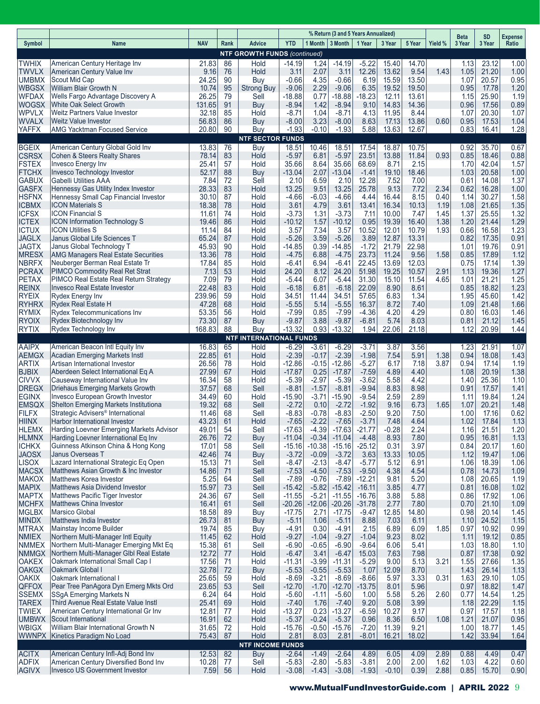|                              |                                                                                    |                 |          |                                       |                      |                    | % Return (3 and 5 Years Annualized) |                     |                 |                |              | <b>Beta</b>  | SD             | Expense      |
|------------------------------|------------------------------------------------------------------------------------|-----------------|----------|---------------------------------------|----------------------|--------------------|-------------------------------------|---------------------|-----------------|----------------|--------------|--------------|----------------|--------------|
| Symbol                       | <b>Name</b>                                                                        | <b>NAV</b>      | Rank     | <b>Advice</b>                         | <b>YTD</b>           | 1 Month   3 Month  |                                     | 1 Year              | 3 Year          | 5 Year         | Yield %      | 3 Year       | 3 Year         | Ratio        |
|                              |                                                                                    |                 |          | <b>NTF GROWTH FUNDS (continued)</b>   |                      |                    |                                     |                     |                 |                |              |              |                |              |
| <b>TWHIX</b><br><b>TWVLX</b> | American Century Heritage Inv<br>American Century Value Inv                        | 21.83<br>9.16   | 86<br>76 | Hold<br>Hold                          | $-14.19$<br>3.11     | 1.24<br>2.07       | $-14.19$<br>3.11                    | $-5.22$<br>12.26    | 15.40<br>13.62  | 14.70<br>9.54  | 1.43         | 1.13<br>1.05 | 23.12<br>21.20 | 1.00<br>1.00 |
| <b>UMBMX</b>                 | Scout Mid Cap                                                                      | 24.25           | 90       | Buy                                   | $-0.66$              | 4.35               | $-0.66$                             | 6.19                | 15.59           | 13.50          |              | 1.07         | 20.57          | 0.95         |
| <b>WBGSX</b>                 | William Blair Growth N                                                             | 10.74           | 95       | Strong Buy                            | $-9.06$              | 2.29               | $-9.06$                             | 6.35                | 19.52           | 19.50          |              | 0.95         | 17.78          | 1.20         |
| <b>WFDAX</b>                 | Wells Fargo Advantage Discovery A                                                  | 26.25           | 79       | Sell                                  | $-18.88$             | 0.77               | -18.88                              | -18.23              | 12.11           | 13.61          |              | 1.15         | 25.90          | 1.19         |
| <b>WOGSX</b><br><b>WPVLX</b> | White Oak Select Growth<br>Weitz Partners Value Investor                           | 131.65<br>32.18 | 91<br>85 | Buy<br>Hold                           | $-8.94$<br>-8.71     | 1.42<br>1.04       | $-8.94$<br>$-8.71$                  | 9.10<br>4.13        | 14.83<br>11.95  | 14.36<br>8.44  |              | 0.96<br>1.07 | 17.56<br>20.30 | 0.89<br>1.07 |
| <b>WVALX</b>                 | Weitz Value Investor                                                               | 56.83           | 86       | Buy                                   | $-8.00$              | 3.23               | $-8.00$                             | 8.63                | 17.13           | 13.86          | 0.60         | 0.95         | 17.53          | 1.04         |
| <b>YAFFX</b>                 | <b>AMG Yacktman Focused Service</b>                                                | 20.80           | 90       | Buy                                   | $-1.93$              | $-0.10$            | $-1.93$                             | 5.88                | 13.63           | 12.67          |              | 0.83         | 16.41          | 1.28         |
| <b>BGEIX</b>                 | American Century Global Gold Inv                                                   | 13.83           | 76       | <b>NTF SECTOR FUNDS</b><br><b>Buy</b> | 18.51                | 10.46              | 18.51                               | 17.54               | 18.87           | 10.75          |              | 0.92         | 35.70          | 0.67         |
| <b>CSRSX</b>                 | Cohen & Steers Realty Shares                                                       | 78.14           | 83       | Hold                                  | $-5.97$              | 6.81               | $-5.97$                             | 23.51               | 13.88           | 11.84          | 0.93         | 0.85         | 18.46          | 0.88         |
| <b>FSTEX</b>                 | Invesco Energy Inv                                                                 | 25.41           | 57       | Hold                                  | 35.66                | 8.64               | 35.66                               | 68.69               | 8.71            | 2.15           |              | 1.70         | 42.04          | 1.57         |
| <b>FTCHX</b>                 | Invesco Technology Investor                                                        | 52.17           | 88       | Buy                                   | $-13.04$             | 2.07               | $-13.04$                            | $-1.41$             | 19.10           | 18.46          |              | 1.03         | 20.58          | 1.00         |
| <b>GABUX</b><br><b>GASFX</b> | <b>Gabelli Utilities AAA</b><br>Hennessy Gas Utility Index Investor                | 7.84<br>28.33   | 72<br>83 | Sell<br>Hold                          | 2.10<br>13.25        | 6.59<br>9.51       | 2.10<br>13.25                       | 12.28<br>25.78      | 7.52<br>9.13    | 7.00<br>7.72   | 2.34         | 0.61<br>0.62 | 14.08<br>16.28 | 1.37<br>1.00 |
| <b>HSFNX</b>                 | Hennessy Small Cap Financial Investor                                              | 30.10           | 87       | Hold                                  | $-4.66$              | -6.03              | $-4.66$                             | 4.44                | 16.44           | 8.15           | 0.40         | 1.14         | 30.27          | 1.58         |
| <b>ICBMX</b>                 | <b>ICON Materials S</b>                                                            | 18.38           | 78       | Hold                                  | 3.61                 | 4.79               | 3.61                                | 13.41               | 16.34           | 10.13          | 1.19         | 1.08         | 21.65          | 1.35         |
| <b>ICFSX</b>                 | <b>ICON Financial S</b>                                                            | 11.61           | 74       | Hold                                  | $-3.73$              | 1.31               | $-3.73$                             | 7.11                | 10.00           | 7.47           | 1.45         | 1.37         | 25.55          | 1.32         |
| <b>ICTEX</b><br><b>ICTUX</b> | <b>ICON Information Technology S</b><br><b>ICON Utilities S</b>                    | 19.46<br>11.14  | 86<br>84 | Hold<br>Hold                          | $-10.12$<br>3.57     | 1.57<br>7.34       | $-10.12$<br>3.57                    | 0.95<br>10.52       | 19.39<br>12.01  | 16.40<br>10.79 | 1.38<br>1.93 | 1.20<br>0.66 | 21.44<br>16.58 | 1.29<br>1.23 |
| <b>JAGLX</b>                 | Janus Global Life Sciences T                                                       | 65.24           | 87       | Hold                                  | $-5.26$              | 3.59               | $-5.26$                             | 3.89                | 12.87           | 13.31          |              | 0.82         | 17.35          | 0.91         |
| <b>JAGTX</b>                 | Janus Global Technology T                                                          | 45.93           | 90       | Hold                                  | -14.85               | 0.39               | $-14.85$                            | $-1.72$             | 21.79           | 22.98          |              | 1.01         | 19.76          | 0.91         |
| <b>MRESX</b>                 | <b>AMG Managers Real Estate Securities</b>                                         | 13.36           | 78       | Hold                                  | $-4.75$              | 6.88               | $-4.75$                             | 23.73               | 11.24           | 9.56           | 1.58         | 0.85         | 17.89          | 1.12         |
| <b>NBRFX</b><br><b>PCRAX</b> | Neuberger Berman Real Estate Tr<br>PIMCO Commodity Real Ret Strat                  | 17.84<br>7.13   | 85<br>53 | Hold<br>Hold                          | $-6.41$<br>24.20     | 6.94<br>8.12       | $-6.41$<br>24.20                    | 22.45<br>51.98      | 13.69<br>19.25  | 12.03<br>10.57 | 2.91         | 0.75<br>1.13 | 17.14<br>19.36 | 1.39<br>1.27 |
| <b>PETAX</b>                 | PIMCO Real Estate Real Return Strategy                                             | 7.09            | 79       | Hold                                  | $-5.44$              | 6.07               | $-5.44$                             | 31.30               | 15.10           | 11.54          | 4.65         | 1.01         | 21.21          | 1.25         |
| <b>REINX</b>                 | <b>Invesco Real Estate Investor</b>                                                | 22.48           | 83       | Hold                                  | $-6.18$              | 6.81               | $-6.18$                             | 22.09               | 8.90            | 8.61           |              | 0.85         | 18.82          | 1.23         |
| <b>RYEIX</b>                 | Rydex Energy Inv                                                                   | 239.96          | 59       | Hold                                  | 34.51                | 11.44              | 34.51                               | 57.65               | 6.83            | 1.34           |              | 1.95         | 45.60          | 1.42         |
| <b>RYHRX</b><br><b>RYMIX</b> | Rydex Real Estate H<br>Rydex Telecommunications Inv                                | 47.28<br>53.35  | 68       | Hold                                  | $-5.55$<br>$-7.99$   | 5.14<br>0.85       | $-5.55$<br>$-7.99$                  | 16.37<br>$-4.36$    | 8.72<br>4.20    | 7.40<br>4.29   |              | 1.09         | 21.48          | 1.66         |
| <b>RYOIX</b>                 | Rydex Biotechnology Inv                                                            | 73.30           | 56<br>87 | Hold<br>Buy                           | $-9.87$              | 3.88               | $-9.87$                             | $-6.81$             | 5.74            | 8.03           |              | 0.80<br>0.81 | 16.03<br>21.12 | 1.46<br>1.45 |
| <b>RYTIX</b>                 | Rydex Technology Inv                                                               | 168.83          | 88       | Buy                                   | $-13.32$             | 0.93               | $-13.32$                            | 1.94                | 22.06           | 21.18          |              | 1.12         | 20.99          | 1.44         |
|                              |                                                                                    |                 |          | <b>NTF INTERNATIONAL FUNDS</b>        |                      |                    |                                     |                     |                 |                |              |              |                |              |
| <b>AAIPX</b><br><b>AEMGX</b> | American Beacon Intl Equity Inv<br>Acadian Emerging Markets Instl                  | 16.83<br>22.85  | 65<br>61 | Hold<br>Hold                          | $-6.29$<br>$-2.39$   | $-3.61$<br>$-0.17$ | $-6.29$<br>$-2.39$                  | $-3.71$<br>$-1.98$  | 3.87<br>7.54    | 3.56<br>5.91   | 1.38         | 1.23<br>0.94 | 21.91<br>18.08 | 1.07<br>1.43 |
| <b>ARTIX</b>                 | Artisan International Investor                                                     | 26.56           | 78       | Hold                                  | $-12.86$             | $-0.15$            | $-12.86$                            | $-5.27$             | 6.17            | 7.18           | 3.87         | 0.94         | 17.14          | 1.19         |
| <b>BJBIX</b>                 | Aberdeen Select International Eq A                                                 | 27.99           | 67       | Hold                                  | $-17.87$             | 0.25               | $-17.87$                            | $-7.59$             | 4.89            | 4.40           |              | 1.08         | 20.19          | 1.38         |
| <b>CIVVX</b>                 | Causeway International Value Inv                                                   | 16.34           | 58       | Hold                                  | $-5.39$              | $-2.97$            | $-5.39$                             | $-3.62$             | 5.58            | 4.42           |              | 1.40         | 25.36          | 1.10         |
| <b>DREGX</b><br><b>EGINX</b> | <b>Driehaus Emerging Markets Growth</b><br><b>Invesco European Growth Investor</b> | 37.57<br>34.49  | 68<br>60 | Sell<br>Hold                          | $-8.81$<br>$-15.90$  | $-1.57$<br>$-3.71$ | $-8.81$<br>$-15.90$                 | $-9.94$<br>$-9.54$  | 8.83<br>2.59    | 8.98<br>2.89   |              | 0.91<br>1.11 | 17.57<br>19.84 | 1.41<br>1.24 |
| <b>EMSQX</b>                 | Shelton Emerging Markets Institutiona                                              | 19.32           | 68       | Sell                                  | $-2.72$              | 0.10               | $-2.72$                             | $-1.92$             | 9.16            | 6.73           | 1.65         | 1.07         | 20.21          | 1.48         |
| <b>FILFX</b>                 | Strategic Advisers <sup>®</sup> International                                      | 11.46           | 68       | Sell                                  | $-8.83$              | $-0.78$            | $-8.83$                             | $-2.50$             | 9.20            | 7.50           |              | 1.00         | 17.16          | 0.62         |
| <b>HIINX</b>                 | Harbor International Investor                                                      | 43.23           | 61       | Hold                                  | $-7.65$              | $-2.22$            | $-7.65$                             | $-3.71$             | 7.48            | 4.64           |              | 1.02         | 17.84          | 1.13         |
| <b>HLEMX</b><br><b>HLMNX</b> | Harding Loevner Emerging Markets Advisor<br>Harding Loevner International Eq Inv   | 49.01<br>26.76  | 54<br>72 | Sell<br>Buy                           | $-17.63$<br>$-11.04$ | -4.39<br>$-0.34$   | $-17.63$<br>$-11.04$                | -21.77<br>$-4.48$   | $-0.28$<br>8.93 | 2.24<br>7.80   |              | 1.16<br>0.95 | 21.51<br>16.81 | 1.20<br>1.13 |
| <b>ICHKX</b>                 | Guinness Atkinson China & Hong Kong                                                | 17.01           | 58       | Sell                                  | $-15.16$             | $-10.38$           | $-15.16$                            | $-25.12$            | 0.31            | 3.97           |              | 0.84         | 20.17          | 1.60         |
| <b>JAOSX</b>                 | Janus Overseas T                                                                   | 42.46           | 74       | Buy                                   | $-3.72$              | $-0.09$            | $-3.72$                             | 3.63                | 13.33           | 10.05          |              | 1.12         | 19.47          | 1.06         |
| <b>LISOX</b>                 | Lazard International Strategic Eq Open                                             | 15.13           | 71       | Sell                                  | $-8.47$              | $-2.13$            | $-8.47$                             | $-5.77$             | 5.12            | 6.91           |              | 1.06         | 18.39          | 1.06         |
| <b>MACSX</b><br><b>MAKOX</b> | Matthews Asian Growth & Inc Investor<br>Matthews Korea Investor                    | 14.86<br>5.25   | 71<br>64 | Sell<br>Sell                          | $-7.53$<br>$-7.89$   | $-4.50$<br>$-0.76$ | $-7.53$<br>$-7.89$                  | $-9.50$<br>$-12.21$ | 4.38<br>9.81    | 4.54<br>5.20   |              | 0.78<br>1.08 | 14.73<br>20.65 | 1.09<br>1.19 |
| <b>MAPIX</b>                 | Matthews Asia Dividend Investor                                                    | 15.97           | 73       | Sell                                  | $-15.42$             | $-5.82$            | $-15.42$                            | $-16.11$            | 3.85            | 4.77           |              | 0.81         | 16.08          | 1.02         |
| <b>MAPTX</b>                 | Matthews Pacific Tiger Investor                                                    | 24.36           | 67       | Sell                                  | $-11.55$             | $-5.21$            | $-11.55$                            | $-16.76$            | 3.88            | 5.88           |              | 0.86         | 17.92          | 1.06         |
| <b>MCHFX</b>                 | Matthews China Investor                                                            | 16.41           | 61       | Sell                                  | $-20.26$             | $-12.06$           | $-20.26$                            | $-31.78$            | 2.77            | 7.80           |              | 0.70         | 21.10          | 1.09         |
| <b>MGLBX</b><br><b>MINDX</b> | Marsico Global<br>Matthews India Investor                                          | 18.58<br>26.73  | 89<br>81 | Buy<br>Buy                            | $-17.75$<br>$-5.11$  | 2.71<br>1.06       | $-17.75$<br>$-5.11$                 | $-9.47$<br>8.88     | 12.85<br>7.03   | 14.80<br>6.11  |              | 0.98<br>1.10 | 20.14<br>24.52 | 1.45<br>1.15 |
| <b>MTRAX</b>                 | Mainstay Income Builder                                                            | 19.74           | 85       | Buy                                   | $-4.91$              | 0.30               | $-4.91$                             | 2.15                | 6.89            | 6.09           | 1.85         | 0.97         | 10.92          | 0.99         |
| <b>NMIEX</b>                 | Northern Multi-Manager Intl Equity                                                 | 11.45           | 62       | Hold                                  | $-9.27$              | $-1.04$            | $-9.27$                             | $-1.04$             | 9.23            | 8.02           |              | 1.11         | 19.12          | 0.85         |
| <b>NMMEX</b>                 | Northern Multi-Manager Emerging Mkt Eq                                             | 15.38           | 61       | Sell                                  | $-6.90$              | $-0.65$            | $-6.90$                             | $-9.64$             | 6.06            | 5.41           |              | 1.03         | 18.80          | $1.10$       |
| <b>NMMGX</b>                 | Northern Multi-Manager GIbl Real Estate                                            | 12.72           | 77       | Hold                                  | $-6.47$              | 3.41               | $-6.47$                             | 15.03               | 7.63            | 7.98           |              | 0.87         | 17.38          | 0.92         |
| <b>OAKEX</b><br><b>OAKGX</b> | Oakmark International Small Cap I<br>Oakmark Global I                              | 17.56<br>32.78  | 71<br>72 | Hold<br>Buy                           | $-11.31$<br>$-5.53$  | $-3.99$<br>$-0.55$ | $-11.31$<br>$-5.53$                 | $-5.29$<br>1.07     | 9.00<br>12.09   | 5.13<br>8.70   | 3.21         | 1.55<br>1.43 | 27.66<br>26.14 | 1.35<br>1.13 |
| <b>OAKIX</b>                 | Oakmark International I                                                            | 25.65           | 59       | Hold                                  | $-8.69$              | $-3.21$            | $-8.69$                             | $-8.66$             | 5.97            | 3.33           | 0.31         | 1.63         | 29.10          | 1.05         |
| <b>QFFOX</b>                 | Pear Tree PanAgora Dyn Emerg Mkts Ord                                              | 23.65           | 53       | Sell                                  | $-12.70$             | $-1.70$            | $-12.70$                            | $-13.75$            | 8.01            | 5.96           |              | 0.97         | 18.82          | 1.47         |
| <b>SSEMX</b>                 | <b>SSgA Emerging Markets N</b>                                                     | 6.24            | 64       | Hold                                  | $-5.60$              | $-1.11$            | $-5.60$                             | 1.00                | 5.58            | 5.26           | 2.60         | 0.77         | 14.54          | 1.25         |
| <b>TAREX</b><br><b>TWIEX</b> | Third Avenue Real Estate Value Instl<br>American Century International Gr Inv      | 25.41<br>12.81  | 69<br>77 | Hold<br>Hold                          | $-7.40$<br>$-13.27$  | 1.76<br>0.23       | $-7.40$<br>$-13.27$                 | 9.20<br>$-6.59$     | 5.08<br>10.27   | 3.99<br>9.17   |              | 1.18<br>0.97 | 22.29<br>17.57 | 1.15<br>1.18 |
| <b>UMBWX</b>                 | Scout International                                                                | 16.91           | 62       | Hold                                  | $-5.37$              | $-0.24$            | $-5.37$                             | 0.96                | 8.36            | 6.50           | 1.08         | 1.21         | 21.07          | 0.95         |
| <b>WBIGX</b>                 | William Blair International Growth N                                               | 31.65           | 72       | Hold                                  | $-15.76$             | $-0.50$            | $-15.76$                            | $-7.20$             | 11.39           | 9.21           |              | 1.00         | 18.77          | 1.45         |
| <b>WWNPX</b>                 | Kinetics Paradigm No Load                                                          | 75.43           | 87       | Hold<br><b>NTF INCOME FUNDS</b>       | 2.81                 | 8.03               | 2.81                                | $-8.01$             | 16.21           | 18.02          |              | 1.42         | 33.94          | 1.64         |
| <b>ACITX</b>                 | American Century Infl-Adj Bond Inv                                                 | 12.53           | 82       | <b>Buy</b>                            | $-2.64$              | $-1.49$            | $-2.64$                             | 4.89                | 6.05            | 4.09           | 2.89         | 0.88         | 4.49           | 0.47         |
| <b>ADFIX</b>                 | American Century Diversified Bond Inv                                              | 10.28           | 77       | Sell                                  | $-5.83$              | $-2.80$            | $-5.83$                             | $-3.81$             | 2.00            | 2.00           | 1.62         | 1.03         | 4.22           | 0.60         |
| <b>AGIVX</b>                 | Invesco US Government Investor                                                     | 7.59            | 56       | Hold                                  | $-3.08$              | $-1.43$            | $-3.08$                             | $-1.93$             | $-0.10$         | 0.39           | 2.88         | 0.85         | 15.70          | 0.90         |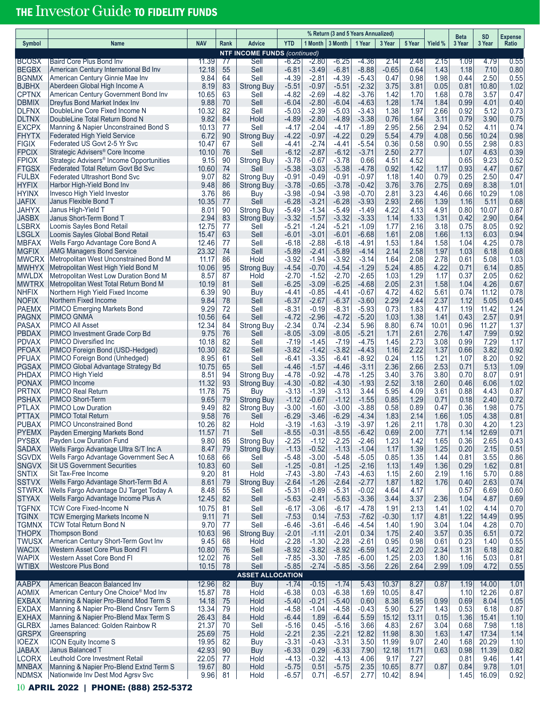# THE Investor Guide TO FIDELITY FUNDS

|                              |                                                                                  |                |          |                                             | % Return (3 and 5 Years Annualized) |                    |                    |                    |                 |               |              | <b>Beta</b>  | <b>SD</b>      | <b>Expense</b> |
|------------------------------|----------------------------------------------------------------------------------|----------------|----------|---------------------------------------------|-------------------------------------|--------------------|--------------------|--------------------|-----------------|---------------|--------------|--------------|----------------|----------------|
| Symbol                       | <b>Name</b>                                                                      | <b>NAV</b>     | Rank     | Advice                                      | <b>YTD</b>                          | 1 Month            | 3 Month            | 1 Year             | 3 Year          | 5 Year        | Yield %      | 3 Year       | 3 Year         | Ratio          |
| <b>BCOSX</b>                 | Baird Core Plus Bond Inv                                                         | 11.39          | 77       | <b>NTF INCOME FUNDS (continued)</b><br>Sell | -6.25                               | $-2.80$            | $-6.25$            | -4.36              | 2.14            | 2.48          | 2.15         | 1.09         | 4.79           | 0.55           |
| <b>BEGBX</b>                 | American Century International Bd Inv                                            | 12.18          | 55       | Sell                                        | $-6.81$                             | $-3.49$            | $-6.81$            | $-8.88$            | $-0.65$         | 0.64          | 1.43         | 1.18         | 7.10           | 0.80           |
| <b>BGNMX</b>                 | American Century Ginnie Mae Inv                                                  | 9.84           | 64       | Sell                                        | $-4.39$                             | $-2.81$            | $-4.39$            | $-5.43$            | 0.47            | 0.98          | 1.98         | 0.44         | 2.50           | 0.55           |
| <b>BJBHX</b>                 | Aberdeen Global High Income A                                                    | 8.19           | 83<br>63 | <b>Strong Buy</b>                           | $-5.51$                             | $-0.97$            | $-5.51$            | $-2.32$            | 3.75            | 3.81          | 0.05         | 0.81         | 10.80          | 1.02           |
| <b>CPTNX</b><br><b>DBMIX</b> | American Century Government Bond Inv<br>Dreyfus Bond Market Index Inv            | 10.65<br>9.88  | 70       | Sell<br>Sell                                | $-4.82$<br>$-6.04$                  | $-2.69$<br>$-2.80$ | $-4.82$<br>$-6.04$ | $-3.76$<br>$-4.63$ | 1.42<br>1.28    | 1.70<br>1.74  | 1.68<br>1.84 | 0.78<br>0.99 | 3.57<br>4.01   | 0.47<br>0.40   |
| <b>DLFNX</b>                 | DoubleLine Core Fixed Income N                                                   | 10.32          | 82       | Sell                                        | $-5.03$                             | $-2.39$            | $-5.03$            | $-3.43$            | 1.38            | 1.97          | 2.66         | 0.92         | 5.12           | 0.73           |
| <b>DLTNX</b>                 | DoubleLine Total Return Bond N                                                   | 9.82           | 84       | Hold                                        | $-4.89$                             | $-2.80$            | $-4.89$            | $-3.38$            | 0.76            | 1.64          | 3.11         | 0.79         | 3.90           | 0.75           |
| <b>EXCPX</b><br><b>FHYTX</b> | Manning & Napier Unconstrained Bond S<br><b>Federated High Yield Service</b>     | 10.13<br>6.72  | 77<br>90 | Sell<br><b>Strong Buy</b>                   | $-4.17$<br>$-4.22$                  | $-2.04$<br>$-0.97$ | $-4.17$<br>$-4.22$ | $-1.89$<br>0.29    | 2.95<br>5.54    | 2.56<br>4.79  | 2.94<br>4.08 | 0.52<br>0.56 | 4.11<br>10.24  | 0.74<br>0.98   |
| <b>FIGIX</b>                 | Federated US Govt 2-5 Yr Svc                                                     | 10.47          | 67       | Sell                                        | $-4.41$                             | -2.74              | $-4.41$            | $-5.54$            | 0.36            | 0.58          | 0.90         | 0.55         | 2.98           | 0.83           |
| <b>FPCIX</b>                 | Strategic Advisers <sup>®</sup> Core Income                                      | 10.10          | 76       | Sell                                        | $-6.12$                             | $-2.87$            | $-6.12$            | $-3.71$            | 2.50            | 2.77          |              | 1.07         | 4.63           | 0.39           |
| <b>FPIOX</b>                 | Strategic Advisers <sup>®</sup> Income Opportunities                             | 9.15           | 90       | <b>Strong Buy</b>                           | $-3.78$                             | $-0.67$            | $-3.78$            | 0.66               | 4.51            | 4.52          |              | 0.65         | 9.23           | 0.52           |
| <b>FTGSX</b><br><b>FULBX</b> | Federated Total Return Govt Bd Svc<br><b>Federated Ultrashort Bond Svc</b>       | 10.60<br>9.07  | 74<br>82 | Sell<br><b>Strong Buy</b>                   | $-5.38$<br>$-0.91$                  | $-3.03$<br>$-0.49$ | $-5.38$<br>$-0.91$ | $-4.78$<br>$-0.97$ | 0.92<br>1.18    | 1.42<br>1.40  | 1.17<br>0.79 | 0.93<br>0.25 | 4.47<br>2.50   | 0.67<br>0.47   |
| <b>HYFIX</b>                 | Harbor High-Yield Bond Inv                                                       | 9.48           | 86       | <b>Strong Buy</b>                           | $-3.78$                             | $-0.65$            | $-3.78$            | $-0.42$            | 3.76            | 3.76          | 2.75         | 0.69         | 8.38           | 1.01           |
| <b>HYINX</b>                 | Invesco High Yield Investor                                                      | 3.76           | 86       | Buy                                         | $-3.98$                             | $-0.94$            | $-3.98$            | $-0.70$            | 2.81            | 3.23          | 4.46         | 0.66         | 10.29          | 1.08           |
| <b>JAFIX</b>                 | Janus Flexible Bond T                                                            | 10.35          | 77       | Sell                                        | $-6.28$                             | $-3.21$            | $-6.28$            | $-3.93$            | 2.93            | 2.66          | 1.39         | 1.16         | 5.11           | 0.68           |
| <b>JAHYX</b><br><b>JASBX</b> | Janus High-Yield T<br>Janus Short-Term Bond T                                    | 8.01<br>2.94   | 90<br>83 | Strong Buy<br><b>Strong Buy</b>             | $-5.49$<br>$-3.32$                  | $-1.34$<br>$-1.57$ | $-5.49$<br>$-3.32$ | $-1.49$<br>$-3.33$ | 4.22<br>1.14    | 4.13<br>1.33  | 4.91<br>1.31 | 0.80<br>0.42 | 10.07<br>2.90  | 0.87<br>0.64   |
| <b>LSBRX</b>                 | Loomis Sayles Bond Retail                                                        | 12.75          | 77       | Sell                                        | $-5.21$                             | $-1.24$            | $-5.21$            | $-1.09$            | 1.77            | 2.16          | 3.18         | 0.75         | 8.05           | 0.92           |
| <b>LSGLX</b>                 | Loomis Sayles Global Bond Retail                                                 | 15.47          | 63       | Sell                                        | $-6.01$                             | $-3.01$            | $-6.01$            | $-6.68$            | 1.61            | 2.08          | 1.66         | 1.13         | 6.03           | 0.94           |
| <b>MBFAX</b>                 | Wells Fargo Advantage Core Bond A                                                | 12.46          | 77       | Sell                                        | $-6.18$                             | $-2.88$            | $-6.18$            | $-4.91$            | 1.53            | 1.84          | 1.58         | 1.04         | 4.25           | 0.78           |
| <b>MGFIX</b><br><b>MWCRX</b> | <b>AMG Managers Bond Service</b>                                                 | 23.32          | 74       | Sell                                        | $-5.89$                             | $-2.41$            | $-5.89$            | $-4.14$            | 2.14            | 2.58<br>2.08  | 1.97         | 1.03         | 6.18           | 0.68           |
| <b>MWHYX</b>                 | Metropolitan West Unconstrained Bond M<br>Metropolitan West High Yield Bond M    | 11.17<br>10.06 | 86<br>95 | Hold<br><b>Strong Buy</b>                   | $-3.92$<br>$-4.54$                  | $-1.94$<br>$-0.70$ | $-3.92$<br>$-4.54$ | $-3.14$<br>$-1.29$ | 1.64<br>5.24    | 4.85          | 2.78<br>4.22 | 0.61<br>0.71 | 5.08<br>6.14   | 1.03<br>0.85   |
| <b>MWLDX</b>                 | Metropolitan West Low Duration Bond M                                            | 8.57           | 87       | Hold                                        | $-2.70$                             | $-1.52$            | $-2.70$            | $-2.65$            | 1.03            | 1.29          | 1.17         | 0.37         | 2.05           | 0.62           |
| <b>MWTRX</b>                 | Metropolitan West Total Return Bond M                                            | 10.19          | 81       | Sell                                        | $-6.25$                             | $-3.09$            | $-6.25$            | $-4.68$            | 2.05            | 2.31          | 1.58         | 1.04         | 4.26           | 0.67           |
| <b>NHFIX</b>                 | Northern High Yield Fixed Income                                                 | 6.39           | 90       | Buy                                         | $-4.41$                             | $-0.85$            | $-4.41$            | $-0.67$            | 4.72            | 4.62          | 5.61         | 0.74         | 11.12          | 0.78           |
| <b>NOFIX</b><br><b>PAEMX</b> | Northern Fixed Income<br><b>PIMCO Emerging Markets Bond</b>                      | 9.84<br>9.29   | 78<br>72 | Sell<br>Sell                                | $-6.37$<br>$-8.31$                  | $-2.67$<br>$-0.19$ | $-6.37$<br>$-8.31$ | $-3.60$<br>$-5.93$ | 2.29<br>0.73    | 2.44<br>1.83  | 2.37<br>4.17 | 1.12<br>1.19 | 5.05<br>11.42  | 0.45<br>1.24   |
| <b>PAGNX</b>                 | PIMCO GNMA                                                                       | 10.56          | 64       | Sell                                        | $-4.72$                             | $-2.96$            | $-4.72$            | $-5.20$            | 1.03            | 1.38          | 1.41         | 0.43         | 2.57           | 0.91           |
| <b>PASAX</b>                 | <b>PIMCO All Asset</b>                                                           | 12.34          | 84       | <b>Strong Buy</b>                           | -2.34                               | 0.74               | $-2.34$            | 5.96               | 8.80            | 6.74          | 10.01        | 0.96         | 11.27          | 1.37           |
| <b>PBDAX</b><br><b>PDVAX</b> | PIMCO Investment Grade Corp Bd                                                   | 9.75           | 76<br>82 | Sell                                        | $-8.05$<br>$-7.19$                  | $-3.09$            | $-8.05$            | $-5.21$            | 1.71            | 2.61<br>2.73  | 2.76<br>3.08 | 1.47<br>0.99 | 7.99<br>7.29   | 0.92           |
| <b>PFOAX</b>                 | PIMCO Diversified Inc.<br>PIMCO Foreign Bond (USD-Hedged)                        | 10.18<br>10.30 | 82       | Sell<br>Sell                                | $-3.82$                             | $-1.45$<br>$-1.42$ | $-7.19$<br>$-3.82$ | $-4.75$<br>$-4.43$ | 1.45<br>1.16    | 2.22          | 1.37         | 0.66         | 3.82           | 1.17<br>0.92   |
| <b>PFUAX</b>                 | PIMCO Foreign Bond (Unhedged)                                                    | 8.95           | 61       | Sell                                        | $-6.41$                             | $-3.35$            | $-6.41$            | $-8.92$            | 0.24            | 1.15          | 1.21         | 1.07         | 8.20           | 0.92           |
| <b>PGSAX</b>                 | PIMCO Global Advantage Strategy Bd                                               | 10.75          | 65       | Sell                                        | -4.46                               | $-1.57$            | $-4.46$            | $-3.11$            | 2.36            | 2.66          | 2.53         | 0.71         | 5.13           | 1.09           |
| <b>PHDAX</b><br><b>PONAX</b> | PIMCO High Yield<br>PIMCO Income                                                 | 8.51<br>11.32  | 94<br>93 | Strong Buy<br><b>Strong Buy</b>             | $-4.78$<br>$-4.30$                  | $-0.92$<br>$-0.82$ | $-4.78$<br>$-4.30$ | $-1.25$<br>$-1.93$ | 3.40<br>2.52    | 3.76<br>3.18  | 3.80<br>2.60 | 0.70<br>0.46 | 8.07<br>6.06   | 0.91<br>1.02   |
| <b>PRTNX</b>                 | <b>PIMCO Real Return</b>                                                         | 11.78          | 75       | Buy                                         | $-3.13$                             | $-1.39$            | $-3.13$            | 3.44               | 5.95            | 4.09          | 3.61         | 0.88         | 4.43           | 0.87           |
| <b>PSHAX</b>                 | PIMCO Short-Term                                                                 | 9.65           | 79       | <b>Strong Buy</b>                           | $-1.12$                             | $-0.67$            | $-1.12$            | $-1.55$            | 0.85            | 1.29          | 0.71         | 0.18         | 2.40           | 0.72           |
| <b>PTLAX</b>                 | <b>PIMCO Low Duration</b>                                                        | 9.49           | 82       | Strong Buy                                  | $-3.00$                             | $-1.60$            | $-3.00$            | $-3.88$            | 0.58            | 0.89          | 0.47         | 0.36         | 1.98           | 0.75           |
| <b>PTTAX</b><br><b>PUBAX</b> | PIMCO Total Return                                                               | 9.58           | 76<br>82 | Sell                                        | $-6.29$<br>$-3.19$                  | $-3.46$<br>$-1.63$ | $-6.29$            | $-4.34$            | 1.83            | 2.14<br>2.11  | 1.66<br>1.78 | 1.05         | 4.38<br>4.20   | 0.81           |
| <b>PYEMX</b>                 | <b>PIMCO Unconstrained Bond</b><br>Payden Emerging Markets Bond                  | 10.26<br>11.57 | 71       | Hold<br>Sell                                | $-8.55$                             | $-0.31$            | $-3.19$<br>$-8.55$ | $-3.97$<br>$-6.42$ | 1.26<br>0.69    | 2.00          | 7.71         | 0.30<br>1.14 | 12.69          | 1.23<br>0.71   |
| <b>PYSBX</b>                 | Payden Low Duration Fund                                                         | 9.80           | 85       | <b>Strong Buy</b>                           | $-2.25$                             | $-1.12$            | $-2.25$            | $-2.46$            | 1.23            | 1.42          | 1.65         | 0.36         | 2.65           | 0.43           |
| <b>SADAX</b>                 | Wells Fargo Advantage Ultra S/T Inc A                                            | 8.47           | 79       | <b>Strong Buy</b>                           | $-1.13$                             | $-0.52$            | $-1.13$            | $-1.04$            | 1.17            | 1.39          | 1.25         | 0.20         | 2.15           | 0.51           |
| <b>SGVDX</b>                 | Wells Fargo Advantage Government Sec A<br><b>Sit US Government Securities</b>    | 10.68          | 66       | Sell                                        | $-5.48$                             | $-3.00$            | $-5.48$            | $-5.05$            | 0.85            | 1.35          | 1.44         | 0.81         | 3.55<br>1.62   | 0.86           |
| <b>SNGVX</b><br><b>SNTIX</b> | Sit Tax-Free Income                                                              | 10.83<br>9.20  | 60<br>81 | Sell<br>Hold                                | $-1.25$<br>$-7.43$                  | $-0.81$<br>$-3.80$ | $-1.25$<br>$-7.43$ | $-2.16$<br>$-4.63$ | 1.13<br>1.15    | 1.49<br>2.60  | 1.36<br>2.19 | 0.29<br>1.16 | 5.70           | 0.81<br>0.88   |
| <b>SSTVX</b>                 | Wells Fargo Advantage Short-Term Bd A                                            | 8.61           | 79       | <b>Strong Buy</b>                           | $-2.64$                             | $-1.26$            | $-2.64$            | $-2.77$            | 1.87            | 1.82          | 1.76         | 0.40         | 2.63           | 0.74           |
| <b>STWRX</b>                 | Wells Fargo Advantage DJ Target Today A                                          | 8.48           | 55       | Sell                                        | $-5.31$                             | $-0.89$            | $-5.31$            | $-0.02$            | 4.64            | 4.17          |              | 0.57         | 6.69           | 0.60           |
| <b>STYAX</b>                 | Wells Fargo Advantage Income Plus A                                              | 12.45          | 82       | Sell                                        | $-5.63$                             | $-2.41$            | $-5.63$            | $-3.36$            | 3.44            | 3.37          | 2.36         | 1.04         | 4.87           | 0.69           |
| <b>TGFNX</b><br><b>TGINX</b> | <b>TCW Core Fixed-Income N</b><br><b>TCW Emerging Markets Income N</b>           | 10.75<br>9.11  | 81<br>71 | Sell<br>Sell                                | $-6.17$<br>$-7.53$                  | $-3.06$<br>0.14    | $-6.17$<br>$-7.53$ | $-4.78$<br>$-7.62$ | 1.91<br>$-0.30$ | 2.13<br>1.17  | 1.41<br>4.81 | 1.02<br>1.22 | 4.14<br>14.49  | 0.70<br>0.95   |
| <b>TGMNX</b>                 | <b>TCW Total Return Bond N</b>                                                   | 9.70           | 77       | Sell                                        | $-6.46$                             | $-3.61$            | $-6.46$            | $-4.54$            | 1.40            | 1.90          | 3.04         | 1.04         | 4.28           | 0.70           |
| <b>THOPX</b>                 | <b>Thompson Bond</b>                                                             | 10.63          | 96       | <b>Strong Buy</b>                           | $-2.01$                             | $-1.11$            | $-2.01$            | 0.34               | 1.75            | 2.40          | 3.57         | 0.35         | 6.51           | 0.72           |
| <b>TWUSX</b>                 | American Century Short-Term Govt Inv                                             | 9.45           | 68       | Hold                                        | $-2.28$                             | $-1.30$            | $-2.28$            | $-2.61$            | 0.95            | 0.98          | 0.61         | 0.23         | 1.40           | 0.55           |
| <b>WACIX</b><br><b>WAPIX</b> | Western Asset Core Plus Bond FI<br>Western Asset Core Bond FI                    | 10.80          | 76<br>76 | Sell<br>Sell                                | $-8.92$<br>$-7.85$                  | $-3.82$<br>$-3.30$ | $-8.92$<br>$-7.85$ | $-6.59$<br>$-6.00$ | 1.42<br>1.25    | 2.20<br>2.03  | 2.34<br>1.80 | 1.31<br>1.16 | 6.18<br>5.03   | 0.82<br>0.81   |
| <b>WTIBX</b>                 | <b>Westcore Plus Bond</b>                                                        | 12.02<br>10.15 | 78       | Sell                                        | $-5.85$                             | $-2.74$            | $-5.85$            | $-3.56$            | 2.26            | 2.64          | 2.99         | 1.09         | 4.72           | 0.55           |
|                              |                                                                                  |                |          | <b>ASSET ALLOCATION</b>                     |                                     |                    |                    |                    |                 |               |              |              |                |                |
| <b>AABPX</b>                 | American Beacon Balanced Inv                                                     | 12.96          | 82       | <b>Buy</b>                                  | $-1.74$                             | $-0.15$            | $-1.74$            | 5.43               | 10.37           | 8.27          | 0.87         | 1.19         | 14.00          | 1.01           |
| <b>AOMIX</b>                 | American Century One Choice® Mod Inv                                             | 15.87          | 78       | Hold                                        | $-6.38$                             | 0.03               | $-6.38$            | 1.69               | 10.05           | 8.47          |              | 1.10         | 12.26          | 0.87           |
| <b>EXBAX</b><br><b>EXDAX</b> | Manning & Napier Pro-Blend Mod Term S<br>Manning & Napier Pro-Blend Cnsrv Term S | 14.18<br>13.34 | 75<br>79 | Hold<br>Hold                                | $-5.40$<br>$-4.58$                  | $-0.21$<br>$-1.04$ | $-5.40$<br>$-4.58$ | 0.60<br>$-0.43$    | 8.38<br>5.90    | 6.95<br>5.27  | 0.99<br>1.43 | 0.69<br>0.53 | 8.04<br>6.18   | 1.05<br>0.87   |
| <b>EXHAX</b>                 | Manning & Napier Pro-Blend Max Term S                                            | 26.43          | 84       | Hold                                        | $-6.44$                             | 1.89               | $-6.44$            | 5.59               | 15.12           | 13.11         | 0.15         | 1.36         | 15.41          | 1.10           |
| <b>GLRBX</b>                 | James Balanced: Golden Rainbow R                                                 | 21.37          | 70       | Sell                                        | $-5.16$                             | 0.45               | $-5.16$            | 3.66               | 4.83            | 2.67          | 3.04         | 0.68         | 7.98           | 1.18           |
| <b>GRSPX</b>                 | Greenspring                                                                      | 25.69          | 75       | Hold                                        | $-2.21$                             | 2.35               | $-2.21$            | 12.82              | 11.98           | 8.30          | 1.63         | 1.47         | 17.34          | 1.14           |
| <b>IOEZX</b><br><b>JABAX</b> | <b>ICON Equity Income S</b><br>Janus Balanced T                                  | 19.95<br>42.93 | 82<br>90 | Buy<br>Buy                                  | $-3.31$<br>$-6.33$                  | $-0.43$<br>0.29    | $-3.31$<br>$-6.33$ | 3.50<br>7.90       | 11.99<br>12.18  | 9.07<br>11.71 | 2.40<br>0.63 | 1.68<br>0.98 | 20.29<br>11.39 | 1.10<br>0.82   |
| <b>LCORX</b>                 | Leuthold Core Investment Retail                                                  | 22.05          | 77       | Hold                                        | $-4.13$                             | $-0.32$            | $-4.13$            | 4.06               | 9.17            | 7.27          |              | 0.81         | 9.46           | 1.41           |
| <b>MNBAX</b>                 | Manning & Napier Pro-Blend Extnd Term S                                          | 19.67          | 80       | Hold                                        | $-5.75$                             | 0.51               | $-5.75$            | 2.35               | 10.65           | 8.77          | 0.87         | 0.84         | 9.78           | 1.01           |
| <b>NDMSX</b>                 | Nationwide Inv Dest Mod Agrsv Svc                                                | 9.96           | 81       | Hold                                        | $-6.57$                             | 0.71               | $-6.57$            | 2.77               | 10.42           | 8.94          |              | 1.45         | 16.09          | 0.92           |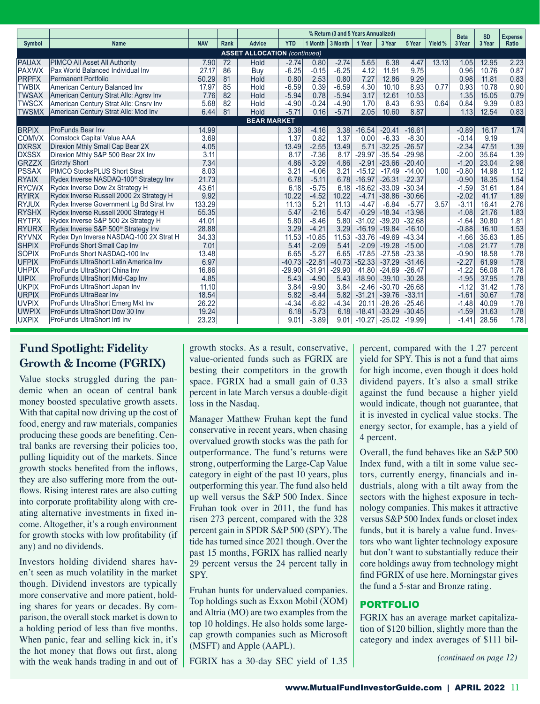|                                     |                                                    |            |      |            | % Return (3 and 5 Years Annualized) |          |          |          |          |          |         |                       | <b>SD</b> | <b>Expense</b> |
|-------------------------------------|----------------------------------------------------|------------|------|------------|-------------------------------------|----------|----------|----------|----------|----------|---------|-----------------------|-----------|----------------|
| Symbol                              | <b>Name</b>                                        | <b>NAV</b> | Rank | Advice     | <b>YTD</b>                          | 1 Month  | 3 Month  | 1 Year   | 3 Year   | 5 Year   | Yield % | <b>Beta</b><br>3 Year | 3 Year    | Ratio          |
| <b>ASSET ALLOCATION (continued)</b> |                                                    |            |      |            |                                     |          |          |          |          |          |         |                       |           |                |
| <b>PAUAX</b>                        | PIMCO All Asset All Authority                      | 7.90       | 72   | Hold       | $-2.74$                             | 0.80     | $-2.74$  | 5.65     | 6.38     | 4.47     | 13.13   | 1.05                  | 12.95     | 2.23           |
| <b>PAXWX</b>                        | Pax World Balanced Individual Inv                  | 27.17      | 86   | <b>Buv</b> | $-6.25$                             | $-0.15$  | $-6.25$  | 4.12     | 11.91    | 9.75     |         | 0.96                  | 10.76     | 0.87           |
| <b>PRPFX</b>                        | <b>Permanent Portfolio</b>                         | 50.29      | 81   | Hold       | 0.80                                | 2.53     | 0.80     | 7.27     | 12.86    | 9.29     |         | 0.98                  | 11.81     | 0.83           |
| <b>TWBIX</b>                        | American Century Balanced Inv                      | 17.97      | 85   | Hold       | $-6.59$                             | 0.39     | $-6.59$  | 4.30     | 10.10    | 8.93     | 0.77    | 0.93                  | 10.78     | 0.90           |
| <b>TWSAX</b>                        | American Century Strat Allc: Agrsv Inv             | 7.76       | 82   | Hold       | $-5.94$                             | 0.78     | $-5.94$  | 3.17     | 12.61    | 10.53    |         | 1.35                  | 15.05     | 0.79           |
| <b>TWSCX</b>                        | American Century Strat Allc: Cnsrv Inv             | 5.68       | 82   | Hold       | $-4.90$                             | $-0.24$  | $-4.90$  | 1.70     | 8.43     | 6.93     | 0.64    | 0.84                  | 9.39      | 0.83           |
| <b>TWSMX</b>                        | American Century Strat Allc: Mod Inv               | 6.44       | 81   | Hold       | $-5.71$                             | 0.16     | $-5.71$  | 2.05     | 10.60    | 8.87     |         | 1.13                  | 12.54     | 0.83           |
| <b>BEAR MARKET</b>                  |                                                    |            |      |            |                                     |          |          |          |          |          |         |                       |           |                |
| <b>BRPIX</b>                        | <b>ProFunds Bear Inv</b>                           | 14.99      |      |            | 3.38                                | $-4.16$  | 3.38     | $-16.54$ | $-20.41$ | $-16.61$ |         | $-0.89$               | 16.17     | 1.74           |
| <b>COMVX</b>                        | <b>Comstock Capital Value AAA</b>                  | 3.69       |      |            | 1.37                                | 0.82     | 1.37     | 0.00     | $-6.33$  | $-8.30$  |         | $-0.14$               | 9.19      |                |
| <b>DXRSX</b>                        | Direxion Mthly Small Cap Bear 2X                   | 4.05       |      |            | 13.49                               | $-2.55$  | 13.49    | 5.71     | $-32.25$ | $-26.57$ |         | $-2.34$               | 47.51     | 1.39           |
| <b>DXSSX</b>                        | Direxion Mthly S&P 500 Bear 2X Inv                 | 3.11       |      |            | 8.17                                | $-7.36$  | 8.17     | $-29.97$ | $-35.54$ | $-29.98$ |         | $-2.00$               | 35.64     | 1.39           |
| <b>GRZZX</b>                        | <b>Grizzly Short</b>                               | 7.34       |      |            | 4.86                                | $-3.29$  | 4.86     | $-2.91$  | $-23.66$ | $-20.40$ |         | $-1.20$               | 23.04     | 2.98           |
| <b>PSSAX</b>                        | <b>PIMCO StocksPLUS Short Strat</b>                | 8.03       |      |            | 3.21                                | $-4.06$  | 3.21     | $-15.12$ | $-17.49$ | $-14.00$ | 1.00    | $-0.80$               | 14.98     | 1.12           |
| <b>RYAIX</b>                        | Rydex Inverse NASDAQ-100 <sup>®</sup> Strategy Inv | 21.73      |      |            | 6.78                                | $-5.11$  | 6.78     | $-16.97$ | $-26.31$ | $-22.37$ |         | $-0.90$               | 18.35     | 1.54           |
| <b>RYCWX</b>                        | Rydex Inverse Dow 2x Strategy H                    | 43.61      |      |            | 6.18                                | $-5.75$  | 6.18     | $-18.62$ | $-33.09$ | $-30.34$ |         | $-1.59$               | 31.61     | 1.84           |
| <b>RYIRX</b>                        | Rydex Inverse Russell 2000 2x Strategy H           | 9.92       |      |            | 10.22                               | $-4.52$  | 10.22    | $-4.71$  | $-38.86$ | $-30.66$ |         | $-2.02$               | 41.17     | 1.89           |
| <b>RYJUX</b>                        | Rydex Inverse Government Lg Bd Strat Inv           | 133.29     |      |            | 11.13                               | 5.21     | 11.13    | $-4.47$  | $-6.84$  | $-5.77$  | 3.57    | $-3.11$               | 16.41     | 2.76           |
| <b>RYSHX</b>                        | Rydex Inverse Russell 2000 Strategy H              | 55.35      |      |            | 5.47                                | $-2.16$  | 5.47     | $-0.29$  | $-18.34$ | $-13.98$ |         | $-1.08$               | 21.76     | 1.83           |
| <b>RYTPX</b>                        | Rydex Inverse S&P 500 2x Strategy H                | 41.01      |      |            | 5.80                                | $-8.46$  | 5.80     | $-31.02$ | $-39.20$ | $-32.68$ |         | $-1.64$               | 30.80     | 1.81           |
| <b>RYURX</b>                        | Rydex Inverse S&P 500 <sup>®</sup> Strategy Inv    | 28.88      |      |            | 3.29                                | $-4.21$  | 3.29     | $-16.19$ | $-19.84$ | $-16.10$ |         | $-0.88$               | 16.10     | 1.53           |
| <b>RYVNX</b>                        | Rydex Dyn Inverse NASDAQ-100 2X Strat H            | 34.33      |      |            | 11.53                               | $-10.85$ | 11.53    | $-33.76$ | $-49.69$ | $-43.34$ |         | $-1.66$               | 35.63     | 1.85           |
| <b>SHPIX</b>                        | ProFunds Short Small Cap Inv                       | 7.01       |      |            | 5.41                                | $-2.09$  | 5.41     | $-2.09$  | $-19.28$ | $-15.00$ |         | $-1.08$               | 21.77     | 1.78           |
| <b>SOPIX</b>                        | ProFunds Short NASDAQ-100 Inv                      | 13.48      |      |            | 6.65                                | $-5.27$  | 6.65     | $-17.85$ | $-27.58$ | $-23.38$ |         | $-0.90$               | 18.58     | 1.78           |
| <b>UFPIX</b>                        | <b>ProFunds UltraShort Latin America Inv</b>       | 6.97       |      |            | $-40.73$                            | $-22.81$ | $-40.73$ | $-52.33$ | $-37.29$ | $-31.46$ |         | $-2.27$               | 61.99     | 1.78           |
| <b>UHPIX</b>                        | ProFunds UltraShort China Inv                      | 16.86      |      |            | $-29.90$                            | $-31.91$ | $-29.90$ | 41.80    | $-24.69$ | $-26.47$ |         | $-1.22$               | 56.08     | 1.78           |
| <b>UIPIX</b>                        | ProFunds UltraShort Mid-Cap Inv                    | 4.85       |      |            | 5.43                                | $-4.90$  | 5.43     | $-18.90$ | $-39.10$ | $-30.28$ |         | $-1.95$               | 37.95     | 1.78           |
| <b>UKPIX</b>                        | ProFunds UltraShort Japan Inv                      | 11.10      |      |            | 3.84                                | $-9.90$  | 3.84     | $-2.46$  | $-30.70$ | $-26.68$ |         | $-1.12$               | 31.42     | 1.78           |
| <b>URPIX</b>                        | <b>ProFunds UltraBear Inv</b>                      | 18.54      |      |            | 5.82                                | $-8.44$  | 5.82     | $-31.21$ | $-39.76$ | $-33.11$ |         | $-1.61$               | 30.67     | 1.78           |
| <b>UVPIX</b>                        | ProFunds UltraShort Emerg Mkt Inv                  | 26.22      |      |            | $-4.34$                             | $-6.82$  | $-4.34$  | 20.11    | $-28.26$ | $-25.46$ |         | $-1.48$               | 40.09     | 1.78           |
| <b>UWPIX</b>                        | ProFunds UltraShort Dow 30 Inv                     | 19.24      |      |            | 6.18                                | $-5.73$  | 6.18     | $-18.41$ | $-33.29$ | $-30.45$ |         | $-1.59$               | 31.63     | 1.78           |
| <b>UXPIX</b>                        | <b>ProFunds UltraShort Intl Inv</b>                | 23.23      |      |            | 9.01                                | $-3.89$  | 9.01     | $-10.27$ | $-25.02$ | -19.991  |         | $-1.41$               | 28.56     | 1.78           |

# **Fund Spotlight: Fidelity Growth & Income (FGRIX)**

Value stocks struggled during the pandemic when an ocean of central bank money boosted speculative growth assets. With that capital now driving up the cost of food, energy and raw materials, companies producing these goods are benefiting. Central banks are reversing their policies too, pulling liquidity out of the markets. Since growth stocks benefited from the inflows, they are also suffering more from the outflows. Rising interest rates are also cutting into corporate profitability along with creating alternative investments in fixed income. Altogether, it's a rough environment for growth stocks with low profitability (if any) and no dividends.

Investors holding dividend shares haven't seen as much volatility in the market though. Dividend investors are typically more conservative and more patient, holding shares for years or decades. By comparison, the overall stock market is down to a holding period of less than five months. When panic, fear and selling kick in, it's the hot money that flows out first, along with the weak hands trading in and out of growth stocks. As a result, conservative, value-oriented funds such as FGRIX are besting their competitors in the growth space. FGRIX had a small gain of 0.33 percent in late March versus a double-digit loss in the Nasdaq.

Manager Matthew Fruhan kept the fund conservative in recent years, when chasing overvalued growth stocks was the path for outperformance. The fund's returns were strong, outperforming the Large-Cap Value category in eight of the past 10 years, plus outperforming this year. The fund also held up well versus the S&P 500 Index. Since Fruhan took over in 2011, the fund has risen 273 percent, compared with the 328 percent gain in SPDR S&P 500 (SPY). The tide has turned since 2021 though. Over the past 15 months, FGRIX has rallied nearly 29 percent versus the 24 percent tally in SPY.

Fruhan hunts for undervalued companies. Top holdings such as Exxon Mobil (XOM) and Altria (MO) are two examples from the top 10 holdings. He also holds some largecap growth companies such as Microsoft (MSFT) and Apple (AAPL).

FGRIX has a 30-day SEC yield of 1.35

percent, compared with the 1.27 percent yield for SPY. This is not a fund that aims for high income, even though it does hold dividend payers. It's also a small strike against the fund because a higher yield would indicate, though not guarantee, that it is invested in cyclical value stocks. The energy sector, for example, has a yield of 4 percent.

Overall, the fund behaves like an S&P 500 Index fund, with a tilt in some value sectors, currently energy, financials and industrials, along with a tilt away from the sectors with the highest exposure in technology companies. This makes it attractive versus S&P 500 Index funds or closet index funds, but it is barely a value fund. Investors who want lighter technology exposure but don't want to substantially reduce their core holdings away from technology might find FGRIX of use here. Morningstar gives the fund a 5-star and Bronze rating.

# PORTFOLIO

FGRIX has an average market capitalization of \$120 billion, slightly more than the category and index averages of \$111 bil-

*(continued on page 12)*